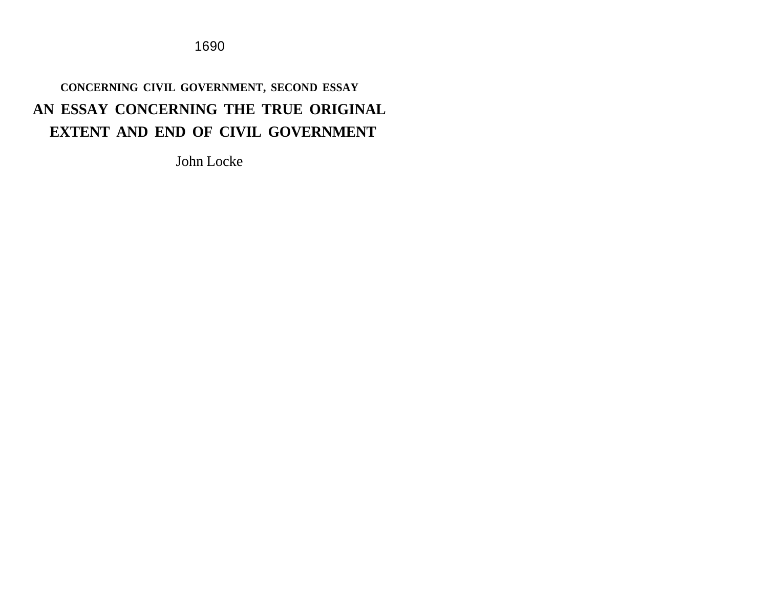1690

# **CONCERNING CIVIL GOVERNMENT, SECOND ESSAY AN ESSAY CONCERNING THE TRUE ORIGINAL EXTENT AND END OF CIVIL GOVERNMENT**

John Locke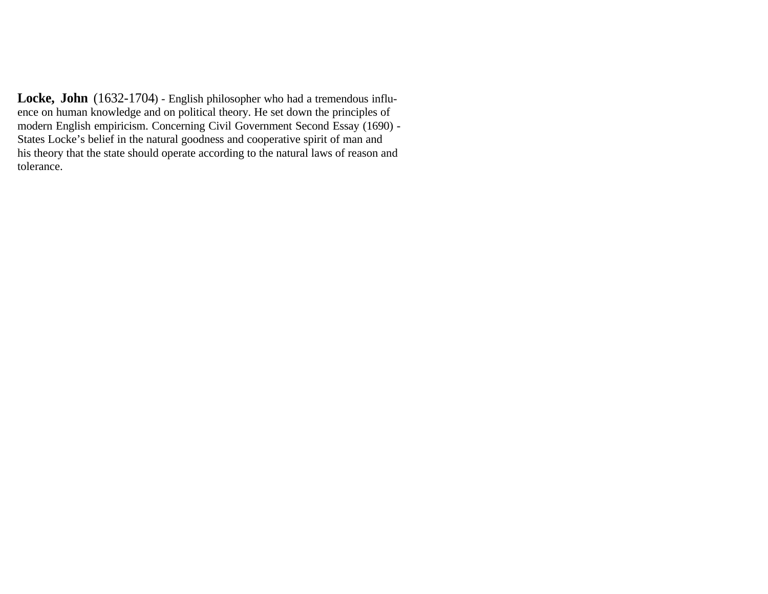Locke, John (1632-1704) - English philosopher who had a tremendous influence on human knowledge and on political theory. He set down the principles of modern English empiricism. Concerning Civil Government Second Essay (1690) - States Locke's belief in the natural goodness and cooperative spirit of man and his theory that the state should operate according to the natural laws of reason and tolerance.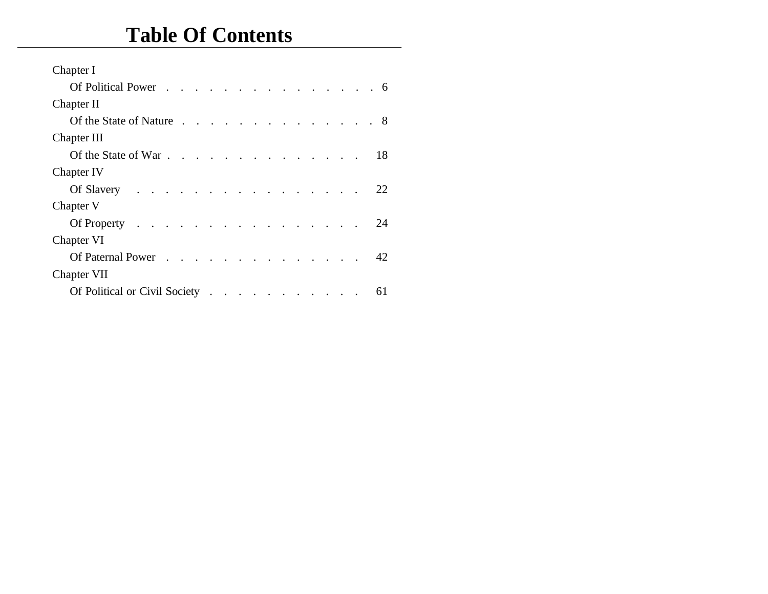# **Table Of Contents**

| Chapter I                                                                        |  |
|----------------------------------------------------------------------------------|--|
| Of Political Power 6                                                             |  |
| Chapter II                                                                       |  |
| Of the State of Nature 8                                                         |  |
| Chapter III                                                                      |  |
| Of the State of War. 18                                                          |  |
| Chapter IV                                                                       |  |
| Of Slavery $\ldots$ 22                                                           |  |
| Chapter V                                                                        |  |
| Of Property $\ldots$ $\ldots$ $\ldots$ $\ldots$ $\ldots$ $\ldots$ $\ldots$<br>24 |  |
| Chapter VI                                                                       |  |
| Of Paternal Power 42                                                             |  |
| Chapter VII                                                                      |  |
| Of Political or Civil Society<br>61                                              |  |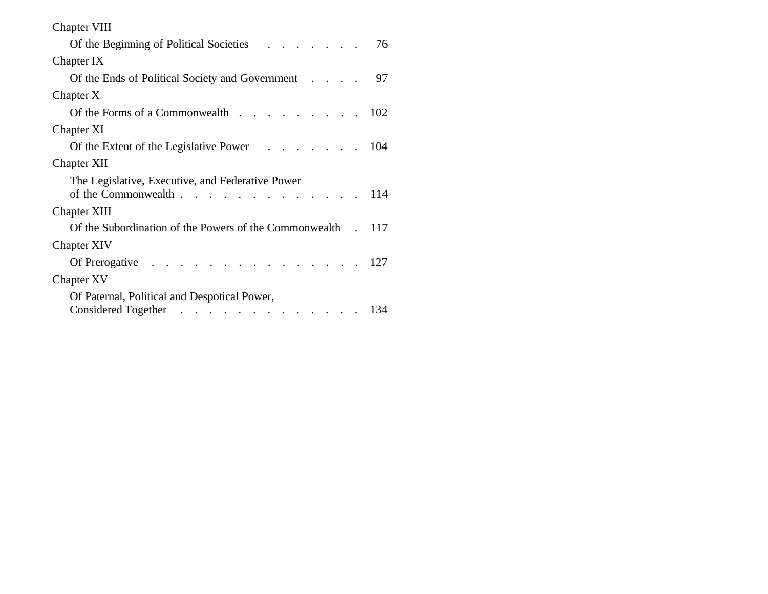| <b>Chapter VIII</b>                                                               |    |
|-----------------------------------------------------------------------------------|----|
| Of the Beginning of Political Societies (Co. 2014)                                | 76 |
| Chapter IX                                                                        |    |
| Of the Ends of Political Society and Government                                   | 97 |
| Chapter X                                                                         |    |
| Of the Forms of a Commonwealth $\ldots$ $\ldots$ $\ldots$ $\ldots$ $\ldots$ 102   |    |
| Chapter XI                                                                        |    |
| Of the Extent of the Legislative Power 104                                        |    |
| <b>Chapter XII</b>                                                                |    |
| The Legislative, Executive, and Federative Power<br>of the Commonwealth 114       |    |
| <b>Chapter XIII</b>                                                               |    |
| Of the Subordination of the Powers of the Commonwealth . 117                      |    |
| <b>Chapter XIV</b>                                                                |    |
| Of Prerogative $\ldots$ $\ldots$ $\ldots$ $\ldots$ $\ldots$ $\ldots$ $\ldots$ 127 |    |
| Chapter XV                                                                        |    |
| Of Paternal, Political and Despotical Power,                                      |    |
| Considered Together 134                                                           |    |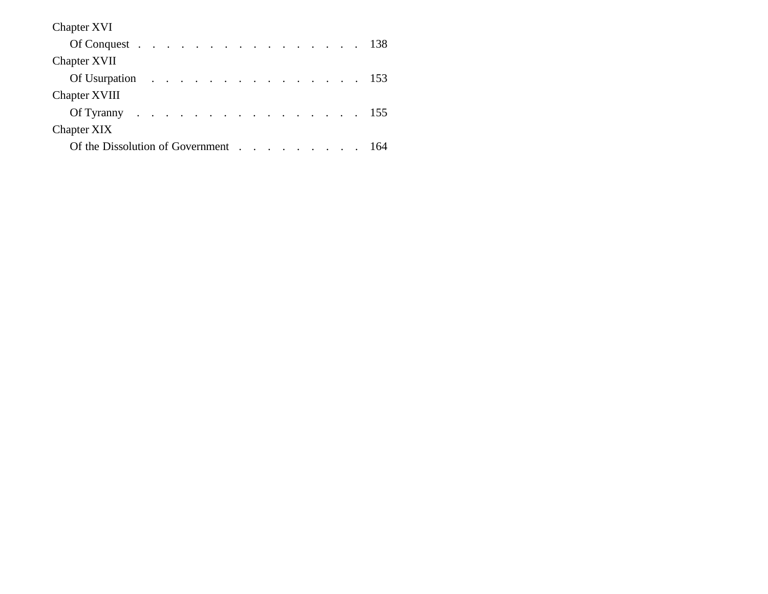| <b>Chapter XVI</b>                                                             |  |  |  |  |  |
|--------------------------------------------------------------------------------|--|--|--|--|--|
| Of Conquest $\ldots$ $\ldots$ $\ldots$ $\ldots$ $\ldots$ $\ldots$ $\ldots$ 138 |  |  |  |  |  |
| <b>Chapter XVII</b>                                                            |  |  |  |  |  |
| Of Usurpation $\ldots$ $\ldots$ $\ldots$ $\ldots$ $\ldots$ $\ldots$ 153        |  |  |  |  |  |
| <b>Chapter XVIII</b>                                                           |  |  |  |  |  |
| Of Tyranny 155                                                                 |  |  |  |  |  |
| Chapter XIX                                                                    |  |  |  |  |  |
| Of the Dissolution of Government 164                                           |  |  |  |  |  |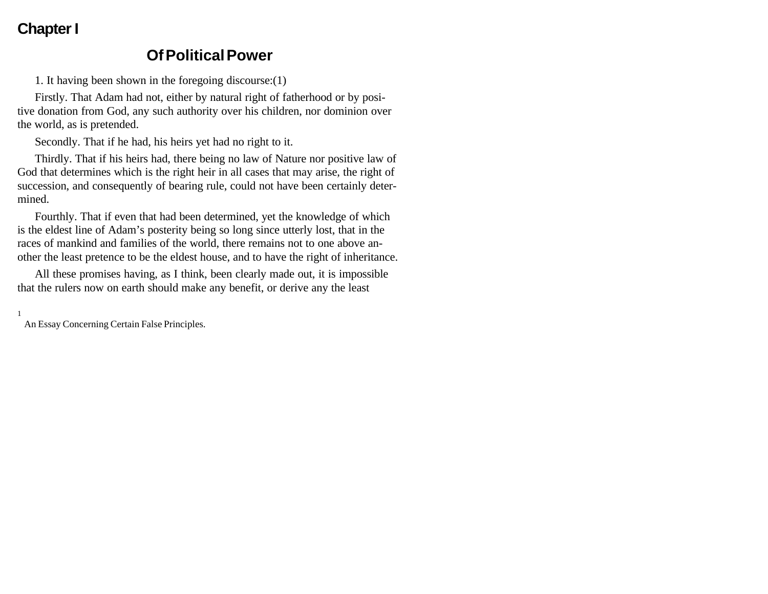## **Chapter I**

### **Of Political Power**

1. It having been shown in the foregoing discourse:(1)

Firstly. That Adam had not, either by natural right of fatherhood or by positive donation from God, any such authority over his children, nor dominion over the world, as is pretended.

Secondly. That if he had, his heirs yet had no right to it.

Thirdly. That if his heirs had, there being no law of Nature nor positive law of God that determines which is the right heir in all cases that may arise, the right of succession, and consequently of bearing rule, could not have been certainly determined.

Fourthly. That if even that had been determined, yet the knowledge of which is the eldest line of Adam's posterity being so long since utterly lost, that in the races of mankind and families of the world, there remains not to one above another the least pretence to be the eldest house, and to have the right of inheritance.

All these promises having, as I think, been clearly made out, it is impossible that the rulers now on earth should make any benefit, or derive any the least

1

An Essay Concerning Certain False Principles.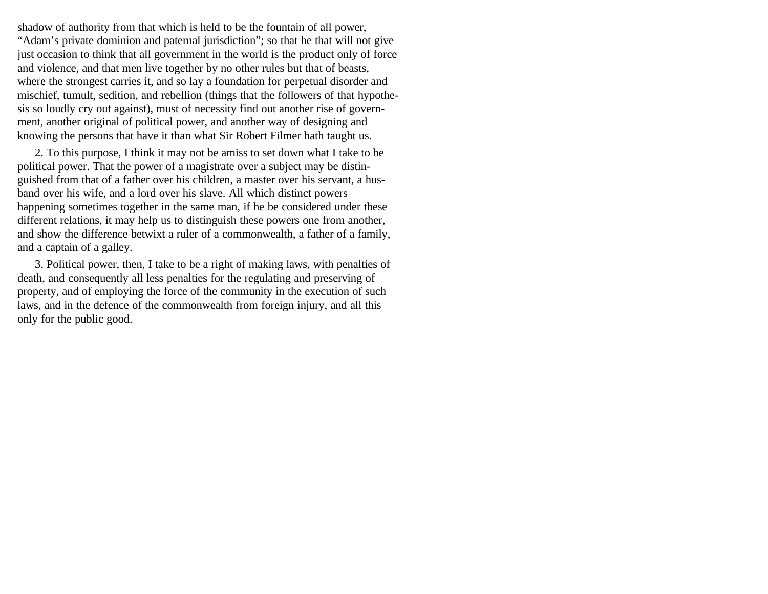shadow of authority from that which is held to be the fountain of all power, "Adam's private dominion and paternal jurisdiction"; so that he that will not give just occasion to think that all government in the world is the product only of force and violence, and that men live together by no other rules but that of beasts, where the strongest carries it, and so lay a foundation for perpetual disorder and mischief, tumult, sedition, and rebellion (things that the followers of that hypothesis so loudly cry out against), must of necessity find out another rise of government, another original of political power, and another way of designing and knowing the persons that have it than what Sir Robert Filmer hath taught us.

2. To this purpose, I think it may not be amiss to set down what I take to be political power. That the power of a magistrate over a subject may be distinguished from that of a father over his children, a master over his servant, a husband over his wife, and a lord over his slave. All which distinct powers happening sometimes together in the same man, if he be considered under these different relations, it may help us to distinguish these powers one from another, and show the difference betwixt a ruler of a commonwealth, a father of a family, and a captain of a galley.

3. Political power, then, I take to be a right of making laws, with penalties of death, and consequently all less penalties for the regulating and preserving of property, and of employing the force of the community in the execution of such laws, and in the defence of the commonwealth from foreign injury, and all this only for the public good.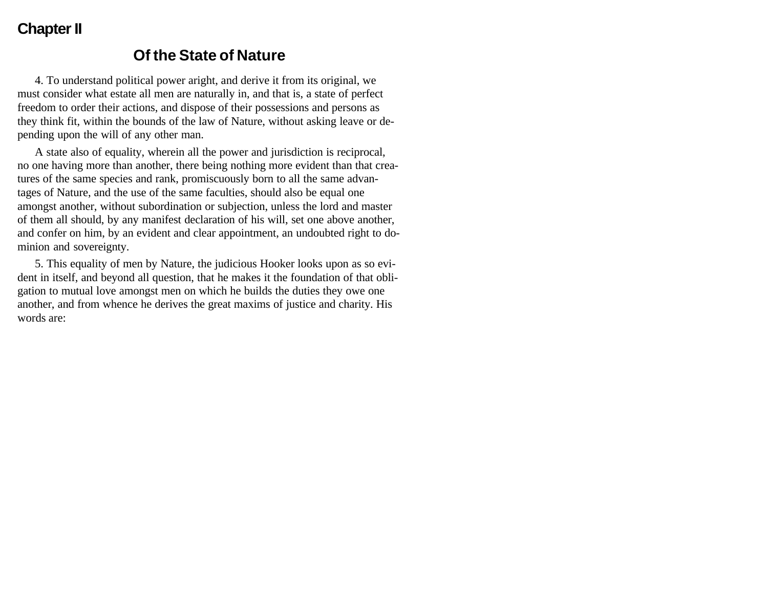#### **Chapter II**

#### **Of the State of Nature**

4. To understand political power aright, and derive it from its original, we must consider what estate all men are naturally in, and that is, a state of perfect freedom to order their actions, and dispose of their possessions and persons as they think fit, within the bounds of the law of Nature, without asking leave or depending upon the will of any other man.

A state also of equality, wherein all the power and jurisdiction is reciprocal, no one having more than another, there being nothing more evident than that creatures of the same species and rank, promiscuously born to all the same advantages of Nature, and the use of the same faculties, should also be equal one amongst another, without subordination or subjection, unless the lord and master of them all should, by any manifest declaration of his will, set one above another, and confer on him, by an evident and clear appointment, an undoubted right to dominion and sovereignty.

5. This equality of men by Nature, the judicious Hooker looks upon as so evident in itself, and beyond all question, that he makes it the foundation of that obligation to mutual love amongst men on which he builds the duties they owe one another, and from whence he derives the great maxims of justice and charity. His words are: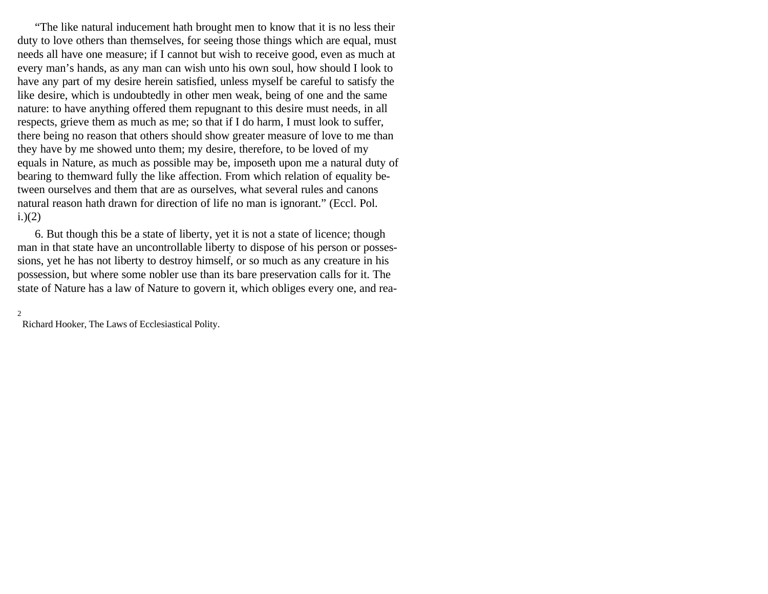"The like natural inducement hath brought men to know that it is no less their duty to love others than themselves, for seeing those things which are equal, must needs all have one measure; if I cannot but wish to receive good, even as much at every man's hands, as any man can wish unto his own soul, how should I look to have any part of my desire herein satisfied, unless myself be careful to satisfy the like desire, which is undoubtedly in other men weak, being of one and the same nature: to have anything offered them repugnant to this desire must needs, in all respects, grieve them as much as me; so that if I do harm, I must look to suffer, there being no reason that others should show greater measure of love to me than they have by me showed unto them; my desire, therefore, to be loved of my equals in Nature, as much as possible may be, imposeth upon me a natural duty of bearing to themward fully the like affection. From which relation of equality between ourselves and them that are as ourselves, what several rules and canons natural reason hath drawn for direction of life no man is ignorant." (Eccl. Pol.  $i.)(2)$ 

6. But though this be a state of liberty, yet it is not a state of licence; though man in that state have an uncontrollable liberty to dispose of his person or possessions, yet he has not liberty to destroy himself, or so much as any creature in his possession, but where some nobler use than its bare preservation calls for it. The state of Nature has a law of Nature to govern it, which obliges every one, and rea-

#### 2

Richard Hooker, The Laws of Ecclesiastical Polity.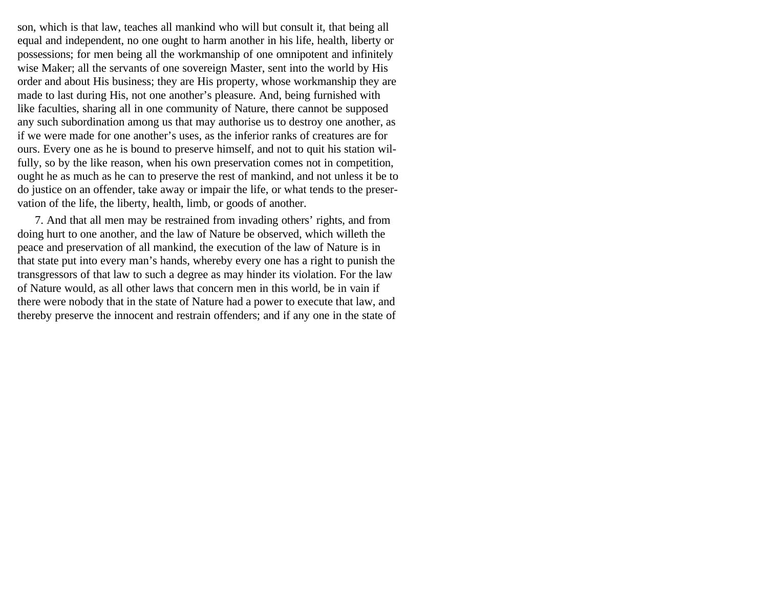son, which is that law, teaches all mankind who will but consult it, that being all equal and independent, no one ought to harm another in his life, health, liberty or possessions; for men being all the workmanship of one omnipotent and infinitely wise Maker; all the servants of one sovereign Master, sent into the world by His order and about His business; they are His property, whose workmanship they are made to last during His, not one another's pleasure. And, being furnished with like faculties, sharing all in one community of Nature, there cannot be supposed any such subordination among us that may authorise us to destroy one another, as if we were made for one another's uses, as the inferior ranks of creatures are for ours. Every one as he is bound to preserve himself, and not to quit his station wilfully, so by the like reason, when his own preservation comes not in competition, ought he as much as he can to preserve the rest of mankind, and not unless it be to do justice on an offender, take away or impair the life, or what tends to the preservation of the life, the liberty, health, limb, or goods of another.

7. And that all men may be restrained from invading others' rights, and from doing hurt to one another, and the law of Nature be observed, which willeth the peace and preservation of all mankind, the execution of the law of Nature is in that state put into every man's hands, whereby every one has a right to punish the transgressors of that law to such a degree as may hinder its violation. For the law of Nature would, as all other laws that concern men in this world, be in vain if there were nobody that in the state of Nature had a power to execute that law, and thereby preserve the innocent and restrain offenders; and if any one in the state of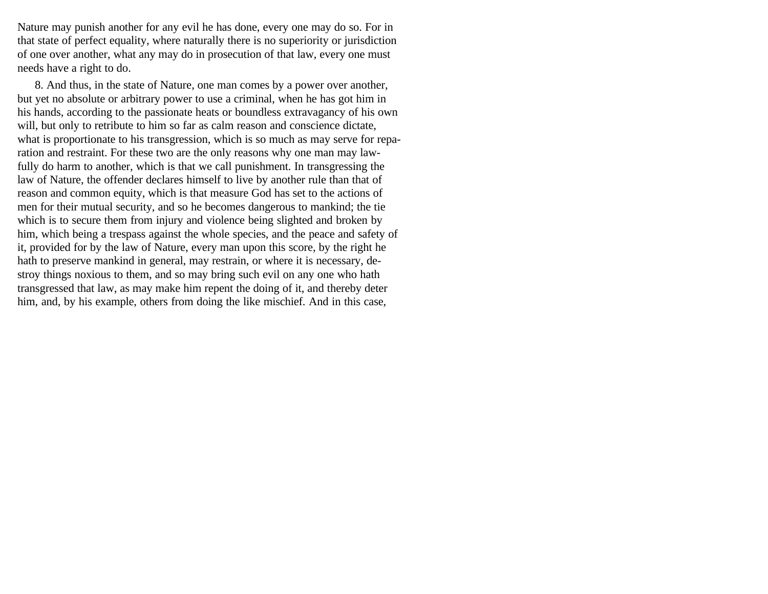Nature may punish another for any evil he has done, every one may do so. For in that state of perfect equality, where naturally there is no superiority or jurisdiction of one over another, what any may do in prosecution of that law, every one must needs have a right to do.

8. And thus, in the state of Nature, one man comes by a power over another, but yet no absolute or arbitrary power to use a criminal, when he has got him in his hands, according to the passionate heats or boundless extravagancy of his own will, but only to retribute to him so far as calm reason and conscience dictate, what is proportionate to his transgression, which is so much as may serve for reparation and restraint. For these two are the only reasons why one man may lawfully do harm to another, which is that we call punishment. In transgressing the law of Nature, the offender declares himself to live by another rule than that of reason and common equity, which is that measure God has set to the actions of men for their mutual security, and so he becomes dangerous to mankind; the tie which is to secure them from injury and violence being slighted and broken by him, which being a trespass against the whole species, and the peace and safety of it, provided for by the law of Nature, every man upon this score, by the right he hath to preserve mankind in general, may restrain, or where it is necessary, destroy things noxious to them, and so may bring such evil on any one who hath transgressed that law, as may make him repent the doing of it, and thereby deter him, and, by his example, others from doing the like mischief. And in this case,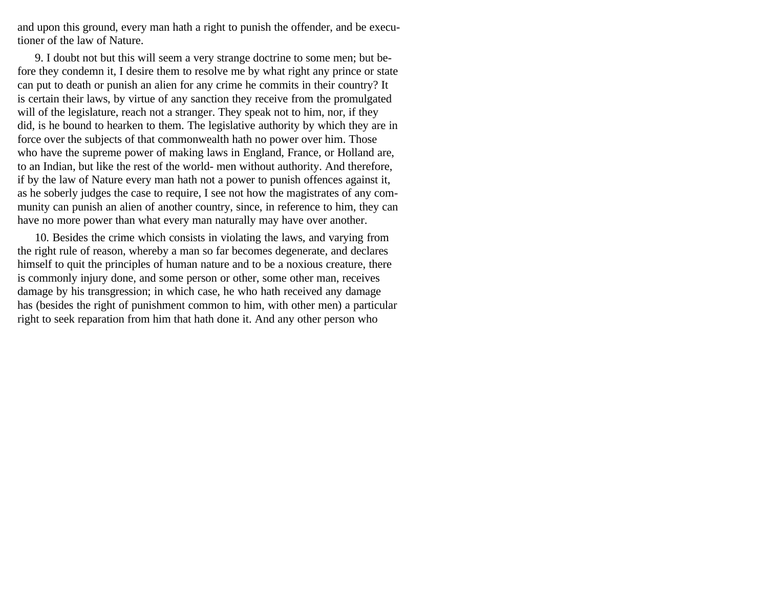and upon this ground, every man hath a right to punish the offender, and be executioner of the law of Nature.

9. I doubt not but this will seem a very strange doctrine to some men; but before they condemn it, I desire them to resolve me by what right any prince or state can put to death or punish an alien for any crime he commits in their country? It is certain their laws, by virtue of any sanction they receive from the promulgated will of the legislature, reach not a stranger. They speak not to him, nor, if they did, is he bound to hearken to them. The legislative authority by which they are in force over the subjects of that commonwealth hath no power over him. Those who have the supreme power of making laws in England, France, or Holland are, to an Indian, but like the rest of the world- men without authority. And therefore, if by the law of Nature every man hath not a power to punish offences against it, as he soberly judges the case to require, I see not how the magistrates of any community can punish an alien of another country, since, in reference to him, they can have no more power than what every man naturally may have over another.

10. Besides the crime which consists in violating the laws, and varying from the right rule of reason, whereby a man so far becomes degenerate, and declares himself to quit the principles of human nature and to be a noxious creature, there is commonly injury done, and some person or other, some other man, receives damage by his transgression; in which case, he who hath received any damage has (besides the right of punishment common to him, with other men) a particular right to seek reparation from him that hath done it. And any other person who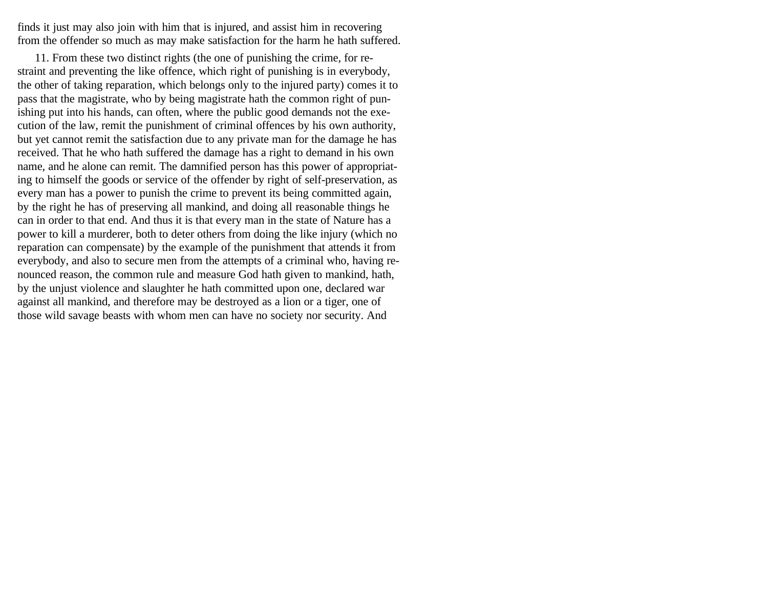finds it just may also join with him that is injured, and assist him in recovering from the offender so much as may make satisfaction for the harm he hath suffered.

11. From these two distinct rights (the one of punishing the crime, for restraint and preventing the like offence, which right of punishing is in everybody, the other of taking reparation, which belongs only to the injured party) comes it to pass that the magistrate, who by being magistrate hath the common right of punishing put into his hands, can often, where the public good demands not the execution of the law, remit the punishment of criminal offences by his own authority, but yet cannot remit the satisfaction due to any private man for the damage he has received. That he who hath suffered the damage has a right to demand in his own name, and he alone can remit. The damnified person has this power of appropriating to himself the goods or service of the offender by right of self-preservation, as every man has a power to punish the crime to prevent its being committed again, by the right he has of preserving all mankind, and doing all reasonable things he can in order to that end. And thus it is that every man in the state of Nature has a power to kill a murderer, both to deter others from doing the like injury (which no reparation can compensate) by the example of the punishment that attends it from everybody, and also to secure men from the attempts of a criminal who, having renounced reason, the common rule and measure God hath given to mankind, hath, by the unjust violence and slaughter he hath committed upon one, declared war against all mankind, and therefore may be destroyed as a lion or a tiger, one of those wild savage beasts with whom men can have no society nor security. And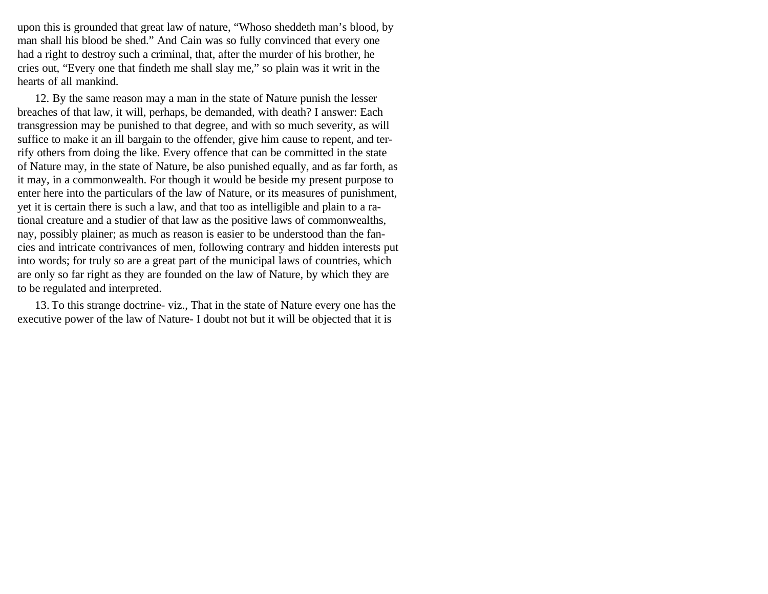upon this is grounded that great law of nature, "Whoso sheddeth man's blood, by man shall his blood be shed." And Cain was so fully convinced that every one had a right to destroy such a criminal, that, after the murder of his brother, he cries out, "Every one that findeth me shall slay me," so plain was it writ in the hearts of all mankind.

12. By the same reason may a man in the state of Nature punish the lesser breaches of that law, it will, perhaps, be demanded, with death? I answer: Each transgression may be punished to that degree, and with so much severity, as will suffice to make it an ill bargain to the offender, give him cause to repent, and terrify others from doing the like. Every offence that can be committed in the state of Nature may, in the state of Nature, be also punished equally, and as far forth, as it may, in a commonwealth. For though it would be beside my present purpose to enter here into the particulars of the law of Nature, or its measures of punishment, yet it is certain there is such a law, and that too as intelligible and plain to a rational creature and a studier of that law as the positive laws of commonwealths, nay, possibly plainer; as much as reason is easier to be understood than the fancies and intricate contrivances of men, following contrary and hidden interests put into words; for truly so are a great part of the municipal laws of countries, which are only so far right as they are founded on the law of Nature, by which they are to be regulated and interpreted.

13. To this strange doctrine- viz., That in the state of Nature every one has the executive power of the law of Nature- I doubt not but it will be objected that it is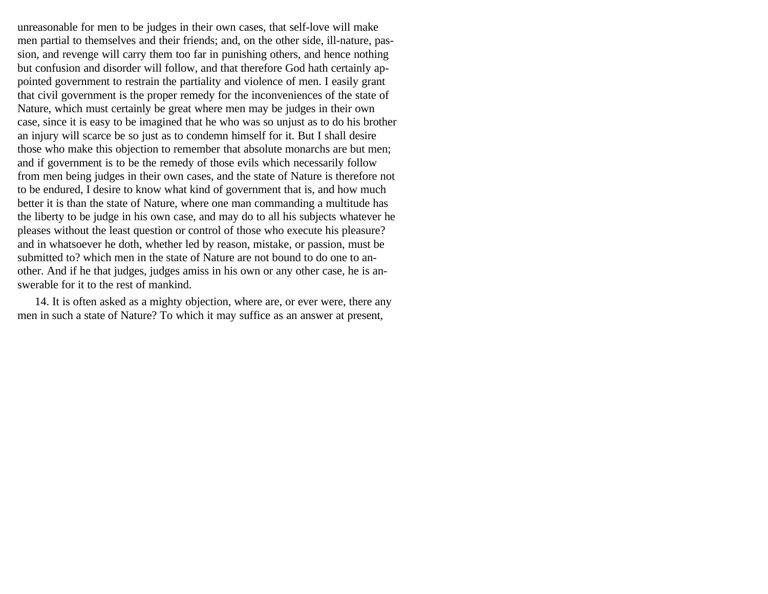unreasonable for men to be judges in their own cases, that self-love will make men partial to themselves and their friends; and, on the other side, ill-nature, passion, and revenge will carry them too far in punishing others, and hence nothing but confusion and disorder will follow, and that therefore God hath certainly appointed government to restrain the partiality and violence of men. I easily grant that civil government is the proper remedy for the inconveniences of the state of Nature, which must certainly be great where men may be judges in their own case, since it is easy to be imagined that he who was so unjust as to do his brother an injury will scarce be so just as to condemn himself for it. But I shall desire those who make this objection to remember that absolute monarchs are but men; and if government is to be the remedy of those evils which necessarily follow from men being judges in their own cases, and the state of Nature is therefore not to be endured, I desire to know what kind of government that is, and how much better it is than the state of Nature, where one man commanding a multitude has the liberty to be judge in his own case, and may do to all his subjects whatever he pleases without the least question or control of those who execute his pleasure? and in whatsoever he doth, whether led by reason, mistake, or passion, must be submitted to? which men in the state of Nature are not bound to do one to another. And if he that judges, judges amiss in his own or any other case, he is answerable for it to the rest of mankind.

14. It is often asked as a mighty objection, where are, or ever were, there any men in such a state of Nature? To which it may suffice as an answer at present,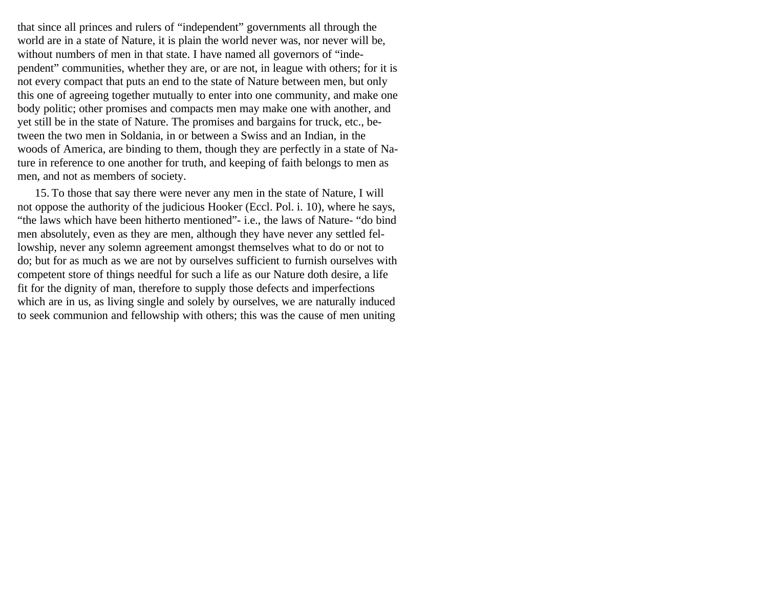that since all princes and rulers of "independent" governments all through the world are in a state of Nature, it is plain the world never was, nor never will be, without numbers of men in that state. I have named all governors of "independent" communities, whether they are, or are not, in league with others; for it is not every compact that puts an end to the state of Nature between men, but only this one of agreeing together mutually to enter into one community, and make one body politic; other promises and compacts men may make one with another, and yet still be in the state of Nature. The promises and bargains for truck, etc., between the two men in Soldania, in or between a Swiss and an Indian, in the woods of America, are binding to them, though they are perfectly in a state of Nature in reference to one another for truth, and keeping of faith belongs to men as men, and not as members of society.

15. To those that say there were never any men in the state of Nature, I will not oppose the authority of the judicious Hooker (Eccl. Pol. i. 10), where he says, "the laws which have been hitherto mentioned"- i.e., the laws of Nature- "do bind men absolutely, even as they are men, although they have never any settled fellowship, never any solemn agreement amongst themselves what to do or not to do; but for as much as we are not by ourselves sufficient to furnish ourselves with competent store of things needful for such a life as our Nature doth desire, a life fit for the dignity of man, therefore to supply those defects and imperfections which are in us, as living single and solely by ourselves, we are naturally induced to seek communion and fellowship with others; this was the cause of men uniting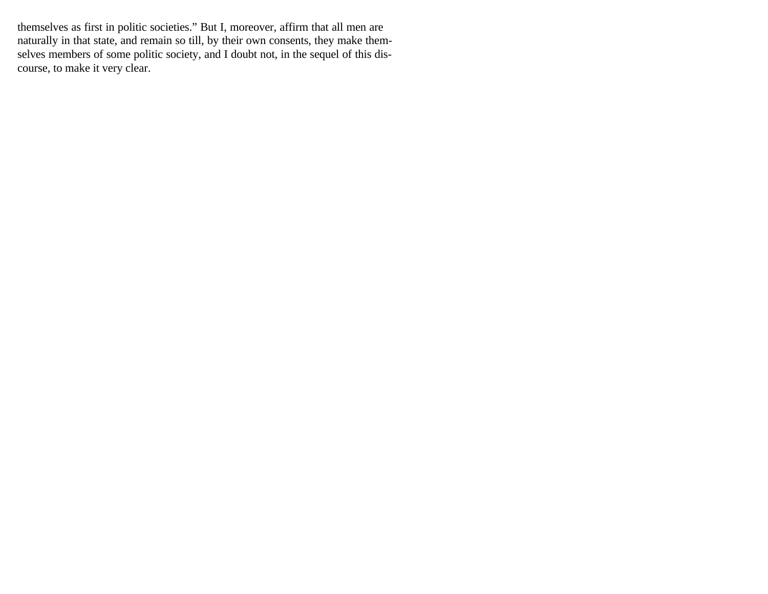themselves as first in politic societies." But I, moreover, affirm that all men are naturally in that state, and remain so till, by their own consents, they make themselves members of some politic society, and I doubt not, in the sequel of this discourse, to make it very clear.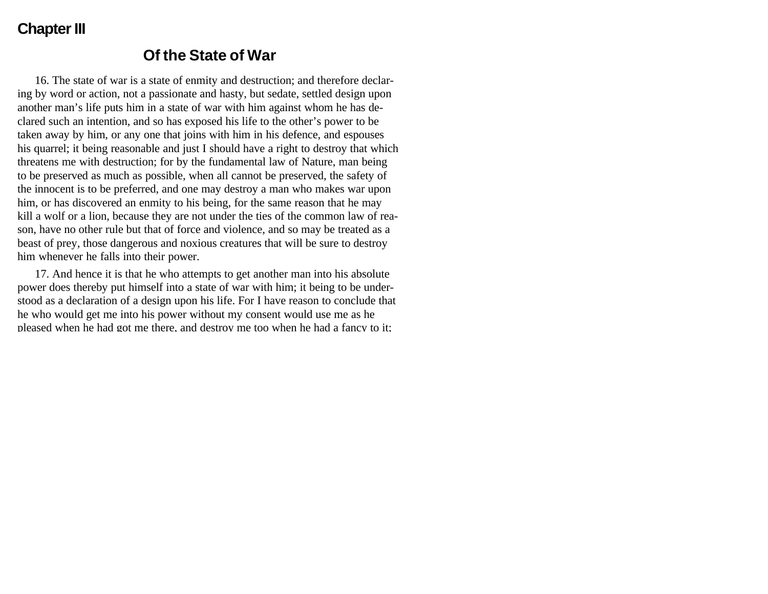#### **Chapter III**

#### **Of the State of War**

16. The state of war is a state of enmity and destruction; and therefore declaring by word or action, not a passionate and hasty, but sedate, settled design upon another man's life puts him in a state of war with him against whom he has declared such an intention, and so has exposed his life to the other's power to be taken away by him, or any one that joins with him in his defence, and espouses his quarrel; it being reasonable and just I should have a right to destroy that which threatens me with destruction; for by the fundamental law of Nature, man being to be preserved as much as possible, when all cannot be preserved, the safety of the innocent is to be preferred, and one may destroy a man who makes war upon him, or has discovered an enmity to his being, for the same reason that he may kill a wolf or a lion, because they are not under the ties of the common law of reason, have no other rule but that of force and violence, and so may be treated as a beast of prey, those dangerous and noxious creatures that will be sure to destroy him whenever he falls into their power.

17. And hence it is that he who attempts to get another man into his absolute power does thereby put himself into a state of war with him; it being to be understood as a declaration of a design upon his life. For I have reason to conclude that he who would get me into his power without my consent would use me as he pleased when he had got me there, and destroy me too when he had a fancy to it;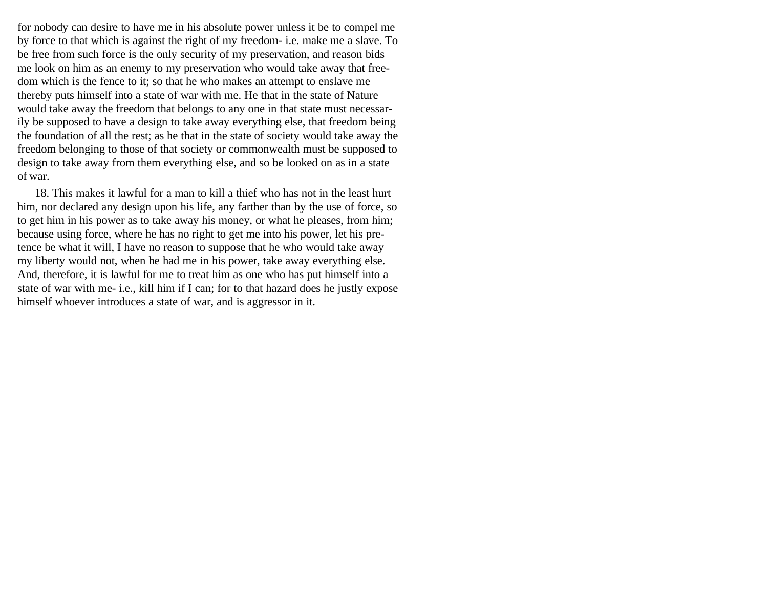for nobody can desire to have me in his absolute power unless it be to compel me by force to that which is against the right of my freedom- i.e. make me a slave. To be free from such force is the only security of my preservation, and reason bids me look on him as an enemy to my preservation who would take away that freedom which is the fence to it; so that he who makes an attempt to enslave me thereby puts himself into a state of war with me. He that in the state of Nature would take away the freedom that belongs to any one in that state must necessarily be supposed to have a design to take away everything else, that freedom being the foundation of all the rest; as he that in the state of society would take away the freedom belonging to those of that society or commonwealth must be supposed to design to take away from them everything else, and so be looked on as in a state of war.

18. This makes it lawful for a man to kill a thief who has not in the least hurt him, nor declared any design upon his life, any farther than by the use of force, so to get him in his power as to take away his money, or what he pleases, from him; because using force, where he has no right to get me into his power, let his pretence be what it will, I have no reason to suppose that he who would take away my liberty would not, when he had me in his power, take away everything else. And, therefore, it is lawful for me to treat him as one who has put himself into a state of war with me- i.e., kill him if I can; for to that hazard does he justly expose himself whoever introduces a state of war, and is aggressor in it.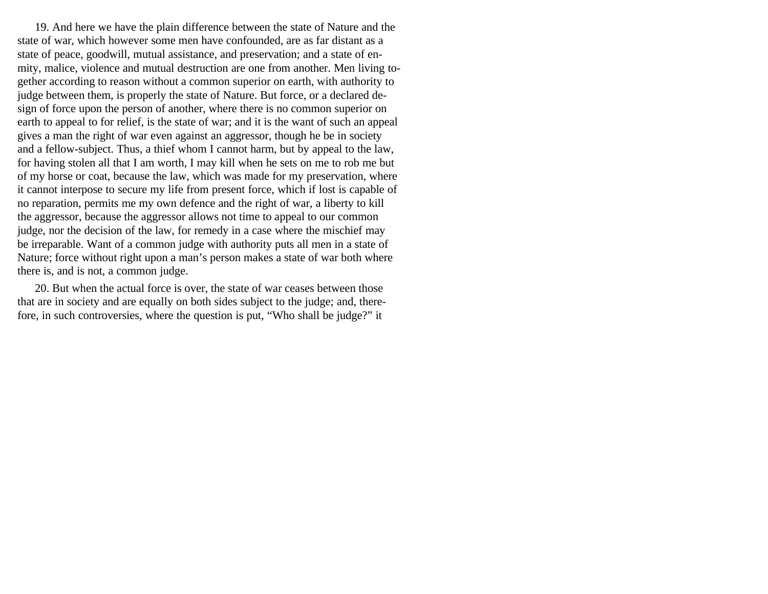19. And here we have the plain difference between the state of Nature and the state of war, which however some men have confounded, are as far distant as a state of peace, goodwill, mutual assistance, and preservation; and a state of enmity, malice, violence and mutual destruction are one from another. Men living together according to reason without a common superior on earth, with authority to judge between them, is properly the state of Nature. But force, or a declared design of force upon the person of another, where there is no common superior on earth to appeal to for relief, is the state of war; and it is the want of such an appeal gives a man the right of war even against an aggressor, though he be in society and a fellow-subject. Thus, a thief whom I cannot harm, but by appeal to the law, for having stolen all that I am worth, I may kill when he sets on me to rob me but of my horse or coat, because the law, which was made for my preservation, where it cannot interpose to secure my life from present force, which if lost is capable of no reparation, permits me my own defence and the right of war, a liberty to kill the aggressor, because the aggressor allows not time to appeal to our common judge, nor the decision of the law, for remedy in a case where the mischief may be irreparable. Want of a common judge with authority puts all men in a state of Nature; force without right upon a man's person makes a state of war both where there is, and is not, a common judge.

20. But when the actual force is over, the state of war ceases between those that are in society and are equally on both sides subject to the judge; and, therefore, in such controversies, where the question is put, "Who shall be judge?" it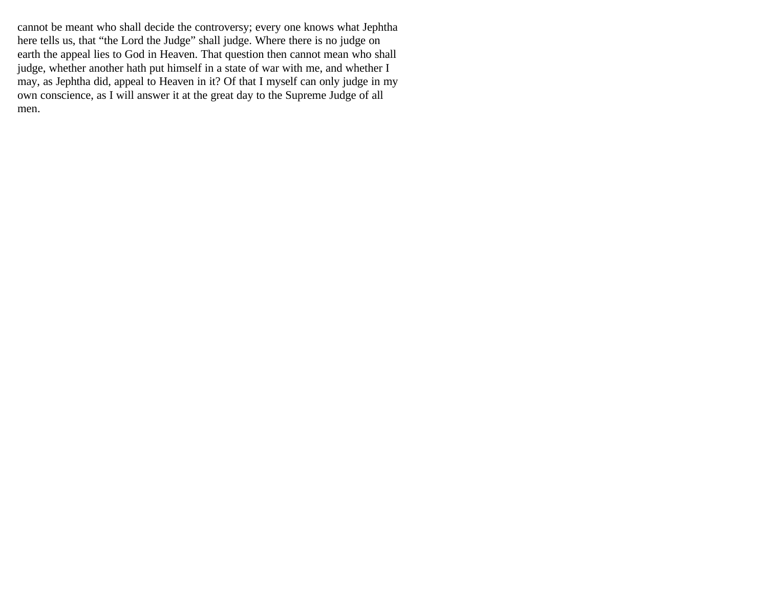cannot be meant who shall decide the controversy; every one knows what Jephtha here tells us, that "the Lord the Judge" shall judge. Where there is no judge on earth the appeal lies to God in Heaven. That question then cannot mean who shall judge, whether another hath put himself in a state of war with me, and whether I may, as Jephtha did, appeal to Heaven in it? Of that I myself can only judge in my own conscience, as I will answer it at the great day to the Supreme Judge of all men.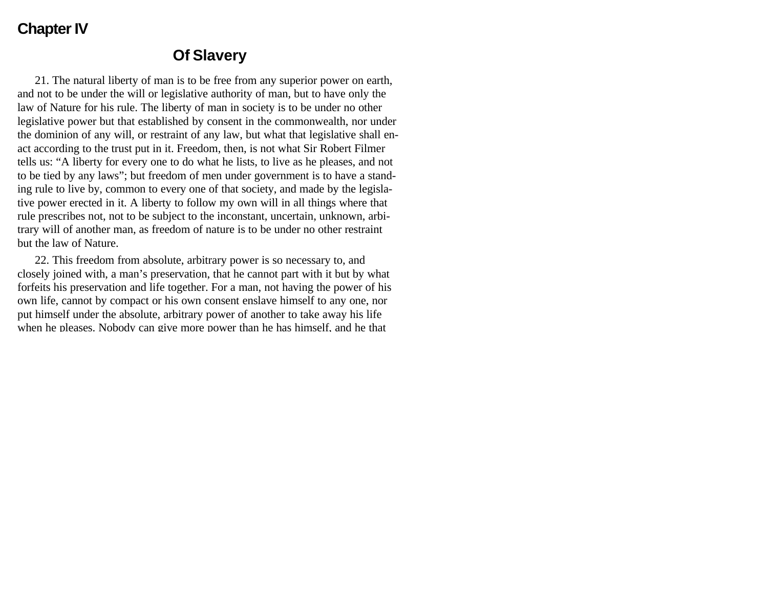### **Chapter IV**

#### **Of Slavery**

21. The natural liberty of man is to be free from any superior power on earth, and not to be under the will or legislative authority of man, but to have only the law of Nature for his rule. The liberty of man in society is to be under no other legislative power but that established by consent in the commonwealth, nor under the dominion of any will, or restraint of any law, but what that legislative shall enact according to the trust put in it. Freedom, then, is not what Sir Robert Filmer tells us: "A liberty for every one to do what he lists, to live as he pleases, and not to be tied by any laws"; but freedom of men under government is to have a standing rule to live by, common to every one of that society, and made by the legislative power erected in it. A liberty to follow my own will in all things where that rule prescribes not, not to be subject to the inconstant, uncertain, unknown, arbitrary will of another man, as freedom of nature is to be under no other restraint but the law of Nature.

22. This freedom from absolute, arbitrary power is so necessary to, and closely joined with, a man's preservation, that he cannot part with it but by what forfeits his preservation and life together. For a man, not having the power of his own life, cannot by compact or his own consent enslave himself to any one, nor put himself under the absolute, arbitrary power of another to take away his life when he pleases. Nobody can give more power than he has himself, and he that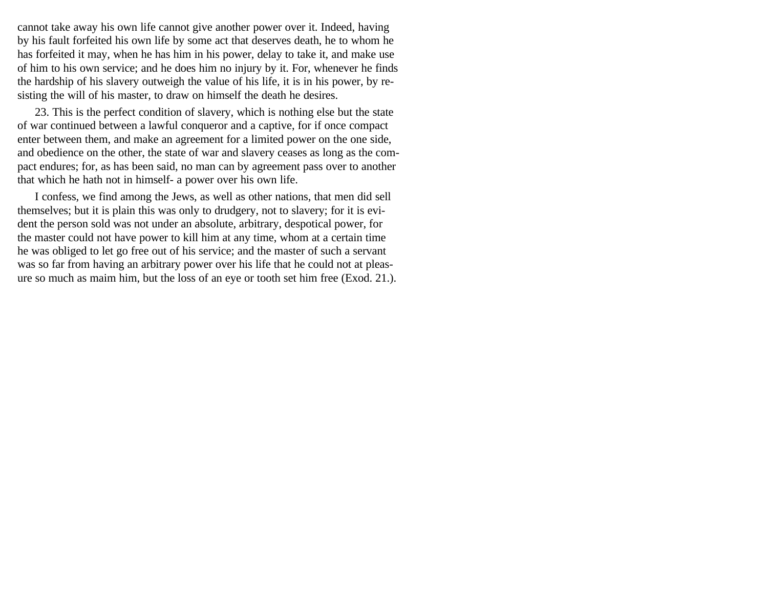cannot take away his own life cannot give another power over it. Indeed, having by his fault forfeited his own life by some act that deserves death, he to whom he has forfeited it may, when he has him in his power, delay to take it, and make use of him to his own service; and he does him no injury by it. For, whenever he finds the hardship of his slavery outweigh the value of his life, it is in his power, by resisting the will of his master, to draw on himself the death he desires.

23. This is the perfect condition of slavery, which is nothing else but the state of war continued between a lawful conqueror and a captive, for if once compact enter between them, and make an agreement for a limited power on the one side, and obedience on the other, the state of war and slavery ceases as long as the compact endures; for, as has been said, no man can by agreement pass over to another that which he hath not in himself- a power over his own life.

I confess, we find among the Jews, as well as other nations, that men did sell themselves; but it is plain this was only to drudgery, not to slavery; for it is evident the person sold was not under an absolute, arbitrary, despotical power, for the master could not have power to kill him at any time, whom at a certain time he was obliged to let go free out of his service; and the master of such a servant was so far from having an arbitrary power over his life that he could not at pleasure so much as maim him, but the loss of an eye or tooth set him free (Exod. 21.).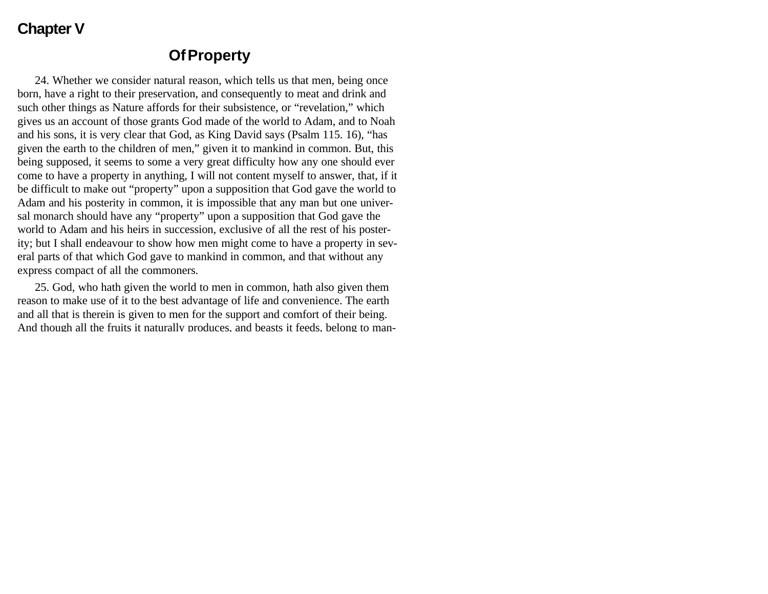#### **Chapter V**

#### **Of Property**

24. Whether we consider natural reason, which tells us that men, being once born, have a right to their preservation, and consequently to meat and drink and such other things as Nature affords for their subsistence, or "revelation," which gives us an account of those grants God made of the world to Adam, and to Noah and his sons, it is very clear that God, as King David says (Psalm 115. 16), "has given the earth to the children of men," given it to mankind in common. But, this being supposed, it seems to some a very great difficulty how any one should ever come to have a property in anything, I will not content myself to answer, that, if it be difficult to make out "property" upon a supposition that God gave the world to Adam and his posterity in common, it is impossible that any man but one universal monarch should have any "property" upon a supposition that God gave the world to Adam and his heirs in succession, exclusive of all the rest of his posterity; but I shall endeavour to show how men might come to have a property in several parts of that which God gave to mankind in common, and that without any express compact of all the commoners.

25. God, who hath given the world to men in common, hath also given them reason to make use of it to the best advantage of life and convenience. The earth and all that is therein is given to men for the support and comfort of their being. And though all the fruits it naturally produces, and beasts it feeds, belong to man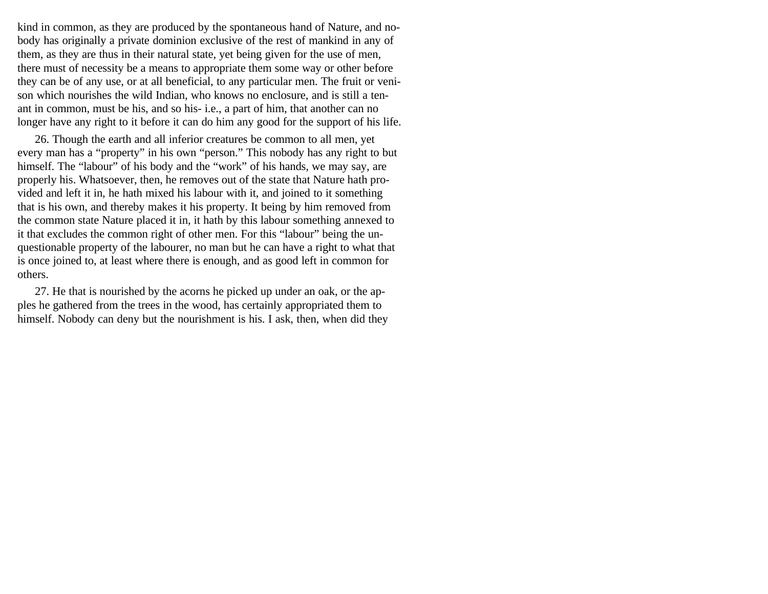kind in common, as they are produced by the spontaneous hand of Nature, and nobody has originally a private dominion exclusive of the rest of mankind in any of them, as they are thus in their natural state, yet being given for the use of men, there must of necessity be a means to appropriate them some way or other before they can be of any use, or at all beneficial, to any particular men. The fruit or venison which nourishes the wild Indian, who knows no enclosure, and is still a tenant in common, must be his, and so his- i.e., a part of him, that another can no longer have any right to it before it can do him any good for the support of his life.

26. Though the earth and all inferior creatures be common to all men, yet every man has a "property" in his own "person." This nobody has any right to but himself. The "labour" of his body and the "work" of his hands, we may say, are properly his. Whatsoever, then, he removes out of the state that Nature hath provided and left it in, he hath mixed his labour with it, and joined to it something that is his own, and thereby makes it his property. It being by him removed from the common state Nature placed it in, it hath by this labour something annexed to it that excludes the common right of other men. For this "labour" being the unquestionable property of the labourer, no man but he can have a right to what that is once joined to, at least where there is enough, and as good left in common for others.

27. He that is nourished by the acorns he picked up under an oak, or the apples he gathered from the trees in the wood, has certainly appropriated them to himself. Nobody can deny but the nourishment is his. I ask, then, when did they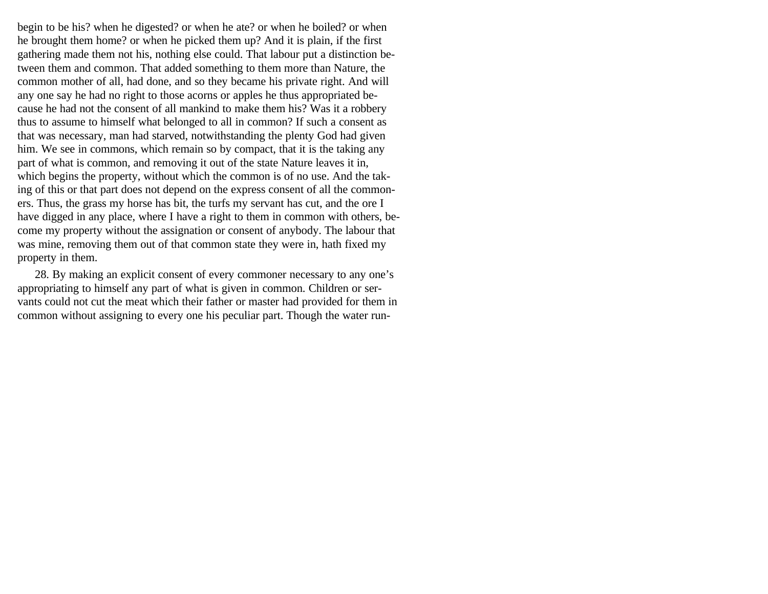begin to be his? when he digested? or when he ate? or when he boiled? or when he brought them home? or when he picked them up? And it is plain, if the first gathering made them not his, nothing else could. That labour put a distinction between them and common. That added something to them more than Nature, the common mother of all, had done, and so they became his private right. And will any one say he had no right to those acorns or apples he thus appropriated because he had not the consent of all mankind to make them his? Was it a robbery thus to assume to himself what belonged to all in common? If such a consent as that was necessary, man had starved, notwithstanding the plenty God had given him. We see in commons, which remain so by compact, that it is the taking any part of what is common, and removing it out of the state Nature leaves it in, which begins the property, without which the common is of no use. And the taking of this or that part does not depend on the express consent of all the commoners. Thus, the grass my horse has bit, the turfs my servant has cut, and the ore I have digged in any place, where I have a right to them in common with others, become my property without the assignation or consent of anybody. The labour that was mine, removing them out of that common state they were in, hath fixed my property in them.

28. By making an explicit consent of every commoner necessary to any one's appropriating to himself any part of what is given in common. Children or servants could not cut the meat which their father or master had provided for them in common without assigning to every one his peculiar part. Though the water run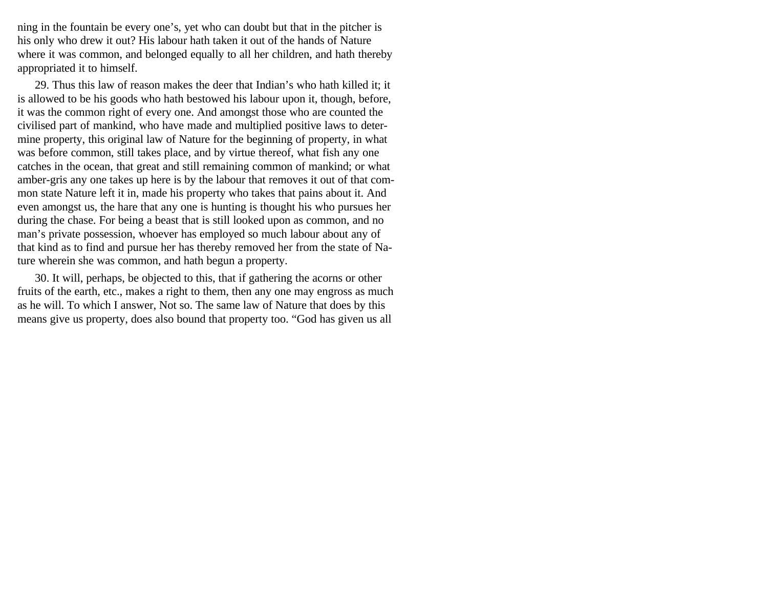ning in the fountain be every one's, yet who can doubt but that in the pitcher is his only who drew it out? His labour hath taken it out of the hands of Nature where it was common, and belonged equally to all her children, and hath thereby appropriated it to himself.

29. Thus this law of reason makes the deer that Indian's who hath killed it; it is allowed to be his goods who hath bestowed his labour upon it, though, before, it was the common right of every one. And amongst those who are counted the civilised part of mankind, who have made and multiplied positive laws to determine property, this original law of Nature for the beginning of property, in what was before common, still takes place, and by virtue thereof, what fish any one catches in the ocean, that great and still remaining common of mankind; or what amber-gris any one takes up here is by the labour that removes it out of that common state Nature left it in, made his property who takes that pains about it. And even amongst us, the hare that any one is hunting is thought his who pursues her during the chase. For being a beast that is still looked upon as common, and no man's private possession, whoever has employed so much labour about any of that kind as to find and pursue her has thereby removed her from the state of Nature wherein she was common, and hath begun a property.

30. It will, perhaps, be objected to this, that if gathering the acorns or other fruits of the earth, etc., makes a right to them, then any one may engross as much as he will. To which I answer, Not so. The same law of Nature that does by this means give us property, does also bound that property too. "God has given us all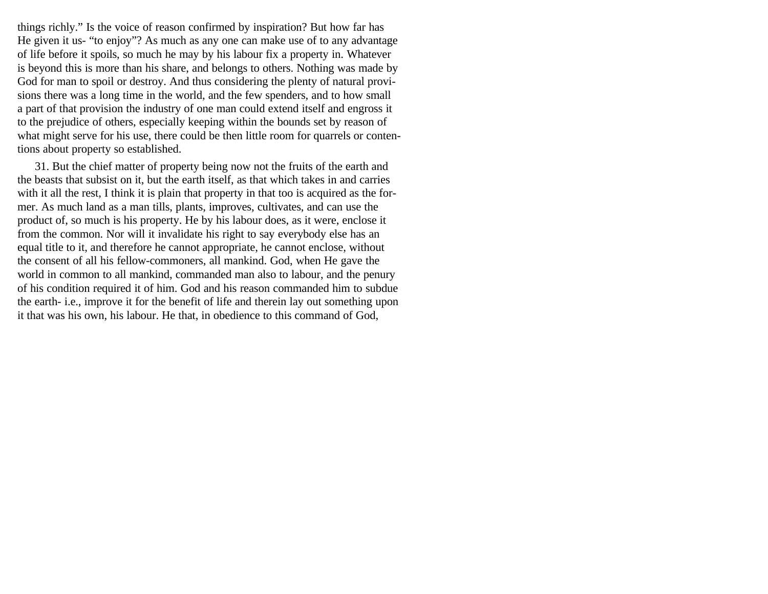things richly." Is the voice of reason confirmed by inspiration? But how far has He given it us- "to enjoy"? As much as any one can make use of to any advantage of life before it spoils, so much he may by his labour fix a property in. Whatever is beyond this is more than his share, and belongs to others. Nothing was made by God for man to spoil or destroy. And thus considering the plenty of natural provisions there was a long time in the world, and the few spenders, and to how small a part of that provision the industry of one man could extend itself and engross it to the prejudice of others, especially keeping within the bounds set by reason of what might serve for his use, there could be then little room for quarrels or contentions about property so established.

31. But the chief matter of property being now not the fruits of the earth and the beasts that subsist on it, but the earth itself, as that which takes in and carries with it all the rest, I think it is plain that property in that too is acquired as the former. As much land as a man tills, plants, improves, cultivates, and can use the product of, so much is his property. He by his labour does, as it were, enclose it from the common. Nor will it invalidate his right to say everybody else has an equal title to it, and therefore he cannot appropriate, he cannot enclose, without the consent of all his fellow-commoners, all mankind. God, when He gave the world in common to all mankind, commanded man also to labour, and the penury of his condition required it of him. God and his reason commanded him to subdue the earth- i.e., improve it for the benefit of life and therein lay out something upon it that was his own, his labour. He that, in obedience to this command of God,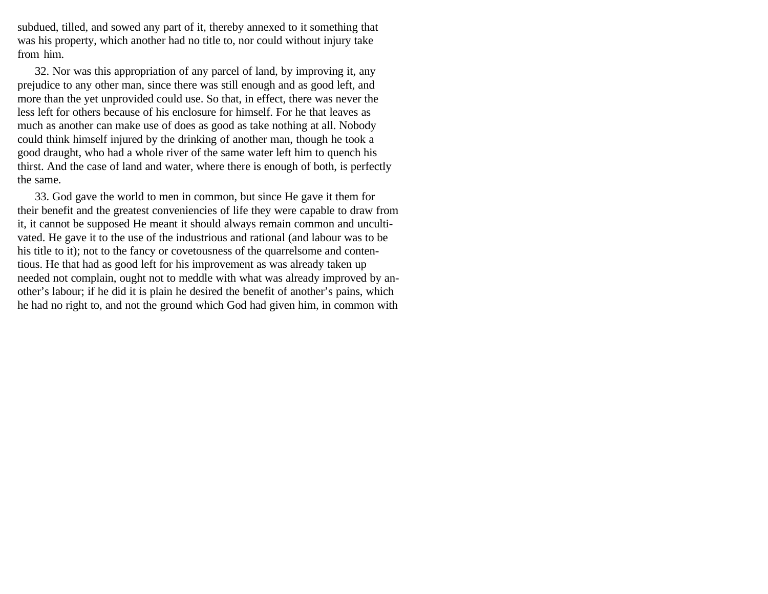subdued, tilled, and sowed any part of it, thereby annexed to it something that was his property, which another had no title to, nor could without injury take from him.

32. Nor was this appropriation of any parcel of land, by improving it, any prejudice to any other man, since there was still enough and as good left, and more than the yet unprovided could use. So that, in effect, there was never the less left for others because of his enclosure for himself. For he that leaves as much as another can make use of does as good as take nothing at all. Nobody could think himself injured by the drinking of another man, though he took a good draught, who had a whole river of the same water left him to quench his thirst. And the case of land and water, where there is enough of both, is perfectly the same.

33. God gave the world to men in common, but since He gave it them for their benefit and the greatest conveniencies of life they were capable to draw from it, it cannot be supposed He meant it should always remain common and uncultivated. He gave it to the use of the industrious and rational (and labour was to be his title to it); not to the fancy or covetousness of the quarrelsome and contentious. He that had as good left for his improvement as was already taken up needed not complain, ought not to meddle with what was already improved by another's labour; if he did it is plain he desired the benefit of another's pains, which he had no right to, and not the ground which God had given him, in common with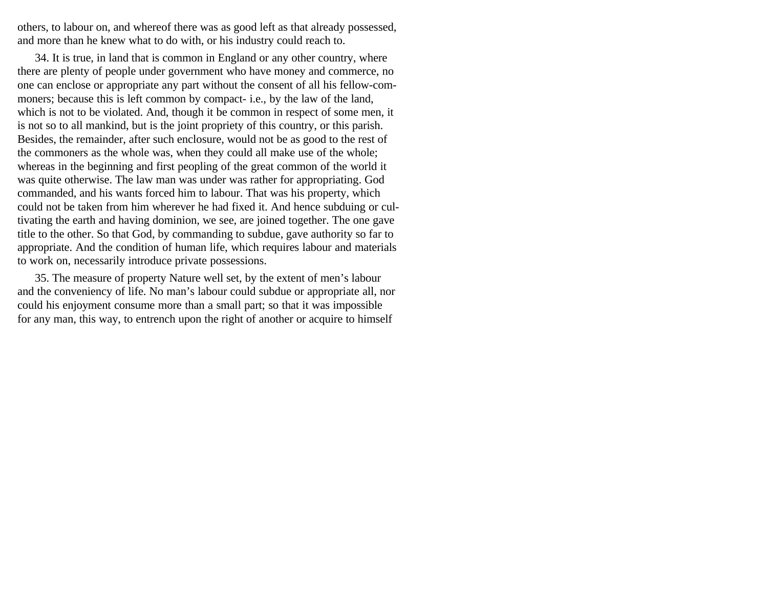others, to labour on, and whereof there was as good left as that already possessed, and more than he knew what to do with, or his industry could reach to.

34. It is true, in land that is common in England or any other country, where there are plenty of people under government who have money and commerce, no one can enclose or appropriate any part without the consent of all his fellow-commoners; because this is left common by compact- i.e., by the law of the land, which is not to be violated. And, though it be common in respect of some men, it is not so to all mankind, but is the joint propriety of this country, or this parish. Besides, the remainder, after such enclosure, would not be as good to the rest of the commoners as the whole was, when they could all make use of the whole; whereas in the beginning and first peopling of the great common of the world it was quite otherwise. The law man was under was rather for appropriating. God commanded, and his wants forced him to labour. That was his property, which could not be taken from him wherever he had fixed it. And hence subduing or cultivating the earth and having dominion, we see, are joined together. The one gave title to the other. So that God, by commanding to subdue, gave authority so far to appropriate. And the condition of human life, which requires labour and materials to work on, necessarily introduce private possessions.

35. The measure of property Nature well set, by the extent of men's labour and the conveniency of life. No man's labour could subdue or appropriate all, nor could his enjoyment consume more than a small part; so that it was impossible for any man, this way, to entrench upon the right of another or acquire to himself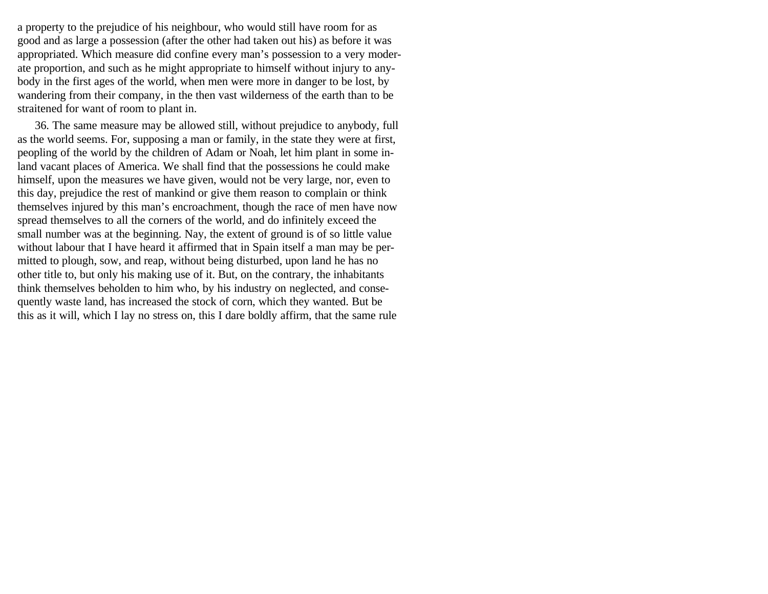a property to the prejudice of his neighbour, who would still have room for as good and as large a possession (after the other had taken out his) as before it was appropriated. Which measure did confine every man's possession to a very moderate proportion, and such as he might appropriate to himself without injury to anybody in the first ages of the world, when men were more in danger to be lost, by wandering from their company, in the then vast wilderness of the earth than to be straitened for want of room to plant in.

36. The same measure may be allowed still, without prejudice to anybody, full as the world seems. For, supposing a man or family, in the state they were at first, peopling of the world by the children of Adam or Noah, let him plant in some inland vacant places of America. We shall find that the possessions he could make himself, upon the measures we have given, would not be very large, nor, even to this day, prejudice the rest of mankind or give them reason to complain or think themselves injured by this man's encroachment, though the race of men have now spread themselves to all the corners of the world, and do infinitely exceed the small number was at the beginning. Nay, the extent of ground is of so little value without labour that I have heard it affirmed that in Spain itself a man may be permitted to plough, sow, and reap, without being disturbed, upon land he has no other title to, but only his making use of it. But, on the contrary, the inhabitants think themselves beholden to him who, by his industry on neglected, and consequently waste land, has increased the stock of corn, which they wanted. But be this as it will, which I lay no stress on, this I dare boldly affirm, that the same rule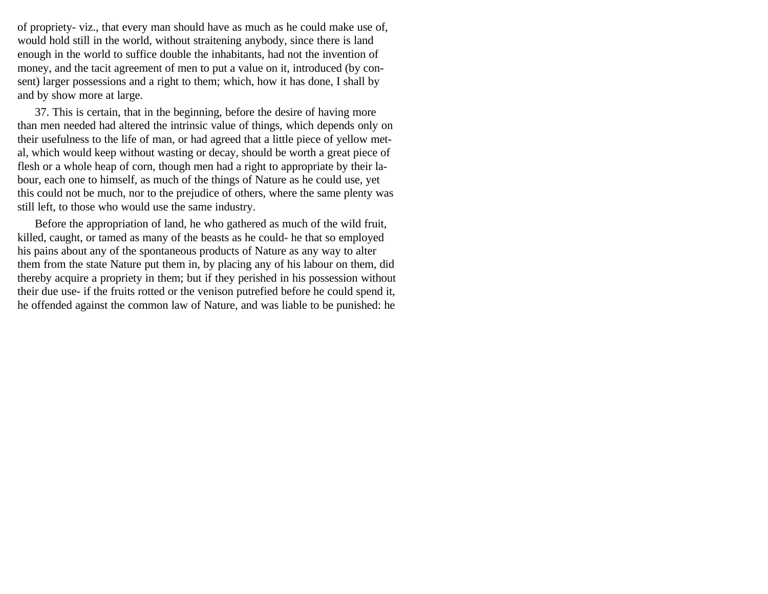of propriety- viz., that every man should have as much as he could make use of, would hold still in the world, without straitening anybody, since there is land enough in the world to suffice double the inhabitants, had not the invention of money, and the tacit agreement of men to put a value on it, introduced (by consent) larger possessions and a right to them; which, how it has done, I shall by and by show more at large.

37. This is certain, that in the beginning, before the desire of having more than men needed had altered the intrinsic value of things, which depends only on their usefulness to the life of man, or had agreed that a little piece of yellow metal, which would keep without wasting or decay, should be worth a great piece of flesh or a whole heap of corn, though men had a right to appropriate by their labour, each one to himself, as much of the things of Nature as he could use, yet this could not be much, nor to the prejudice of others, where the same plenty was still left, to those who would use the same industry.

Before the appropriation of land, he who gathered as much of the wild fruit, killed, caught, or tamed as many of the beasts as he could- he that so employed his pains about any of the spontaneous products of Nature as any way to alter them from the state Nature put them in, by placing any of his labour on them, did thereby acquire a propriety in them; but if they perished in his possession without their due use- if the fruits rotted or the venison putrefied before he could spend it, he offended against the common law of Nature, and was liable to be punished: he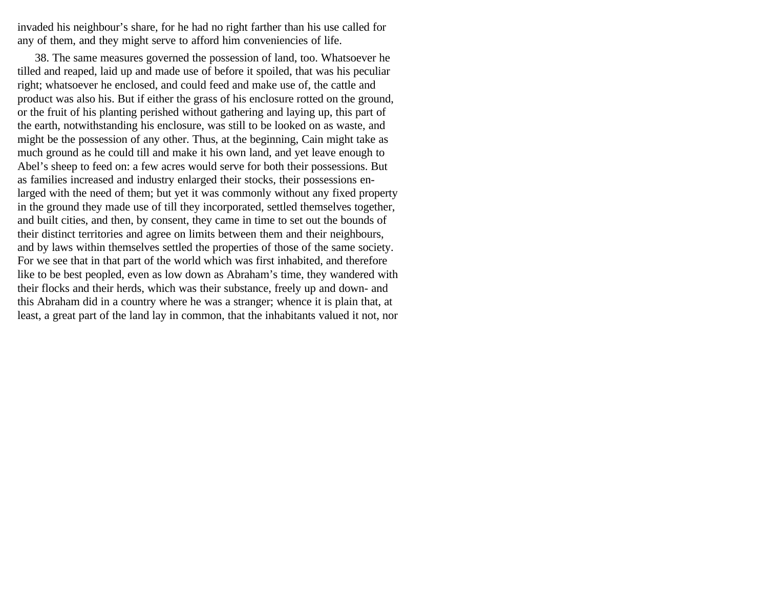invaded his neighbour's share, for he had no right farther than his use called for any of them, and they might serve to afford him conveniencies of life.

38. The same measures governed the possession of land, too. Whatsoever he tilled and reaped, laid up and made use of before it spoiled, that was his peculiar right; whatsoever he enclosed, and could feed and make use of, the cattle and product was also his. But if either the grass of his enclosure rotted on the ground, or the fruit of his planting perished without gathering and laying up, this part of the earth, notwithstanding his enclosure, was still to be looked on as waste, and might be the possession of any other. Thus, at the beginning, Cain might take as much ground as he could till and make it his own land, and yet leave enough to Abel's sheep to feed on: a few acres would serve for both their possessions. But as families increased and industry enlarged their stocks, their possessions enlarged with the need of them; but yet it was commonly without any fixed property in the ground they made use of till they incorporated, settled themselves together, and built cities, and then, by consent, they came in time to set out the bounds of their distinct territories and agree on limits between them and their neighbours, and by laws within themselves settled the properties of those of the same society. For we see that in that part of the world which was first inhabited, and therefore like to be best peopled, even as low down as Abraham's time, they wandered with their flocks and their herds, which was their substance, freely up and down- and this Abraham did in a country where he was a stranger; whence it is plain that, at least, a great part of the land lay in common, that the inhabitants valued it not, nor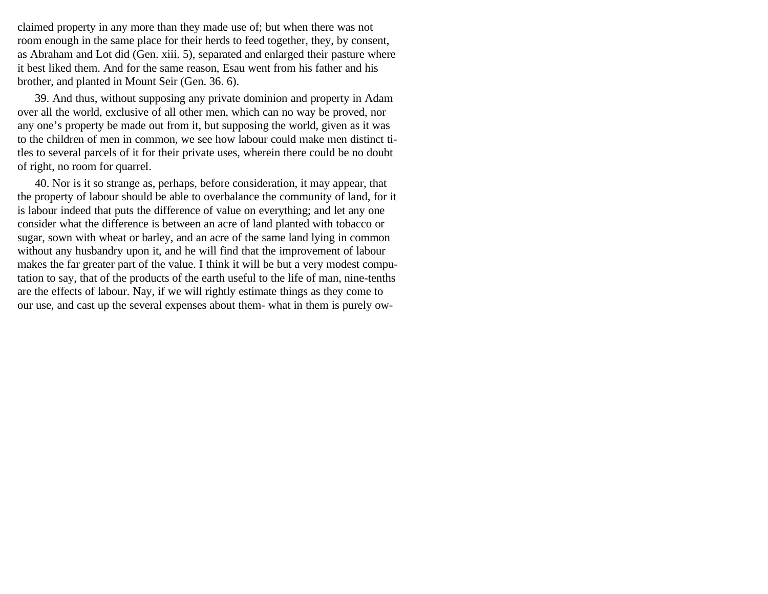claimed property in any more than they made use of; but when there was not room enough in the same place for their herds to feed together, they, by consent, as Abraham and Lot did (Gen. xiii. 5), separated and enlarged their pasture where it best liked them. And for the same reason, Esau went from his father and his brother, and planted in Mount Seir (Gen. 36. 6).

39. And thus, without supposing any private dominion and property in Adam over all the world, exclusive of all other men, which can no way be proved, nor any one's property be made out from it, but supposing the world, given as it was to the children of men in common, we see how labour could make men distinct titles to several parcels of it for their private uses, wherein there could be no doubt of right, no room for quarrel.

40. Nor is it so strange as, perhaps, before consideration, it may appear, that the property of labour should be able to overbalance the community of land, for it is labour indeed that puts the difference of value on everything; and let any one consider what the difference is between an acre of land planted with tobacco or sugar, sown with wheat or barley, and an acre of the same land lying in common without any husbandry upon it, and he will find that the improvement of labour makes the far greater part of the value. I think it will be but a very modest computation to say, that of the products of the earth useful to the life of man, nine-tenths are the effects of labour. Nay, if we will rightly estimate things as they come to our use, and cast up the several expenses about them- what in them is purely ow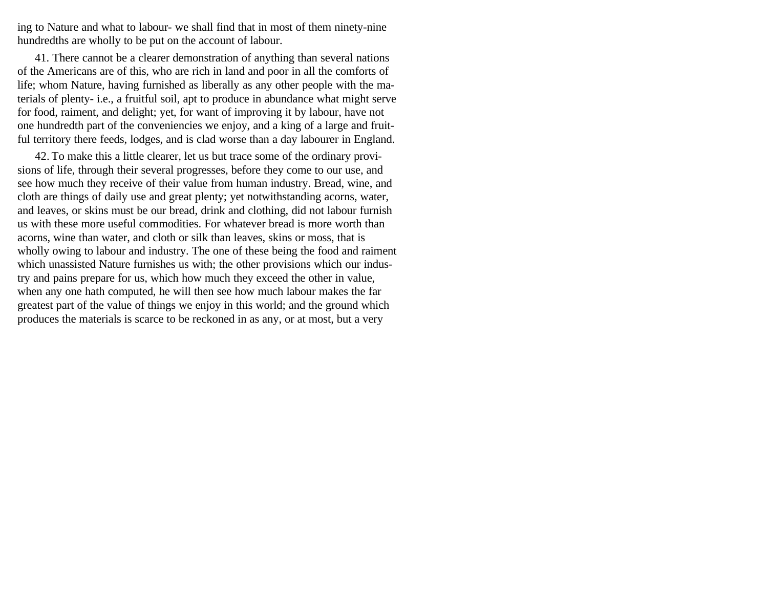ing to Nature and what to labour- we shall find that in most of them ninety-nine hundredths are wholly to be put on the account of labour.

41. There cannot be a clearer demonstration of anything than several nations of the Americans are of this, who are rich in land and poor in all the comforts of life; whom Nature, having furnished as liberally as any other people with the materials of plenty- i.e., a fruitful soil, apt to produce in abundance what might serve for food, raiment, and delight; yet, for want of improving it by labour, have not one hundredth part of the conveniencies we enjoy, and a king of a large and fruitful territory there feeds, lodges, and is clad worse than a day labourer in England.

42. To make this a little clearer, let us but trace some of the ordinary provisions of life, through their several progresses, before they come to our use, and see how much they receive of their value from human industry. Bread, wine, and cloth are things of daily use and great plenty; yet notwithstanding acorns, water, and leaves, or skins must be our bread, drink and clothing, did not labour furnish us with these more useful commodities. For whatever bread is more worth than acorns, wine than water, and cloth or silk than leaves, skins or moss, that is wholly owing to labour and industry. The one of these being the food and raiment which unassisted Nature furnishes us with; the other provisions which our industry and pains prepare for us, which how much they exceed the other in value, when any one hath computed, he will then see how much labour makes the far greatest part of the value of things we enjoy in this world; and the ground which produces the materials is scarce to be reckoned in as any, or at most, but a very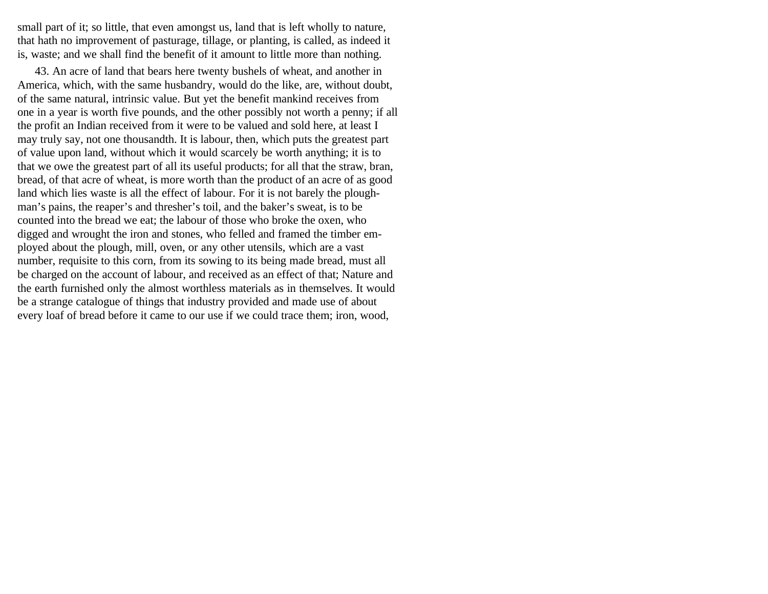small part of it; so little, that even amongst us, land that is left wholly to nature, that hath no improvement of pasturage, tillage, or planting, is called, as indeed it is, waste; and we shall find the benefit of it amount to little more than nothing.

43. An acre of land that bears here twenty bushels of wheat, and another in America, which, with the same husbandry, would do the like, are, without doubt, of the same natural, intrinsic value. But yet the benefit mankind receives from one in a year is worth five pounds, and the other possibly not worth a penny; if all the profit an Indian received from it were to be valued and sold here, at least I may truly say, not one thousandth. It is labour, then, which puts the greatest part of value upon land, without which it would scarcely be worth anything; it is to that we owe the greatest part of all its useful products; for all that the straw, bran, bread, of that acre of wheat, is more worth than the product of an acre of as good land which lies waste is all the effect of labour. For it is not barely the ploughman's pains, the reaper's and thresher's toil, and the baker's sweat, is to be counted into the bread we eat; the labour of those who broke the oxen, who digged and wrought the iron and stones, who felled and framed the timber employed about the plough, mill, oven, or any other utensils, which are a vast number, requisite to this corn, from its sowing to its being made bread, must all be charged on the account of labour, and received as an effect of that; Nature and the earth furnished only the almost worthless materials as in themselves. It would be a strange catalogue of things that industry provided and made use of about every loaf of bread before it came to our use if we could trace them; iron, wood,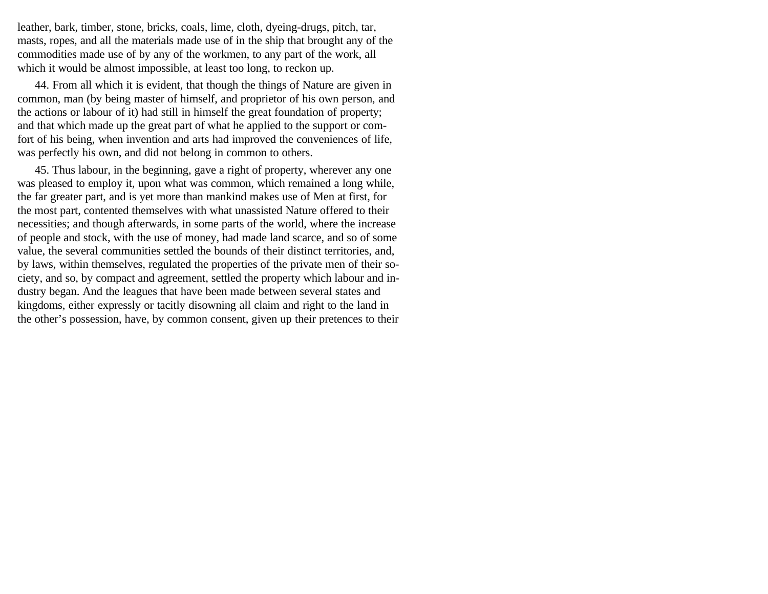leather, bark, timber, stone, bricks, coals, lime, cloth, dyeing-drugs, pitch, tar, masts, ropes, and all the materials made use of in the ship that brought any of the commodities made use of by any of the workmen, to any part of the work, all which it would be almost impossible, at least too long, to reckon up.

44. From all which it is evident, that though the things of Nature are given in common, man (by being master of himself, and proprietor of his own person, and the actions or labour of it) had still in himself the great foundation of property; and that which made up the great part of what he applied to the support or comfort of his being, when invention and arts had improved the conveniences of life, was perfectly his own, and did not belong in common to others.

45. Thus labour, in the beginning, gave a right of property, wherever any one was pleased to employ it, upon what was common, which remained a long while, the far greater part, and is yet more than mankind makes use of Men at first, for the most part, contented themselves with what unassisted Nature offered to their necessities; and though afterwards, in some parts of the world, where the increase of people and stock, with the use of money, had made land scarce, and so of some value, the several communities settled the bounds of their distinct territories, and, by laws, within themselves, regulated the properties of the private men of their society, and so, by compact and agreement, settled the property which labour and industry began. And the leagues that have been made between several states and kingdoms, either expressly or tacitly disowning all claim and right to the land in the other's possession, have, by common consent, given up their pretences to their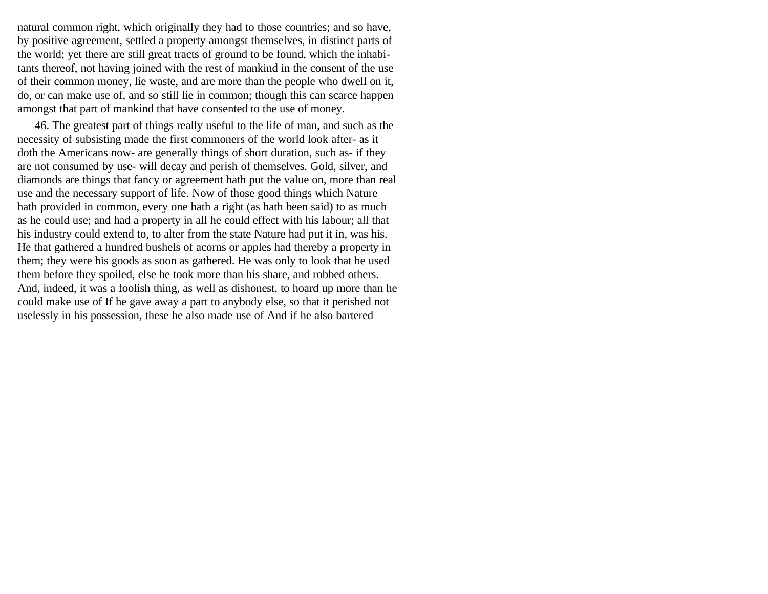natural common right, which originally they had to those countries; and so have, by positive agreement, settled a property amongst themselves, in distinct parts of the world; yet there are still great tracts of ground to be found, which the inhabitants thereof, not having joined with the rest of mankind in the consent of the use of their common money, lie waste, and are more than the people who dwell on it, do, or can make use of, and so still lie in common; though this can scarce happen amongst that part of mankind that have consented to the use of money.

46. The greatest part of things really useful to the life of man, and such as the necessity of subsisting made the first commoners of the world look after- as it doth the Americans now- are generally things of short duration, such as- if they are not consumed by use- will decay and perish of themselves. Gold, silver, and diamonds are things that fancy or agreement hath put the value on, more than real use and the necessary support of life. Now of those good things which Nature hath provided in common, every one hath a right (as hath been said) to as much as he could use; and had a property in all he could effect with his labour; all that his industry could extend to, to alter from the state Nature had put it in, was his. He that gathered a hundred bushels of acorns or apples had thereby a property in them; they were his goods as soon as gathered. He was only to look that he used them before they spoiled, else he took more than his share, and robbed others. And, indeed, it was a foolish thing, as well as dishonest, to hoard up more than he could make use of If he gave away a part to anybody else, so that it perished not uselessly in his possession, these he also made use of And if he also bartered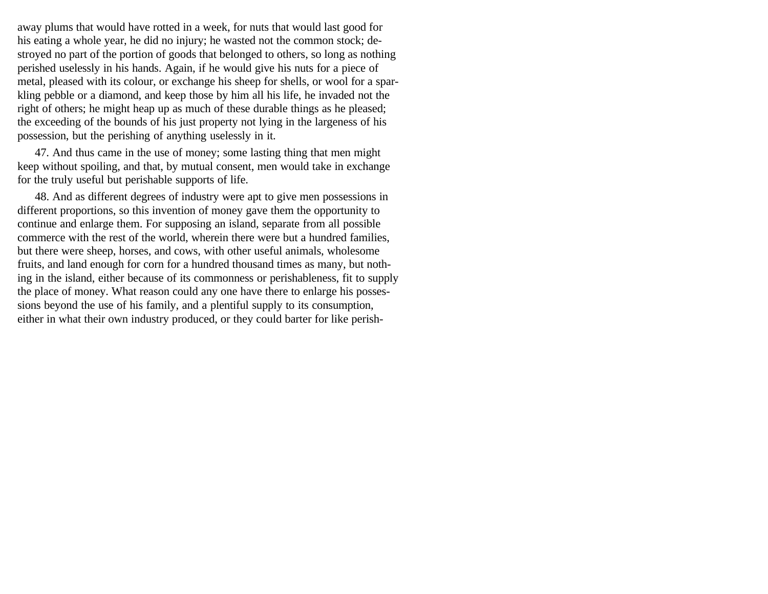away plums that would have rotted in a week, for nuts that would last good for his eating a whole year, he did no injury; he wasted not the common stock; destroyed no part of the portion of goods that belonged to others, so long as nothing perished uselessly in his hands. Again, if he would give his nuts for a piece of metal, pleased with its colour, or exchange his sheep for shells, or wool for a sparkling pebble or a diamond, and keep those by him all his life, he invaded not the right of others; he might heap up as much of these durable things as he pleased; the exceeding of the bounds of his just property not lying in the largeness of his possession, but the perishing of anything uselessly in it.

47. And thus came in the use of money; some lasting thing that men might keep without spoiling, and that, by mutual consent, men would take in exchange for the truly useful but perishable supports of life.

48. And as different degrees of industry were apt to give men possessions in different proportions, so this invention of money gave them the opportunity to continue and enlarge them. For supposing an island, separate from all possible commerce with the rest of the world, wherein there were but a hundred families, but there were sheep, horses, and cows, with other useful animals, wholesome fruits, and land enough for corn for a hundred thousand times as many, but nothing in the island, either because of its commonness or perishableness, fit to supply the place of money. What reason could any one have there to enlarge his possessions beyond the use of his family, and a plentiful supply to its consumption, either in what their own industry produced, or they could barter for like perish-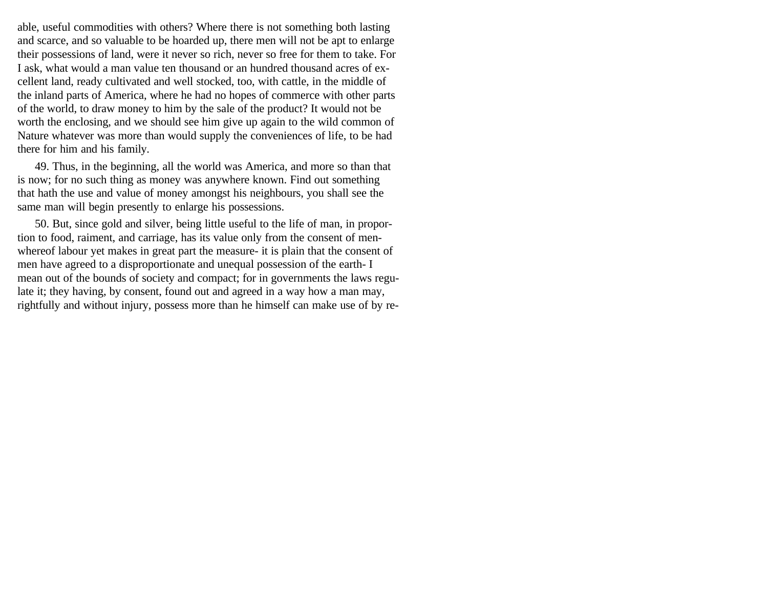able, useful commodities with others? Where there is not something both lasting and scarce, and so valuable to be hoarded up, there men will not be apt to enlarge their possessions of land, were it never so rich, never so free for them to take. For I ask, what would a man value ten thousand or an hundred thousand acres of excellent land, ready cultivated and well stocked, too, with cattle, in the middle of the inland parts of America, where he had no hopes of commerce with other parts of the world, to draw money to him by the sale of the product? It would not be worth the enclosing, and we should see him give up again to the wild common of Nature whatever was more than would supply the conveniences of life, to be had there for him and his family.

49. Thus, in the beginning, all the world was America, and more so than that is now; for no such thing as money was anywhere known. Find out something that hath the use and value of money amongst his neighbours, you shall see the same man will begin presently to enlarge his possessions.

50. But, since gold and silver, being little useful to the life of man, in proportion to food, raiment, and carriage, has its value only from the consent of menwhereof labour yet makes in great part the measure- it is plain that the consent of men have agreed to a disproportionate and unequal possession of the earth- I mean out of the bounds of society and compact; for in governments the laws regulate it; they having, by consent, found out and agreed in a way how a man may, rightfully and without injury, possess more than he himself can make use of by re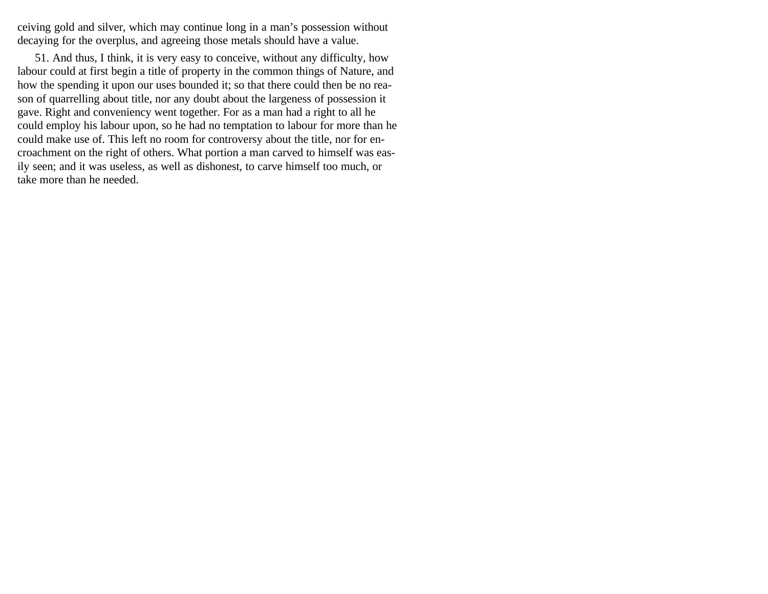ceiving gold and silver, which may continue long in a man's possession without decaying for the overplus, and agreeing those metals should have a value.

51. And thus, I think, it is very easy to conceive, without any difficulty, how labour could at first begin a title of property in the common things of Nature, and how the spending it upon our uses bounded it; so that there could then be no reason of quarrelling about title, nor any doubt about the largeness of possession it gave. Right and conveniency went together. For as a man had a right to all he could employ his labour upon, so he had no temptation to labour for more than he could make use of. This left no room for controversy about the title, nor for encroachment on the right of others. What portion a man carved to himself was easily seen; and it was useless, as well as dishonest, to carve himself too much, or take more than he needed.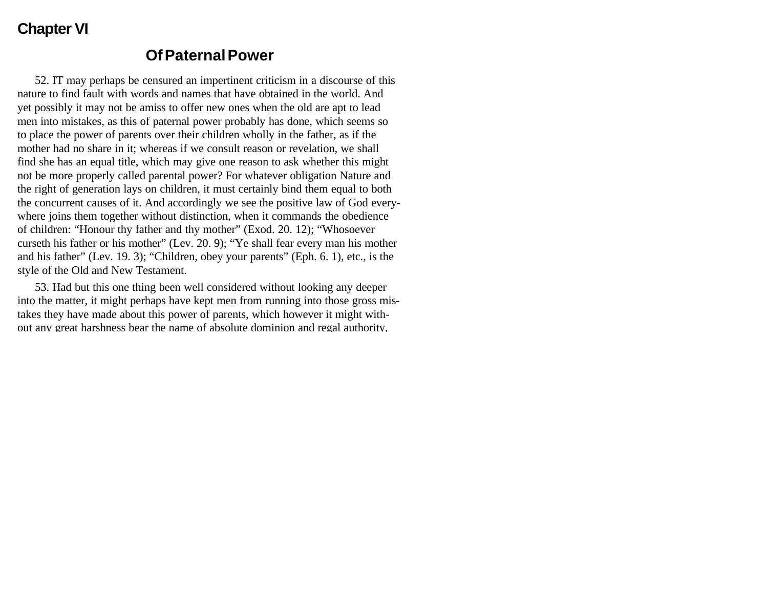# **Chapter VI**

#### **Of Paternal Power**

52. IT may perhaps be censured an impertinent criticism in a discourse of this nature to find fault with words and names that have obtained in the world. And yet possibly it may not be amiss to offer new ones when the old are apt to lead men into mistakes, as this of paternal power probably has done, which seems so to place the power of parents over their children wholly in the father, as if the mother had no share in it; whereas if we consult reason or revelation, we shall find she has an equal title, which may give one reason to ask whether this might not be more properly called parental power? For whatever obligation Nature and the right of generation lays on children, it must certainly bind them equal to both the concurrent causes of it. And accordingly we see the positive law of God everywhere joins them together without distinction, when it commands the obedience of children: "Honour thy father and thy mother" (Exod. 20. 12); "Whosoever curseth his father or his mother" (Lev. 20. 9); "Ye shall fear every man his mother and his father" (Lev. 19. 3); "Children, obey your parents" (Eph. 6. 1), etc., is the style of the Old and New Testament.

53. Had but this one thing been well considered without looking any deeper into the matter, it might perhaps have kept men from running into those gross mistakes they have made about this power of parents, which however it might without any great harshness bear the name of absolute dominion and regal authority,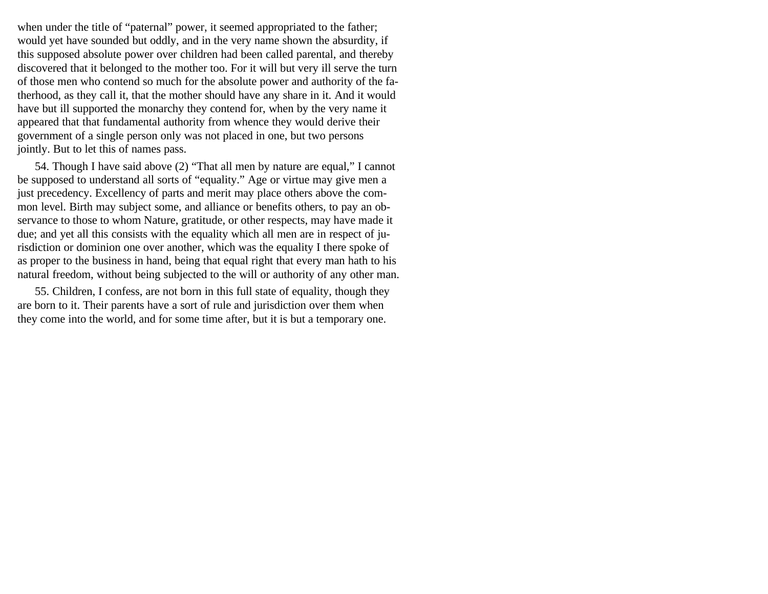when under the title of "paternal" power, it seemed appropriated to the father; would yet have sounded but oddly, and in the very name shown the absurdity, if this supposed absolute power over children had been called parental, and thereby discovered that it belonged to the mother too. For it will but very ill serve the turn of those men who contend so much for the absolute power and authority of the fatherhood, as they call it, that the mother should have any share in it. And it would have but ill supported the monarchy they contend for, when by the very name it appeared that that fundamental authority from whence they would derive their government of a single person only was not placed in one, but two persons jointly. But to let this of names pass.

54. Though I have said above (2) "That all men by nature are equal," I cannot be supposed to understand all sorts of "equality." Age or virtue may give men a just precedency. Excellency of parts and merit may place others above the common level. Birth may subject some, and alliance or benefits others, to pay an observance to those to whom Nature, gratitude, or other respects, may have made it due; and yet all this consists with the equality which all men are in respect of jurisdiction or dominion one over another, which was the equality I there spoke of as proper to the business in hand, being that equal right that every man hath to his natural freedom, without being subjected to the will or authority of any other man.

55. Children, I confess, are not born in this full state of equality, though they are born to it. Their parents have a sort of rule and jurisdiction over them when they come into the world, and for some time after, but it is but a temporary one.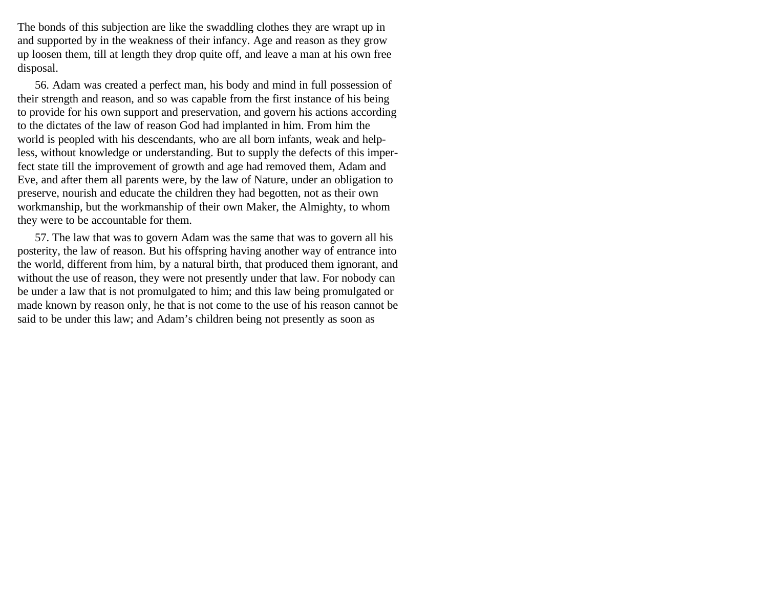The bonds of this subjection are like the swaddling clothes they are wrapt up in and supported by in the weakness of their infancy. Age and reason as they grow up loosen them, till at length they drop quite off, and leave a man at his own free disposal.

56. Adam was created a perfect man, his body and mind in full possession of their strength and reason, and so was capable from the first instance of his being to provide for his own support and preservation, and govern his actions according to the dictates of the law of reason God had implanted in him. From him the world is peopled with his descendants, who are all born infants, weak and helpless, without knowledge or understanding. But to supply the defects of this imperfect state till the improvement of growth and age had removed them, Adam and Eve, and after them all parents were, by the law of Nature, under an obligation to preserve, nourish and educate the children they had begotten, not as their own workmanship, but the workmanship of their own Maker, the Almighty, to whom they were to be accountable for them.

57. The law that was to govern Adam was the same that was to govern all his posterity, the law of reason. But his offspring having another way of entrance into the world, different from him, by a natural birth, that produced them ignorant, and without the use of reason, they were not presently under that law. For nobody can be under a law that is not promulgated to him; and this law being promulgated or made known by reason only, he that is not come to the use of his reason cannot be said to be under this law; and Adam's children being not presently as soon as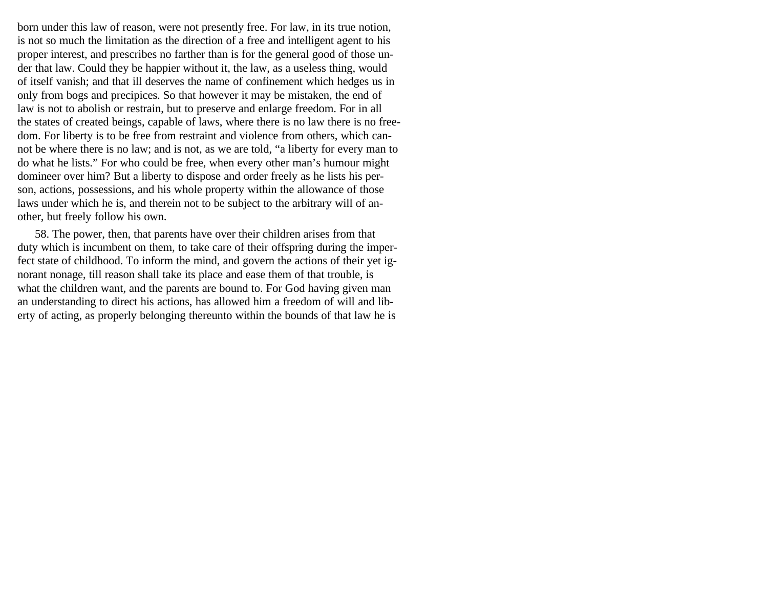born under this law of reason, were not presently free. For law, in its true notion, is not so much the limitation as the direction of a free and intelligent agent to his proper interest, and prescribes no farther than is for the general good of those under that law. Could they be happier without it, the law, as a useless thing, would of itself vanish; and that ill deserves the name of confinement which hedges us in only from bogs and precipices. So that however it may be mistaken, the end of law is not to abolish or restrain, but to preserve and enlarge freedom. For in all the states of created beings, capable of laws, where there is no law there is no freedom. For liberty is to be free from restraint and violence from others, which cannot be where there is no law; and is not, as we are told, "a liberty for every man to do what he lists." For who could be free, when every other man's humour might domineer over him? But a liberty to dispose and order freely as he lists his person, actions, possessions, and his whole property within the allowance of those laws under which he is, and therein not to be subject to the arbitrary will of another, but freely follow his own.

58. The power, then, that parents have over their children arises from that duty which is incumbent on them, to take care of their offspring during the imperfect state of childhood. To inform the mind, and govern the actions of their yet ignorant nonage, till reason shall take its place and ease them of that trouble, is what the children want, and the parents are bound to. For God having given man an understanding to direct his actions, has allowed him a freedom of will and liberty of acting, as properly belonging thereunto within the bounds of that law he is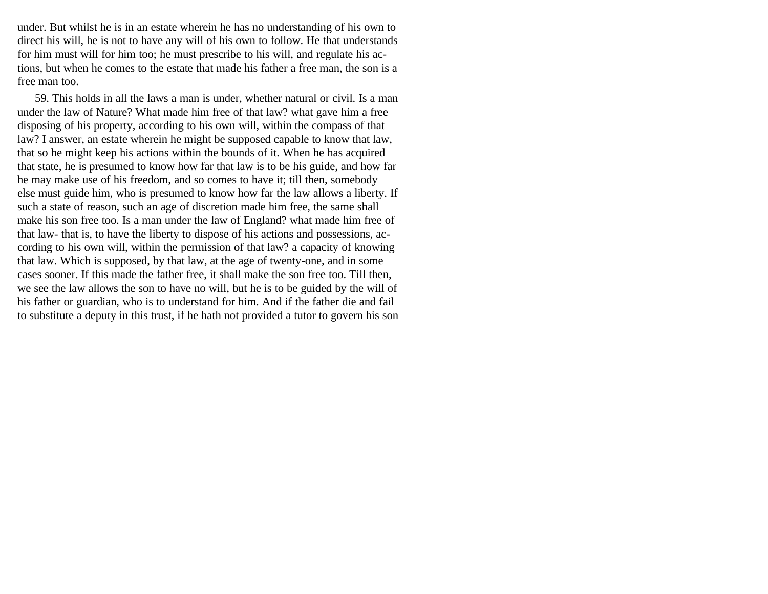under. But whilst he is in an estate wherein he has no understanding of his own to direct his will, he is not to have any will of his own to follow. He that understands for him must will for him too; he must prescribe to his will, and regulate his actions, but when he comes to the estate that made his father a free man, the son is a free man too.

59. This holds in all the laws a man is under, whether natural or civil. Is a man under the law of Nature? What made him free of that law? what gave him a free disposing of his property, according to his own will, within the compass of that law? I answer, an estate wherein he might be supposed capable to know that law, that so he might keep his actions within the bounds of it. When he has acquired that state, he is presumed to know how far that law is to be his guide, and how far he may make use of his freedom, and so comes to have it; till then, somebody else must guide him, who is presumed to know how far the law allows a liberty. If such a state of reason, such an age of discretion made him free, the same shall make his son free too. Is a man under the law of England? what made him free of that law- that is, to have the liberty to dispose of his actions and possessions, according to his own will, within the permission of that law? a capacity of knowing that law. Which is supposed, by that law, at the age of twenty-one, and in some cases sooner. If this made the father free, it shall make the son free too. Till then, we see the law allows the son to have no will, but he is to be guided by the will of his father or guardian, who is to understand for him. And if the father die and fail to substitute a deputy in this trust, if he hath not provided a tutor to govern his son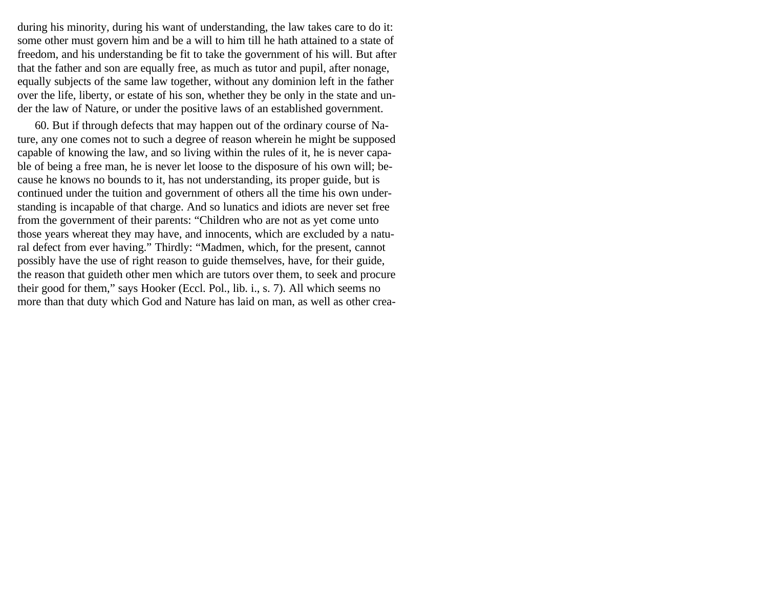during his minority, during his want of understanding, the law takes care to do it: some other must govern him and be a will to him till he hath attained to a state of freedom, and his understanding be fit to take the government of his will. But after that the father and son are equally free, as much as tutor and pupil, after nonage, equally subjects of the same law together, without any dominion left in the father over the life, liberty, or estate of his son, whether they be only in the state and under the law of Nature, or under the positive laws of an established government.

60. But if through defects that may happen out of the ordinary course of Nature, any one comes not to such a degree of reason wherein he might be supposed capable of knowing the law, and so living within the rules of it, he is never capable of being a free man, he is never let loose to the disposure of his own will; because he knows no bounds to it, has not understanding, its proper guide, but is continued under the tuition and government of others all the time his own understanding is incapable of that charge. And so lunatics and idiots are never set free from the government of their parents: "Children who are not as yet come unto those years whereat they may have, and innocents, which are excluded by a natural defect from ever having." Thirdly: "Madmen, which, for the present, cannot possibly have the use of right reason to guide themselves, have, for their guide, the reason that guideth other men which are tutors over them, to seek and procure their good for them," says Hooker (Eccl. Pol., lib. i., s. 7). All which seems no more than that duty which God and Nature has laid on man, as well as other crea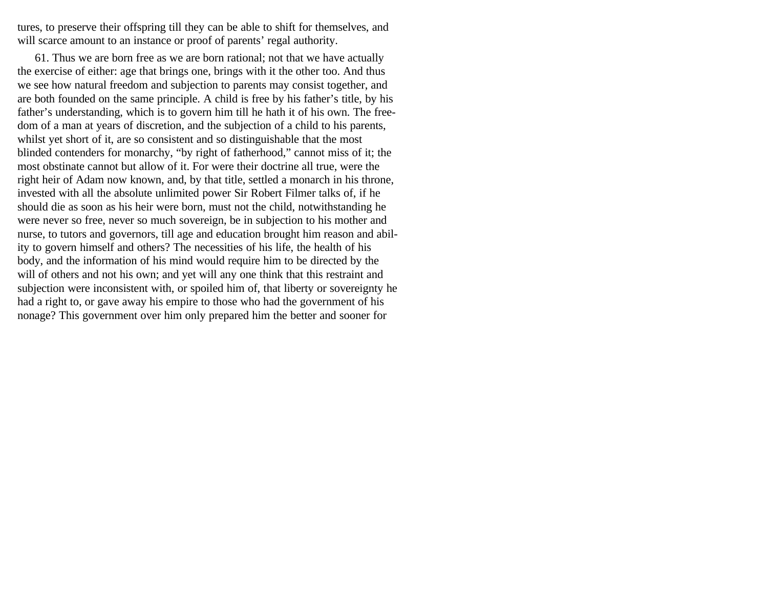tures, to preserve their offspring till they can be able to shift for themselves, and will scarce amount to an instance or proof of parents' regal authority.

61. Thus we are born free as we are born rational; not that we have actually the exercise of either: age that brings one, brings with it the other too. And thus we see how natural freedom and subjection to parents may consist together, and are both founded on the same principle. A child is free by his father's title, by his father's understanding, which is to govern him till he hath it of his own. The freedom of a man at years of discretion, and the subjection of a child to his parents, whilst yet short of it, are so consistent and so distinguishable that the most blinded contenders for monarchy, "by right of fatherhood," cannot miss of it; the most obstinate cannot but allow of it. For were their doctrine all true, were the right heir of Adam now known, and, by that title, settled a monarch in his throne, invested with all the absolute unlimited power Sir Robert Filmer talks of, if he should die as soon as his heir were born, must not the child, notwithstanding he were never so free, never so much sovereign, be in subjection to his mother and nurse, to tutors and governors, till age and education brought him reason and ability to govern himself and others? The necessities of his life, the health of his body, and the information of his mind would require him to be directed by the will of others and not his own; and yet will any one think that this restraint and subjection were inconsistent with, or spoiled him of, that liberty or sovereignty he had a right to, or gave away his empire to those who had the government of his nonage? This government over him only prepared him the better and sooner for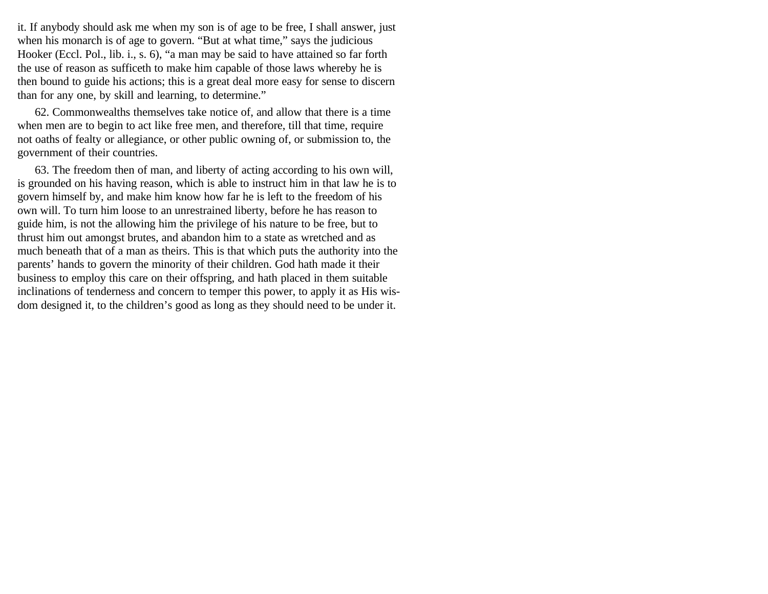it. If anybody should ask me when my son is of age to be free, I shall answer, just when his monarch is of age to govern. "But at what time," says the judicious Hooker (Eccl. Pol., lib. i., s. 6), "a man may be said to have attained so far forth the use of reason as sufficeth to make him capable of those laws whereby he is then bound to guide his actions; this is a great deal more easy for sense to discern than for any one, by skill and learning, to determine."

62. Commonwealths themselves take notice of, and allow that there is a time when men are to begin to act like free men, and therefore, till that time, require not oaths of fealty or allegiance, or other public owning of, or submission to, the government of their countries.

63. The freedom then of man, and liberty of acting according to his own will, is grounded on his having reason, which is able to instruct him in that law he is to govern himself by, and make him know how far he is left to the freedom of his own will. To turn him loose to an unrestrained liberty, before he has reason to guide him, is not the allowing him the privilege of his nature to be free, but to thrust him out amongst brutes, and abandon him to a state as wretched and as much beneath that of a man as theirs. This is that which puts the authority into the parents' hands to govern the minority of their children. God hath made it their business to employ this care on their offspring, and hath placed in them suitable inclinations of tenderness and concern to temper this power, to apply it as His wisdom designed it, to the children's good as long as they should need to be under it.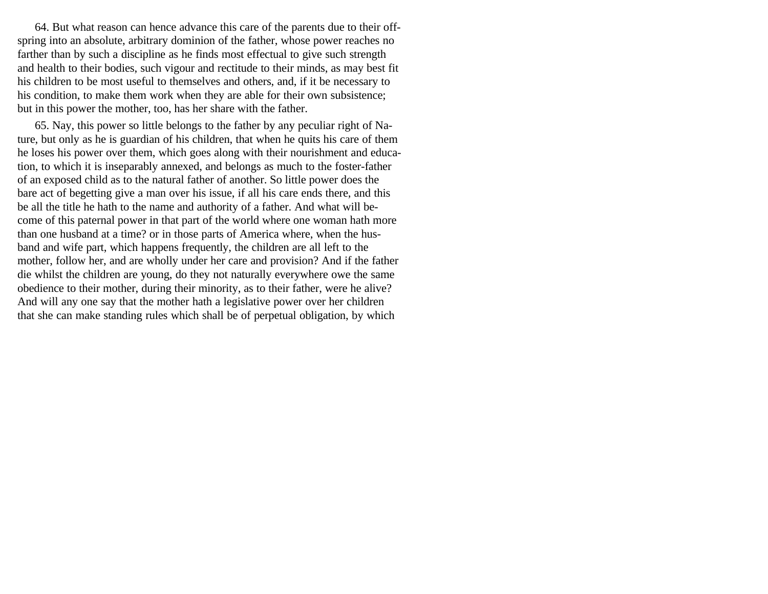64. But what reason can hence advance this care of the parents due to their offspring into an absolute, arbitrary dominion of the father, whose power reaches no farther than by such a discipline as he finds most effectual to give such strength and health to their bodies, such vigour and rectitude to their minds, as may best fit his children to be most useful to themselves and others, and, if it be necessary to his condition, to make them work when they are able for their own subsistence; but in this power the mother, too, has her share with the father.

65. Nay, this power so little belongs to the father by any peculiar right of Nature, but only as he is guardian of his children, that when he quits his care of them he loses his power over them, which goes along with their nourishment and education, to which it is inseparably annexed, and belongs as much to the foster-father of an exposed child as to the natural father of another. So little power does the bare act of begetting give a man over his issue, if all his care ends there, and this be all the title he hath to the name and authority of a father. And what will become of this paternal power in that part of the world where one woman hath more than one husband at a time? or in those parts of America where, when the husband and wife part, which happens frequently, the children are all left to the mother, follow her, and are wholly under her care and provision? And if the father die whilst the children are young, do they not naturally everywhere owe the same obedience to their mother, during their minority, as to their father, were he alive? And will any one say that the mother hath a legislative power over her children that she can make standing rules which shall be of perpetual obligation, by which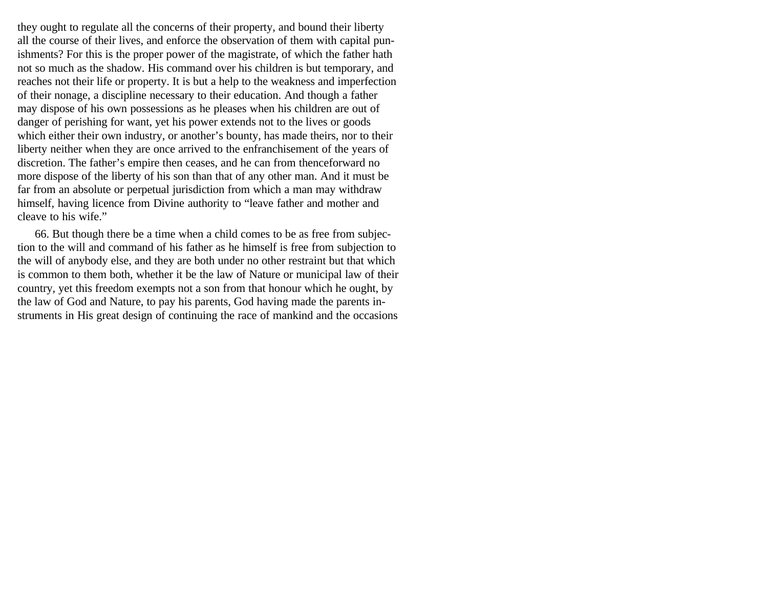they ought to regulate all the concerns of their property, and bound their liberty all the course of their lives, and enforce the observation of them with capital punishments? For this is the proper power of the magistrate, of which the father hath not so much as the shadow. His command over his children is but temporary, and reaches not their life or property. It is but a help to the weakness and imperfection of their nonage, a discipline necessary to their education. And though a father may dispose of his own possessions as he pleases when his children are out of danger of perishing for want, yet his power extends not to the lives or goods which either their own industry, or another's bounty, has made theirs, nor to their liberty neither when they are once arrived to the enfranchisement of the years of discretion. The father's empire then ceases, and he can from thenceforward no more dispose of the liberty of his son than that of any other man. And it must be far from an absolute or perpetual jurisdiction from which a man may withdraw himself, having licence from Divine authority to "leave father and mother and cleave to his wife."

66. But though there be a time when a child comes to be as free from subjection to the will and command of his father as he himself is free from subjection to the will of anybody else, and they are both under no other restraint but that which is common to them both, whether it be the law of Nature or municipal law of their country, yet this freedom exempts not a son from that honour which he ought, by the law of God and Nature, to pay his parents, God having made the parents instruments in His great design of continuing the race of mankind and the occasions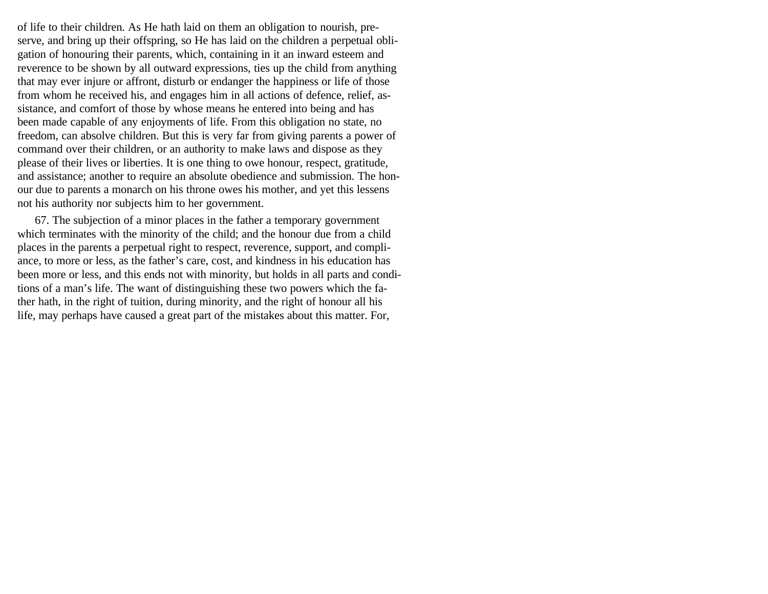of life to their children. As He hath laid on them an obligation to nourish, preserve, and bring up their offspring, so He has laid on the children a perpetual obligation of honouring their parents, which, containing in it an inward esteem and reverence to be shown by all outward expressions, ties up the child from anything that may ever injure or affront, disturb or endanger the happiness or life of those from whom he received his, and engages him in all actions of defence, relief, assistance, and comfort of those by whose means he entered into being and has been made capable of any enjoyments of life. From this obligation no state, no freedom, can absolve children. But this is very far from giving parents a power of command over their children, or an authority to make laws and dispose as they please of their lives or liberties. It is one thing to owe honour, respect, gratitude, and assistance; another to require an absolute obedience and submission. The honour due to parents a monarch on his throne owes his mother, and yet this lessens not his authority nor subjects him to her government.

67. The subjection of a minor places in the father a temporary government which terminates with the minority of the child; and the honour due from a child places in the parents a perpetual right to respect, reverence, support, and compliance, to more or less, as the father's care, cost, and kindness in his education has been more or less, and this ends not with minority, but holds in all parts and conditions of a man's life. The want of distinguishing these two powers which the father hath, in the right of tuition, during minority, and the right of honour all his life, may perhaps have caused a great part of the mistakes about this matter. For,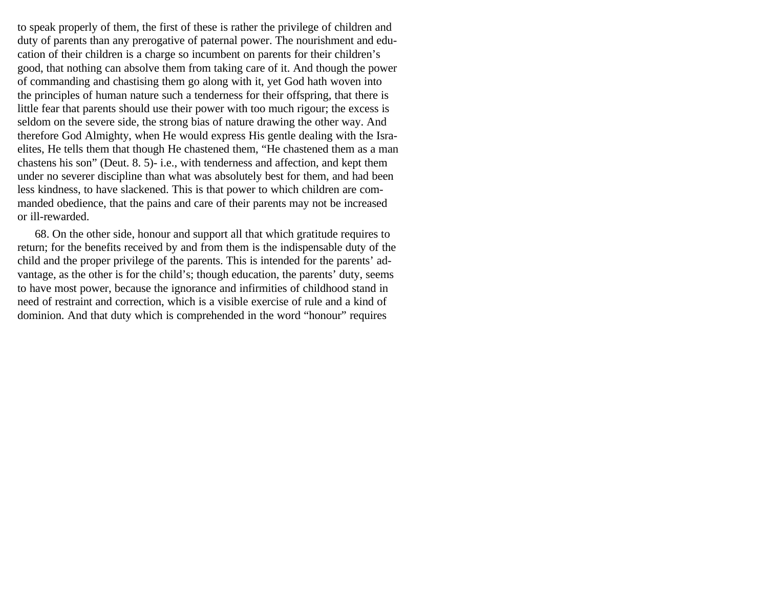to speak properly of them, the first of these is rather the privilege of children and duty of parents than any prerogative of paternal power. The nourishment and education of their children is a charge so incumbent on parents for their children's good, that nothing can absolve them from taking care of it. And though the power of commanding and chastising them go along with it, yet God hath woven into the principles of human nature such a tenderness for their offspring, that there is little fear that parents should use their power with too much rigour; the excess is seldom on the severe side, the strong bias of nature drawing the other way. And therefore God Almighty, when He would express His gentle dealing with the Israelites, He tells them that though He chastened them, "He chastened them as a man chastens his son" (Deut. 8. 5)- i.e., with tenderness and affection, and kept them under no severer discipline than what was absolutely best for them, and had been less kindness, to have slackened. This is that power to which children are commanded obedience, that the pains and care of their parents may not be increased or ill-rewarded.

68. On the other side, honour and support all that which gratitude requires to return; for the benefits received by and from them is the indispensable duty of the child and the proper privilege of the parents. This is intended for the parents' advantage, as the other is for the child's; though education, the parents' duty, seems to have most power, because the ignorance and infirmities of childhood stand in need of restraint and correction, which is a visible exercise of rule and a kind of dominion. And that duty which is comprehended in the word "honour" requires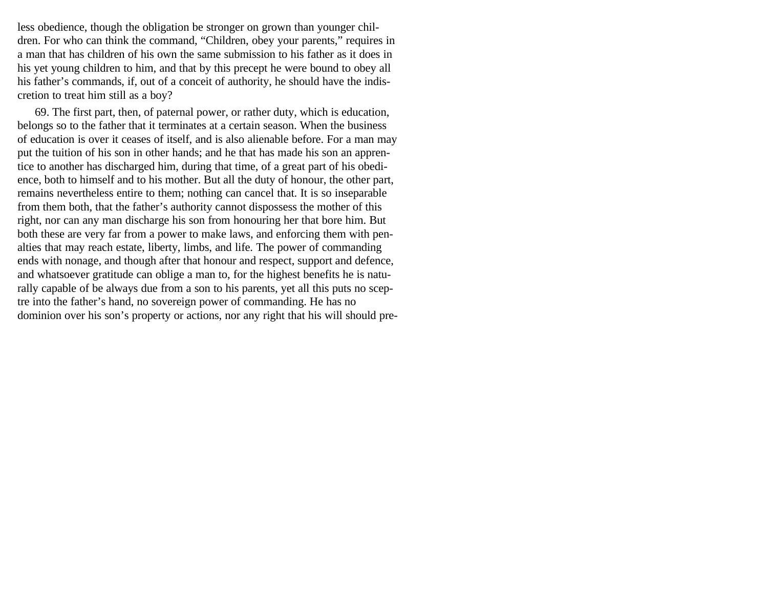less obedience, though the obligation be stronger on grown than younger children. For who can think the command, "Children, obey your parents," requires in a man that has children of his own the same submission to his father as it does in his yet young children to him, and that by this precept he were bound to obey all his father's commands, if, out of a conceit of authority, he should have the indiscretion to treat him still as a boy?

69. The first part, then, of paternal power, or rather duty, which is education, belongs so to the father that it terminates at a certain season. When the business of education is over it ceases of itself, and is also alienable before. For a man may put the tuition of his son in other hands; and he that has made his son an apprentice to another has discharged him, during that time, of a great part of his obedience, both to himself and to his mother. But all the duty of honour, the other part, remains nevertheless entire to them; nothing can cancel that. It is so inseparable from them both, that the father's authority cannot dispossess the mother of this right, nor can any man discharge his son from honouring her that bore him. But both these are very far from a power to make laws, and enforcing them with penalties that may reach estate, liberty, limbs, and life. The power of commanding ends with nonage, and though after that honour and respect, support and defence, and whatsoever gratitude can oblige a man to, for the highest benefits he is naturally capable of be always due from a son to his parents, yet all this puts no sceptre into the father's hand, no sovereign power of commanding. He has no dominion over his son's property or actions, nor any right that his will should pre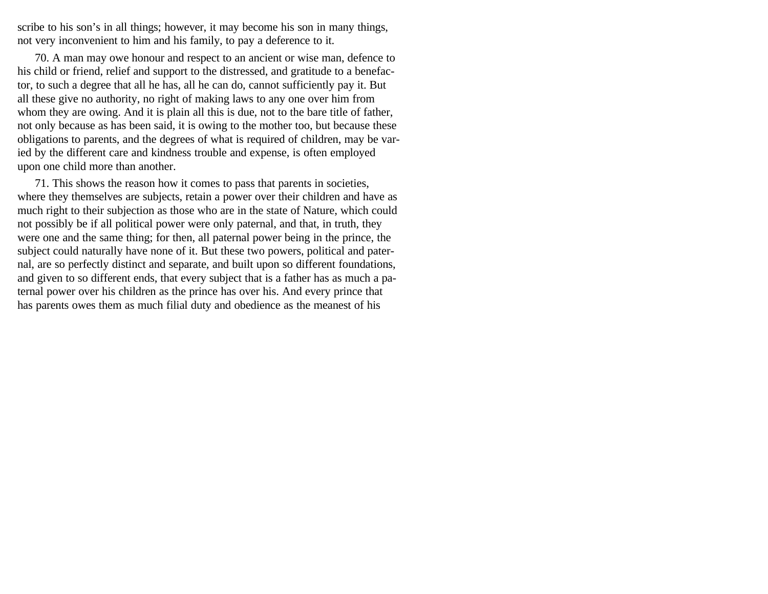scribe to his son's in all things; however, it may become his son in many things, not very inconvenient to him and his family, to pay a deference to it.

70. A man may owe honour and respect to an ancient or wise man, defence to his child or friend, relief and support to the distressed, and gratitude to a benefactor, to such a degree that all he has, all he can do, cannot sufficiently pay it. But all these give no authority, no right of making laws to any one over him from whom they are owing. And it is plain all this is due, not to the bare title of father, not only because as has been said, it is owing to the mother too, but because these obligations to parents, and the degrees of what is required of children, may be varied by the different care and kindness trouble and expense, is often employed upon one child more than another.

71. This shows the reason how it comes to pass that parents in societies, where they themselves are subjects, retain a power over their children and have as much right to their subjection as those who are in the state of Nature, which could not possibly be if all political power were only paternal, and that, in truth, they were one and the same thing; for then, all paternal power being in the prince, the subject could naturally have none of it. But these two powers, political and paternal, are so perfectly distinct and separate, and built upon so different foundations, and given to so different ends, that every subject that is a father has as much a paternal power over his children as the prince has over his. And every prince that has parents owes them as much filial duty and obedience as the meanest of his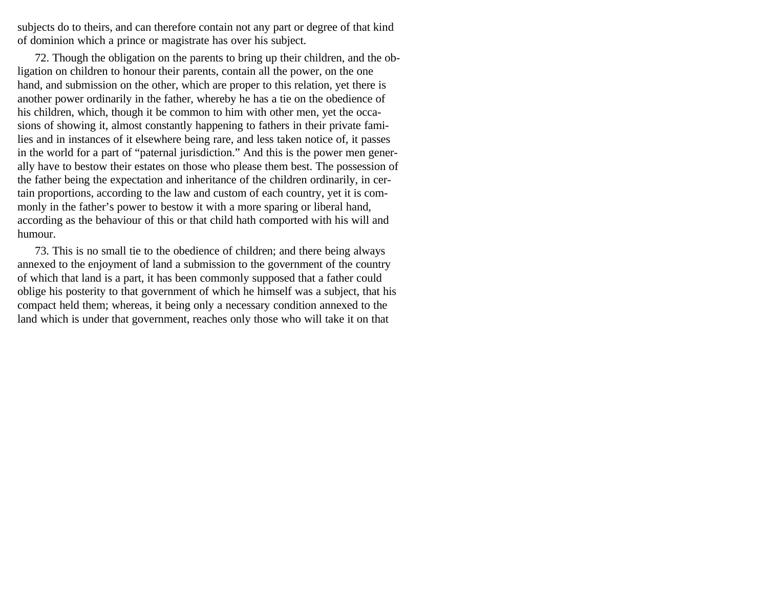subjects do to theirs, and can therefore contain not any part or degree of that kind of dominion which a prince or magistrate has over his subject.

72. Though the obligation on the parents to bring up their children, and the obligation on children to honour their parents, contain all the power, on the one hand, and submission on the other, which are proper to this relation, yet there is another power ordinarily in the father, whereby he has a tie on the obedience of his children, which, though it be common to him with other men, yet the occasions of showing it, almost constantly happening to fathers in their private families and in instances of it elsewhere being rare, and less taken notice of, it passes in the world for a part of "paternal jurisdiction." And this is the power men generally have to bestow their estates on those who please them best. The possession of the father being the expectation and inheritance of the children ordinarily, in certain proportions, according to the law and custom of each country, yet it is commonly in the father's power to bestow it with a more sparing or liberal hand, according as the behaviour of this or that child hath comported with his will and humour.

73. This is no small tie to the obedience of children; and there being always annexed to the enjoyment of land a submission to the government of the country of which that land is a part, it has been commonly supposed that a father could oblige his posterity to that government of which he himself was a subject, that his compact held them; whereas, it being only a necessary condition annexed to the land which is under that government, reaches only those who will take it on that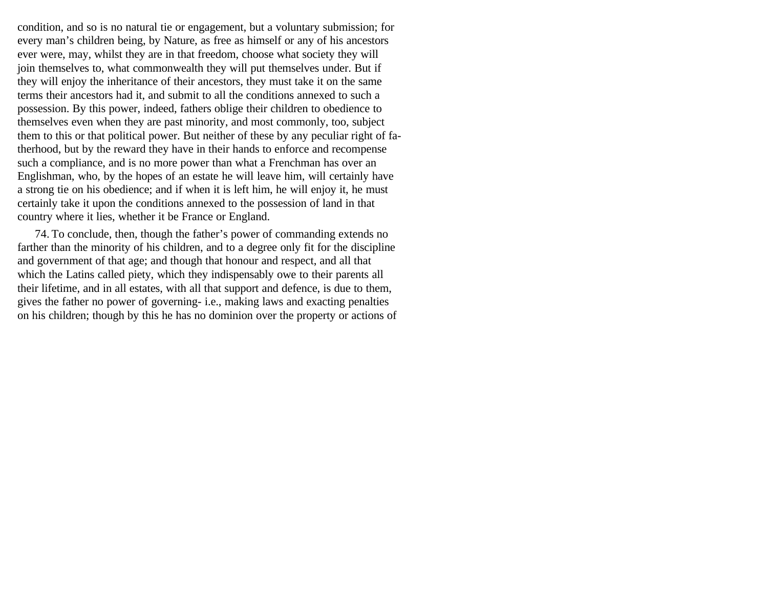condition, and so is no natural tie or engagement, but a voluntary submission; for every man's children being, by Nature, as free as himself or any of his ancestors ever were, may, whilst they are in that freedom, choose what society they will join themselves to, what commonwealth they will put themselves under. But if they will enjoy the inheritance of their ancestors, they must take it on the same terms their ancestors had it, and submit to all the conditions annexed to such a possession. By this power, indeed, fathers oblige their children to obedience to themselves even when they are past minority, and most commonly, too, subject them to this or that political power. But neither of these by any peculiar right of fatherhood, but by the reward they have in their hands to enforce and recompense such a compliance, and is no more power than what a Frenchman has over an Englishman, who, by the hopes of an estate he will leave him, will certainly have a strong tie on his obedience; and if when it is left him, he will enjoy it, he must certainly take it upon the conditions annexed to the possession of land in that country where it lies, whether it be France or England.

74. To conclude, then, though the father's power of commanding extends no farther than the minority of his children, and to a degree only fit for the discipline and government of that age; and though that honour and respect, and all that which the Latins called piety, which they indispensably owe to their parents all their lifetime, and in all estates, with all that support and defence, is due to them, gives the father no power of governing- i.e., making laws and exacting penalties on his children; though by this he has no dominion over the property or actions of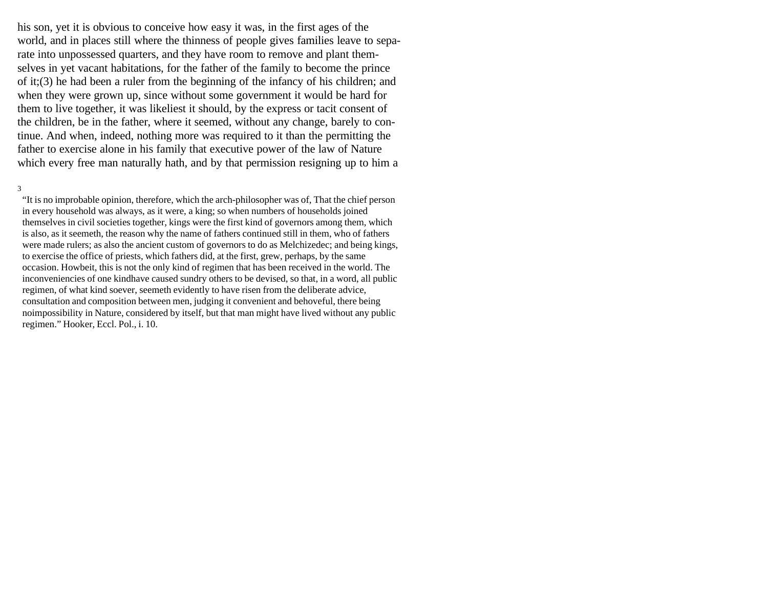his son, yet it is obvious to conceive how easy it was, in the first ages of the world, and in places still where the thinness of people gives families leave to separate into unpossessed quarters, and they have room to remove and plant themselves in yet vacant habitations, for the father of the family to become the prince of it;(3) he had been a ruler from the beginning of the infancy of his children; and when they were grown up, since without some government it would be hard for them to live together, it was likeliest it should, by the express or tacit consent of the children, be in the father, where it seemed, without any change, barely to continue. And when, indeed, nothing more was required to it than the permitting the father to exercise alone in his family that executive power of the law of Nature which every free man naturally hath, and by that permission resigning up to him a

#### 3

"It is no improbable opinion, therefore, which the arch-philosopher was of, That the chief person in every household was always, as it were, a king; so when numbers of households joined themselves in civil societies together, kings were the first kind of governors among them, which is also, as it seemeth, the reason why the name of fathers continued still in them, who of fathers were made rulers; as also the ancient custom of governors to do as Melchizedec; and being kings, to exercise the office of priests, which fathers did, at the first, grew, perhaps, by the same occasion. Howbeit, this is not the only kind of regimen that has been received in the world. The inconveniencies of one kindhave caused sundry others to be devised, so that, in a word, all public regimen, of what kind soever, seemeth evidently to have risen from the deliberate advice, consultation and composition between men, judging it convenient and behoveful, there being noimpossibility in Nature, considered by itself, but that man might have lived without any public regimen." Hooker, Eccl. Pol., i. 10.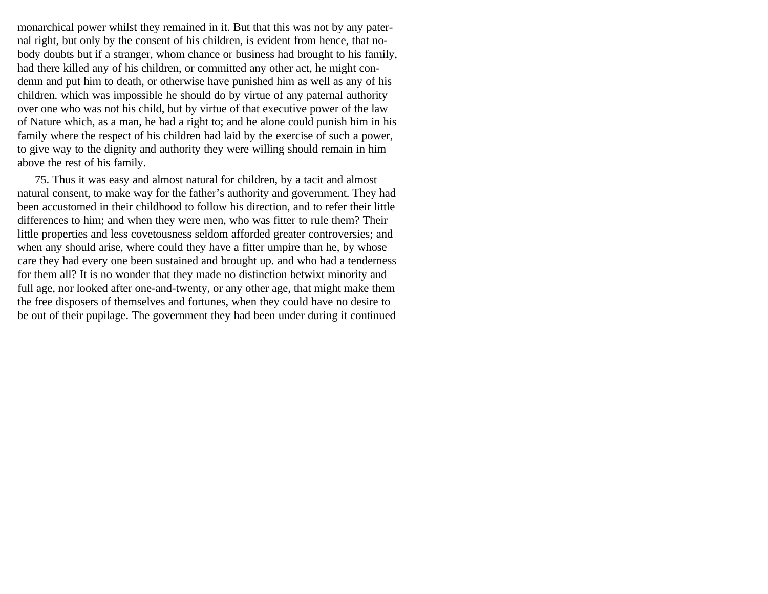monarchical power whilst they remained in it. But that this was not by any paternal right, but only by the consent of his children, is evident from hence, that nobody doubts but if a stranger, whom chance or business had brought to his family, had there killed any of his children, or committed any other act, he might condemn and put him to death, or otherwise have punished him as well as any of his children. which was impossible he should do by virtue of any paternal authority over one who was not his child, but by virtue of that executive power of the law of Nature which, as a man, he had a right to; and he alone could punish him in his family where the respect of his children had laid by the exercise of such a power, to give way to the dignity and authority they were willing should remain in him above the rest of his family.

75. Thus it was easy and almost natural for children, by a tacit and almost natural consent, to make way for the father's authority and government. They had been accustomed in their childhood to follow his direction, and to refer their little differences to him; and when they were men, who was fitter to rule them? Their little properties and less covetousness seldom afforded greater controversies; and when any should arise, where could they have a fitter umpire than he, by whose care they had every one been sustained and brought up. and who had a tenderness for them all? It is no wonder that they made no distinction betwixt minority and full age, nor looked after one-and-twenty, or any other age, that might make them the free disposers of themselves and fortunes, when they could have no desire to be out of their pupilage. The government they had been under during it continued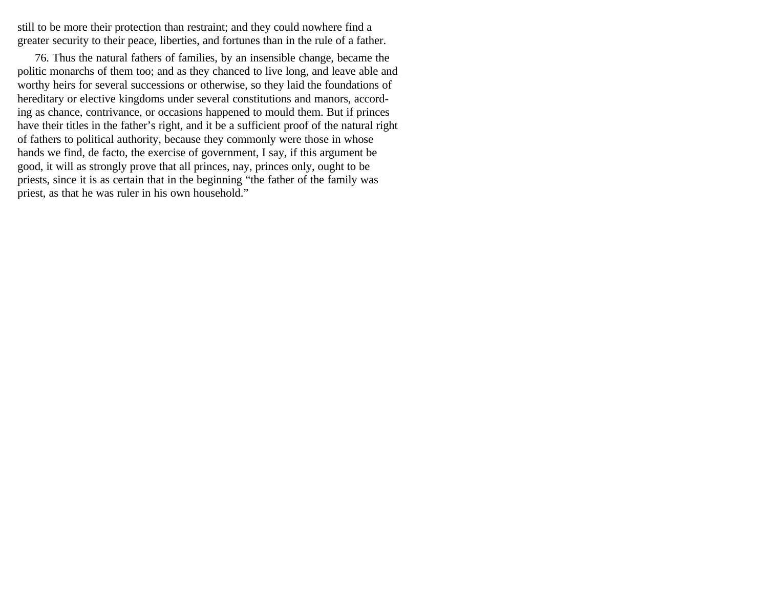still to be more their protection than restraint; and they could nowhere find a greater security to their peace, liberties, and fortunes than in the rule of a father.

76. Thus the natural fathers of families, by an insensible change, became the politic monarchs of them too; and as they chanced to live long, and leave able and worthy heirs for several successions or otherwise, so they laid the foundations of hereditary or elective kingdoms under several constitutions and manors, according as chance, contrivance, or occasions happened to mould them. But if princes have their titles in the father's right, and it be a sufficient proof of the natural right of fathers to political authority, because they commonly were those in whose hands we find, de facto, the exercise of government, I say, if this argument be good, it will as strongly prove that all princes, nay, princes only, ought to be priests, since it is as certain that in the beginning "the father of the family was priest, as that he was ruler in his own household."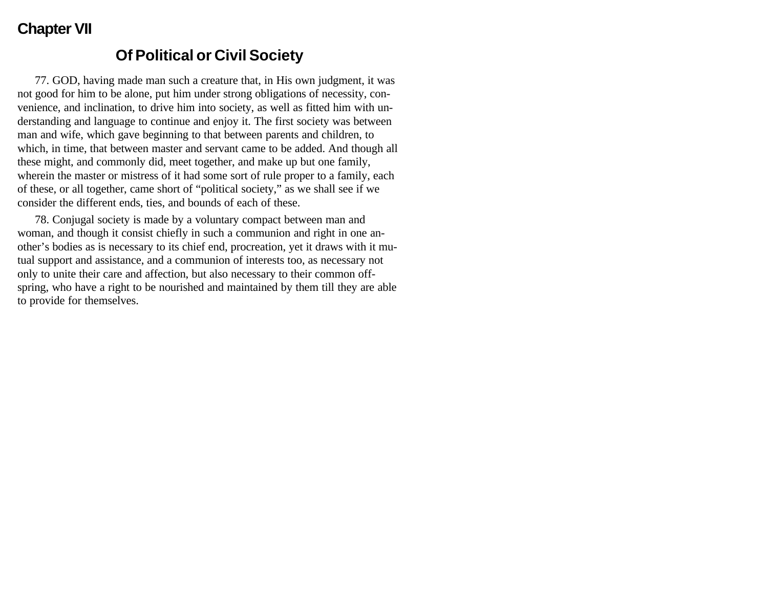# **Chapter VII**

## **Of Political or Civil Society**

77. GOD, having made man such a creature that, in His own judgment, it was not good for him to be alone, put him under strong obligations of necessity, convenience, and inclination, to drive him into society, as well as fitted him with understanding and language to continue and enjoy it. The first society was between man and wife, which gave beginning to that between parents and children, to which, in time, that between master and servant came to be added. And though all these might, and commonly did, meet together, and make up but one family, wherein the master or mistress of it had some sort of rule proper to a family, each of these, or all together, came short of "political society," as we shall see if we consider the different ends, ties, and bounds of each of these.

78. Conjugal society is made by a voluntary compact between man and woman, and though it consist chiefly in such a communion and right in one another's bodies as is necessary to its chief end, procreation, yet it draws with it mutual support and assistance, and a communion of interests too, as necessary not only to unite their care and affection, but also necessary to their common offspring, who have a right to be nourished and maintained by them till they are able to provide for themselves.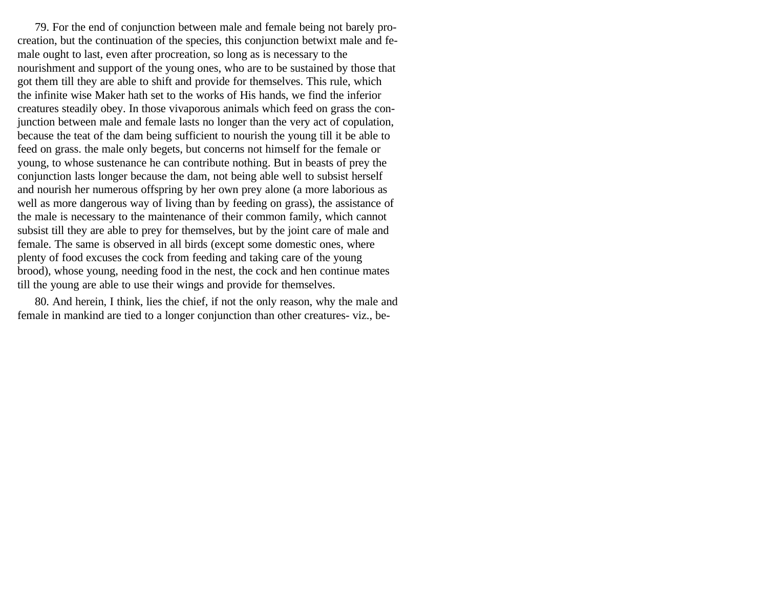79. For the end of conjunction between male and female being not barely procreation, but the continuation of the species, this conjunction betwixt male and female ought to last, even after procreation, so long as is necessary to the nourishment and support of the young ones, who are to be sustained by those that got them till they are able to shift and provide for themselves. This rule, which the infinite wise Maker hath set to the works of His hands, we find the inferior creatures steadily obey. In those vivaporous animals which feed on grass the conjunction between male and female lasts no longer than the very act of copulation, because the teat of the dam being sufficient to nourish the young till it be able to feed on grass. the male only begets, but concerns not himself for the female or young, to whose sustenance he can contribute nothing. But in beasts of prey the conjunction lasts longer because the dam, not being able well to subsist herself and nourish her numerous offspring by her own prey alone (a more laborious as well as more dangerous way of living than by feeding on grass), the assistance of the male is necessary to the maintenance of their common family, which cannot subsist till they are able to prey for themselves, but by the joint care of male and female. The same is observed in all birds (except some domestic ones, where plenty of food excuses the cock from feeding and taking care of the young brood), whose young, needing food in the nest, the cock and hen continue mates till the young are able to use their wings and provide for themselves.

80. And herein, I think, lies the chief, if not the only reason, why the male and female in mankind are tied to a longer conjunction than other creatures- viz., be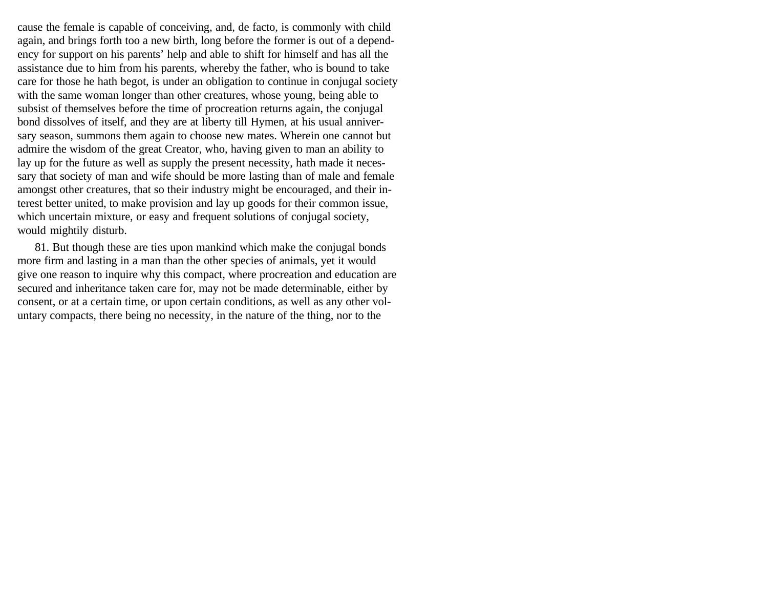cause the female is capable of conceiving, and, de facto, is commonly with child again, and brings forth too a new birth, long before the former is out of a dependency for support on his parents' help and able to shift for himself and has all the assistance due to him from his parents, whereby the father, who is bound to take care for those he hath begot, is under an obligation to continue in conjugal society with the same woman longer than other creatures, whose young, being able to subsist of themselves before the time of procreation returns again, the conjugal bond dissolves of itself, and they are at liberty till Hymen, at his usual anniversary season, summons them again to choose new mates. Wherein one cannot but admire the wisdom of the great Creator, who, having given to man an ability to lay up for the future as well as supply the present necessity, hath made it necessary that society of man and wife should be more lasting than of male and female amongst other creatures, that so their industry might be encouraged, and their interest better united, to make provision and lay up goods for their common issue, which uncertain mixture, or easy and frequent solutions of conjugal society, would mightily disturb.

81. But though these are ties upon mankind which make the conjugal bonds more firm and lasting in a man than the other species of animals, yet it would give one reason to inquire why this compact, where procreation and education are secured and inheritance taken care for, may not be made determinable, either by consent, or at a certain time, or upon certain conditions, as well as any other voluntary compacts, there being no necessity, in the nature of the thing, nor to the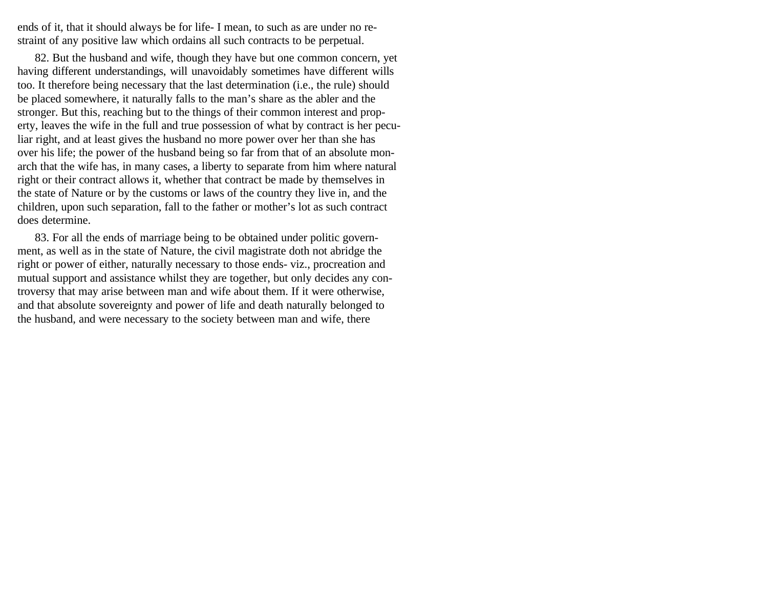ends of it, that it should always be for life- I mean, to such as are under no restraint of any positive law which ordains all such contracts to be perpetual.

82. But the husband and wife, though they have but one common concern, yet having different understandings, will unavoidably sometimes have different wills too. It therefore being necessary that the last determination (i.e., the rule) should be placed somewhere, it naturally falls to the man's share as the abler and the stronger. But this, reaching but to the things of their common interest and property, leaves the wife in the full and true possession of what by contract is her peculiar right, and at least gives the husband no more power over her than she has over his life; the power of the husband being so far from that of an absolute monarch that the wife has, in many cases, a liberty to separate from him where natural right or their contract allows it, whether that contract be made by themselves in the state of Nature or by the customs or laws of the country they live in, and the children, upon such separation, fall to the father or mother's lot as such contract does determine.

83. For all the ends of marriage being to be obtained under politic government, as well as in the state of Nature, the civil magistrate doth not abridge the right or power of either, naturally necessary to those ends- viz., procreation and mutual support and assistance whilst they are together, but only decides any controversy that may arise between man and wife about them. If it were otherwise, and that absolute sovereignty and power of life and death naturally belonged to the husband, and were necessary to the society between man and wife, there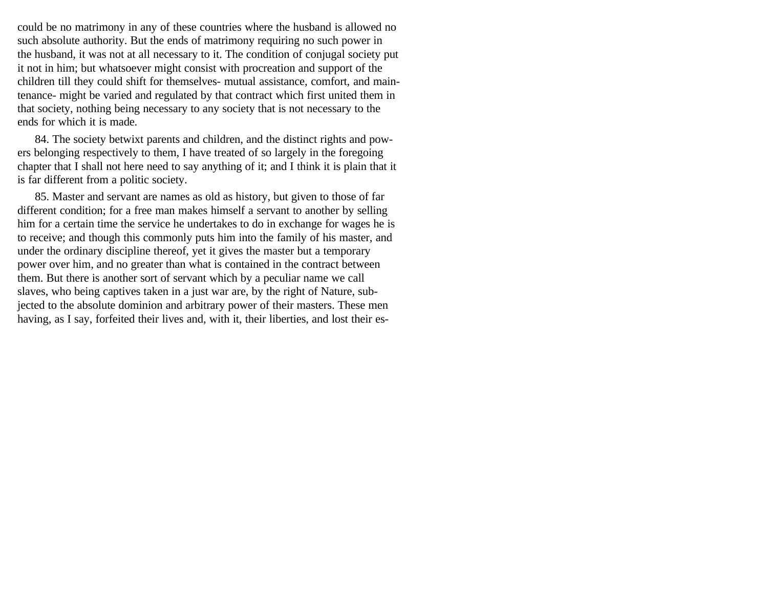could be no matrimony in any of these countries where the husband is allowed no such absolute authority. But the ends of matrimony requiring no such power in the husband, it was not at all necessary to it. The condition of conjugal society put it not in him; but whatsoever might consist with procreation and support of the children till they could shift for themselves- mutual assistance, comfort, and maintenance- might be varied and regulated by that contract which first united them in that society, nothing being necessary to any society that is not necessary to the ends for which it is made.

84. The society betwixt parents and children, and the distinct rights and powers belonging respectively to them, I have treated of so largely in the foregoing chapter that I shall not here need to say anything of it; and I think it is plain that it is far different from a politic society.

85. Master and servant are names as old as history, but given to those of far different condition; for a free man makes himself a servant to another by selling him for a certain time the service he undertakes to do in exchange for wages he is to receive; and though this commonly puts him into the family of his master, and under the ordinary discipline thereof, yet it gives the master but a temporary power over him, and no greater than what is contained in the contract between them. But there is another sort of servant which by a peculiar name we call slaves, who being captives taken in a just war are, by the right of Nature, subjected to the absolute dominion and arbitrary power of their masters. These men having, as I say, forfeited their lives and, with it, their liberties, and lost their es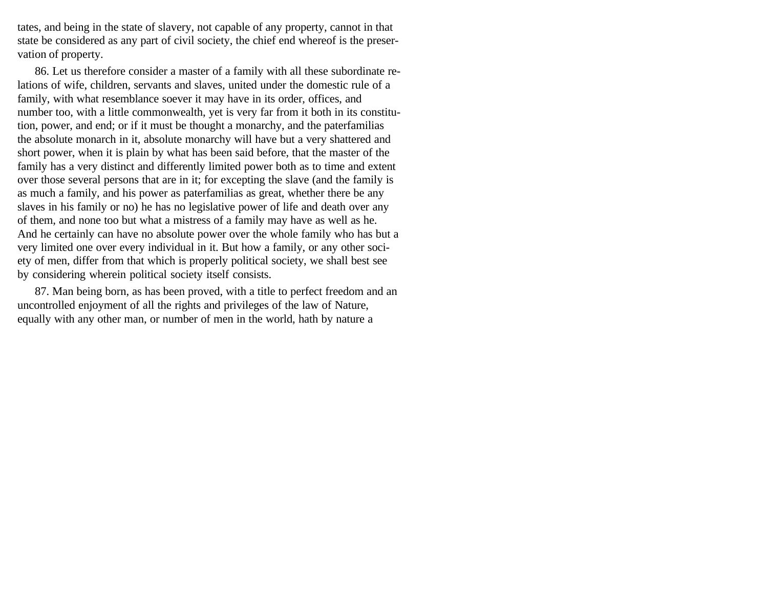tates, and being in the state of slavery, not capable of any property, cannot in that state be considered as any part of civil society, the chief end whereof is the preservation of property.

86. Let us therefore consider a master of a family with all these subordinate relations of wife, children, servants and slaves, united under the domestic rule of a family, with what resemblance soever it may have in its order, offices, and number too, with a little commonwealth, yet is very far from it both in its constitution, power, and end; or if it must be thought a monarchy, and the paterfamilias the absolute monarch in it, absolute monarchy will have but a very shattered and short power, when it is plain by what has been said before, that the master of the family has a very distinct and differently limited power both as to time and extent over those several persons that are in it; for excepting the slave (and the family is as much a family, and his power as paterfamilias as great, whether there be any slaves in his family or no) he has no legislative power of life and death over any of them, and none too but what a mistress of a family may have as well as he. And he certainly can have no absolute power over the whole family who has but a very limited one over every individual in it. But how a family, or any other society of men, differ from that which is properly political society, we shall best see by considering wherein political society itself consists.

87. Man being born, as has been proved, with a title to perfect freedom and an uncontrolled enjoyment of all the rights and privileges of the law of Nature, equally with any other man, or number of men in the world, hath by nature a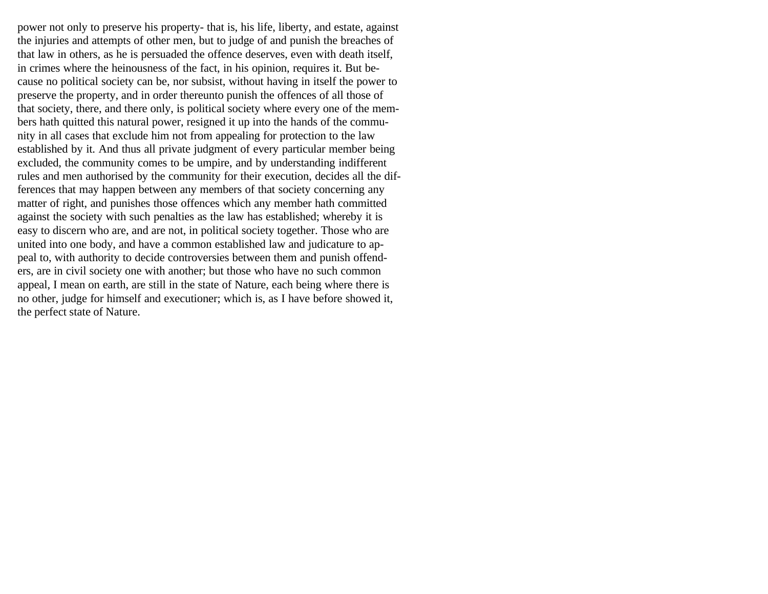power not only to preserve his property- that is, his life, liberty, and estate, against the injuries and attempts of other men, but to judge of and punish the breaches of that law in others, as he is persuaded the offence deserves, even with death itself, in crimes where the heinousness of the fact, in his opinion, requires it. But because no political society can be, nor subsist, without having in itself the power to preserve the property, and in order thereunto punish the offences of all those of that society, there, and there only, is political society where every one of the members hath quitted this natural power, resigned it up into the hands of the community in all cases that exclude him not from appealing for protection to the law established by it. And thus all private judgment of every particular member being excluded, the community comes to be umpire, and by understanding indifferent rules and men authorised by the community for their execution, decides all the differences that may happen between any members of that society concerning any matter of right, and punishes those offences which any member hath committed against the society with such penalties as the law has established; whereby it is easy to discern who are, and are not, in political society together. Those who are united into one body, and have a common established law and judicature to appeal to, with authority to decide controversies between them and punish offenders, are in civil society one with another; but those who have no such common appeal, I mean on earth, are still in the state of Nature, each being where there is no other, judge for himself and executioner; which is, as I have before showed it, the perfect state of Nature.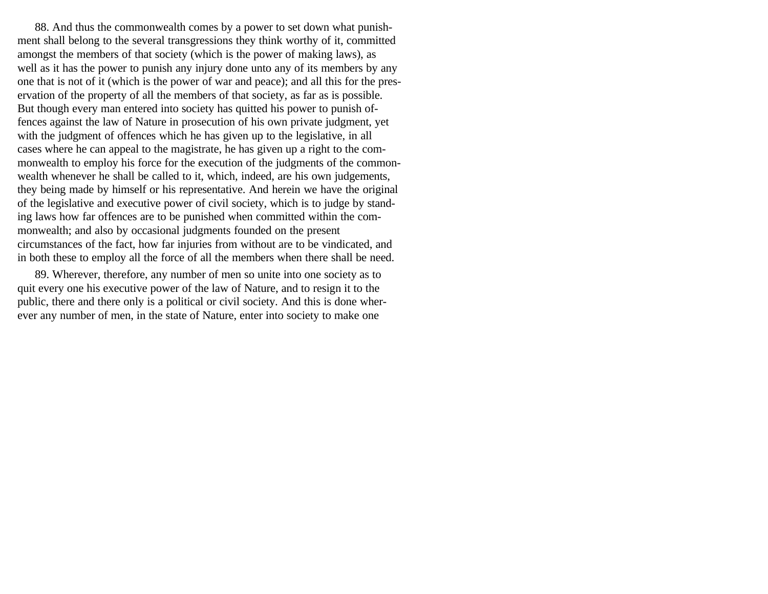88. And thus the commonwealth comes by a power to set down what punishment shall belong to the several transgressions they think worthy of it, committed amongst the members of that society (which is the power of making laws), as well as it has the power to punish any injury done unto any of its members by any one that is not of it (which is the power of war and peace); and all this for the preservation of the property of all the members of that society, as far as is possible. But though every man entered into society has quitted his power to punish offences against the law of Nature in prosecution of his own private judgment, yet with the judgment of offences which he has given up to the legislative, in all cases where he can appeal to the magistrate, he has given up a right to the commonwealth to employ his force for the execution of the judgments of the commonwealth whenever he shall be called to it, which, indeed, are his own judgements, they being made by himself or his representative. And herein we have the original of the legislative and executive power of civil society, which is to judge by standing laws how far offences are to be punished when committed within the commonwealth; and also by occasional judgments founded on the present circumstances of the fact, how far injuries from without are to be vindicated, and in both these to employ all the force of all the members when there shall be need.

89. Wherever, therefore, any number of men so unite into one society as to quit every one his executive power of the law of Nature, and to resign it to the public, there and there only is a political or civil society. And this is done wherever any number of men, in the state of Nature, enter into society to make one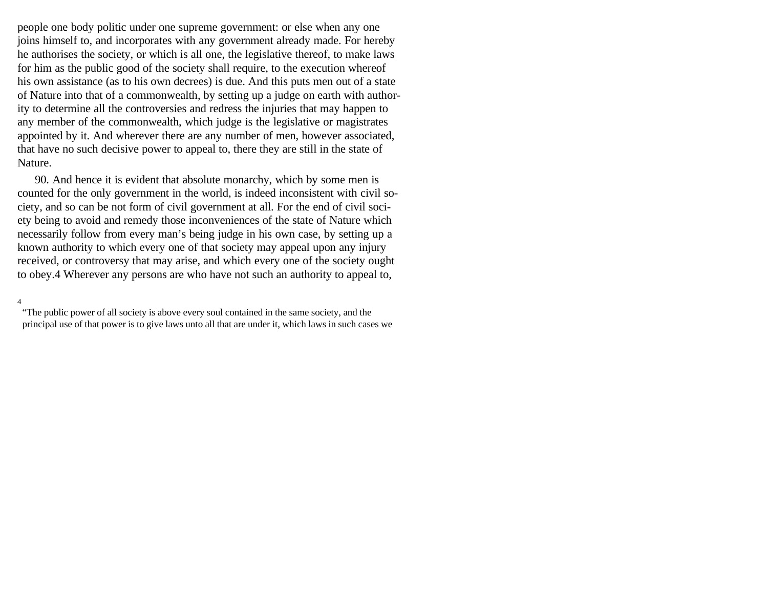people one body politic under one supreme government: or else when any one joins himself to, and incorporates with any government already made. For hereby he authorises the society, or which is all one, the legislative thereof, to make laws for him as the public good of the society shall require, to the execution whereof his own assistance (as to his own decrees) is due. And this puts men out of a state of Nature into that of a commonwealth, by setting up a judge on earth with authority to determine all the controversies and redress the injuries that may happen to any member of the commonwealth, which judge is the legislative or magistrates appointed by it. And wherever there are any number of men, however associated, that have no such decisive power to appeal to, there they are still in the state of Nature.

90. And hence it is evident that absolute monarchy, which by some men is counted for the only government in the world, is indeed inconsistent with civil society, and so can be not form of civil government at all. For the end of civil society being to avoid and remedy those inconveniences of the state of Nature which necessarily follow from every man's being judge in his own case, by setting up a known authority to which every one of that society may appeal upon any injury received, or controversy that may arise, and which every one of the society ought to obey.4 Wherever any persons are who have not such an authority to appeal to,

#### 4

"The public power of all society is above every soul contained in the same society, and the principal use of that power is to give laws unto all that are under it, which laws in such cases we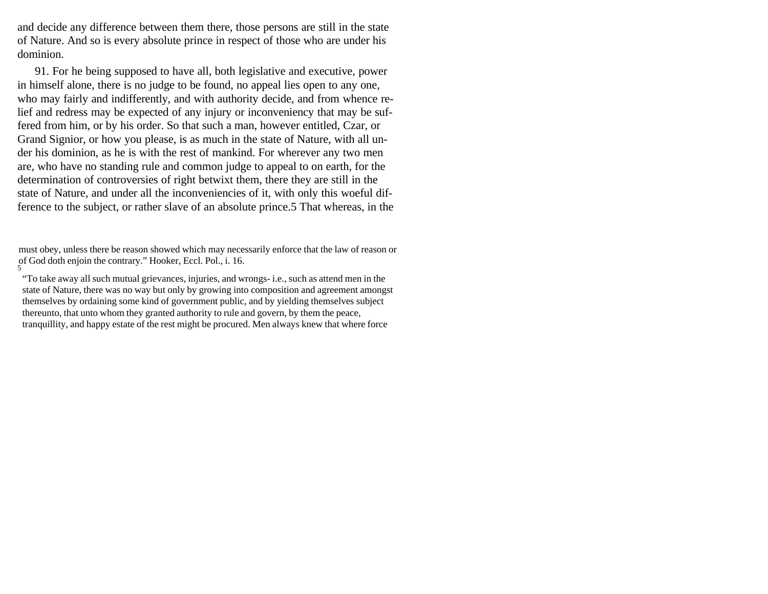and decide any difference between them there, those persons are still in the state of Nature. And so is every absolute prince in respect of those who are under his dominion.

91. For he being supposed to have all, both legislative and executive, power in himself alone, there is no judge to be found, no appeal lies open to any one, who may fairly and indifferently, and with authority decide, and from whence relief and redress may be expected of any injury or inconveniency that may be suffered from him, or by his order. So that such a man, however entitled, Czar, or Grand Signior, or how you please, is as much in the state of Nature, with all under his dominion, as he is with the rest of mankind. For wherever any two men are, who have no standing rule and common judge to appeal to on earth, for the determination of controversies of right betwixt them, there they are still in the state of Nature, and under all the inconveniencies of it, with only this woeful difference to the subject, or rather slave of an absolute prince.5 That whereas, in the

must obey, unless there be reason showed which may necessarily enforce that the law of reason or of God doth enjoin the contrary." Hooker, Eccl. Pol., i. 16. 5

"To take away all such mutual grievances, injuries, and wrongs- i.e., such as attend men in the state of Nature, there was no way but only by growing into composition and agreement amongst themselves by ordaining some kind of government public, and by yielding themselves subject thereunto, that unto whom they granted authority to rule and govern, by them the peace, tranquillity, and happy estate of the rest might be procured. Men always knew that where force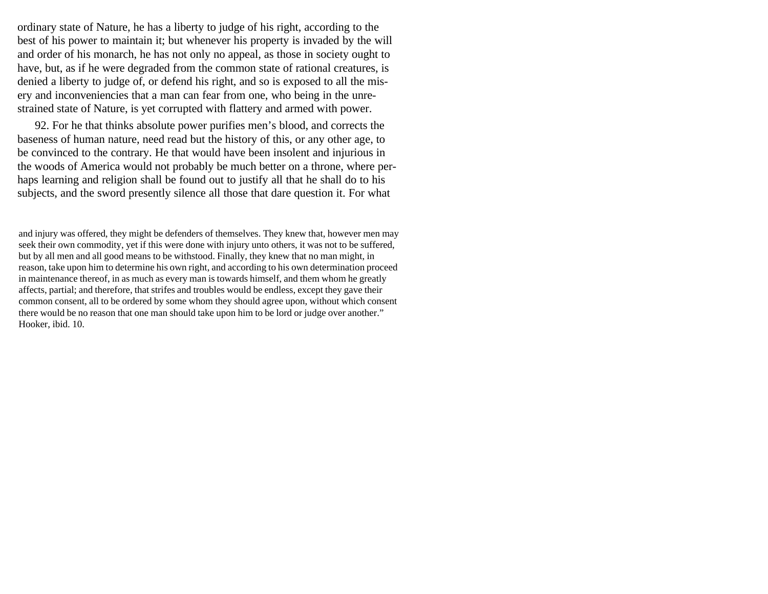ordinary state of Nature, he has a liberty to judge of his right, according to the best of his power to maintain it; but whenever his property is invaded by the will and order of his monarch, he has not only no appeal, as those in society ought to have, but, as if he were degraded from the common state of rational creatures, is denied a liberty to judge of, or defend his right, and so is exposed to all the misery and inconveniencies that a man can fear from one, who being in the unrestrained state of Nature, is yet corrupted with flattery and armed with power.

92. For he that thinks absolute power purifies men's blood, and corrects the baseness of human nature, need read but the history of this, or any other age, to be convinced to the contrary. He that would have been insolent and injurious in the woods of America would not probably be much better on a throne, where perhaps learning and religion shall be found out to justify all that he shall do to his subjects, and the sword presently silence all those that dare question it. For what

and injury was offered, they might be defenders of themselves. They knew that, however men may seek their own commodity, yet if this were done with injury unto others, it was not to be suffered, but by all men and all good means to be withstood. Finally, they knew that no man might, in reason, take upon him to determine his own right, and according to his own determination proceed in maintenance thereof, in as much as every man is towards himself, and them whom he greatly affects, partial; and therefore, that strifes and troubles would be endless, except they gave their common consent, all to be ordered by some whom they should agree upon, without which consent there would be no reason that one man should take upon him to be lord or judge over another." Hooker, ibid. 10.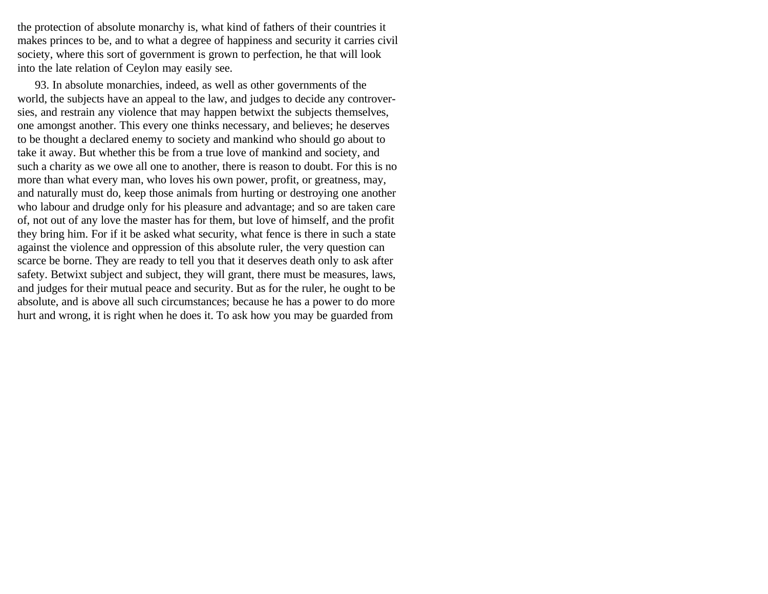the protection of absolute monarchy is, what kind of fathers of their countries it makes princes to be, and to what a degree of happiness and security it carries civil society, where this sort of government is grown to perfection, he that will look into the late relation of Ceylon may easily see.

93. In absolute monarchies, indeed, as well as other governments of the world, the subjects have an appeal to the law, and judges to decide any controversies, and restrain any violence that may happen betwixt the subjects themselves, one amongst another. This every one thinks necessary, and believes; he deserves to be thought a declared enemy to society and mankind who should go about to take it away. But whether this be from a true love of mankind and society, and such a charity as we owe all one to another, there is reason to doubt. For this is no more than what every man, who loves his own power, profit, or greatness, may, and naturally must do, keep those animals from hurting or destroying one another who labour and drudge only for his pleasure and advantage; and so are taken care of, not out of any love the master has for them, but love of himself, and the profit they bring him. For if it be asked what security, what fence is there in such a state against the violence and oppression of this absolute ruler, the very question can scarce be borne. They are ready to tell you that it deserves death only to ask after safety. Betwixt subject and subject, they will grant, there must be measures, laws, and judges for their mutual peace and security. But as for the ruler, he ought to be absolute, and is above all such circumstances; because he has a power to do more hurt and wrong, it is right when he does it. To ask how you may be guarded from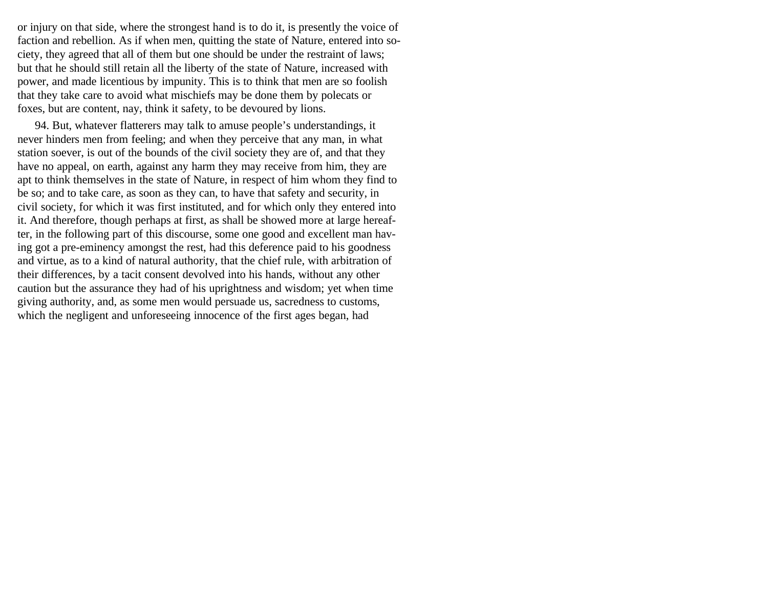or injury on that side, where the strongest hand is to do it, is presently the voice of faction and rebellion. As if when men, quitting the state of Nature, entered into society, they agreed that all of them but one should be under the restraint of laws; but that he should still retain all the liberty of the state of Nature, increased with power, and made licentious by impunity. This is to think that men are so foolish that they take care to avoid what mischiefs may be done them by polecats or foxes, but are content, nay, think it safety, to be devoured by lions.

94. But, whatever flatterers may talk to amuse people's understandings, it never hinders men from feeling; and when they perceive that any man, in what station soever, is out of the bounds of the civil society they are of, and that they have no appeal, on earth, against any harm they may receive from him, they are apt to think themselves in the state of Nature, in respect of him whom they find to be so; and to take care, as soon as they can, to have that safety and security, in civil society, for which it was first instituted, and for which only they entered into it. And therefore, though perhaps at first, as shall be showed more at large hereafter, in the following part of this discourse, some one good and excellent man having got a pre-eminency amongst the rest, had this deference paid to his goodness and virtue, as to a kind of natural authority, that the chief rule, with arbitration of their differences, by a tacit consent devolved into his hands, without any other caution but the assurance they had of his uprightness and wisdom; yet when time giving authority, and, as some men would persuade us, sacredness to customs, which the negligent and unforeseeing innocence of the first ages began, had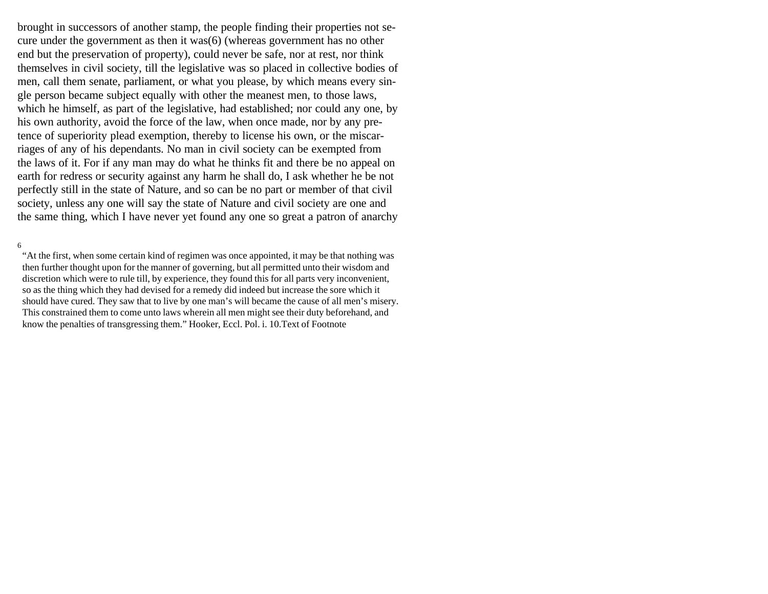brought in successors of another stamp, the people finding their properties not secure under the government as then it was(6) (whereas government has no other end but the preservation of property), could never be safe, nor at rest, nor think themselves in civil society, till the legislative was so placed in collective bodies of men, call them senate, parliament, or what you please, by which means every single person became subject equally with other the meanest men, to those laws, which he himself, as part of the legislative, had established; nor could any one, by his own authority, avoid the force of the law, when once made, nor by any pretence of superiority plead exemption, thereby to license his own, or the miscarriages of any of his dependants. No man in civil society can be exempted from the laws of it. For if any man may do what he thinks fit and there be no appeal on earth for redress or security against any harm he shall do, I ask whether he be not perfectly still in the state of Nature, and so can be no part or member of that civil society, unless any one will say the state of Nature and civil society are one and the same thing, which I have never yet found any one so great a patron of anarchy

#### 6

"At the first, when some certain kind of regimen was once appointed, it may be that nothing was then further thought upon for the manner of governing, but all permitted unto their wisdom and discretion which were to rule till, by experience, they found this for all parts very inconvenient, so as the thing which they had devised for a remedy did indeed but increase the sore which it should have cured. They saw that to live by one man's will became the cause of all men's misery. This constrained them to come unto laws wherein all men might see their duty beforehand, and know the penalties of transgressing them." Hooker, Eccl. Pol. i. 10.Text of Footnote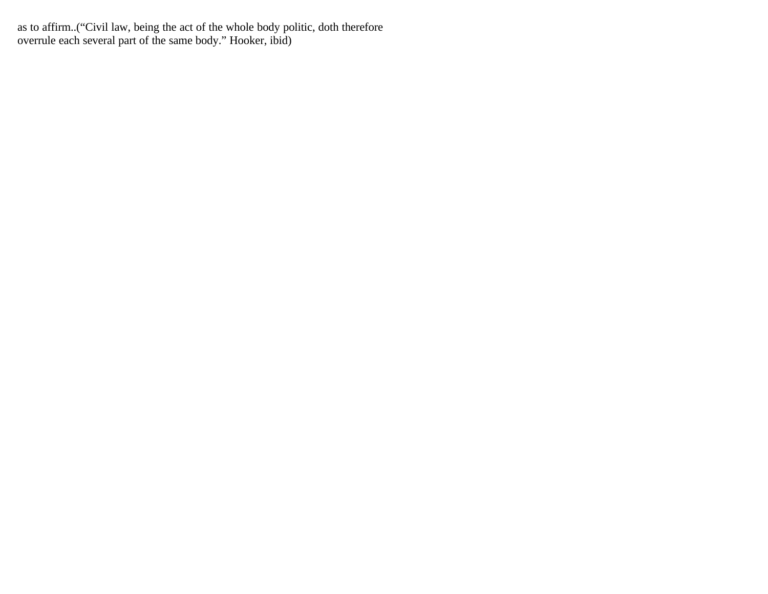as to affirm..("Civil law, being the act of the whole body politic, doth therefore overrule each several part of the same body." Hooker, ibid)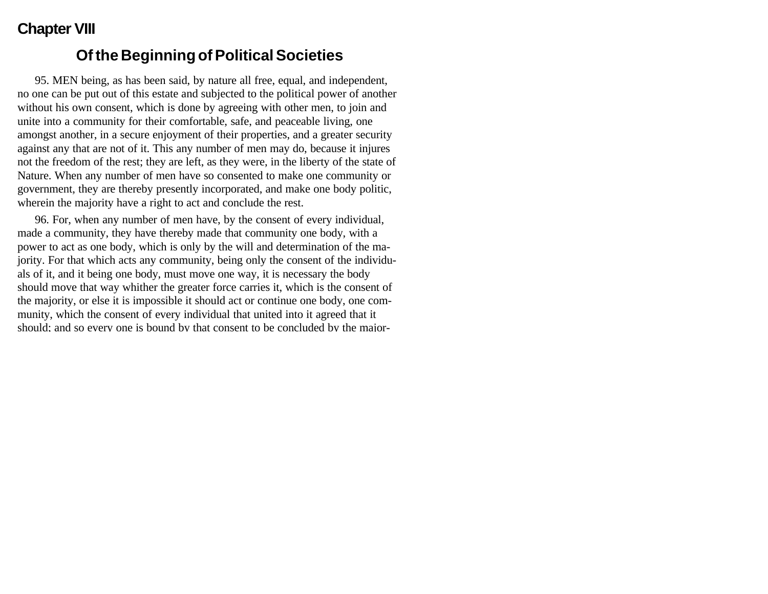# **Chapter VIII**

#### **Of the Beginning of Political Societies**

95. MEN being, as has been said, by nature all free, equal, and independent, no one can be put out of this estate and subjected to the political power of another without his own consent, which is done by agreeing with other men, to join and unite into a community for their comfortable, safe, and peaceable living, one amongst another, in a secure enjoyment of their properties, and a greater security against any that are not of it. This any number of men may do, because it injures not the freedom of the rest; they are left, as they were, in the liberty of the state of Nature. When any number of men have so consented to make one community or government, they are thereby presently incorporated, and make one body politic, wherein the majority have a right to act and conclude the rest.

96. For, when any number of men have, by the consent of every individual, made a community, they have thereby made that community one body, with a power to act as one body, which is only by the will and determination of the majority. For that which acts any community, being only the consent of the individuals of it, and it being one body, must move one way, it is necessary the body should move that way whither the greater force carries it, which is the consent of the majority, or else it is impossible it should act or continue one body, one community, which the consent of every individual that united into it agreed that it should; and so every one is bound by that consent to be concluded by the major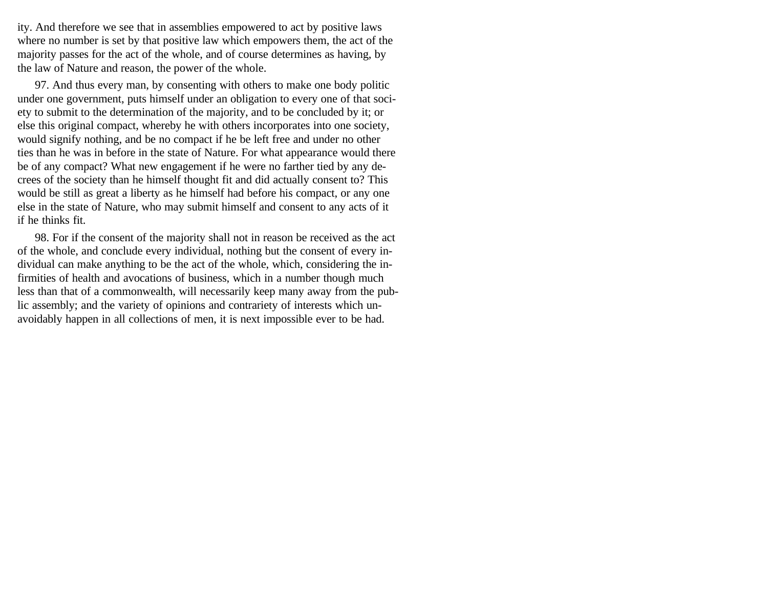ity. And therefore we see that in assemblies empowered to act by positive laws where no number is set by that positive law which empowers them, the act of the majority passes for the act of the whole, and of course determines as having, by the law of Nature and reason, the power of the whole.

97. And thus every man, by consenting with others to make one body politic under one government, puts himself under an obligation to every one of that society to submit to the determination of the majority, and to be concluded by it; or else this original compact, whereby he with others incorporates into one society, would signify nothing, and be no compact if he be left free and under no other ties than he was in before in the state of Nature. For what appearance would there be of any compact? What new engagement if he were no farther tied by any decrees of the society than he himself thought fit and did actually consent to? This would be still as great a liberty as he himself had before his compact, or any one else in the state of Nature, who may submit himself and consent to any acts of it if he thinks fit.

98. For if the consent of the majority shall not in reason be received as the act of the whole, and conclude every individual, nothing but the consent of every individual can make anything to be the act of the whole, which, considering the infirmities of health and avocations of business, which in a number though much less than that of a commonwealth, will necessarily keep many away from the public assembly; and the variety of opinions and contrariety of interests which unavoidably happen in all collections of men, it is next impossible ever to be had.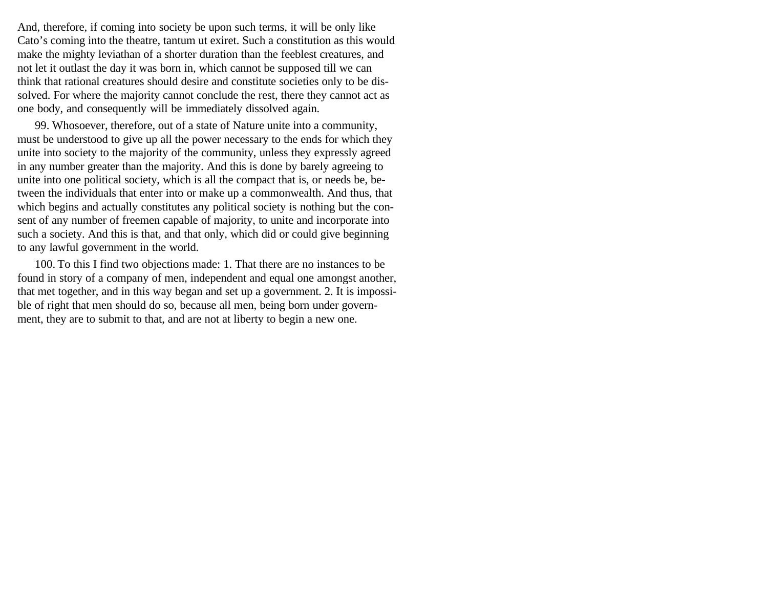And, therefore, if coming into society be upon such terms, it will be only like Cato's coming into the theatre, tantum ut exiret. Such a constitution as this would make the mighty leviathan of a shorter duration than the feeblest creatures, and not let it outlast the day it was born in, which cannot be supposed till we can think that rational creatures should desire and constitute societies only to be dissolved. For where the majority cannot conclude the rest, there they cannot act as one body, and consequently will be immediately dissolved again.

99. Whosoever, therefore, out of a state of Nature unite into a community, must be understood to give up all the power necessary to the ends for which they unite into society to the majority of the community, unless they expressly agreed in any number greater than the majority. And this is done by barely agreeing to unite into one political society, which is all the compact that is, or needs be, between the individuals that enter into or make up a commonwealth. And thus, that which begins and actually constitutes any political society is nothing but the consent of any number of freemen capable of majority, to unite and incorporate into such a society. And this is that, and that only, which did or could give beginning to any lawful government in the world.

100. To this I find two objections made: 1. That there are no instances to be found in story of a company of men, independent and equal one amongst another, that met together, and in this way began and set up a government. 2. It is impossible of right that men should do so, because all men, being born under government, they are to submit to that, and are not at liberty to begin a new one.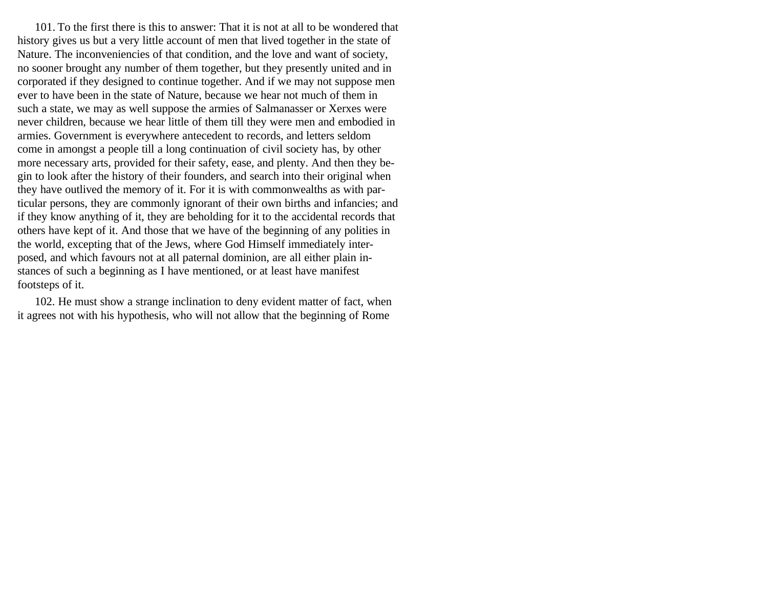101. To the first there is this to answer: That it is not at all to be wondered that history gives us but a very little account of men that lived together in the state of Nature. The inconveniencies of that condition, and the love and want of society, no sooner brought any number of them together, but they presently united and in corporated if they designed to continue together. And if we may not suppose men ever to have been in the state of Nature, because we hear not much of them in such a state, we may as well suppose the armies of Salmanasser or Xerxes were never children, because we hear little of them till they were men and embodied in armies. Government is everywhere antecedent to records, and letters seldom come in amongst a people till a long continuation of civil society has, by other more necessary arts, provided for their safety, ease, and plenty. And then they begin to look after the history of their founders, and search into their original when they have outlived the memory of it. For it is with commonwealths as with particular persons, they are commonly ignorant of their own births and infancies; and if they know anything of it, they are beholding for it to the accidental records that others have kept of it. And those that we have of the beginning of any polities in the world, excepting that of the Jews, where God Himself immediately interposed, and which favours not at all paternal dominion, are all either plain instances of such a beginning as I have mentioned, or at least have manifest footsteps of it.

102. He must show a strange inclination to deny evident matter of fact, when it agrees not with his hypothesis, who will not allow that the beginning of Rome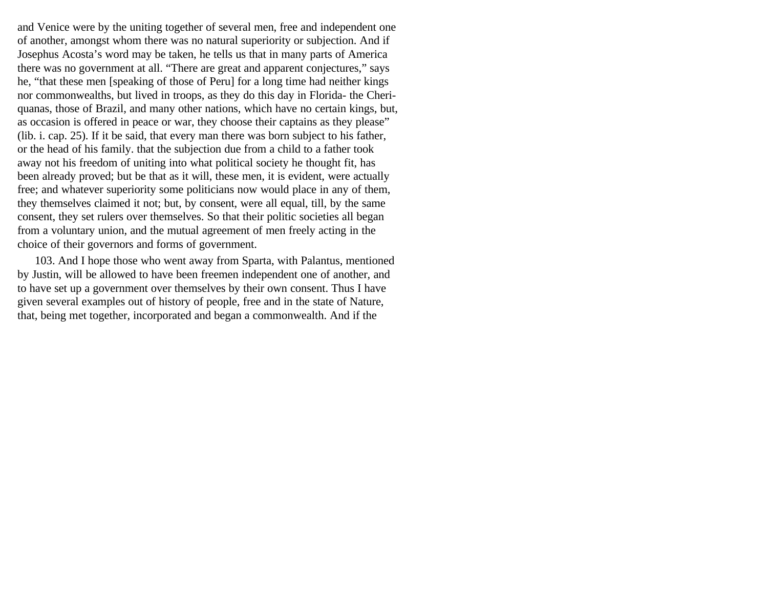and Venice were by the uniting together of several men, free and independent one of another, amongst whom there was no natural superiority or subjection. And if Josephus Acosta's word may be taken, he tells us that in many parts of America there was no government at all. "There are great and apparent conjectures," says he, "that these men [speaking of those of Peru] for a long time had neither kings nor commonwealths, but lived in troops, as they do this day in Florida- the Cheriquanas, those of Brazil, and many other nations, which have no certain kings, but, as occasion is offered in peace or war, they choose their captains as they please" (lib. i. cap. 25). If it be said, that every man there was born subject to his father, or the head of his family. that the subjection due from a child to a father took away not his freedom of uniting into what political society he thought fit, has been already proved; but be that as it will, these men, it is evident, were actually free; and whatever superiority some politicians now would place in any of them, they themselves claimed it not; but, by consent, were all equal, till, by the same consent, they set rulers over themselves. So that their politic societies all began from a voluntary union, and the mutual agreement of men freely acting in the choice of their governors and forms of government.

103. And I hope those who went away from Sparta, with Palantus, mentioned by Justin, will be allowed to have been freemen independent one of another, and to have set up a government over themselves by their own consent. Thus I have given several examples out of history of people, free and in the state of Nature, that, being met together, incorporated and began a commonwealth. And if the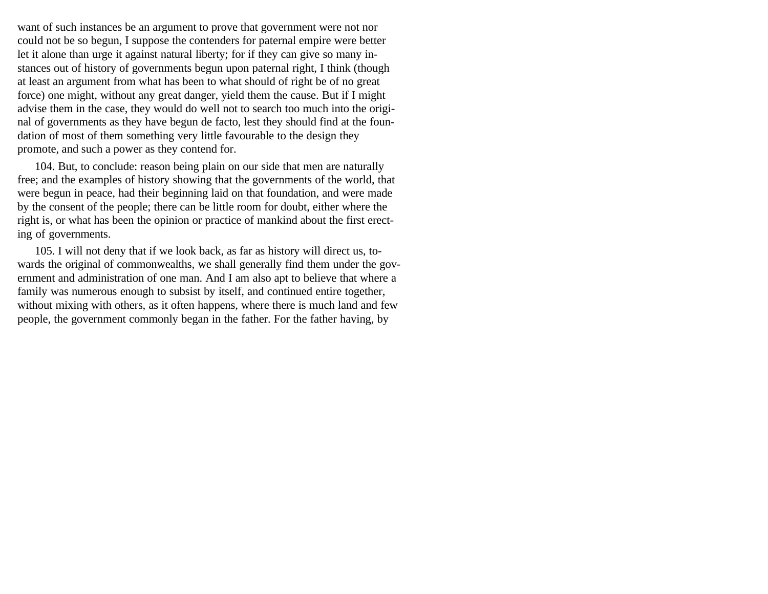want of such instances be an argument to prove that government were not nor could not be so begun, I suppose the contenders for paternal empire were better let it alone than urge it against natural liberty; for if they can give so many instances out of history of governments begun upon paternal right, I think (though at least an argument from what has been to what should of right be of no great force) one might, without any great danger, yield them the cause. But if I might advise them in the case, they would do well not to search too much into the original of governments as they have begun de facto, lest they should find at the foundation of most of them something very little favourable to the design they promote, and such a power as they contend for.

104. But, to conclude: reason being plain on our side that men are naturally free; and the examples of history showing that the governments of the world, that were begun in peace, had their beginning laid on that foundation, and were made by the consent of the people; there can be little room for doubt, either where the right is, or what has been the opinion or practice of mankind about the first erecting of governments.

105. I will not deny that if we look back, as far as history will direct us, towards the original of commonwealths, we shall generally find them under the government and administration of one man. And I am also apt to believe that where a family was numerous enough to subsist by itself, and continued entire together, without mixing with others, as it often happens, where there is much land and few people, the government commonly began in the father. For the father having, by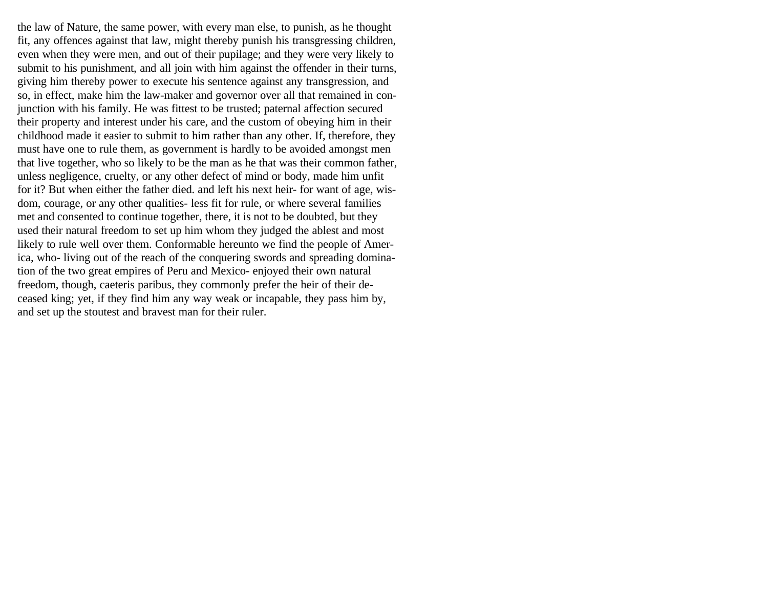the law of Nature, the same power, with every man else, to punish, as he thought fit, any offences against that law, might thereby punish his transgressing children, even when they were men, and out of their pupilage; and they were very likely to submit to his punishment, and all join with him against the offender in their turns, giving him thereby power to execute his sentence against any transgression, and so, in effect, make him the law-maker and governor over all that remained in conjunction with his family. He was fittest to be trusted; paternal affection secured their property and interest under his care, and the custom of obeying him in their childhood made it easier to submit to him rather than any other. If, therefore, they must have one to rule them, as government is hardly to be avoided amongst men that live together, who so likely to be the man as he that was their common father, unless negligence, cruelty, or any other defect of mind or body, made him unfit for it? But when either the father died. and left his next heir- for want of age, wisdom, courage, or any other qualities- less fit for rule, or where several families met and consented to continue together, there, it is not to be doubted, but they used their natural freedom to set up him whom they judged the ablest and most likely to rule well over them. Conformable hereunto we find the people of America, who- living out of the reach of the conquering swords and spreading domination of the two great empires of Peru and Mexico- enjoyed their own natural freedom, though, caeteris paribus, they commonly prefer the heir of their deceased king; yet, if they find him any way weak or incapable, they pass him by, and set up the stoutest and bravest man for their ruler.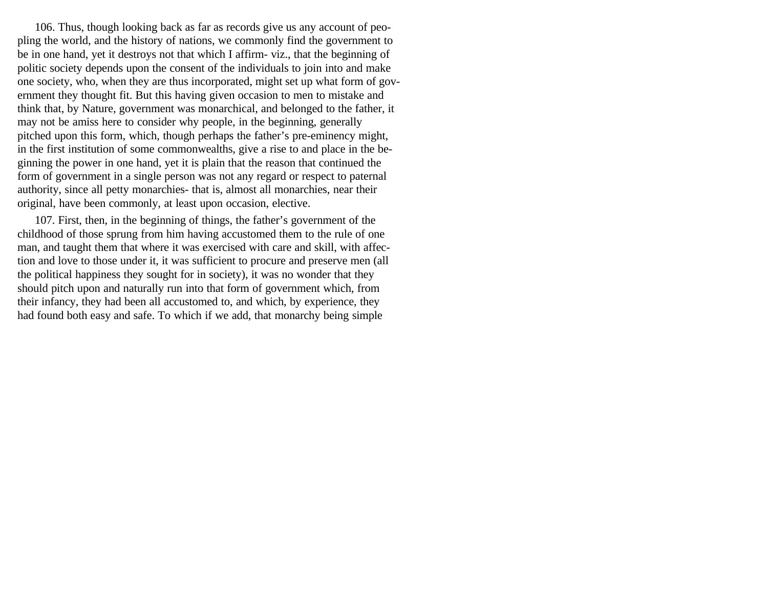106. Thus, though looking back as far as records give us any account of peopling the world, and the history of nations, we commonly find the government to be in one hand, yet it destroys not that which I affirm- viz., that the beginning of politic society depends upon the consent of the individuals to join into and make one society, who, when they are thus incorporated, might set up what form of government they thought fit. But this having given occasion to men to mistake and think that, by Nature, government was monarchical, and belonged to the father, it may not be amiss here to consider why people, in the beginning, generally pitched upon this form, which, though perhaps the father's pre-eminency might, in the first institution of some commonwealths, give a rise to and place in the beginning the power in one hand, yet it is plain that the reason that continued the form of government in a single person was not any regard or respect to paternal authority, since all petty monarchies- that is, almost all monarchies, near their original, have been commonly, at least upon occasion, elective.

107. First, then, in the beginning of things, the father's government of the childhood of those sprung from him having accustomed them to the rule of one man, and taught them that where it was exercised with care and skill, with affection and love to those under it, it was sufficient to procure and preserve men (all the political happiness they sought for in society), it was no wonder that they should pitch upon and naturally run into that form of government which, from their infancy, they had been all accustomed to, and which, by experience, they had found both easy and safe. To which if we add, that monarchy being simple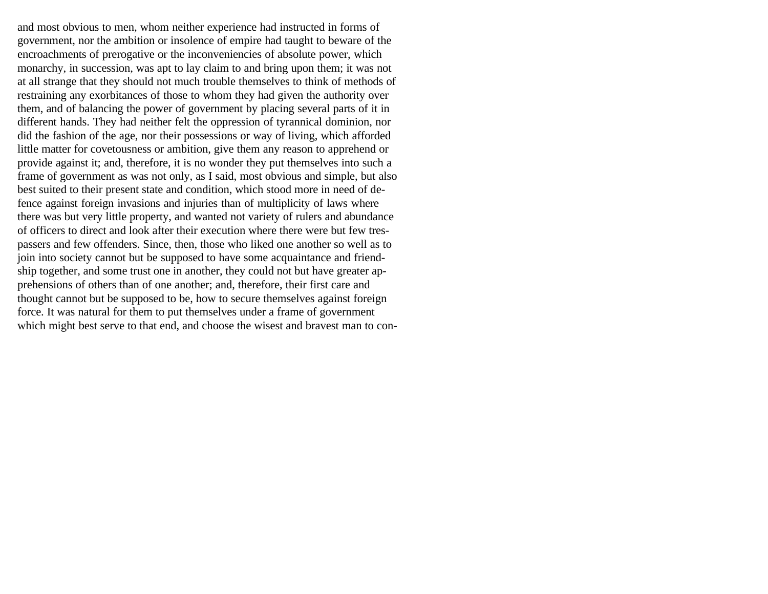and most obvious to men, whom neither experience had instructed in forms of government, nor the ambition or insolence of empire had taught to beware of the encroachments of prerogative or the inconveniencies of absolute power, which monarchy, in succession, was apt to lay claim to and bring upon them; it was not at all strange that they should not much trouble themselves to think of methods of restraining any exorbitances of those to whom they had given the authority over them, and of balancing the power of government by placing several parts of it in different hands. They had neither felt the oppression of tyrannical dominion, nor did the fashion of the age, nor their possessions or way of living, which afforded little matter for covetousness or ambition, give them any reason to apprehend or provide against it; and, therefore, it is no wonder they put themselves into such a frame of government as was not only, as I said, most obvious and simple, but also best suited to their present state and condition, which stood more in need of defence against foreign invasions and injuries than of multiplicity of laws where there was but very little property, and wanted not variety of rulers and abundance of officers to direct and look after their execution where there were but few trespassers and few offenders. Since, then, those who liked one another so well as to join into society cannot but be supposed to have some acquaintance and friendship together, and some trust one in another, they could not but have greater apprehensions of others than of one another; and, therefore, their first care and thought cannot but be supposed to be, how to secure themselves against foreign force. It was natural for them to put themselves under a frame of government which might best serve to that end, and choose the wisest and bravest man to con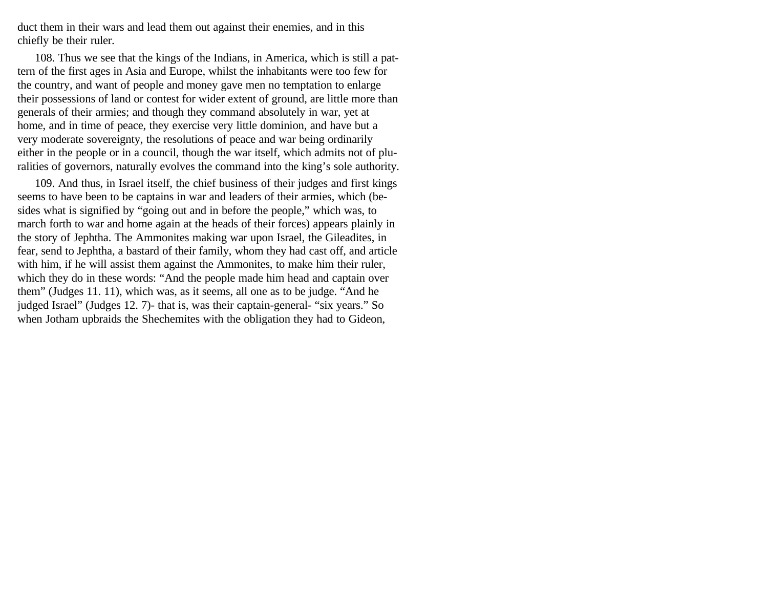duct them in their wars and lead them out against their enemies, and in this chiefly be their ruler.

108. Thus we see that the kings of the Indians, in America, which is still a pattern of the first ages in Asia and Europe, whilst the inhabitants were too few for the country, and want of people and money gave men no temptation to enlarge their possessions of land or contest for wider extent of ground, are little more than generals of their armies; and though they command absolutely in war, yet at home, and in time of peace, they exercise very little dominion, and have but a very moderate sovereignty, the resolutions of peace and war being ordinarily either in the people or in a council, though the war itself, which admits not of pluralities of governors, naturally evolves the command into the king's sole authority.

109. And thus, in Israel itself, the chief business of their judges and first kings seems to have been to be captains in war and leaders of their armies, which (besides what is signified by "going out and in before the people," which was, to march forth to war and home again at the heads of their forces) appears plainly in the story of Jephtha. The Ammonites making war upon Israel, the Gileadites, in fear, send to Jephtha, a bastard of their family, whom they had cast off, and article with him, if he will assist them against the Ammonites, to make him their ruler, which they do in these words: "And the people made him head and captain over them" (Judges 11. 11), which was, as it seems, all one as to be judge. "And he judged Israel" (Judges 12. 7)- that is, was their captain-general- "six years." So when Jotham upbraids the Shechemites with the obligation they had to Gideon,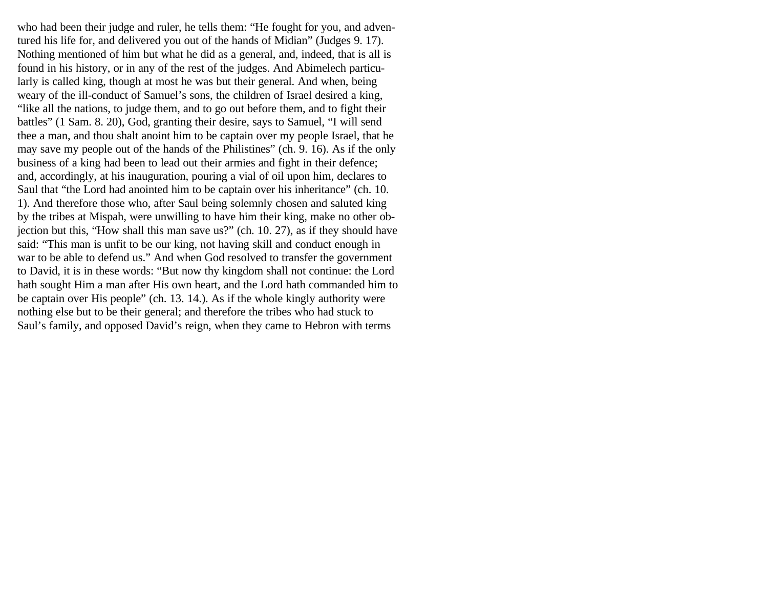who had been their judge and ruler, he tells them: "He fought for you, and adventured his life for, and delivered you out of the hands of Midian" (Judges 9. 17). Nothing mentioned of him but what he did as a general, and, indeed, that is all is found in his history, or in any of the rest of the judges. And Abimelech particularly is called king, though at most he was but their general. And when, being weary of the ill-conduct of Samuel's sons, the children of Israel desired a king, "like all the nations, to judge them, and to go out before them, and to fight their battles" (1 Sam. 8. 20), God, granting their desire, says to Samuel, "I will send thee a man, and thou shalt anoint him to be captain over my people Israel, that he may save my people out of the hands of the Philistines" (ch. 9. 16). As if the only business of a king had been to lead out their armies and fight in their defence; and, accordingly, at his inauguration, pouring a vial of oil upon him, declares to Saul that "the Lord had anointed him to be captain over his inheritance" (ch. 10. 1). And therefore those who, after Saul being solemnly chosen and saluted king by the tribes at Mispah, were unwilling to have him their king, make no other objection but this, "How shall this man save us?" (ch. 10. 27), as if they should have said: "This man is unfit to be our king, not having skill and conduct enough in war to be able to defend us." And when God resolved to transfer the government to David, it is in these words: "But now thy kingdom shall not continue: the Lord hath sought Him a man after His own heart, and the Lord hath commanded him to be captain over His people" (ch. 13. 14.). As if the whole kingly authority were nothing else but to be their general; and therefore the tribes who had stuck to Saul's family, and opposed David's reign, when they came to Hebron with terms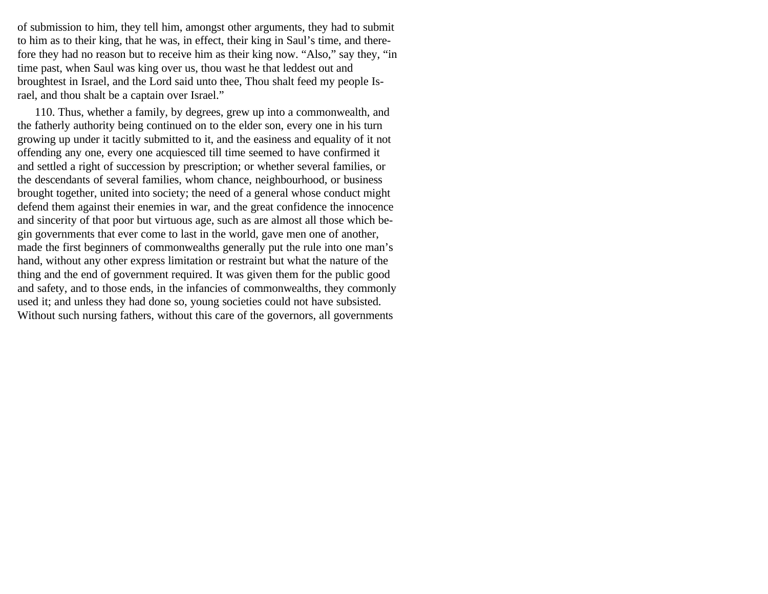of submission to him, they tell him, amongst other arguments, they had to submit to him as to their king, that he was, in effect, their king in Saul's time, and therefore they had no reason but to receive him as their king now. "Also," say they, "in time past, when Saul was king over us, thou wast he that leddest out and broughtest in Israel, and the Lord said unto thee, Thou shalt feed my people Israel, and thou shalt be a captain over Israel."

110. Thus, whether a family, by degrees, grew up into a commonwealth, and the fatherly authority being continued on to the elder son, every one in his turn growing up under it tacitly submitted to it, and the easiness and equality of it not offending any one, every one acquiesced till time seemed to have confirmed it and settled a right of succession by prescription; or whether several families, or the descendants of several families, whom chance, neighbourhood, or business brought together, united into society; the need of a general whose conduct might defend them against their enemies in war, and the great confidence the innocence and sincerity of that poor but virtuous age, such as are almost all those which begin governments that ever come to last in the world, gave men one of another, made the first beginners of commonwealths generally put the rule into one man's hand, without any other express limitation or restraint but what the nature of the thing and the end of government required. It was given them for the public good and safety, and to those ends, in the infancies of commonwealths, they commonly used it; and unless they had done so, young societies could not have subsisted. Without such nursing fathers, without this care of the governors, all governments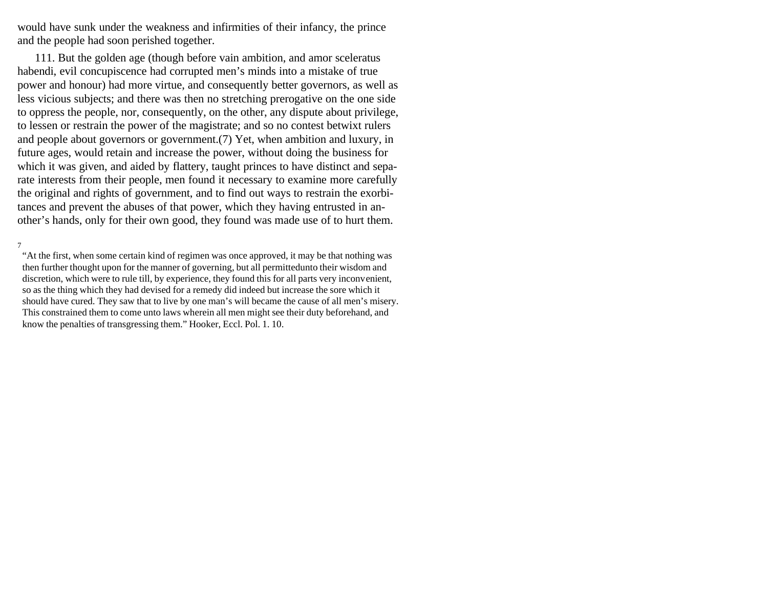would have sunk under the weakness and infirmities of their infancy, the prince and the people had soon perished together.

111. But the golden age (though before vain ambition, and amor sceleratus habendi, evil concupiscence had corrupted men's minds into a mistake of true power and honour) had more virtue, and consequently better governors, as well as less vicious subjects; and there was then no stretching prerogative on the one side to oppress the people, nor, consequently, on the other, any dispute about privilege, to lessen or restrain the power of the magistrate; and so no contest betwixt rulers and people about governors or government.(7) Yet, when ambition and luxury, in future ages, would retain and increase the power, without doing the business for which it was given, and aided by flattery, taught princes to have distinct and separate interests from their people, men found it necessary to examine more carefully the original and rights of government, and to find out ways to restrain the exorbitances and prevent the abuses of that power, which they having entrusted in another's hands, only for their own good, they found was made use of to hurt them.

"At the first, when some certain kind of regimen was once approved, it may be that nothing was then further thought upon for the manner of governing, but all permittedunto their wisdom and discretion, which were to rule till, by experience, they found this for all parts very inconvenient, so as the thing which they had devised for a remedy did indeed but increase the sore which it should have cured. They saw that to live by one man's will became the cause of all men's misery. This constrained them to come unto laws wherein all men might see their duty beforehand, and know the penalties of transgressing them." Hooker, Eccl. Pol. 1. 10.

<sup>7</sup>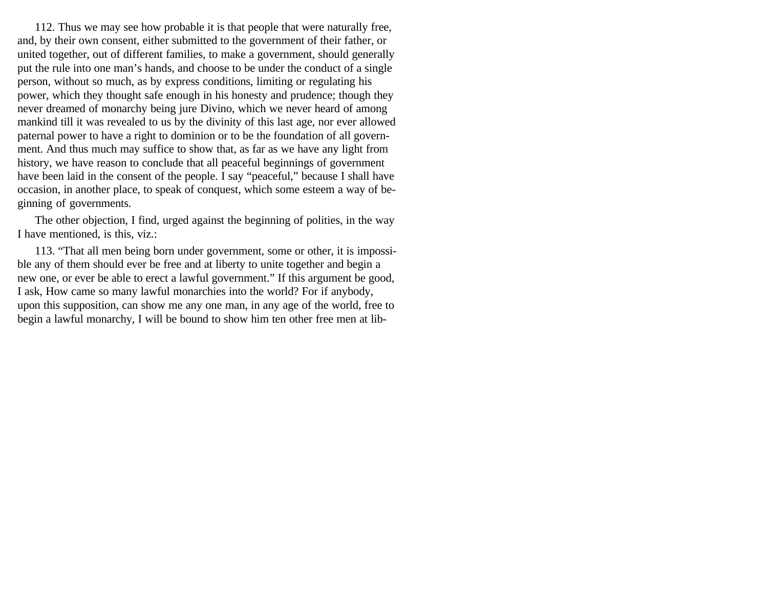112. Thus we may see how probable it is that people that were naturally free, and, by their own consent, either submitted to the government of their father, or united together, out of different families, to make a government, should generally put the rule into one man's hands, and choose to be under the conduct of a single person, without so much, as by express conditions, limiting or regulating his power, which they thought safe enough in his honesty and prudence; though they never dreamed of monarchy being jure Divino, which we never heard of among mankind till it was revealed to us by the divinity of this last age, nor ever allowed paternal power to have a right to dominion or to be the foundation of all government. And thus much may suffice to show that, as far as we have any light from history, we have reason to conclude that all peaceful beginnings of government have been laid in the consent of the people. I say "peaceful," because I shall have occasion, in another place, to speak of conquest, which some esteem a way of beginning of governments.

The other objection, I find, urged against the beginning of polities, in the way I have mentioned, is this, viz.:

113. "That all men being born under government, some or other, it is impossible any of them should ever be free and at liberty to unite together and begin a new one, or ever be able to erect a lawful government." If this argument be good, I ask, How came so many lawful monarchies into the world? For if anybody, upon this supposition, can show me any one man, in any age of the world, free to begin a lawful monarchy, I will be bound to show him ten other free men at lib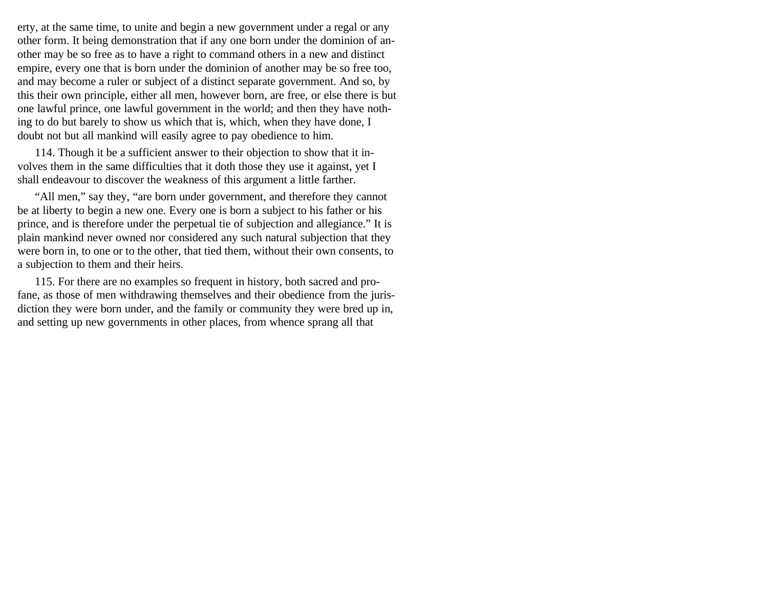erty, at the same time, to unite and begin a new government under a regal or any other form. It being demonstration that if any one born under the dominion of another may be so free as to have a right to command others in a new and distinct empire, every one that is born under the dominion of another may be so free too, and may become a ruler or subject of a distinct separate government. And so, by this their own principle, either all men, however born, are free, or else there is but one lawful prince, one lawful government in the world; and then they have nothing to do but barely to show us which that is, which, when they have done, I doubt not but all mankind will easily agree to pay obedience to him.

114. Though it be a sufficient answer to their objection to show that it involves them in the same difficulties that it doth those they use it against, yet I shall endeavour to discover the weakness of this argument a little farther.

"All men," say they, "are born under government, and therefore they cannot be at liberty to begin a new one. Every one is born a subject to his father or his prince, and is therefore under the perpetual tie of subjection and allegiance." It is plain mankind never owned nor considered any such natural subjection that they were born in, to one or to the other, that tied them, without their own consents, to a subjection to them and their heirs.

115. For there are no examples so frequent in history, both sacred and profane, as those of men withdrawing themselves and their obedience from the jurisdiction they were born under, and the family or community they were bred up in, and setting up new governments in other places, from whence sprang all that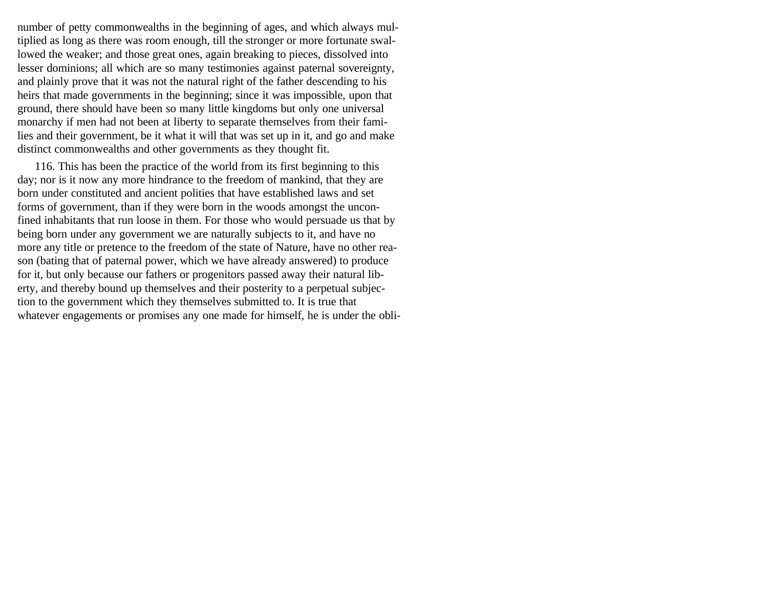number of petty commonwealths in the beginning of ages, and which always multiplied as long as there was room enough, till the stronger or more fortunate swallowed the weaker; and those great ones, again breaking to pieces, dissolved into lesser dominions; all which are so many testimonies against paternal sovereignty, and plainly prove that it was not the natural right of the father descending to his heirs that made governments in the beginning; since it was impossible, upon that ground, there should have been so many little kingdoms but only one universal monarchy if men had not been at liberty to separate themselves from their families and their government, be it what it will that was set up in it, and go and make distinct commonwealths and other governments as they thought fit.

116. This has been the practice of the world from its first beginning to this day; nor is it now any more hindrance to the freedom of mankind, that they are born under constituted and ancient polities that have established laws and set forms of government, than if they were born in the woods amongst the unconfined inhabitants that run loose in them. For those who would persuade us that by being born under any government we are naturally subjects to it, and have no more any title or pretence to the freedom of the state of Nature, have no other reason (bating that of paternal power, which we have already answered) to produce for it, but only because our fathers or progenitors passed away their natural liberty, and thereby bound up themselves and their posterity to a perpetual subjection to the government which they themselves submitted to. It is true that whatever engagements or promises any one made for himself, he is under the obli-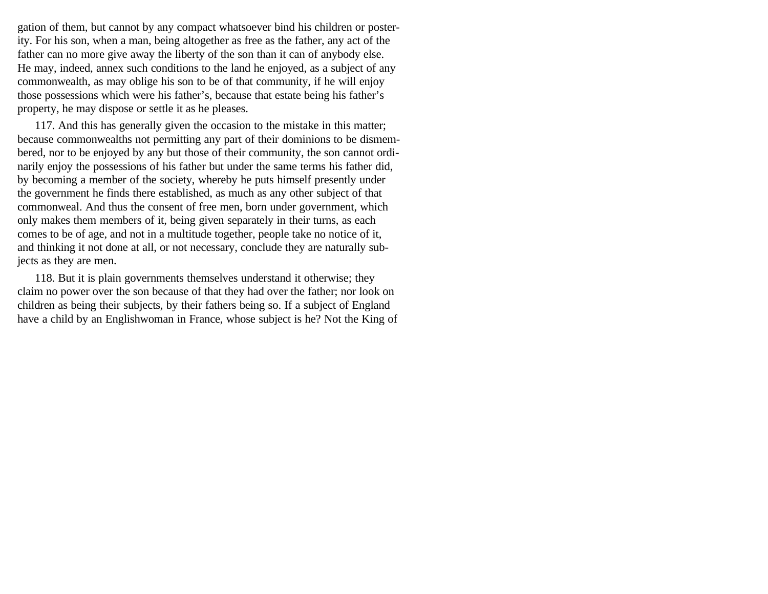gation of them, but cannot by any compact whatsoever bind his children or posterity. For his son, when a man, being altogether as free as the father, any act of the father can no more give away the liberty of the son than it can of anybody else. He may, indeed, annex such conditions to the land he enjoyed, as a subject of any commonwealth, as may oblige his son to be of that community, if he will enjoy those possessions which were his father's, because that estate being his father's property, he may dispose or settle it as he pleases.

117. And this has generally given the occasion to the mistake in this matter; because commonwealths not permitting any part of their dominions to be dismembered, nor to be enjoyed by any but those of their community, the son cannot ordinarily enjoy the possessions of his father but under the same terms his father did, by becoming a member of the society, whereby he puts himself presently under the government he finds there established, as much as any other subject of that commonweal. And thus the consent of free men, born under government, which only makes them members of it, being given separately in their turns, as each comes to be of age, and not in a multitude together, people take no notice of it, and thinking it not done at all, or not necessary, conclude they are naturally subjects as they are men.

118. But it is plain governments themselves understand it otherwise; they claim no power over the son because of that they had over the father; nor look on children as being their subjects, by their fathers being so. If a subject of England have a child by an Englishwoman in France, whose subject is he? Not the King of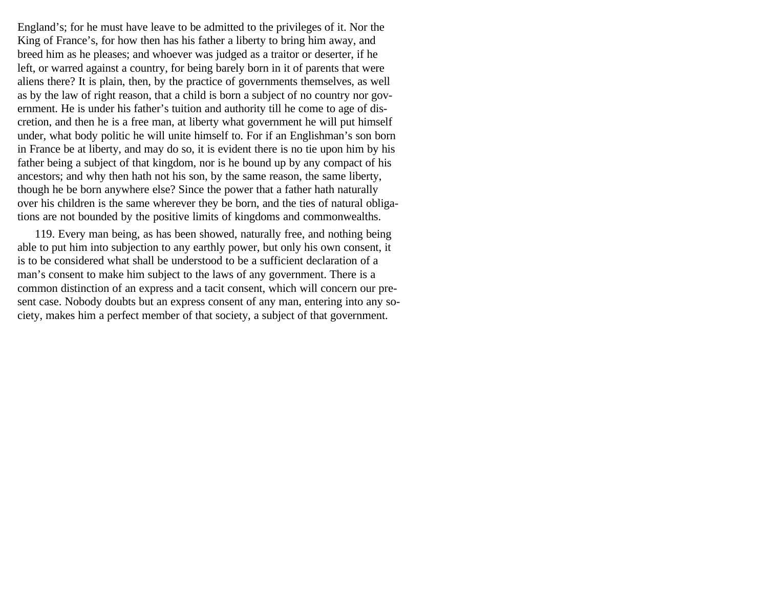England's; for he must have leave to be admitted to the privileges of it. Nor the King of France's, for how then has his father a liberty to bring him away, and breed him as he pleases; and whoever was judged as a traitor or deserter, if he left, or warred against a country, for being barely born in it of parents that were aliens there? It is plain, then, by the practice of governments themselves, as well as by the law of right reason, that a child is born a subject of no country nor government. He is under his father's tuition and authority till he come to age of discretion, and then he is a free man, at liberty what government he will put himself under, what body politic he will unite himself to. For if an Englishman's son born in France be at liberty, and may do so, it is evident there is no tie upon him by his father being a subject of that kingdom, nor is he bound up by any compact of his ancestors; and why then hath not his son, by the same reason, the same liberty, though he be born anywhere else? Since the power that a father hath naturally over his children is the same wherever they be born, and the ties of natural obligations are not bounded by the positive limits of kingdoms and commonwealths.

119. Every man being, as has been showed, naturally free, and nothing being able to put him into subjection to any earthly power, but only his own consent, it is to be considered what shall be understood to be a sufficient declaration of a man's consent to make him subject to the laws of any government. There is a common distinction of an express and a tacit consent, which will concern our present case. Nobody doubts but an express consent of any man, entering into any society, makes him a perfect member of that society, a subject of that government.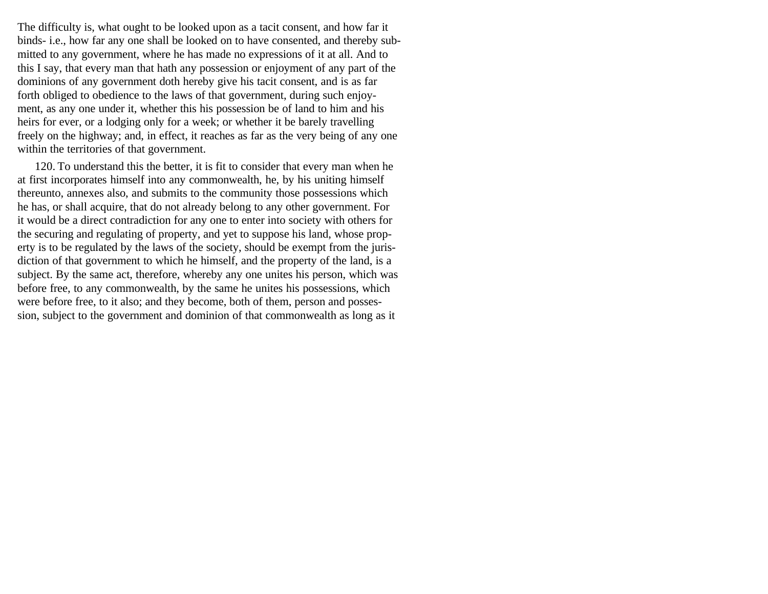The difficulty is, what ought to be looked upon as a tacit consent, and how far it binds- i.e., how far any one shall be looked on to have consented, and thereby submitted to any government, where he has made no expressions of it at all. And to this I say, that every man that hath any possession or enjoyment of any part of the dominions of any government doth hereby give his tacit consent, and is as far forth obliged to obedience to the laws of that government, during such enjoyment, as any one under it, whether this his possession be of land to him and his heirs for ever, or a lodging only for a week; or whether it be barely travelling freely on the highway; and, in effect, it reaches as far as the very being of any one within the territories of that government.

120. To understand this the better, it is fit to consider that every man when he at first incorporates himself into any commonwealth, he, by his uniting himself thereunto, annexes also, and submits to the community those possessions which he has, or shall acquire, that do not already belong to any other government. For it would be a direct contradiction for any one to enter into society with others for the securing and regulating of property, and yet to suppose his land, whose property is to be regulated by the laws of the society, should be exempt from the jurisdiction of that government to which he himself, and the property of the land, is a subject. By the same act, therefore, whereby any one unites his person, which was before free, to any commonwealth, by the same he unites his possessions, which were before free, to it also; and they become, both of them, person and possession, subject to the government and dominion of that commonwealth as long as it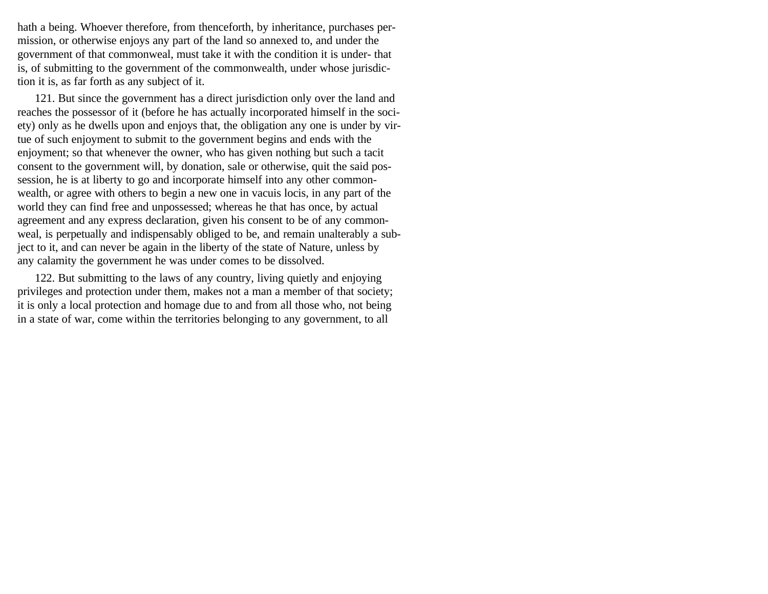hath a being. Whoever therefore, from thenceforth, by inheritance, purchases permission, or otherwise enjoys any part of the land so annexed to, and under the government of that commonweal, must take it with the condition it is under- that is, of submitting to the government of the commonwealth, under whose jurisdiction it is, as far forth as any subject of it.

121. But since the government has a direct jurisdiction only over the land and reaches the possessor of it (before he has actually incorporated himself in the society) only as he dwells upon and enjoys that, the obligation any one is under by virtue of such enjoyment to submit to the government begins and ends with the enjoyment; so that whenever the owner, who has given nothing but such a tacit consent to the government will, by donation, sale or otherwise, quit the said possession, he is at liberty to go and incorporate himself into any other commonwealth, or agree with others to begin a new one in vacuis locis, in any part of the world they can find free and unpossessed; whereas he that has once, by actual agreement and any express declaration, given his consent to be of any commonweal, is perpetually and indispensably obliged to be, and remain unalterably a subject to it, and can never be again in the liberty of the state of Nature, unless by any calamity the government he was under comes to be dissolved.

122. But submitting to the laws of any country, living quietly and enjoying privileges and protection under them, makes not a man a member of that society; it is only a local protection and homage due to and from all those who, not being in a state of war, come within the territories belonging to any government, to all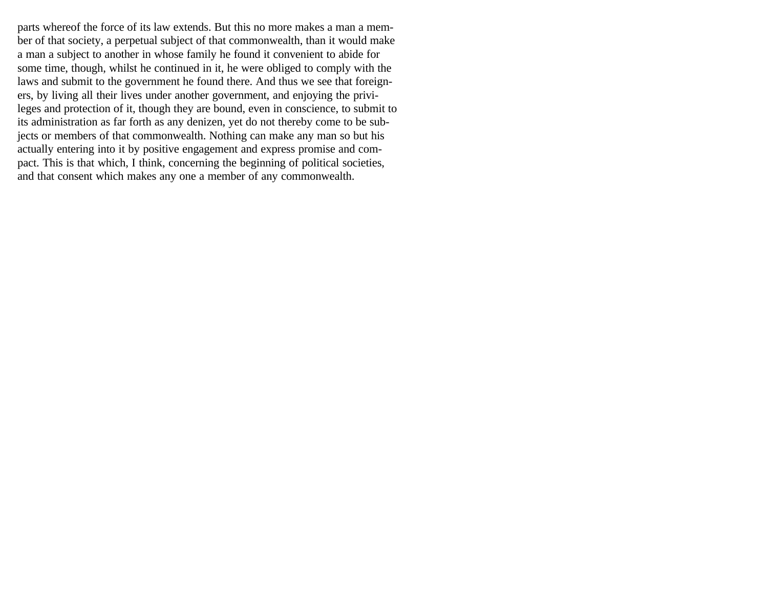parts whereof the force of its law extends. But this no more makes a man a member of that society, a perpetual subject of that commonwealth, than it would make a man a subject to another in whose family he found it convenient to abide for some time, though, whilst he continued in it, he were obliged to comply with the laws and submit to the government he found there. And thus we see that foreigners, by living all their lives under another government, and enjoying the privileges and protection of it, though they are bound, even in conscience, to submit to its administration as far forth as any denizen, yet do not thereby come to be subjects or members of that commonwealth. Nothing can make any man so but his actually entering into it by positive engagement and express promise and compact. This is that which, I think, concerning the beginning of political societies, and that consent which makes any one a member of any commonwealth.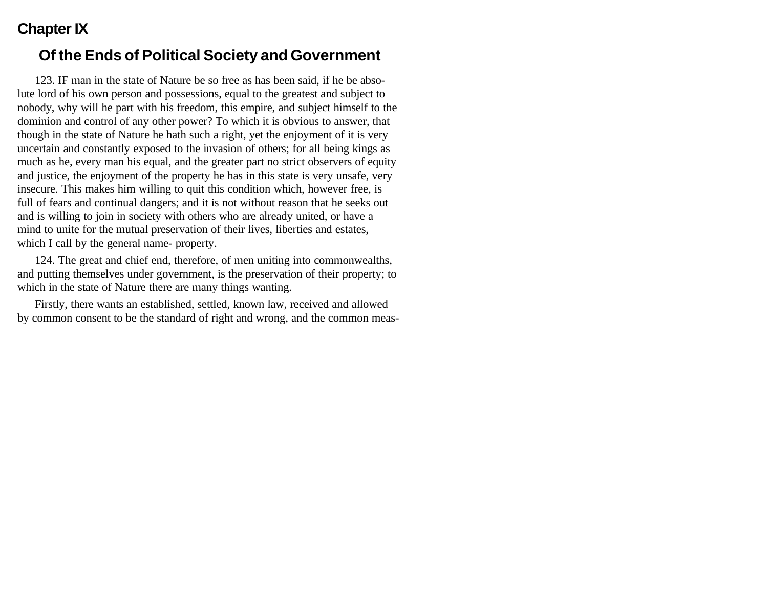# **Chapter IX**

## **Of the Ends of Political Society and Government**

123. IF man in the state of Nature be so free as has been said, if he be absolute lord of his own person and possessions, equal to the greatest and subject to nobody, why will he part with his freedom, this empire, and subject himself to the dominion and control of any other power? To which it is obvious to answer, that though in the state of Nature he hath such a right, yet the enjoyment of it is very uncertain and constantly exposed to the invasion of others; for all being kings as much as he, every man his equal, and the greater part no strict observers of equity and justice, the enjoyment of the property he has in this state is very unsafe, very insecure. This makes him willing to quit this condition which, however free, is full of fears and continual dangers; and it is not without reason that he seeks out and is willing to join in society with others who are already united, or have a mind to unite for the mutual preservation of their lives, liberties and estates, which I call by the general name- property.

124. The great and chief end, therefore, of men uniting into commonwealths, and putting themselves under government, is the preservation of their property; to which in the state of Nature there are many things wanting.

Firstly, there wants an established, settled, known law, received and allowed by common consent to be the standard of right and wrong, and the common meas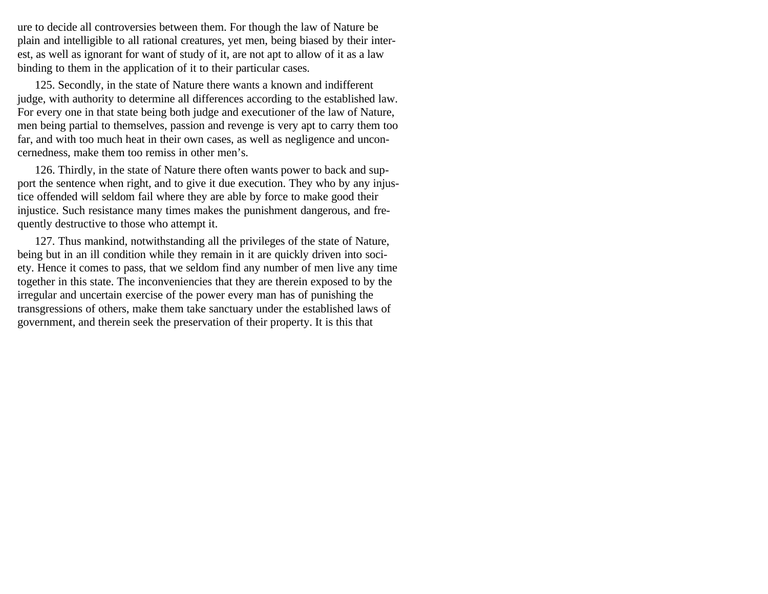ure to decide all controversies between them. For though the law of Nature be plain and intelligible to all rational creatures, yet men, being biased by their interest, as well as ignorant for want of study of it, are not apt to allow of it as a law binding to them in the application of it to their particular cases.

125. Secondly, in the state of Nature there wants a known and indifferent judge, with authority to determine all differences according to the established law. For every one in that state being both judge and executioner of the law of Nature, men being partial to themselves, passion and revenge is very apt to carry them too far, and with too much heat in their own cases, as well as negligence and unconcernedness, make them too remiss in other men's.

126. Thirdly, in the state of Nature there often wants power to back and support the sentence when right, and to give it due execution. They who by any injustice offended will seldom fail where they are able by force to make good their injustice. Such resistance many times makes the punishment dangerous, and frequently destructive to those who attempt it.

127. Thus mankind, notwithstanding all the privileges of the state of Nature, being but in an ill condition while they remain in it are quickly driven into society. Hence it comes to pass, that we seldom find any number of men live any time together in this state. The inconveniencies that they are therein exposed to by the irregular and uncertain exercise of the power every man has of punishing the transgressions of others, make them take sanctuary under the established laws of government, and therein seek the preservation of their property. It is this that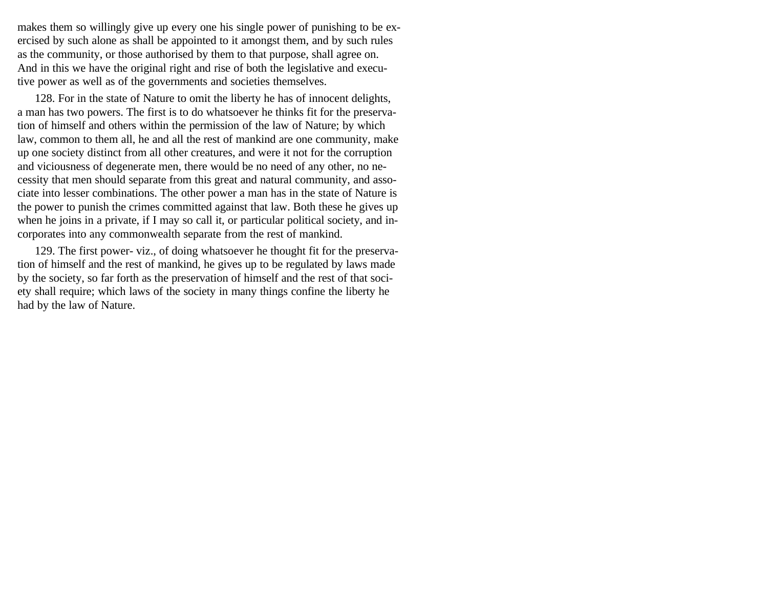makes them so willingly give up every one his single power of punishing to be exercised by such alone as shall be appointed to it amongst them, and by such rules as the community, or those authorised by them to that purpose, shall agree on. And in this we have the original right and rise of both the legislative and executive power as well as of the governments and societies themselves.

128. For in the state of Nature to omit the liberty he has of innocent delights, a man has two powers. The first is to do whatsoever he thinks fit for the preservation of himself and others within the permission of the law of Nature; by which law, common to them all, he and all the rest of mankind are one community, make up one society distinct from all other creatures, and were it not for the corruption and viciousness of degenerate men, there would be no need of any other, no necessity that men should separate from this great and natural community, and associate into lesser combinations. The other power a man has in the state of Nature is the power to punish the crimes committed against that law. Both these he gives up when he joins in a private, if I may so call it, or particular political society, and incorporates into any commonwealth separate from the rest of mankind.

129. The first power- viz., of doing whatsoever he thought fit for the preservation of himself and the rest of mankind, he gives up to be regulated by laws made by the society, so far forth as the preservation of himself and the rest of that society shall require; which laws of the society in many things confine the liberty he had by the law of Nature.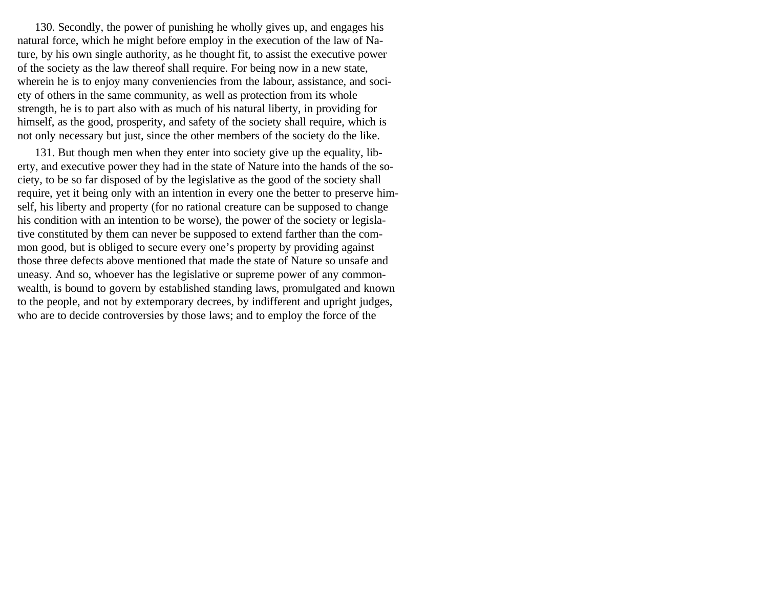130. Secondly, the power of punishing he wholly gives up, and engages his natural force, which he might before employ in the execution of the law of Nature, by his own single authority, as he thought fit, to assist the executive power of the society as the law thereof shall require. For being now in a new state, wherein he is to enjoy many conveniencies from the labour, assistance, and society of others in the same community, as well as protection from its whole strength, he is to part also with as much of his natural liberty, in providing for himself, as the good, prosperity, and safety of the society shall require, which is not only necessary but just, since the other members of the society do the like.

131. But though men when they enter into society give up the equality, liberty, and executive power they had in the state of Nature into the hands of the society, to be so far disposed of by the legislative as the good of the society shall require, yet it being only with an intention in every one the better to preserve himself, his liberty and property (for no rational creature can be supposed to change his condition with an intention to be worse), the power of the society or legislative constituted by them can never be supposed to extend farther than the common good, but is obliged to secure every one's property by providing against those three defects above mentioned that made the state of Nature so unsafe and uneasy. And so, whoever has the legislative or supreme power of any commonwealth, is bound to govern by established standing laws, promulgated and known to the people, and not by extemporary decrees, by indifferent and upright judges, who are to decide controversies by those laws; and to employ the force of the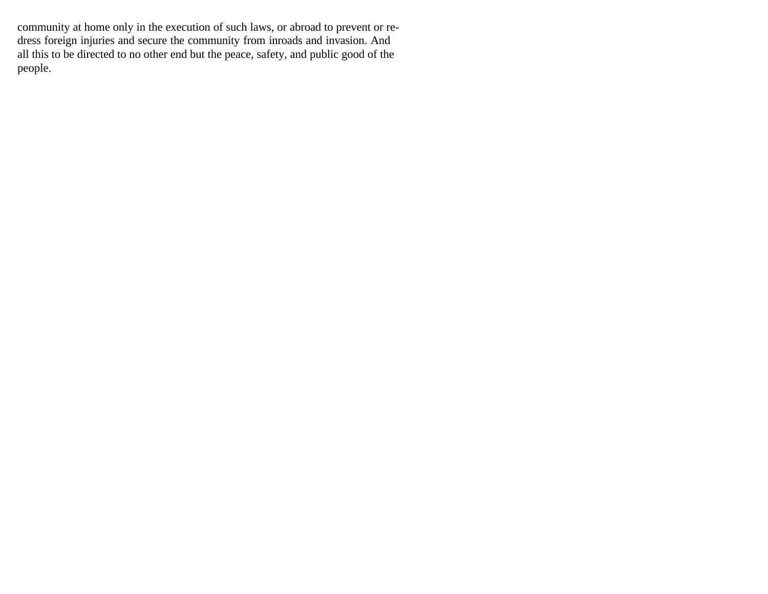community at home only in the execution of such laws, or abroad to prevent or redress foreign injuries and secure the community from inroads and invasion. And all this to be directed to no other end but the peace, safety, and public good of the people.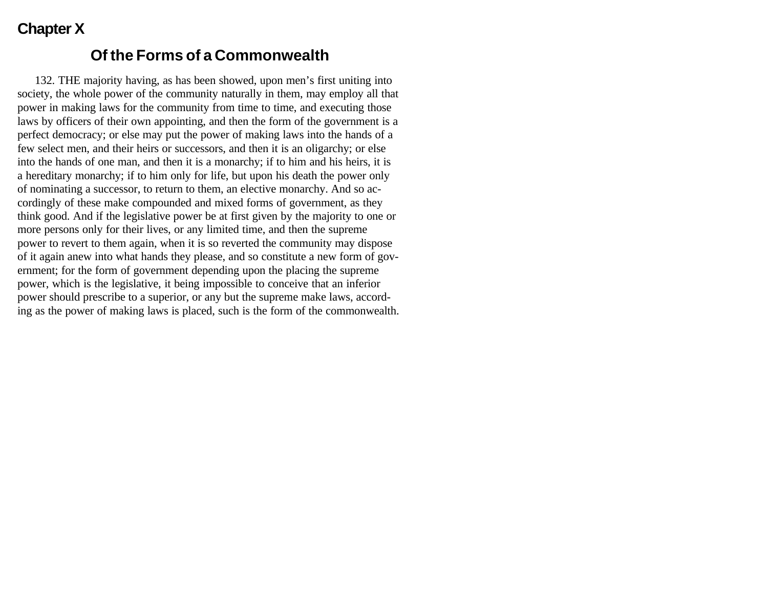## **Chapter X**

#### **Of the Forms of a Commonwealth**

132. THE majority having, as has been showed, upon men's first uniting into society, the whole power of the community naturally in them, may employ all that power in making laws for the community from time to time, and executing those laws by officers of their own appointing, and then the form of the government is a perfect democracy; or else may put the power of making laws into the hands of a few select men, and their heirs or successors, and then it is an oligarchy; or else into the hands of one man, and then it is a monarchy; if to him and his heirs, it is a hereditary monarchy; if to him only for life, but upon his death the power only of nominating a successor, to return to them, an elective monarchy. And so accordingly of these make compounded and mixed forms of government, as they think good. And if the legislative power be at first given by the majority to one or more persons only for their lives, or any limited time, and then the supreme power to revert to them again, when it is so reverted the community may dispose of it again anew into what hands they please, and so constitute a new form of government; for the form of government depending upon the placing the supreme power, which is the legislative, it being impossible to conceive that an inferior power should prescribe to a superior, or any but the supreme make laws, according as the power of making laws is placed, such is the form of the commonwealth.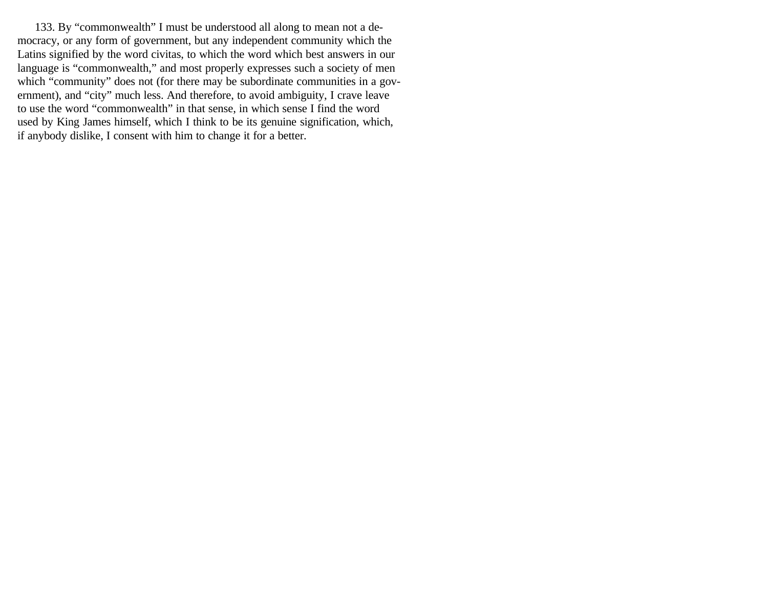133. By "commonwealth" I must be understood all along to mean not a democracy, or any form of government, but any independent community which the Latins signified by the word civitas, to which the word which best answers in our language is "commonwealth," and most properly expresses such a society of men which "community" does not (for there may be subordinate communities in a government), and "city" much less. And therefore, to avoid ambiguity, I crave leave to use the word "commonwealth" in that sense, in which sense I find the word used by King James himself, which I think to be its genuine signification, which, if anybody dislike, I consent with him to change it for a better.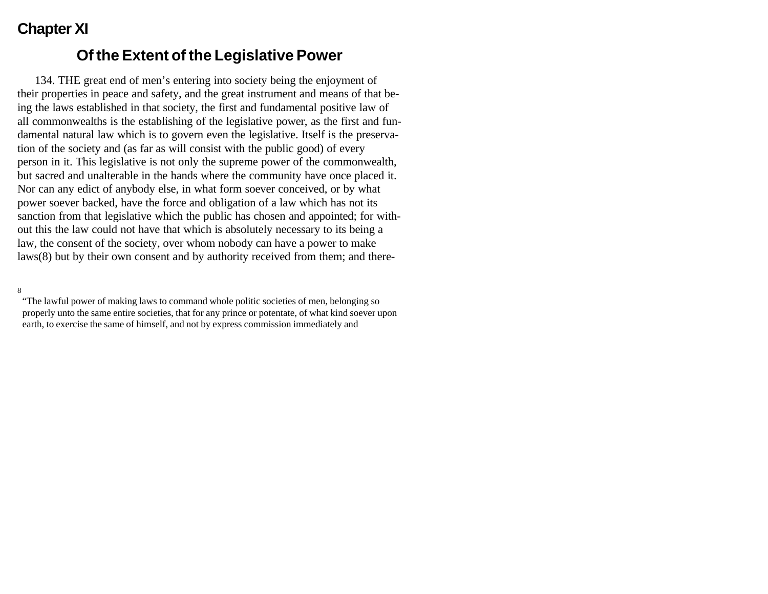# **Chapter XI**

#### **Of the Extent of the Legislative Power**

134. THE great end of men's entering into society being the enjoyment of their properties in peace and safety, and the great instrument and means of that being the laws established in that society, the first and fundamental positive law of all commonwealths is the establishing of the legislative power, as the first and fundamental natural law which is to govern even the legislative. Itself is the preservation of the society and (as far as will consist with the public good) of every person in it. This legislative is not only the supreme power of the commonwealth, but sacred and unalterable in the hands where the community have once placed it. Nor can any edict of anybody else, in what form soever conceived, or by what power soever backed, have the force and obligation of a law which has not its sanction from that legislative which the public has chosen and appointed; for without this the law could not have that which is absolutely necessary to its being a law, the consent of the society, over whom nobody can have a power to make laws(8) but by their own consent and by authority received from them; and there-

8

"The lawful power of making laws to command whole politic societies of men, belonging so properly unto the same entire societies, that for any prince or potentate, of what kind soever upon earth, to exercise the same of himself, and not by express commission immediately and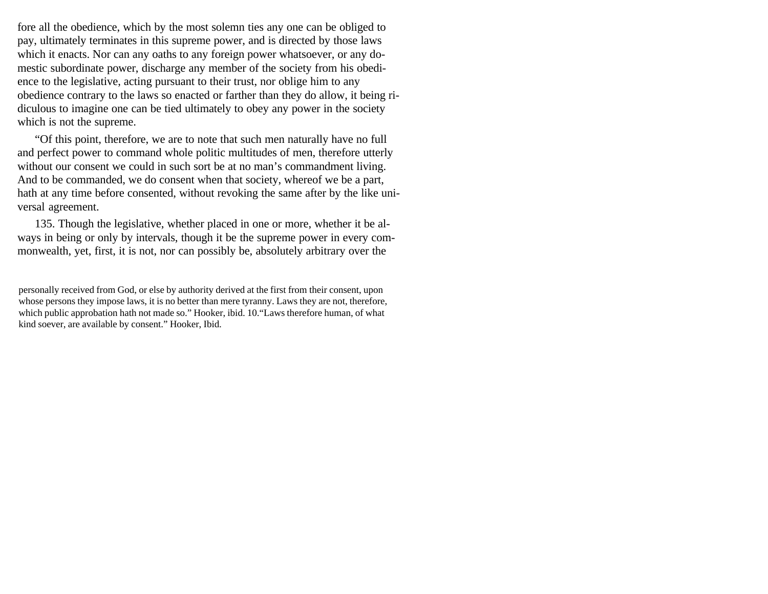fore all the obedience, which by the most solemn ties any one can be obliged to pay, ultimately terminates in this supreme power, and is directed by those laws which it enacts. Nor can any oaths to any foreign power whatsoever, or any domestic subordinate power, discharge any member of the society from his obedience to the legislative, acting pursuant to their trust, nor oblige him to any obedience contrary to the laws so enacted or farther than they do allow, it being ridiculous to imagine one can be tied ultimately to obey any power in the society which is not the supreme.

"Of this point, therefore, we are to note that such men naturally have no full and perfect power to command whole politic multitudes of men, therefore utterly without our consent we could in such sort be at no man's commandment living. And to be commanded, we do consent when that society, whereof we be a part, hath at any time before consented, without revoking the same after by the like universal agreement.

135. Though the legislative, whether placed in one or more, whether it be always in being or only by intervals, though it be the supreme power in every commonwealth, yet, first, it is not, nor can possibly be, absolutely arbitrary over the

personally received from God, or else by authority derived at the first from their consent, upon whose persons they impose laws, it is no better than mere tyranny. Laws they are not, therefore, which public approbation hath not made so." Hooker, ibid. 10."Laws therefore human, of what kind soever, are available by consent." Hooker, Ibid.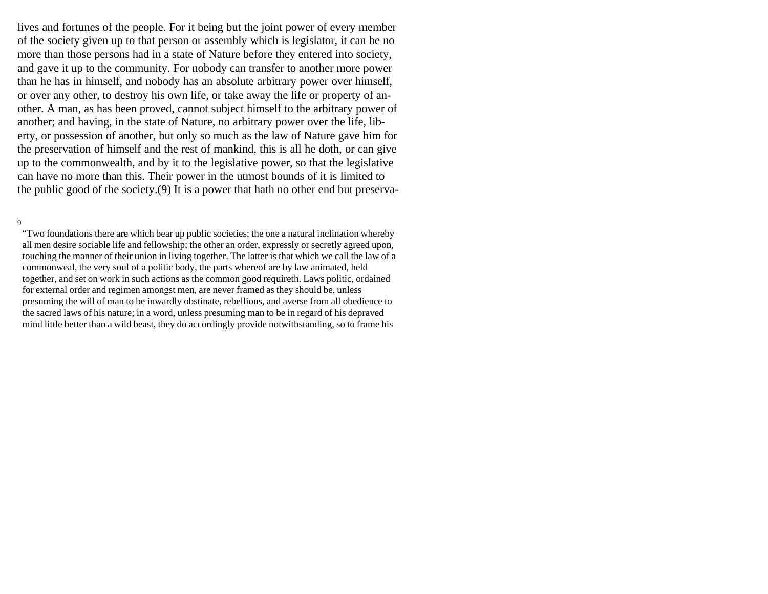lives and fortunes of the people. For it being but the joint power of every member of the society given up to that person or assembly which is legislator, it can be no more than those persons had in a state of Nature before they entered into society, and gave it up to the community. For nobody can transfer to another more power than he has in himself, and nobody has an absolute arbitrary power over himself, or over any other, to destroy his own life, or take away the life or property of another. A man, as has been proved, cannot subject himself to the arbitrary power of another; and having, in the state of Nature, no arbitrary power over the life, liberty, or possession of another, but only so much as the law of Nature gave him for the preservation of himself and the rest of mankind, this is all he doth, or can give up to the commonwealth, and by it to the legislative power, so that the legislative can have no more than this. Their power in the utmost bounds of it is limited to the public good of the society.(9) It is a power that hath no other end but preserva-

#### 9

"Two foundations there are which bear up public societies; the one a natural inclination whereby all men desire sociable life and fellowship; the other an order, expressly or secretly agreed upon, touching the manner of their union in living together. The latter is that which we call the law of a commonweal, the very soul of a politic body, the parts whereof are by law animated, held together, and set on work in such actions as the common good requireth. Laws politic, ordained for external order and regimen amongst men, are never framed as they should be, unless presuming the will of man to be inwardly obstinate, rebellious, and averse from all obedience to the sacred laws of his nature; in a word, unless presuming man to be in regard of his depraved mind little better than a wild beast, they do accordingly provide notwithstanding, so to frame his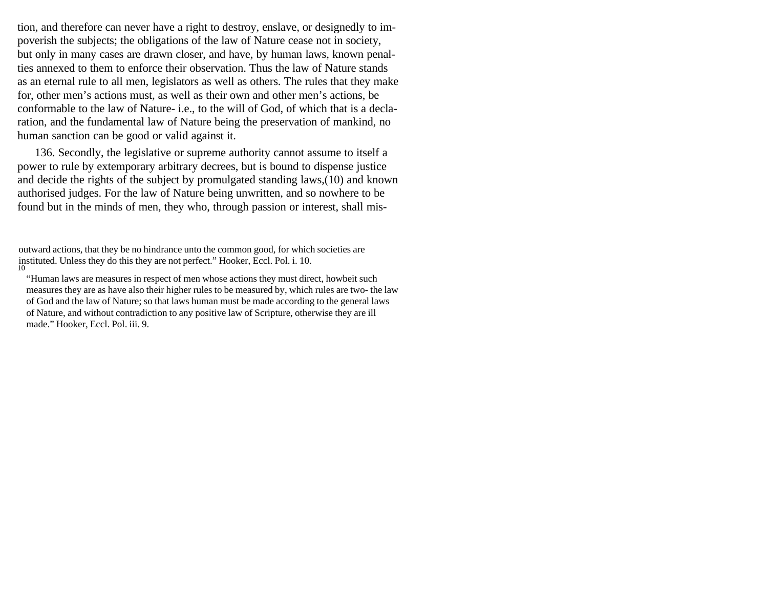tion, and therefore can never have a right to destroy, enslave, or designedly to impoverish the subjects; the obligations of the law of Nature cease not in society, but only in many cases are drawn closer, and have, by human laws, known penalties annexed to them to enforce their observation. Thus the law of Nature stands as an eternal rule to all men, legislators as well as others. The rules that they make for, other men's actions must, as well as their own and other men's actions, be conformable to the law of Nature- i.e., to the will of God, of which that is a declaration, and the fundamental law of Nature being the preservation of mankind, no human sanction can be good or valid against it.

136. Secondly, the legislative or supreme authority cannot assume to itself a power to rule by extemporary arbitrary decrees, but is bound to dispense justice and decide the rights of the subject by promulgated standing laws,(10) and known authorised judges. For the law of Nature being unwritten, and so nowhere to be found but in the minds of men, they who, through passion or interest, shall mis-

outward actions, that they be no hindrance unto the common good, for which societies are instituted. Unless they do this they are not perfect." Hooker, Eccl. Pol. i. 10. 10

<sup>&</sup>quot;Human laws are measures in respect of men whose actions they must direct, howbeit such measures they are as have also their higher rules to be measured by, which rules are two- the law of God and the law of Nature; so that laws human must be made according to the general laws of Nature, and without contradiction to any positive law of Scripture, otherwise they are ill made." Hooker, Eccl. Pol. iii. 9.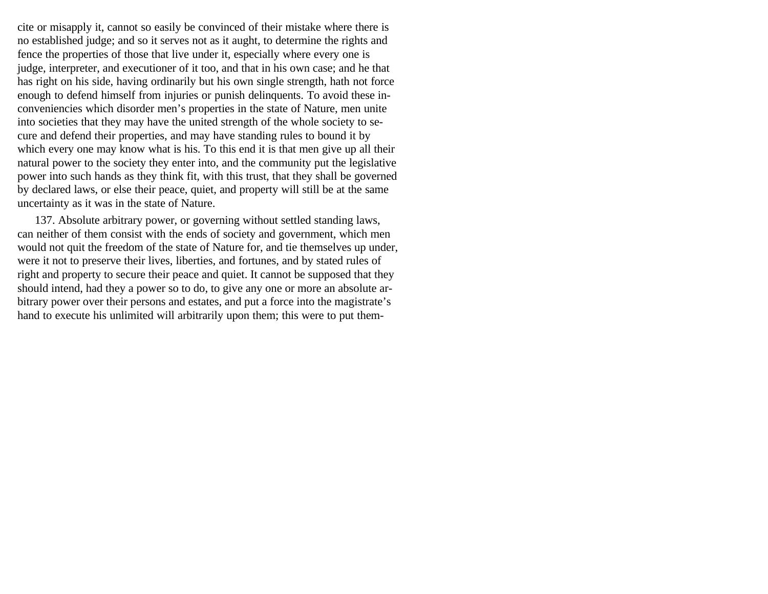cite or misapply it, cannot so easily be convinced of their mistake where there is no established judge; and so it serves not as it aught, to determine the rights and fence the properties of those that live under it, especially where every one is judge, interpreter, and executioner of it too, and that in his own case; and he that has right on his side, having ordinarily but his own single strength, hath not force enough to defend himself from injuries or punish delinquents. To avoid these inconveniencies which disorder men's properties in the state of Nature, men unite into societies that they may have the united strength of the whole society to secure and defend their properties, and may have standing rules to bound it by which every one may know what is his. To this end it is that men give up all their natural power to the society they enter into, and the community put the legislative power into such hands as they think fit, with this trust, that they shall be governed by declared laws, or else their peace, quiet, and property will still be at the same uncertainty as it was in the state of Nature.

137. Absolute arbitrary power, or governing without settled standing laws, can neither of them consist with the ends of society and government, which men would not quit the freedom of the state of Nature for, and tie themselves up under, were it not to preserve their lives, liberties, and fortunes, and by stated rules of right and property to secure their peace and quiet. It cannot be supposed that they should intend, had they a power so to do, to give any one or more an absolute arbitrary power over their persons and estates, and put a force into the magistrate's hand to execute his unlimited will arbitrarily upon them; this were to put them-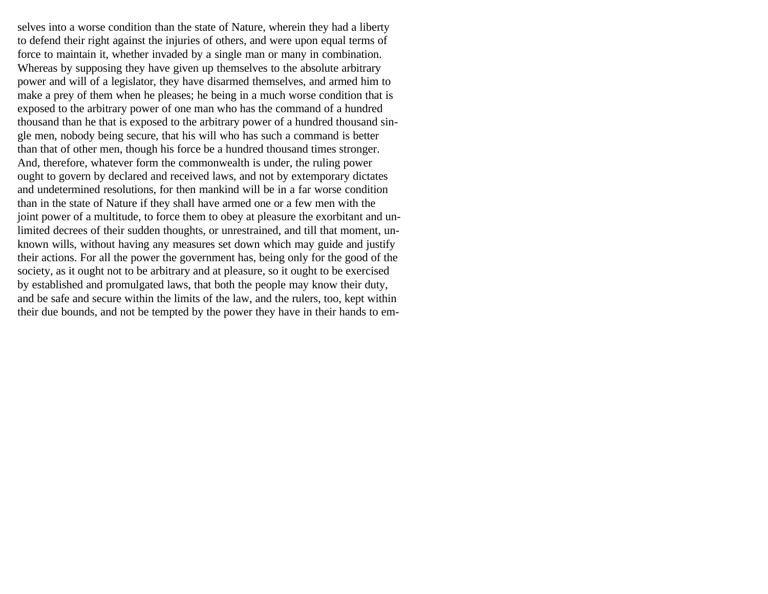selves into a worse condition than the state of Nature, wherein they had a liberty to defend their right against the injuries of others, and were upon equal terms of force to maintain it, whether invaded by a single man or many in combination. Whereas by supposing they have given up themselves to the absolute arbitrary power and will of a legislator, they have disarmed themselves, and armed him to make a prey of them when he pleases; he being in a much worse condition that is exposed to the arbitrary power of one man who has the command of a hundred thousand than he that is exposed to the arbitrary power of a hundred thousand single men, nobody being secure, that his will who has such a command is better than that of other men, though his force be a hundred thousand times stronger. And, therefore, whatever form the commonwealth is under, the ruling power ought to govern by declared and received laws, and not by extemporary dictates and undetermined resolutions, for then mankind will be in a far worse condition than in the state of Nature if they shall have armed one or a few men with the joint power of a multitude, to force them to obey at pleasure the exorbitant and unlimited decrees of their sudden thoughts, or unrestrained, and till that moment, unknown wills, without having any measures set down which may guide and justify their actions. For all the power the government has, being only for the good of the society, as it ought not to be arbitrary and at pleasure, so it ought to be exercised by established and promulgated laws, that both the people may know their duty, and be safe and secure within the limits of the law, and the rulers, too, kept within their due bounds, and not be tempted by the power they have in their hands to em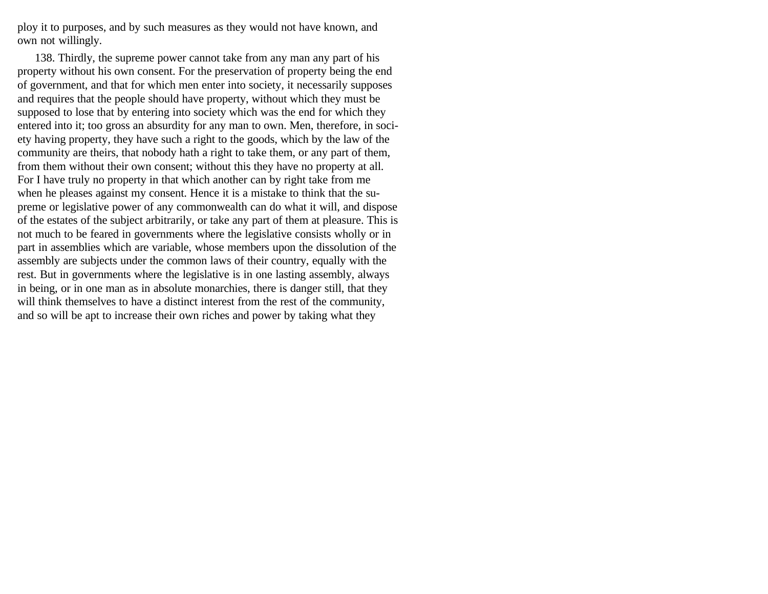ploy it to purposes, and by such measures as they would not have known, and own not willingly.

138. Thirdly, the supreme power cannot take from any man any part of his property without his own consent. For the preservation of property being the end of government, and that for which men enter into society, it necessarily supposes and requires that the people should have property, without which they must be supposed to lose that by entering into society which was the end for which they entered into it; too gross an absurdity for any man to own. Men, therefore, in society having property, they have such a right to the goods, which by the law of the community are theirs, that nobody hath a right to take them, or any part of them, from them without their own consent; without this they have no property at all. For I have truly no property in that which another can by right take from me when he pleases against my consent. Hence it is a mistake to think that the supreme or legislative power of any commonwealth can do what it will, and dispose of the estates of the subject arbitrarily, or take any part of them at pleasure. This is not much to be feared in governments where the legislative consists wholly or in part in assemblies which are variable, whose members upon the dissolution of the assembly are subjects under the common laws of their country, equally with the rest. But in governments where the legislative is in one lasting assembly, always in being, or in one man as in absolute monarchies, there is danger still, that they will think themselves to have a distinct interest from the rest of the community, and so will be apt to increase their own riches and power by taking what they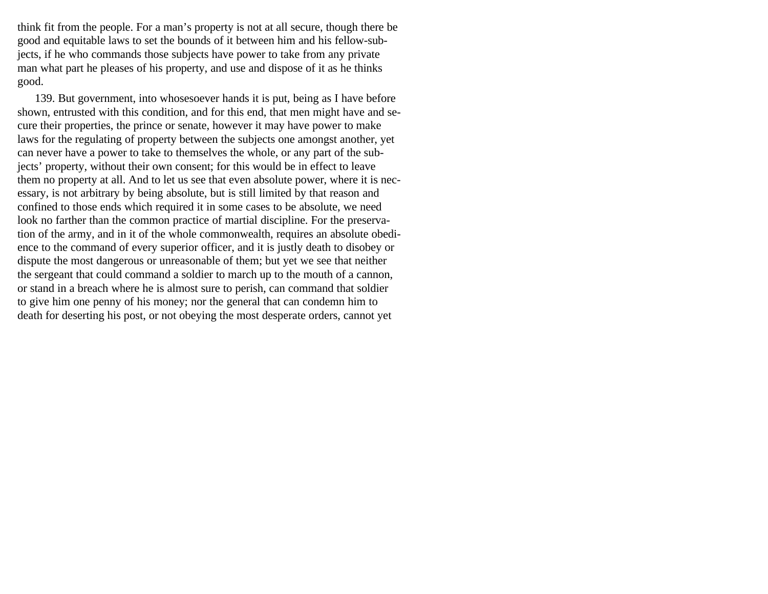think fit from the people. For a man's property is not at all secure, though there be good and equitable laws to set the bounds of it between him and his fellow-subjects, if he who commands those subjects have power to take from any private man what part he pleases of his property, and use and dispose of it as he thinks good.

139. But government, into whosesoever hands it is put, being as I have before shown, entrusted with this condition, and for this end, that men might have and secure their properties, the prince or senate, however it may have power to make laws for the regulating of property between the subjects one amongst another, yet can never have a power to take to themselves the whole, or any part of the subjects' property, without their own consent; for this would be in effect to leave them no property at all. And to let us see that even absolute power, where it is necessary, is not arbitrary by being absolute, but is still limited by that reason and confined to those ends which required it in some cases to be absolute, we need look no farther than the common practice of martial discipline. For the preservation of the army, and in it of the whole commonwealth, requires an absolute obedience to the command of every superior officer, and it is justly death to disobey or dispute the most dangerous or unreasonable of them; but yet we see that neither the sergeant that could command a soldier to march up to the mouth of a cannon, or stand in a breach where he is almost sure to perish, can command that soldier to give him one penny of his money; nor the general that can condemn him to death for deserting his post, or not obeying the most desperate orders, cannot yet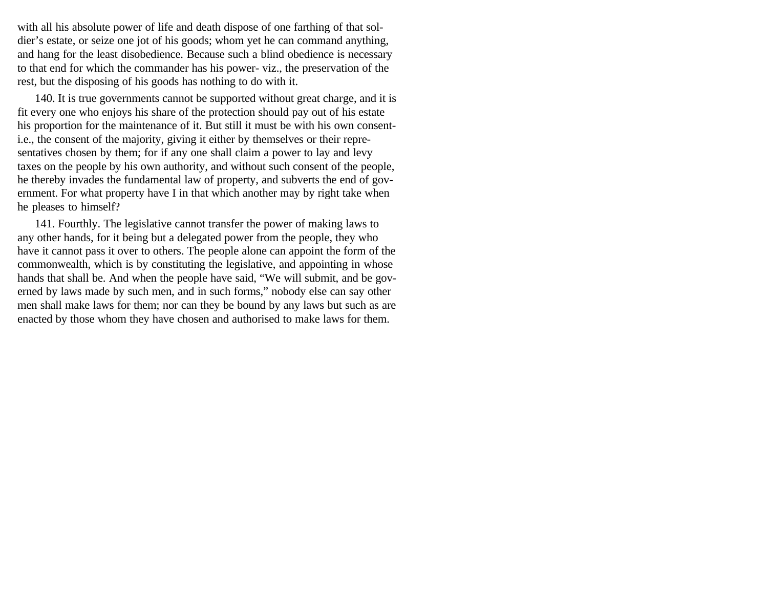with all his absolute power of life and death dispose of one farthing of that soldier's estate, or seize one jot of his goods; whom yet he can command anything, and hang for the least disobedience. Because such a blind obedience is necessary to that end for which the commander has his power- viz., the preservation of the rest, but the disposing of his goods has nothing to do with it.

140. It is true governments cannot be supported without great charge, and it is fit every one who enjoys his share of the protection should pay out of his estate his proportion for the maintenance of it. But still it must be with his own consenti.e., the consent of the majority, giving it either by themselves or their representatives chosen by them; for if any one shall claim a power to lay and levy taxes on the people by his own authority, and without such consent of the people, he thereby invades the fundamental law of property, and subverts the end of government. For what property have I in that which another may by right take when he pleases to himself?

141. Fourthly. The legislative cannot transfer the power of making laws to any other hands, for it being but a delegated power from the people, they who have it cannot pass it over to others. The people alone can appoint the form of the commonwealth, which is by constituting the legislative, and appointing in whose hands that shall be. And when the people have said, "We will submit, and be governed by laws made by such men, and in such forms," nobody else can say other men shall make laws for them; nor can they be bound by any laws but such as are enacted by those whom they have chosen and authorised to make laws for them.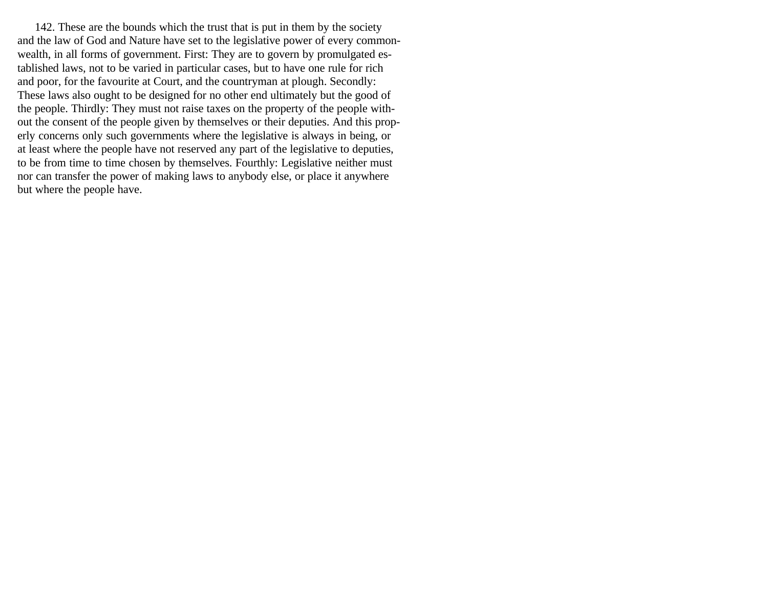142. These are the bounds which the trust that is put in them by the society and the law of God and Nature have set to the legislative power of every commonwealth, in all forms of government. First: They are to govern by promulgated established laws, not to be varied in particular cases, but to have one rule for rich and poor, for the favourite at Court, and the countryman at plough. Secondly: These laws also ought to be designed for no other end ultimately but the good of the people. Thirdly: They must not raise taxes on the property of the people without the consent of the people given by themselves or their deputies. And this properly concerns only such governments where the legislative is always in being, or at least where the people have not reserved any part of the legislative to deputies, to be from time to time chosen by themselves. Fourthly: Legislative neither must nor can transfer the power of making laws to anybody else, or place it anywhere but where the people have.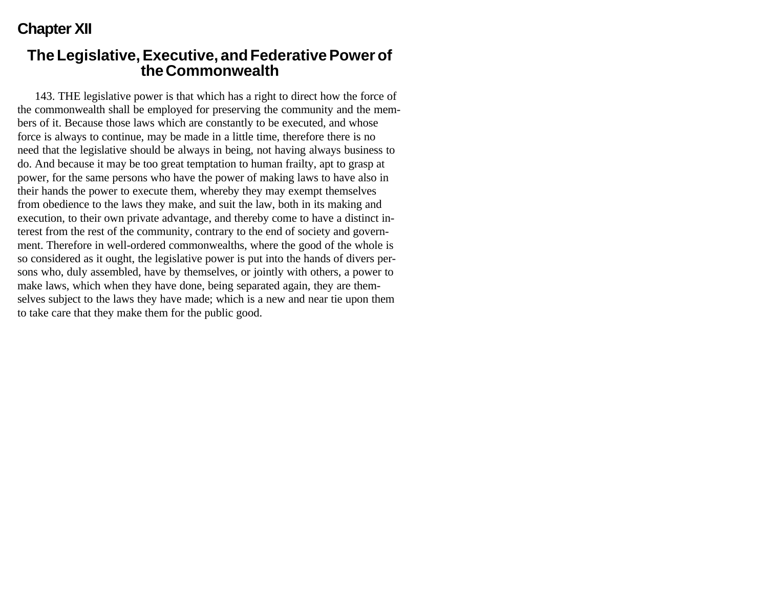## **Chapter XII**

#### **The Legislative, Executive, and Federative Power of the Commonwealth**

143. THE legislative power is that which has a right to direct how the force of the commonwealth shall be employed for preserving the community and the members of it. Because those laws which are constantly to be executed, and whose force is always to continue, may be made in a little time, therefore there is no need that the legislative should be always in being, not having always business to do. And because it may be too great temptation to human frailty, apt to grasp at power, for the same persons who have the power of making laws to have also in their hands the power to execute them, whereby they may exempt themselves from obedience to the laws they make, and suit the law, both in its making and execution, to their own private advantage, and thereby come to have a distinct interest from the rest of the community, contrary to the end of society and government. Therefore in well-ordered commonwealths, where the good of the whole is so considered as it ought, the legislative power is put into the hands of divers persons who, duly assembled, have by themselves, or jointly with others, a power to make laws, which when they have done, being separated again, they are themselves subject to the laws they have made; which is a new and near tie upon them to take care that they make them for the public good.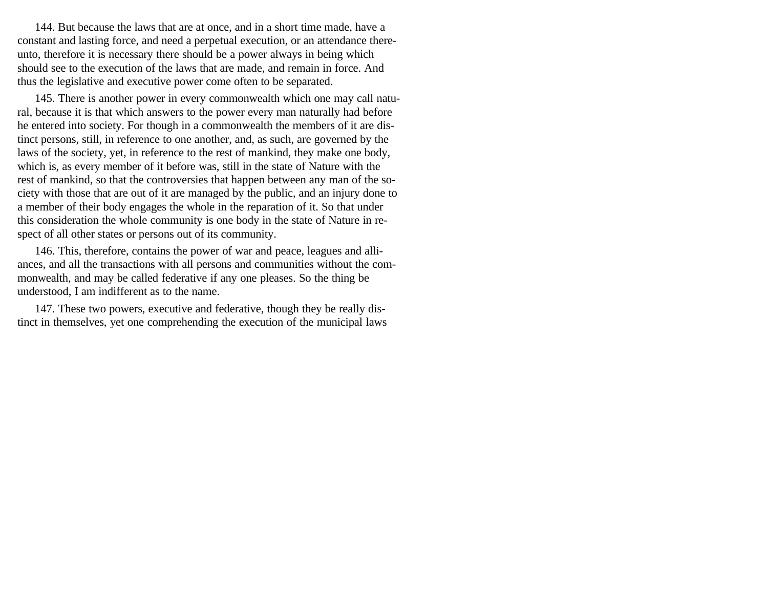144. But because the laws that are at once, and in a short time made, have a constant and lasting force, and need a perpetual execution, or an attendance thereunto, therefore it is necessary there should be a power always in being which should see to the execution of the laws that are made, and remain in force. And thus the legislative and executive power come often to be separated.

145. There is another power in every commonwealth which one may call natural, because it is that which answers to the power every man naturally had before he entered into society. For though in a commonwealth the members of it are distinct persons, still, in reference to one another, and, as such, are governed by the laws of the society, yet, in reference to the rest of mankind, they make one body, which is, as every member of it before was, still in the state of Nature with the rest of mankind, so that the controversies that happen between any man of the society with those that are out of it are managed by the public, and an injury done to a member of their body engages the whole in the reparation of it. So that under this consideration the whole community is one body in the state of Nature in respect of all other states or persons out of its community.

146. This, therefore, contains the power of war and peace, leagues and alliances, and all the transactions with all persons and communities without the commonwealth, and may be called federative if any one pleases. So the thing be understood, I am indifferent as to the name.

147. These two powers, executive and federative, though they be really distinct in themselves, yet one comprehending the execution of the municipal laws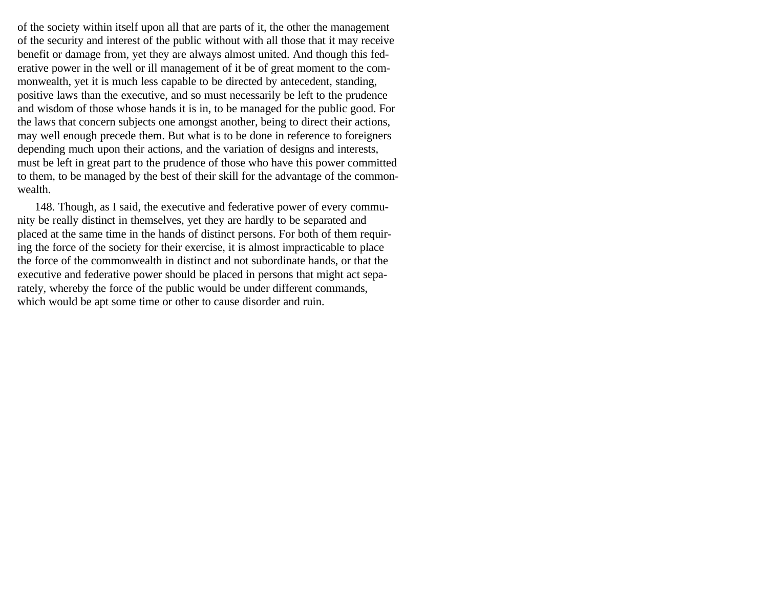of the society within itself upon all that are parts of it, the other the management of the security and interest of the public without with all those that it may receive benefit or damage from, yet they are always almost united. And though this federative power in the well or ill management of it be of great moment to the commonwealth, yet it is much less capable to be directed by antecedent, standing, positive laws than the executive, and so must necessarily be left to the prudence and wisdom of those whose hands it is in, to be managed for the public good. For the laws that concern subjects one amongst another, being to direct their actions, may well enough precede them. But what is to be done in reference to foreigners depending much upon their actions, and the variation of designs and interests, must be left in great part to the prudence of those who have this power committed to them, to be managed by the best of their skill for the advantage of the commonwealth.

148. Though, as I said, the executive and federative power of every community be really distinct in themselves, yet they are hardly to be separated and placed at the same time in the hands of distinct persons. For both of them requiring the force of the society for their exercise, it is almost impracticable to place the force of the commonwealth in distinct and not subordinate hands, or that the executive and federative power should be placed in persons that might act separately, whereby the force of the public would be under different commands, which would be apt some time or other to cause disorder and ruin.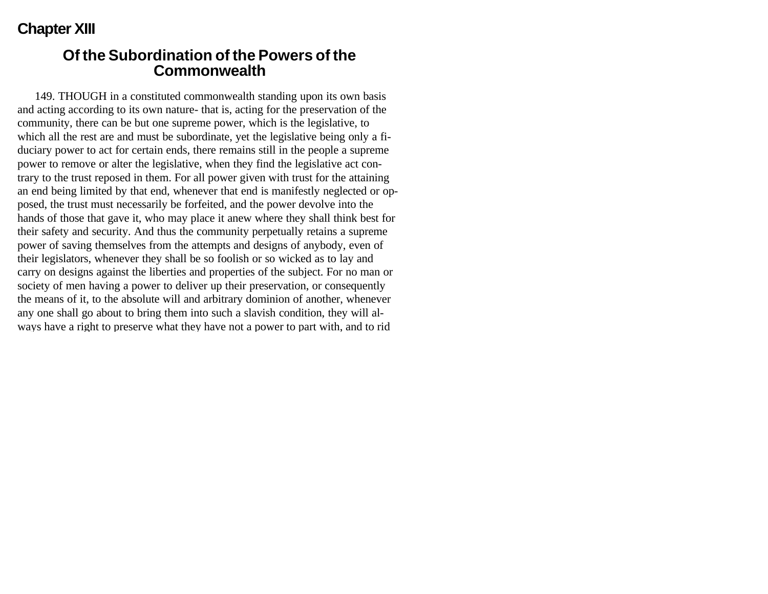## **Chapter XIII**

#### **Of the Subordination of the Powers of the Commonwealth**

149. THOUGH in a constituted commonwealth standing upon its own basis and acting according to its own nature- that is, acting for the preservation of the community, there can be but one supreme power, which is the legislative, to which all the rest are and must be subordinate, yet the legislative being only a fiduciary power to act for certain ends, there remains still in the people a supreme power to remove or alter the legislative, when they find the legislative act contrary to the trust reposed in them. For all power given with trust for the attaining an end being limited by that end, whenever that end is manifestly neglected or opposed, the trust must necessarily be forfeited, and the power devolve into the hands of those that gave it, who may place it anew where they shall think best for their safety and security. And thus the community perpetually retains a supreme power of saving themselves from the attempts and designs of anybody, even of their legislators, whenever they shall be so foolish or so wicked as to lay and carry on designs against the liberties and properties of the subject. For no man or society of men having a power to deliver up their preservation, or consequently the means of it, to the absolute will and arbitrary dominion of another, whenever any one shall go about to bring them into such a slavish condition, they will always have a right to preserve what they have not a power to part with, and to rid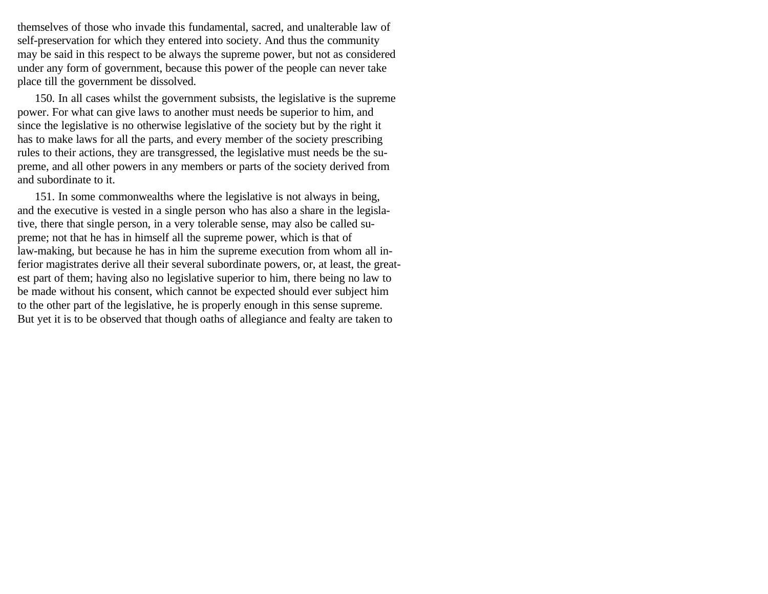themselves of those who invade this fundamental, sacred, and unalterable law of self-preservation for which they entered into society. And thus the community may be said in this respect to be always the supreme power, but not as considered under any form of government, because this power of the people can never take place till the government be dissolved.

150. In all cases whilst the government subsists, the legislative is the supreme power. For what can give laws to another must needs be superior to him, and since the legislative is no otherwise legislative of the society but by the right it has to make laws for all the parts, and every member of the society prescribing rules to their actions, they are transgressed, the legislative must needs be the supreme, and all other powers in any members or parts of the society derived from and subordinate to it.

151. In some commonwealths where the legislative is not always in being, and the executive is vested in a single person who has also a share in the legislative, there that single person, in a very tolerable sense, may also be called supreme; not that he has in himself all the supreme power, which is that of law-making, but because he has in him the supreme execution from whom all inferior magistrates derive all their several subordinate powers, or, at least, the greatest part of them; having also no legislative superior to him, there being no law to be made without his consent, which cannot be expected should ever subject him to the other part of the legislative, he is properly enough in this sense supreme. But yet it is to be observed that though oaths of allegiance and fealty are taken to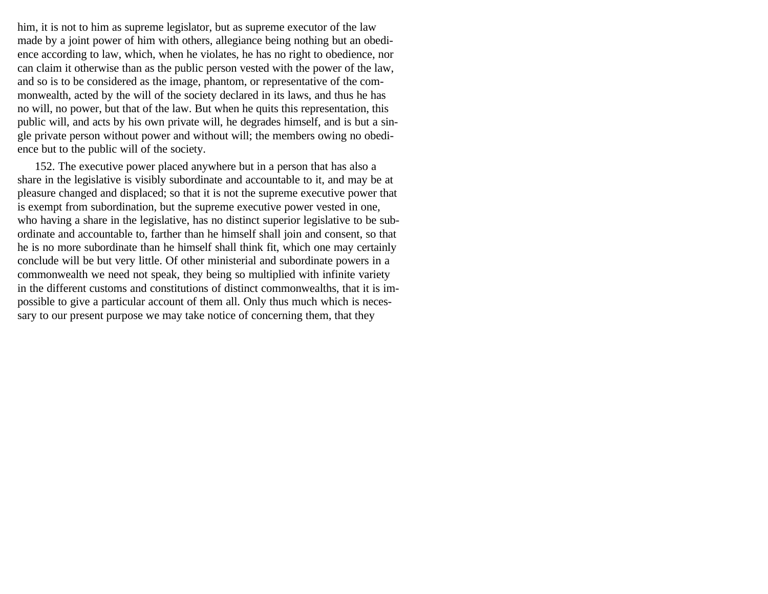him, it is not to him as supreme legislator, but as supreme executor of the law made by a joint power of him with others, allegiance being nothing but an obedience according to law, which, when he violates, he has no right to obedience, nor can claim it otherwise than as the public person vested with the power of the law, and so is to be considered as the image, phantom, or representative of the commonwealth, acted by the will of the society declared in its laws, and thus he has no will, no power, but that of the law. But when he quits this representation, this public will, and acts by his own private will, he degrades himself, and is but a single private person without power and without will; the members owing no obedience but to the public will of the society.

152. The executive power placed anywhere but in a person that has also a share in the legislative is visibly subordinate and accountable to it, and may be at pleasure changed and displaced; so that it is not the supreme executive power that is exempt from subordination, but the supreme executive power vested in one, who having a share in the legislative, has no distinct superior legislative to be subordinate and accountable to, farther than he himself shall join and consent, so that he is no more subordinate than he himself shall think fit, which one may certainly conclude will be but very little. Of other ministerial and subordinate powers in a commonwealth we need not speak, they being so multiplied with infinite variety in the different customs and constitutions of distinct commonwealths, that it is impossible to give a particular account of them all. Only thus much which is necessary to our present purpose we may take notice of concerning them, that they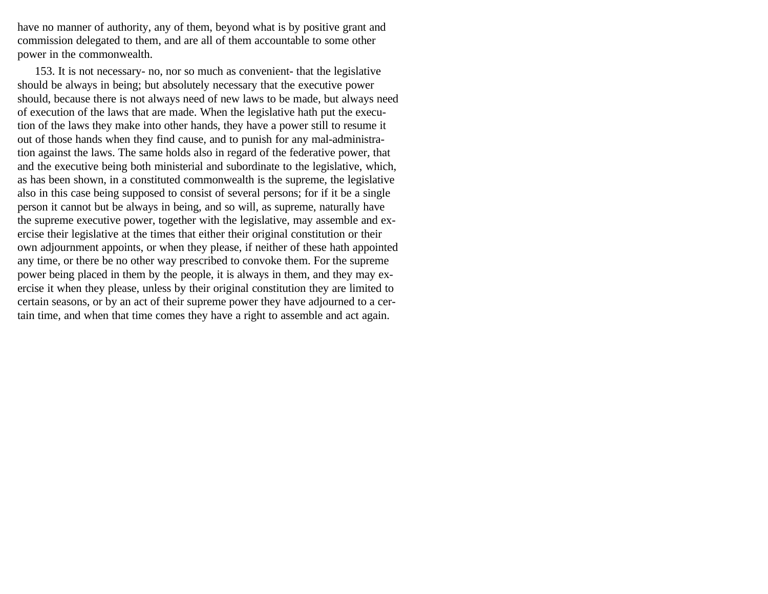have no manner of authority, any of them, beyond what is by positive grant and commission delegated to them, and are all of them accountable to some other power in the commonwealth.

153. It is not necessary- no, nor so much as convenient- that the legislative should be always in being; but absolutely necessary that the executive power should, because there is not always need of new laws to be made, but always need of execution of the laws that are made. When the legislative hath put the execution of the laws they make into other hands, they have a power still to resume it out of those hands when they find cause, and to punish for any mal-administration against the laws. The same holds also in regard of the federative power, that and the executive being both ministerial and subordinate to the legislative, which, as has been shown, in a constituted commonwealth is the supreme, the legislative also in this case being supposed to consist of several persons; for if it be a single person it cannot but be always in being, and so will, as supreme, naturally have the supreme executive power, together with the legislative, may assemble and exercise their legislative at the times that either their original constitution or their own adjournment appoints, or when they please, if neither of these hath appointed any time, or there be no other way prescribed to convoke them. For the supreme power being placed in them by the people, it is always in them, and they may exercise it when they please, unless by their original constitution they are limited to certain seasons, or by an act of their supreme power they have adjourned to a certain time, and when that time comes they have a right to assemble and act again.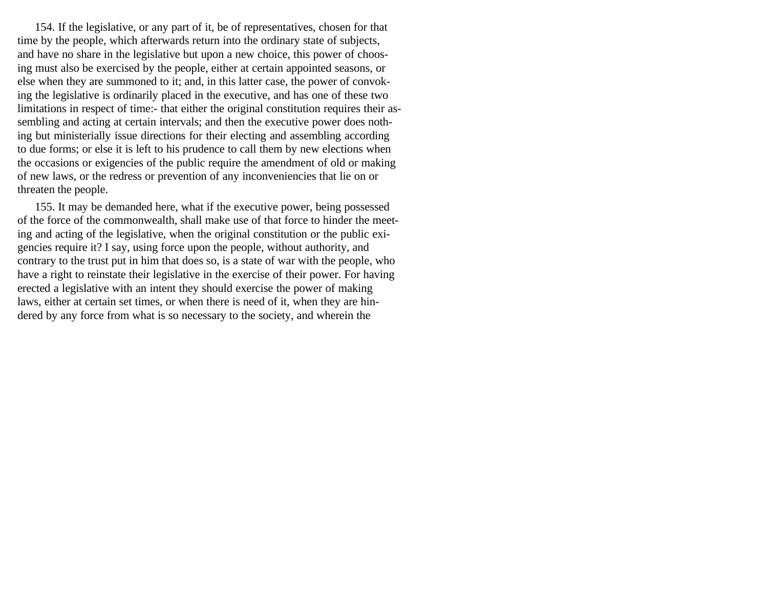154. If the legislative, or any part of it, be of representatives, chosen for that time by the people, which afterwards return into the ordinary state of subjects, and have no share in the legislative but upon a new choice, this power of choosing must also be exercised by the people, either at certain appointed seasons, or else when they are summoned to it; and, in this latter case, the power of convoking the legislative is ordinarily placed in the executive, and has one of these two limitations in respect of time:- that either the original constitution requires their assembling and acting at certain intervals; and then the executive power does nothing but ministerially issue directions for their electing and assembling according to due forms; or else it is left to his prudence to call them by new elections when the occasions or exigencies of the public require the amendment of old or making of new laws, or the redress or prevention of any inconveniencies that lie on or threaten the people.

155. It may be demanded here, what if the executive power, being possessed of the force of the commonwealth, shall make use of that force to hinder the meeting and acting of the legislative, when the original constitution or the public exigencies require it? I say, using force upon the people, without authority, and contrary to the trust put in him that does so, is a state of war with the people, who have a right to reinstate their legislative in the exercise of their power. For having erected a legislative with an intent they should exercise the power of making laws, either at certain set times, or when there is need of it, when they are hindered by any force from what is so necessary to the society, and wherein the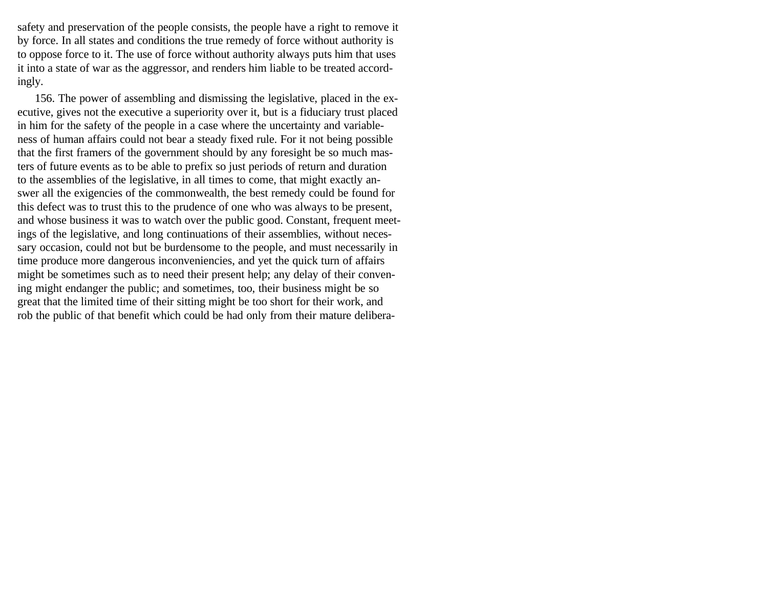safety and preservation of the people consists, the people have a right to remove it by force. In all states and conditions the true remedy of force without authority is to oppose force to it. The use of force without authority always puts him that uses it into a state of war as the aggressor, and renders him liable to be treated accordingly.

156. The power of assembling and dismissing the legislative, placed in the executive, gives not the executive a superiority over it, but is a fiduciary trust placed in him for the safety of the people in a case where the uncertainty and variableness of human affairs could not bear a steady fixed rule. For it not being possible that the first framers of the government should by any foresight be so much masters of future events as to be able to prefix so just periods of return and duration to the assemblies of the legislative, in all times to come, that might exactly answer all the exigencies of the commonwealth, the best remedy could be found for this defect was to trust this to the prudence of one who was always to be present, and whose business it was to watch over the public good. Constant, frequent meetings of the legislative, and long continuations of their assemblies, without necessary occasion, could not but be burdensome to the people, and must necessarily in time produce more dangerous inconveniencies, and yet the quick turn of affairs might be sometimes such as to need their present help; any delay of their convening might endanger the public; and sometimes, too, their business might be so great that the limited time of their sitting might be too short for their work, and rob the public of that benefit which could be had only from their mature delibera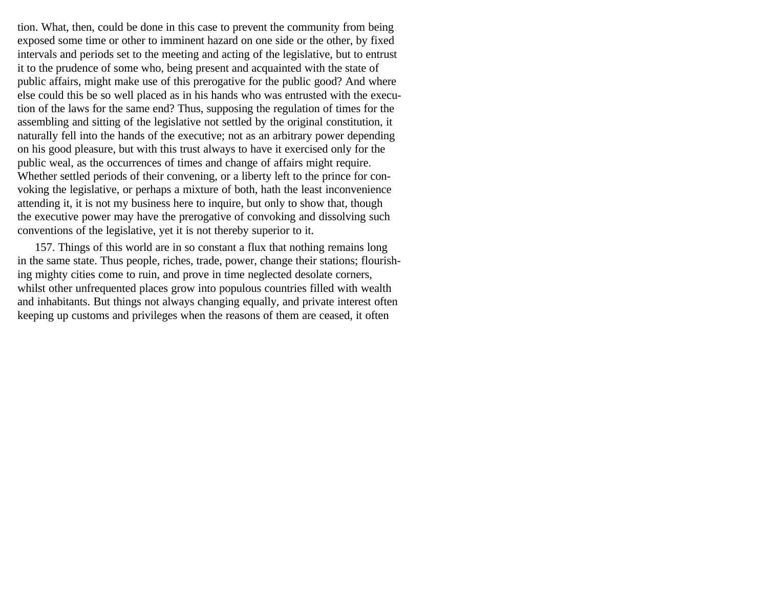tion. What, then, could be done in this case to prevent the community from being exposed some time or other to imminent hazard on one side or the other, by fixed intervals and periods set to the meeting and acting of the legislative, but to entrust it to the prudence of some who, being present and acquainted with the state of public affairs, might make use of this prerogative for the public good? And where else could this be so well placed as in his hands who was entrusted with the execution of the laws for the same end? Thus, supposing the regulation of times for the assembling and sitting of the legislative not settled by the original constitution, it naturally fell into the hands of the executive; not as an arbitrary power depending on his good pleasure, but with this trust always to have it exercised only for the public weal, as the occurrences of times and change of affairs might require. Whether settled periods of their convening, or a liberty left to the prince for convoking the legislative, or perhaps a mixture of both, hath the least inconvenience attending it, it is not my business here to inquire, but only to show that, though the executive power may have the prerogative of convoking and dissolving such conventions of the legislative, yet it is not thereby superior to it.

157. Things of this world are in so constant a flux that nothing remains long in the same state. Thus people, riches, trade, power, change their stations; flourishing mighty cities come to ruin, and prove in time neglected desolate corners, whilst other unfrequented places grow into populous countries filled with wealth and inhabitants. But things not always changing equally, and private interest often keeping up customs and privileges when the reasons of them are ceased, it often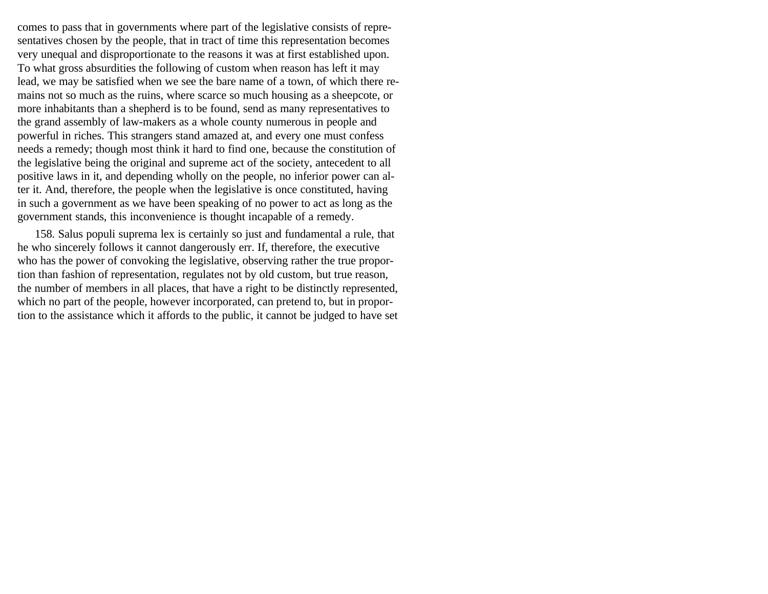comes to pass that in governments where part of the legislative consists of representatives chosen by the people, that in tract of time this representation becomes very unequal and disproportionate to the reasons it was at first established upon. To what gross absurdities the following of custom when reason has left it may lead, we may be satisfied when we see the bare name of a town, of which there remains not so much as the ruins, where scarce so much housing as a sheepcote, or more inhabitants than a shepherd is to be found, send as many representatives to the grand assembly of law-makers as a whole county numerous in people and powerful in riches. This strangers stand amazed at, and every one must confess needs a remedy; though most think it hard to find one, because the constitution of the legislative being the original and supreme act of the society, antecedent to all positive laws in it, and depending wholly on the people, no inferior power can alter it. And, therefore, the people when the legislative is once constituted, having in such a government as we have been speaking of no power to act as long as the government stands, this inconvenience is thought incapable of a remedy.

158. Salus populi suprema lex is certainly so just and fundamental a rule, that he who sincerely follows it cannot dangerously err. If, therefore, the executive who has the power of convoking the legislative, observing rather the true proportion than fashion of representation, regulates not by old custom, but true reason, the number of members in all places, that have a right to be distinctly represented, which no part of the people, however incorporated, can pretend to, but in proportion to the assistance which it affords to the public, it cannot be judged to have set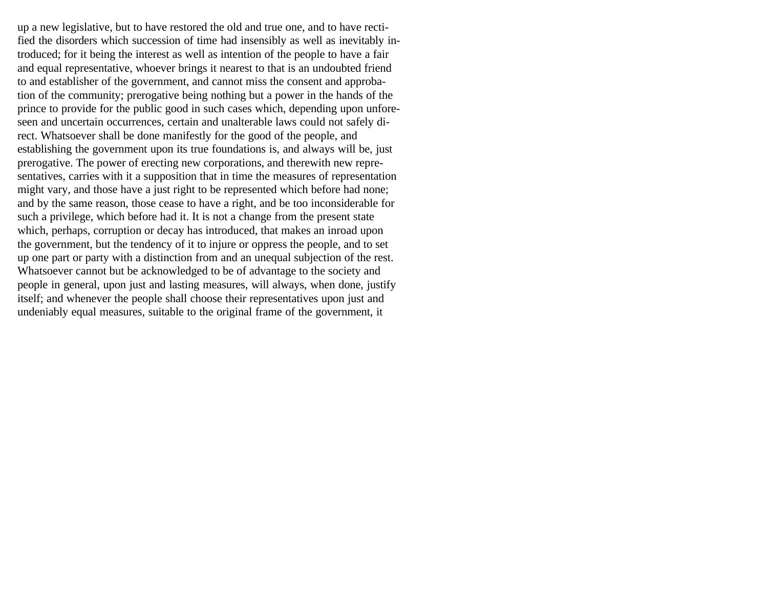up a new legislative, but to have restored the old and true one, and to have rectified the disorders which succession of time had insensibly as well as inevitably introduced; for it being the interest as well as intention of the people to have a fair and equal representative, whoever brings it nearest to that is an undoubted friend to and establisher of the government, and cannot miss the consent and approbation of the community; prerogative being nothing but a power in the hands of the prince to provide for the public good in such cases which, depending upon unforeseen and uncertain occurrences, certain and unalterable laws could not safely direct. Whatsoever shall be done manifestly for the good of the people, and establishing the government upon its true foundations is, and always will be, just prerogative. The power of erecting new corporations, and therewith new representatives, carries with it a supposition that in time the measures of representation might vary, and those have a just right to be represented which before had none; and by the same reason, those cease to have a right, and be too inconsiderable for such a privilege, which before had it. It is not a change from the present state which, perhaps, corruption or decay has introduced, that makes an inroad upon the government, but the tendency of it to injure or oppress the people, and to set up one part or party with a distinction from and an unequal subjection of the rest. Whatsoever cannot but be acknowledged to be of advantage to the society and people in general, upon just and lasting measures, will always, when done, justify itself; and whenever the people shall choose their representatives upon just and undeniably equal measures, suitable to the original frame of the government, it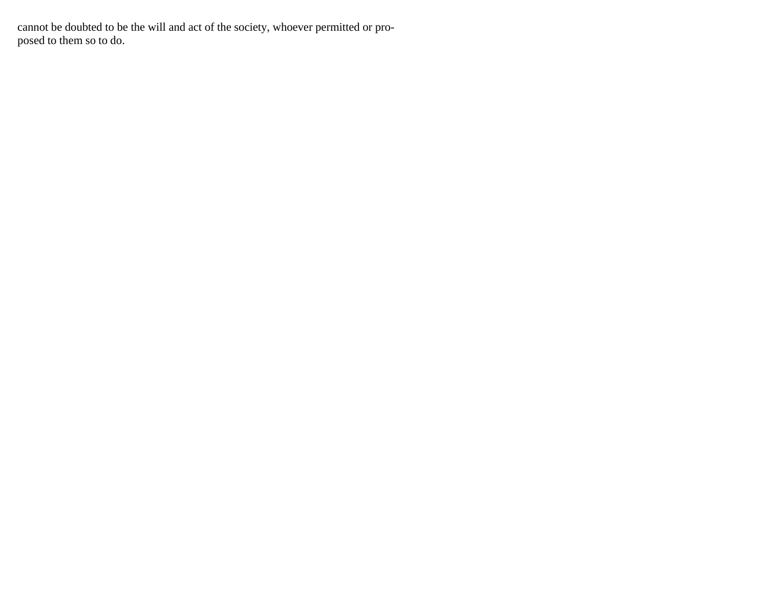cannot be doubted to be the will and act of the society, whoever permitted or proposed to them so to do.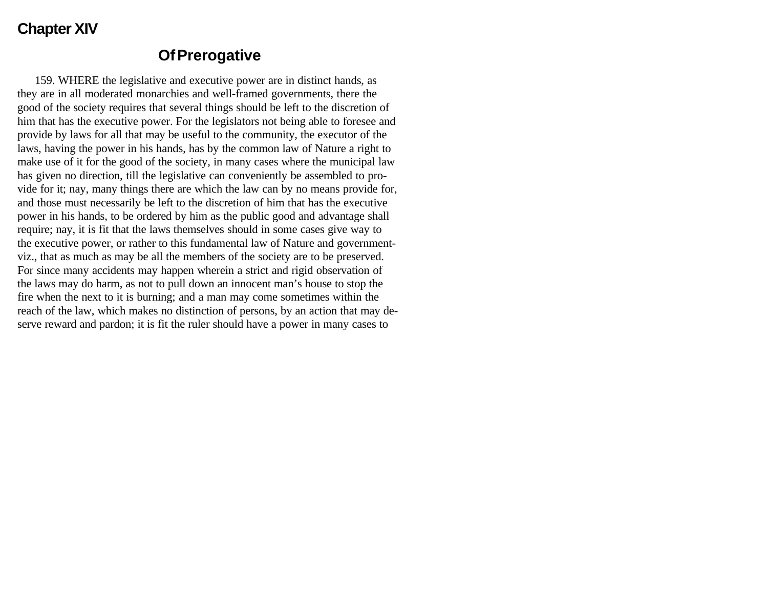## **Chapter XIV**

### **Of Prerogative**

159. WHERE the legislative and executive power are in distinct hands, as they are in all moderated monarchies and well-framed governments, there the good of the society requires that several things should be left to the discretion of him that has the executive power. For the legislators not being able to foresee and provide by laws for all that may be useful to the community, the executor of the laws, having the power in his hands, has by the common law of Nature a right to make use of it for the good of the society, in many cases where the municipal law has given no direction, till the legislative can conveniently be assembled to provide for it; nay, many things there are which the law can by no means provide for, and those must necessarily be left to the discretion of him that has the executive power in his hands, to be ordered by him as the public good and advantage shall require; nay, it is fit that the laws themselves should in some cases give way to the executive power, or rather to this fundamental law of Nature and governmentviz., that as much as may be all the members of the society are to be preserved. For since many accidents may happen wherein a strict and rigid observation of the laws may do harm, as not to pull down an innocent man's house to stop the fire when the next to it is burning; and a man may come sometimes within the reach of the law, which makes no distinction of persons, by an action that may deserve reward and pardon; it is fit the ruler should have a power in many cases to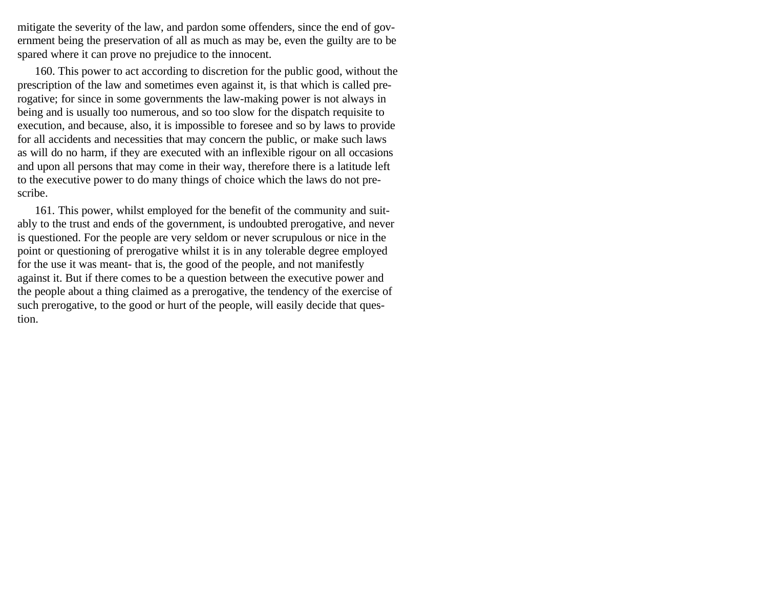mitigate the severity of the law, and pardon some offenders, since the end of government being the preservation of all as much as may be, even the guilty are to be spared where it can prove no prejudice to the innocent.

160. This power to act according to discretion for the public good, without the prescription of the law and sometimes even against it, is that which is called prerogative; for since in some governments the law-making power is not always in being and is usually too numerous, and so too slow for the dispatch requisite to execution, and because, also, it is impossible to foresee and so by laws to provide for all accidents and necessities that may concern the public, or make such laws as will do no harm, if they are executed with an inflexible rigour on all occasions and upon all persons that may come in their way, therefore there is a latitude left to the executive power to do many things of choice which the laws do not prescribe.

161. This power, whilst employed for the benefit of the community and suitably to the trust and ends of the government, is undoubted prerogative, and never is questioned. For the people are very seldom or never scrupulous or nice in the point or questioning of prerogative whilst it is in any tolerable degree employed for the use it was meant- that is, the good of the people, and not manifestly against it. But if there comes to be a question between the executive power and the people about a thing claimed as a prerogative, the tendency of the exercise of such prerogative, to the good or hurt of the people, will easily decide that question.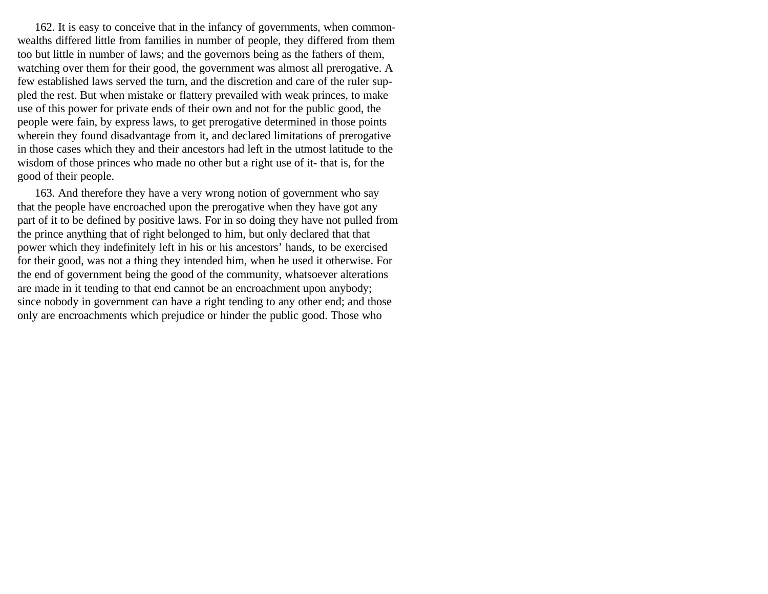162. It is easy to conceive that in the infancy of governments, when commonwealths differed little from families in number of people, they differed from them too but little in number of laws; and the governors being as the fathers of them, watching over them for their good, the government was almost all prerogative. A few established laws served the turn, and the discretion and care of the ruler suppled the rest. But when mistake or flattery prevailed with weak princes, to make use of this power for private ends of their own and not for the public good, the people were fain, by express laws, to get prerogative determined in those points wherein they found disadvantage from it, and declared limitations of prerogative in those cases which they and their ancestors had left in the utmost latitude to the wisdom of those princes who made no other but a right use of it- that is, for the good of their people.

163. And therefore they have a very wrong notion of government who say that the people have encroached upon the prerogative when they have got any part of it to be defined by positive laws. For in so doing they have not pulled from the prince anything that of right belonged to him, but only declared that that power which they indefinitely left in his or his ancestors' hands, to be exercised for their good, was not a thing they intended him, when he used it otherwise. For the end of government being the good of the community, whatsoever alterations are made in it tending to that end cannot be an encroachment upon anybody; since nobody in government can have a right tending to any other end; and those only are encroachments which prejudice or hinder the public good. Those who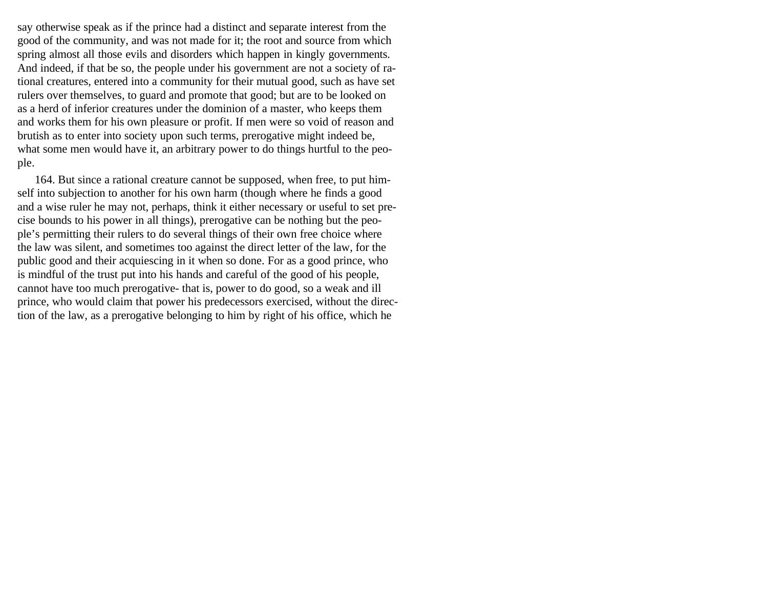say otherwise speak as if the prince had a distinct and separate interest from the good of the community, and was not made for it; the root and source from which spring almost all those evils and disorders which happen in kingly governments. And indeed, if that be so, the people under his government are not a society of rational creatures, entered into a community for their mutual good, such as have set rulers over themselves, to guard and promote that good; but are to be looked on as a herd of inferior creatures under the dominion of a master, who keeps them and works them for his own pleasure or profit. If men were so void of reason and brutish as to enter into society upon such terms, prerogative might indeed be, what some men would have it, an arbitrary power to do things hurtful to the people.

164. But since a rational creature cannot be supposed, when free, to put himself into subjection to another for his own harm (though where he finds a good and a wise ruler he may not, perhaps, think it either necessary or useful to set precise bounds to his power in all things), prerogative can be nothing but the people's permitting their rulers to do several things of their own free choice where the law was silent, and sometimes too against the direct letter of the law, for the public good and their acquiescing in it when so done. For as a good prince, who is mindful of the trust put into his hands and careful of the good of his people, cannot have too much prerogative- that is, power to do good, so a weak and ill prince, who would claim that power his predecessors exercised, without the direction of the law, as a prerogative belonging to him by right of his office, which he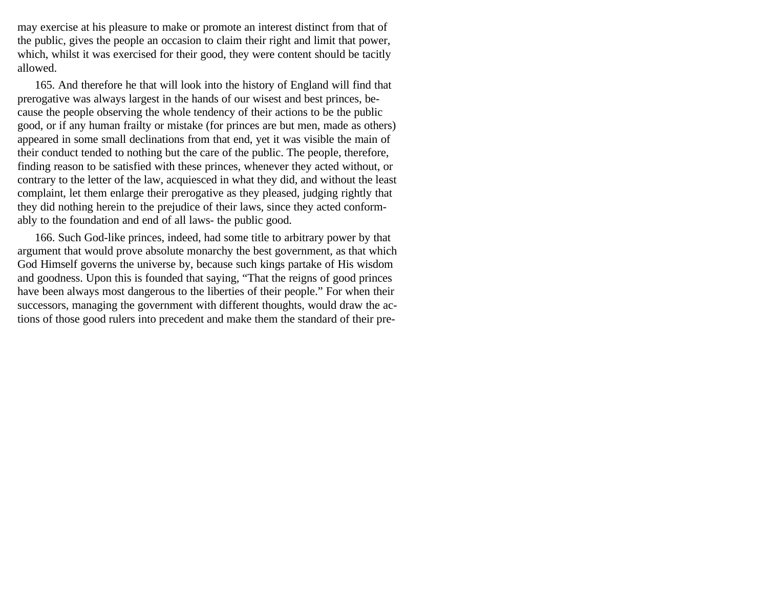may exercise at his pleasure to make or promote an interest distinct from that of the public, gives the people an occasion to claim their right and limit that power, which, whilst it was exercised for their good, they were content should be tacitly allowed.

165. And therefore he that will look into the history of England will find that prerogative was always largest in the hands of our wisest and best princes, because the people observing the whole tendency of their actions to be the public good, or if any human frailty or mistake (for princes are but men, made as others) appeared in some small declinations from that end, yet it was visible the main of their conduct tended to nothing but the care of the public. The people, therefore, finding reason to be satisfied with these princes, whenever they acted without, or contrary to the letter of the law, acquiesced in what they did, and without the least complaint, let them enlarge their prerogative as they pleased, judging rightly that they did nothing herein to the prejudice of their laws, since they acted conformably to the foundation and end of all laws- the public good.

166. Such God-like princes, indeed, had some title to arbitrary power by that argument that would prove absolute monarchy the best government, as that which God Himself governs the universe by, because such kings partake of His wisdom and goodness. Upon this is founded that saying, "That the reigns of good princes have been always most dangerous to the liberties of their people." For when their successors, managing the government with different thoughts, would draw the actions of those good rulers into precedent and make them the standard of their pre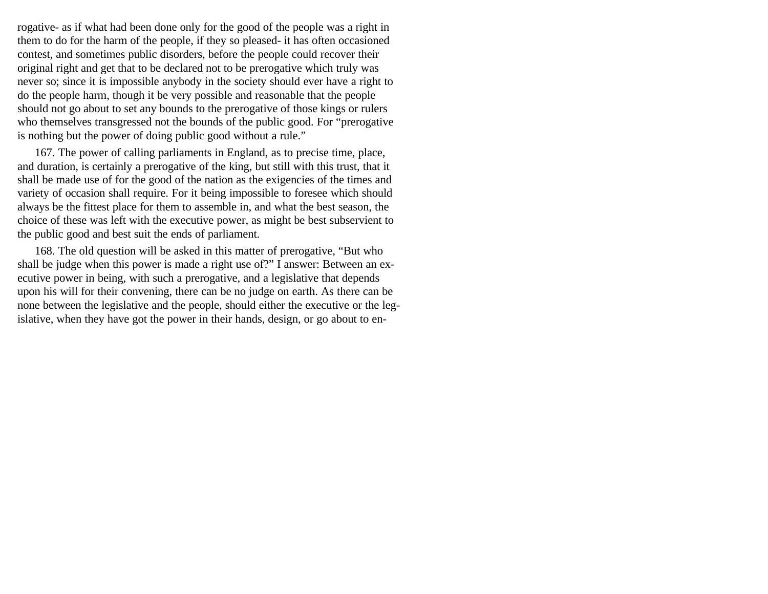rogative- as if what had been done only for the good of the people was a right in them to do for the harm of the people, if they so pleased- it has often occasioned contest, and sometimes public disorders, before the people could recover their original right and get that to be declared not to be prerogative which truly was never so; since it is impossible anybody in the society should ever have a right to do the people harm, though it be very possible and reasonable that the people should not go about to set any bounds to the prerogative of those kings or rulers who themselves transgressed not the bounds of the public good. For "prerogative is nothing but the power of doing public good without a rule."

167. The power of calling parliaments in England, as to precise time, place, and duration, is certainly a prerogative of the king, but still with this trust, that it shall be made use of for the good of the nation as the exigencies of the times and variety of occasion shall require. For it being impossible to foresee which should always be the fittest place for them to assemble in, and what the best season, the choice of these was left with the executive power, as might be best subservient to the public good and best suit the ends of parliament.

168. The old question will be asked in this matter of prerogative, "But who shall be judge when this power is made a right use of?" I answer: Between an executive power in being, with such a prerogative, and a legislative that depends upon his will for their convening, there can be no judge on earth. As there can be none between the legislative and the people, should either the executive or the legislative, when they have got the power in their hands, design, or go about to en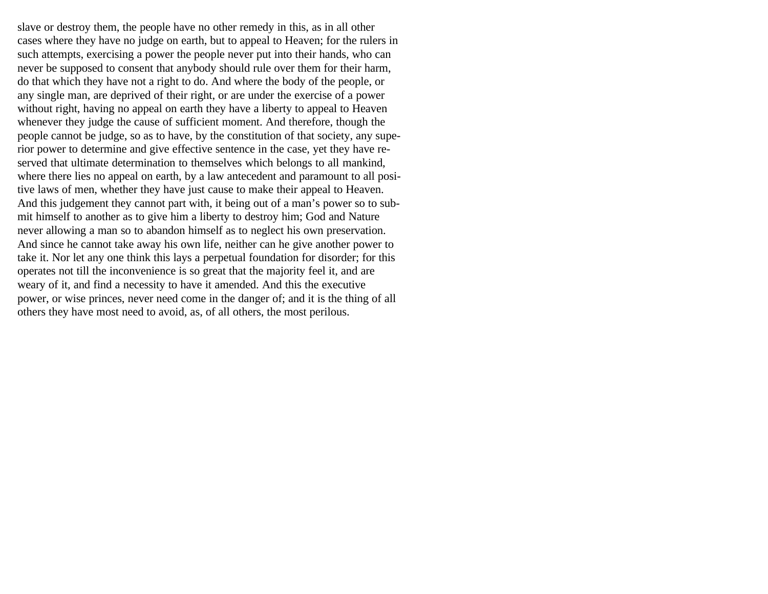slave or destroy them, the people have no other remedy in this, as in all other cases where they have no judge on earth, but to appeal to Heaven; for the rulers in such attempts, exercising a power the people never put into their hands, who can never be supposed to consent that anybody should rule over them for their harm, do that which they have not a right to do. And where the body of the people, or any single man, are deprived of their right, or are under the exercise of a power without right, having no appeal on earth they have a liberty to appeal to Heaven whenever they judge the cause of sufficient moment. And therefore, though the people cannot be judge, so as to have, by the constitution of that society, any superior power to determine and give effective sentence in the case, yet they have reserved that ultimate determination to themselves which belongs to all mankind, where there lies no appeal on earth, by a law antecedent and paramount to all positive laws of men, whether they have just cause to make their appeal to Heaven. And this judgement they cannot part with, it being out of a man's power so to submit himself to another as to give him a liberty to destroy him; God and Nature never allowing a man so to abandon himself as to neglect his own preservation. And since he cannot take away his own life, neither can he give another power to take it. Nor let any one think this lays a perpetual foundation for disorder; for this operates not till the inconvenience is so great that the majority feel it, and are weary of it, and find a necessity to have it amended. And this the executive power, or wise princes, never need come in the danger of; and it is the thing of all others they have most need to avoid, as, of all others, the most perilous.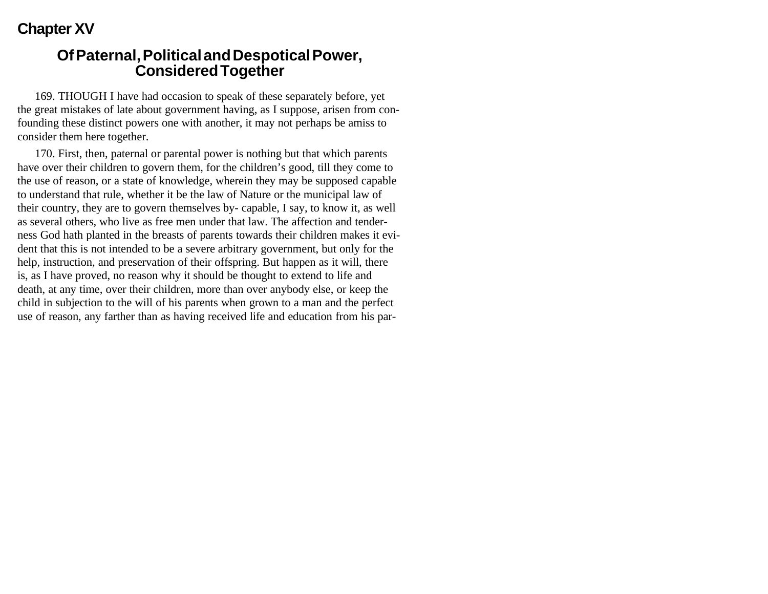# **Chapter XV**

#### **Of Paternal, Political and Despotical Power, Considered Together**

169. THOUGH I have had occasion to speak of these separately before, yet the great mistakes of late about government having, as I suppose, arisen from confounding these distinct powers one with another, it may not perhaps be amiss to consider them here together.

170. First, then, paternal or parental power is nothing but that which parents have over their children to govern them, for the children's good, till they come to the use of reason, or a state of knowledge, wherein they may be supposed capable to understand that rule, whether it be the law of Nature or the municipal law of their country, they are to govern themselves by- capable, I say, to know it, as well as several others, who live as free men under that law. The affection and tenderness God hath planted in the breasts of parents towards their children makes it evident that this is not intended to be a severe arbitrary government, but only for the help, instruction, and preservation of their offspring. But happen as it will, there is, as I have proved, no reason why it should be thought to extend to life and death, at any time, over their children, more than over anybody else, or keep the child in subjection to the will of his parents when grown to a man and the perfect use of reason, any farther than as having received life and education from his par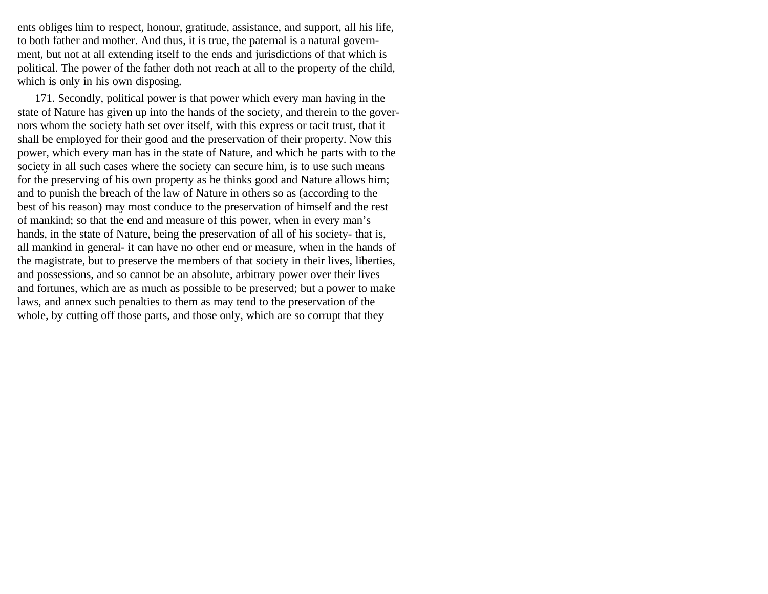ents obliges him to respect, honour, gratitude, assistance, and support, all his life, to both father and mother. And thus, it is true, the paternal is a natural government, but not at all extending itself to the ends and jurisdictions of that which is political. The power of the father doth not reach at all to the property of the child, which is only in his own disposing.

171. Secondly, political power is that power which every man having in the state of Nature has given up into the hands of the society, and therein to the governors whom the society hath set over itself, with this express or tacit trust, that it shall be employed for their good and the preservation of their property. Now this power, which every man has in the state of Nature, and which he parts with to the society in all such cases where the society can secure him, is to use such means for the preserving of his own property as he thinks good and Nature allows him; and to punish the breach of the law of Nature in others so as (according to the best of his reason) may most conduce to the preservation of himself and the rest of mankind; so that the end and measure of this power, when in every man's hands, in the state of Nature, being the preservation of all of his society- that is, all mankind in general- it can have no other end or measure, when in the hands of the magistrate, but to preserve the members of that society in their lives, liberties, and possessions, and so cannot be an absolute, arbitrary power over their lives and fortunes, which are as much as possible to be preserved; but a power to make laws, and annex such penalties to them as may tend to the preservation of the whole, by cutting off those parts, and those only, which are so corrupt that they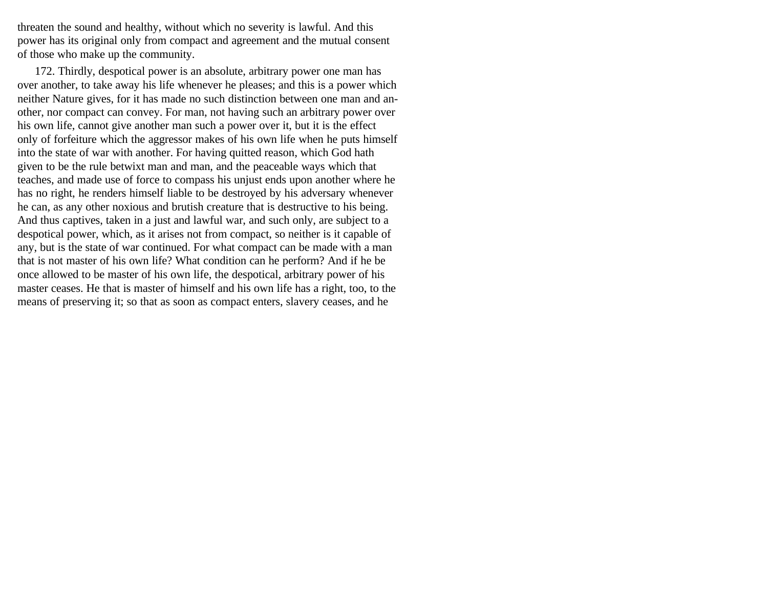threaten the sound and healthy, without which no severity is lawful. And this power has its original only from compact and agreement and the mutual consent of those who make up the community.

172. Thirdly, despotical power is an absolute, arbitrary power one man has over another, to take away his life whenever he pleases; and this is a power which neither Nature gives, for it has made no such distinction between one man and another, nor compact can convey. For man, not having such an arbitrary power over his own life, cannot give another man such a power over it, but it is the effect only of forfeiture which the aggressor makes of his own life when he puts himself into the state of war with another. For having quitted reason, which God hath given to be the rule betwixt man and man, and the peaceable ways which that teaches, and made use of force to compass his unjust ends upon another where he has no right, he renders himself liable to be destroyed by his adversary whenever he can, as any other noxious and brutish creature that is destructive to his being. And thus captives, taken in a just and lawful war, and such only, are subject to a despotical power, which, as it arises not from compact, so neither is it capable of any, but is the state of war continued. For what compact can be made with a man that is not master of his own life? What condition can he perform? And if he be once allowed to be master of his own life, the despotical, arbitrary power of his master ceases. He that is master of himself and his own life has a right, too, to the means of preserving it; so that as soon as compact enters, slavery ceases, and he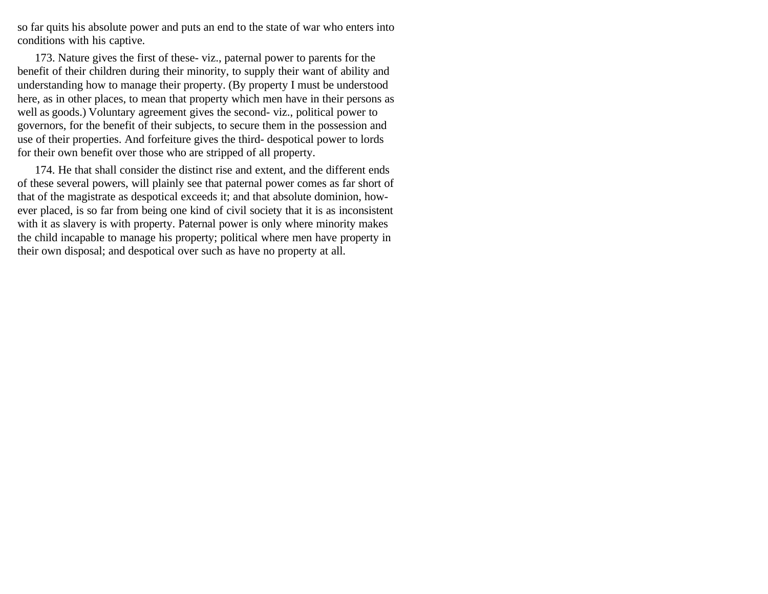so far quits his absolute power and puts an end to the state of war who enters into conditions with his captive.

173. Nature gives the first of these- viz., paternal power to parents for the benefit of their children during their minority, to supply their want of ability and understanding how to manage their property. (By property I must be understood here, as in other places, to mean that property which men have in their persons as well as goods.) Voluntary agreement gives the second- viz., political power to governors, for the benefit of their subjects, to secure them in the possession and use of their properties. And forfeiture gives the third- despotical power to lords for their own benefit over those who are stripped of all property.

174. He that shall consider the distinct rise and extent, and the different ends of these several powers, will plainly see that paternal power comes as far short of that of the magistrate as despotical exceeds it; and that absolute dominion, however placed, is so far from being one kind of civil society that it is as inconsistent with it as slavery is with property. Paternal power is only where minority makes the child incapable to manage his property; political where men have property in their own disposal; and despotical over such as have no property at all.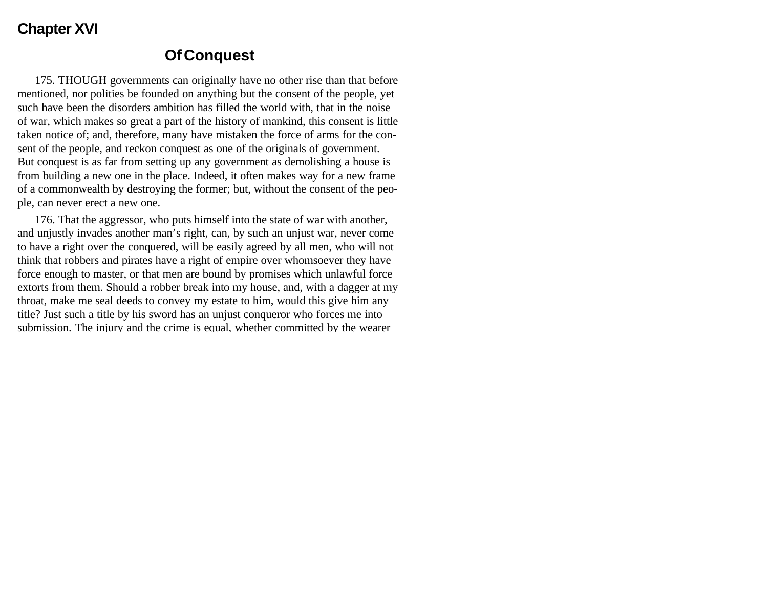### **Chapter XVI**

### **Of Conquest**

175. THOUGH governments can originally have no other rise than that before mentioned, nor polities be founded on anything but the consent of the people, yet such have been the disorders ambition has filled the world with, that in the noise of war, which makes so great a part of the history of mankind, this consent is little taken notice of; and, therefore, many have mistaken the force of arms for the consent of the people, and reckon conquest as one of the originals of government. But conquest is as far from setting up any government as demolishing a house is from building a new one in the place. Indeed, it often makes way for a new frame of a commonwealth by destroying the former; but, without the consent of the people, can never erect a new one.

176. That the aggressor, who puts himself into the state of war with another, and unjustly invades another man's right, can, by such an unjust war, never come to have a right over the conquered, will be easily agreed by all men, who will not think that robbers and pirates have a right of empire over whomsoever they have force enough to master, or that men are bound by promises which unlawful force extorts from them. Should a robber break into my house, and, with a dagger at my throat, make me seal deeds to convey my estate to him, would this give him any title? Just such a title by his sword has an unjust conqueror who forces me into submission. The injury and the crime is equal, whether committed by the wearer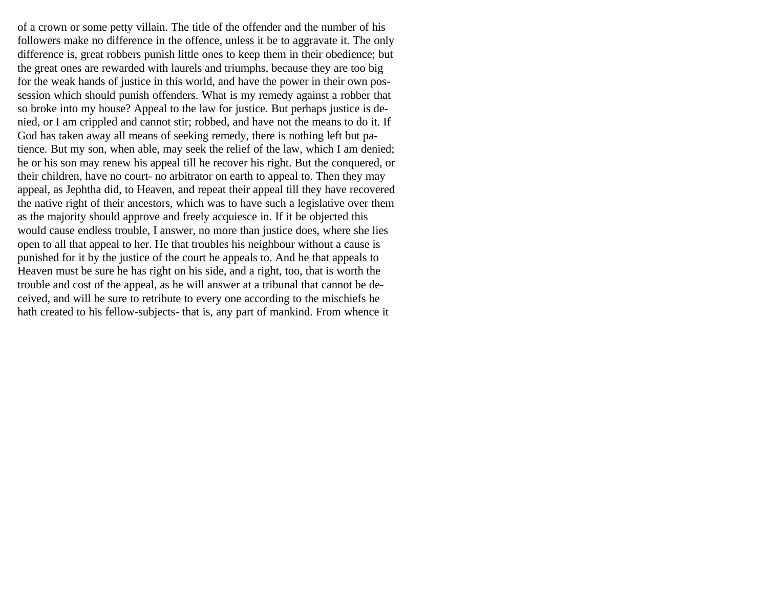of a crown or some petty villain. The title of the offender and the number of his followers make no difference in the offence, unless it be to aggravate it. The only difference is, great robbers punish little ones to keep them in their obedience; but the great ones are rewarded with laurels and triumphs, because they are too big for the weak hands of justice in this world, and have the power in their own possession which should punish offenders. What is my remedy against a robber that so broke into my house? Appeal to the law for justice. But perhaps justice is denied, or I am crippled and cannot stir; robbed, and have not the means to do it. If God has taken away all means of seeking remedy, there is nothing left but patience. But my son, when able, may seek the relief of the law, which I am denied; he or his son may renew his appeal till he recover his right. But the conquered, or their children, have no court- no arbitrator on earth to appeal to. Then they may appeal, as Jephtha did, to Heaven, and repeat their appeal till they have recovered the native right of their ancestors, which was to have such a legislative over them as the majority should approve and freely acquiesce in. If it be objected this would cause endless trouble, I answer, no more than justice does, where she lies open to all that appeal to her. He that troubles his neighbour without a cause is punished for it by the justice of the court he appeals to. And he that appeals to Heaven must be sure he has right on his side, and a right, too, that is worth the trouble and cost of the appeal, as he will answer at a tribunal that cannot be deceived, and will be sure to retribute to every one according to the mischiefs he hath created to his fellow-subjects- that is, any part of mankind. From whence it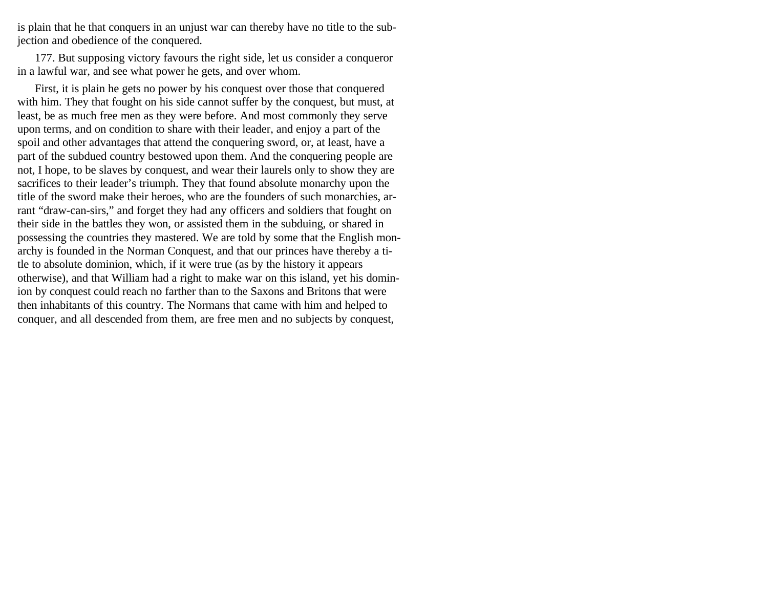is plain that he that conquers in an unjust war can thereby have no title to the subjection and obedience of the conquered.

177. But supposing victory favours the right side, let us consider a conqueror in a lawful war, and see what power he gets, and over whom.

First, it is plain he gets no power by his conquest over those that conquered with him. They that fought on his side cannot suffer by the conquest, but must, at least, be as much free men as they were before. And most commonly they serve upon terms, and on condition to share with their leader, and enjoy a part of the spoil and other advantages that attend the conquering sword, or, at least, have a part of the subdued country bestowed upon them. And the conquering people are not, I hope, to be slaves by conquest, and wear their laurels only to show they are sacrifices to their leader's triumph. They that found absolute monarchy upon the title of the sword make their heroes, who are the founders of such monarchies, arrant "draw-can-sirs," and forget they had any officers and soldiers that fought on their side in the battles they won, or assisted them in the subduing, or shared in possessing the countries they mastered. We are told by some that the English monarchy is founded in the Norman Conquest, and that our princes have thereby a title to absolute dominion, which, if it were true (as by the history it appears otherwise), and that William had a right to make war on this island, yet his dominion by conquest could reach no farther than to the Saxons and Britons that were then inhabitants of this country. The Normans that came with him and helped to conquer, and all descended from them, are free men and no subjects by conquest,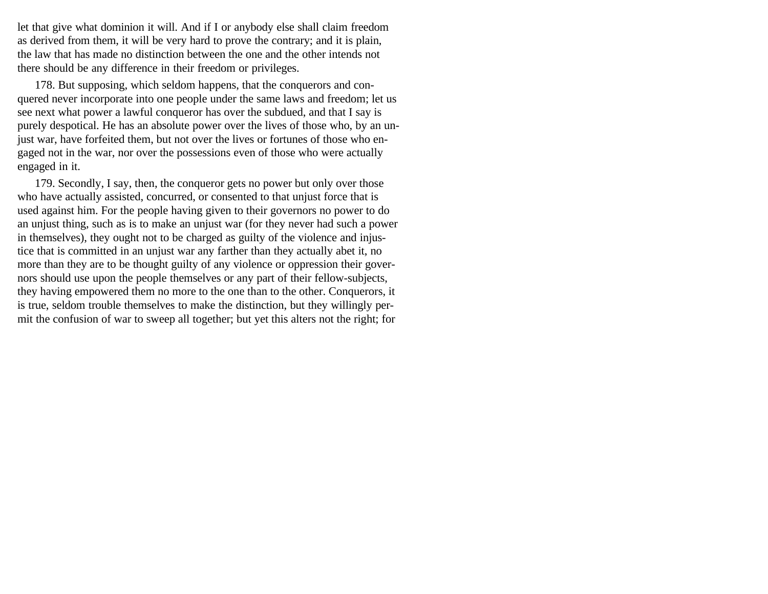let that give what dominion it will. And if I or anybody else shall claim freedom as derived from them, it will be very hard to prove the contrary; and it is plain, the law that has made no distinction between the one and the other intends not there should be any difference in their freedom or privileges.

178. But supposing, which seldom happens, that the conquerors and conquered never incorporate into one people under the same laws and freedom; let us see next what power a lawful conqueror has over the subdued, and that I say is purely despotical. He has an absolute power over the lives of those who, by an unjust war, have forfeited them, but not over the lives or fortunes of those who engaged not in the war, nor over the possessions even of those who were actually engaged in it.

179. Secondly, I say, then, the conqueror gets no power but only over those who have actually assisted, concurred, or consented to that unjust force that is used against him. For the people having given to their governors no power to do an unjust thing, such as is to make an unjust war (for they never had such a power in themselves), they ought not to be charged as guilty of the violence and injustice that is committed in an unjust war any farther than they actually abet it, no more than they are to be thought guilty of any violence or oppression their governors should use upon the people themselves or any part of their fellow-subjects, they having empowered them no more to the one than to the other. Conquerors, it is true, seldom trouble themselves to make the distinction, but they willingly permit the confusion of war to sweep all together; but yet this alters not the right; for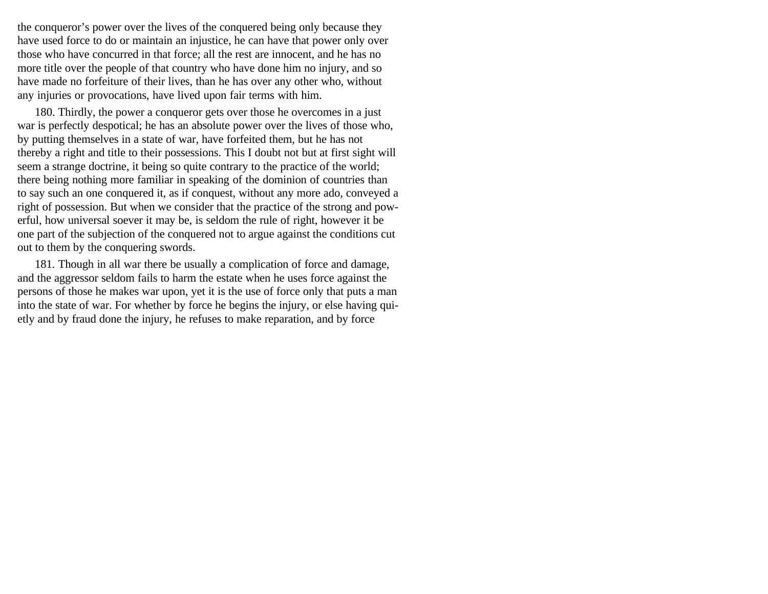the conqueror's power over the lives of the conquered being only because they have used force to do or maintain an injustice, he can have that power only over those who have concurred in that force; all the rest are innocent, and he has no more title over the people of that country who have done him no injury, and so have made no forfeiture of their lives, than he has over any other who, without any injuries or provocations, have lived upon fair terms with him.

180. Thirdly, the power a conqueror gets over those he overcomes in a just war is perfectly despotical; he has an absolute power over the lives of those who, by putting themselves in a state of war, have forfeited them, but he has not thereby a right and title to their possessions. This I doubt not but at first sight will seem a strange doctrine, it being so quite contrary to the practice of the world; there being nothing more familiar in speaking of the dominion of countries than to say such an one conquered it, as if conquest, without any more ado, conveyed a right of possession. But when we consider that the practice of the strong and powerful, how universal soever it may be, is seldom the rule of right, however it be one part of the subjection of the conquered not to argue against the conditions cut out to them by the conquering swords.

181. Though in all war there be usually a complication of force and damage, and the aggressor seldom fails to harm the estate when he uses force against the persons of those he makes war upon, yet it is the use of force only that puts a man into the state of war. For whether by force he begins the injury, or else having quietly and by fraud done the injury, he refuses to make reparation, and by force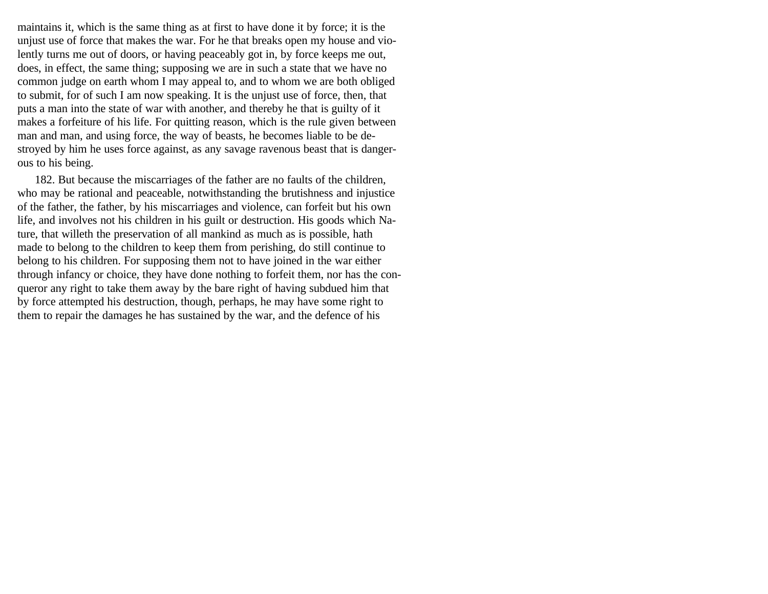maintains it, which is the same thing as at first to have done it by force; it is the unjust use of force that makes the war. For he that breaks open my house and violently turns me out of doors, or having peaceably got in, by force keeps me out, does, in effect, the same thing; supposing we are in such a state that we have no common judge on earth whom I may appeal to, and to whom we are both obliged to submit, for of such I am now speaking. It is the unjust use of force, then, that puts a man into the state of war with another, and thereby he that is guilty of it makes a forfeiture of his life. For quitting reason, which is the rule given between man and man, and using force, the way of beasts, he becomes liable to be destroyed by him he uses force against, as any savage ravenous beast that is dangerous to his being.

182. But because the miscarriages of the father are no faults of the children, who may be rational and peaceable, notwithstanding the brutishness and injustice of the father, the father, by his miscarriages and violence, can forfeit but his own life, and involves not his children in his guilt or destruction. His goods which Nature, that willeth the preservation of all mankind as much as is possible, hath made to belong to the children to keep them from perishing, do still continue to belong to his children. For supposing them not to have joined in the war either through infancy or choice, they have done nothing to forfeit them, nor has the conqueror any right to take them away by the bare right of having subdued him that by force attempted his destruction, though, perhaps, he may have some right to them to repair the damages he has sustained by the war, and the defence of his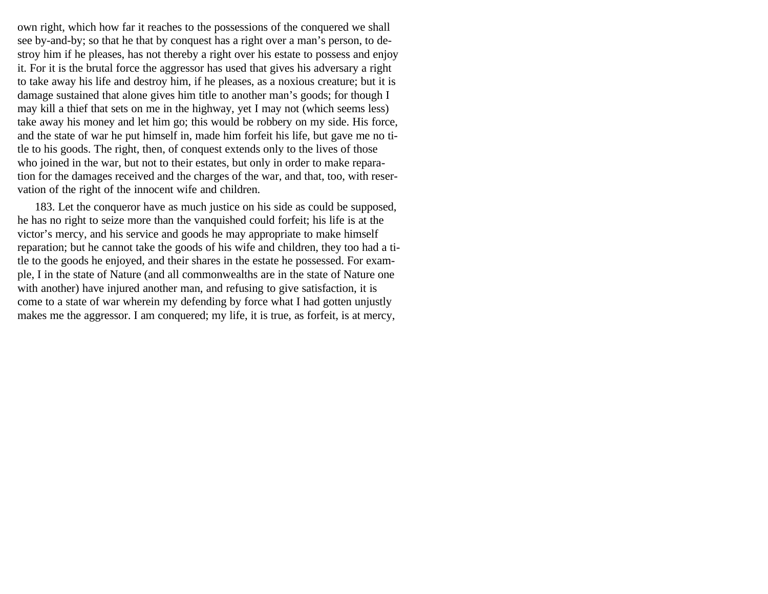own right, which how far it reaches to the possessions of the conquered we shall see by-and-by; so that he that by conquest has a right over a man's person, to destroy him if he pleases, has not thereby a right over his estate to possess and enjoy it. For it is the brutal force the aggressor has used that gives his adversary a right to take away his life and destroy him, if he pleases, as a noxious creature; but it is damage sustained that alone gives him title to another man's goods; for though I may kill a thief that sets on me in the highway, yet I may not (which seems less) take away his money and let him go; this would be robbery on my side. His force, and the state of war he put himself in, made him forfeit his life, but gave me no title to his goods. The right, then, of conquest extends only to the lives of those who joined in the war, but not to their estates, but only in order to make reparation for the damages received and the charges of the war, and that, too, with reservation of the right of the innocent wife and children.

183. Let the conqueror have as much justice on his side as could be supposed, he has no right to seize more than the vanquished could forfeit; his life is at the victor's mercy, and his service and goods he may appropriate to make himself reparation; but he cannot take the goods of his wife and children, they too had a title to the goods he enjoyed, and their shares in the estate he possessed. For example, I in the state of Nature (and all commonwealths are in the state of Nature one with another) have injured another man, and refusing to give satisfaction, it is come to a state of war wherein my defending by force what I had gotten unjustly makes me the aggressor. I am conquered; my life, it is true, as forfeit, is at mercy,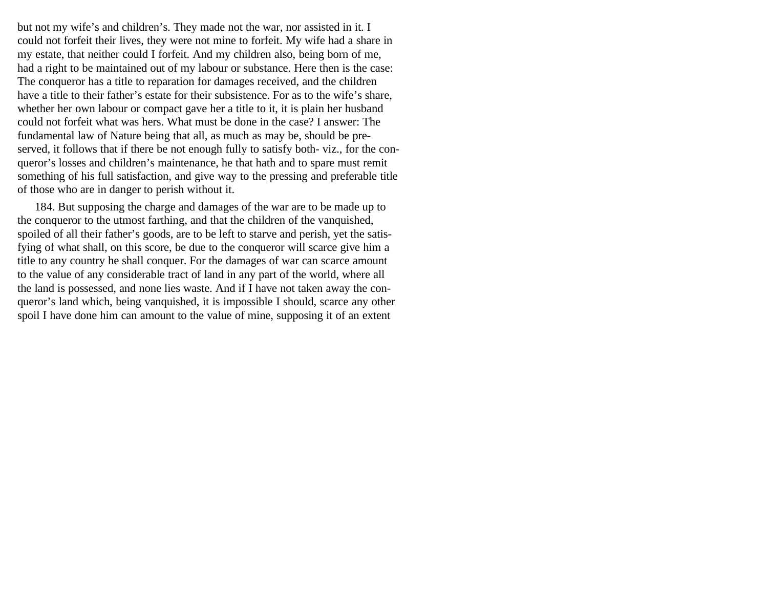but not my wife's and children's. They made not the war, nor assisted in it. I could not forfeit their lives, they were not mine to forfeit. My wife had a share in my estate, that neither could I forfeit. And my children also, being born of me, had a right to be maintained out of my labour or substance. Here then is the case: The conqueror has a title to reparation for damages received, and the children have a title to their father's estate for their subsistence. For as to the wife's share, whether her own labour or compact gave her a title to it, it is plain her husband could not forfeit what was hers. What must be done in the case? I answer: The fundamental law of Nature being that all, as much as may be, should be preserved, it follows that if there be not enough fully to satisfy both- viz., for the conqueror's losses and children's maintenance, he that hath and to spare must remit something of his full satisfaction, and give way to the pressing and preferable title of those who are in danger to perish without it.

184. But supposing the charge and damages of the war are to be made up to the conqueror to the utmost farthing, and that the children of the vanquished, spoiled of all their father's goods, are to be left to starve and perish, yet the satisfying of what shall, on this score, be due to the conqueror will scarce give him a title to any country he shall conquer. For the damages of war can scarce amount to the value of any considerable tract of land in any part of the world, where all the land is possessed, and none lies waste. And if I have not taken away the conqueror's land which, being vanquished, it is impossible I should, scarce any other spoil I have done him can amount to the value of mine, supposing it of an extent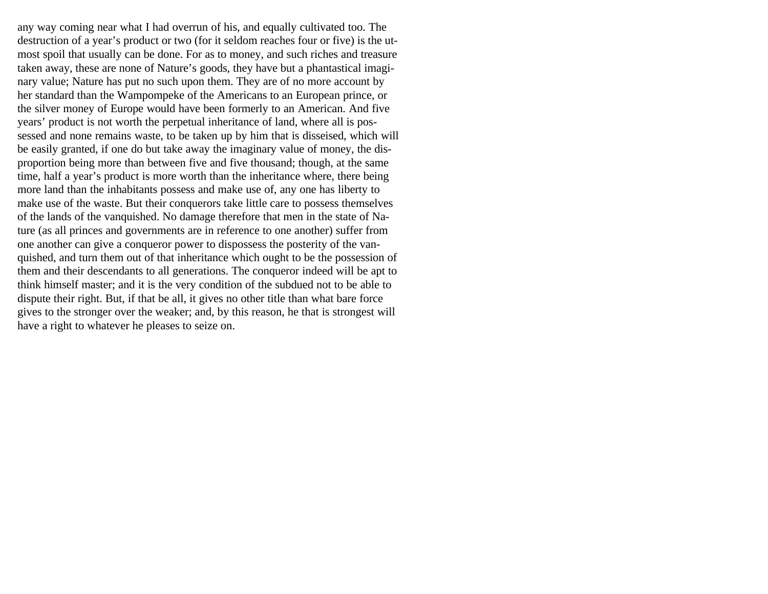any way coming near what I had overrun of his, and equally cultivated too. The destruction of a year's product or two (for it seldom reaches four or five) is the utmost spoil that usually can be done. For as to money, and such riches and treasure taken away, these are none of Nature's goods, they have but a phantastical imaginary value; Nature has put no such upon them. They are of no more account by her standard than the Wampompeke of the Americans to an European prince, or the silver money of Europe would have been formerly to an American. And five years' product is not worth the perpetual inheritance of land, where all is possessed and none remains waste, to be taken up by him that is disseised, which will be easily granted, if one do but take away the imaginary value of money, the disproportion being more than between five and five thousand; though, at the same time, half a year's product is more worth than the inheritance where, there being more land than the inhabitants possess and make use of, any one has liberty to make use of the waste. But their conquerors take little care to possess themselves of the lands of the vanquished. No damage therefore that men in the state of Nature (as all princes and governments are in reference to one another) suffer from one another can give a conqueror power to dispossess the posterity of the vanquished, and turn them out of that inheritance which ought to be the possession of them and their descendants to all generations. The conqueror indeed will be apt to think himself master; and it is the very condition of the subdued not to be able to dispute their right. But, if that be all, it gives no other title than what bare force gives to the stronger over the weaker; and, by this reason, he that is strongest will have a right to whatever he pleases to seize on.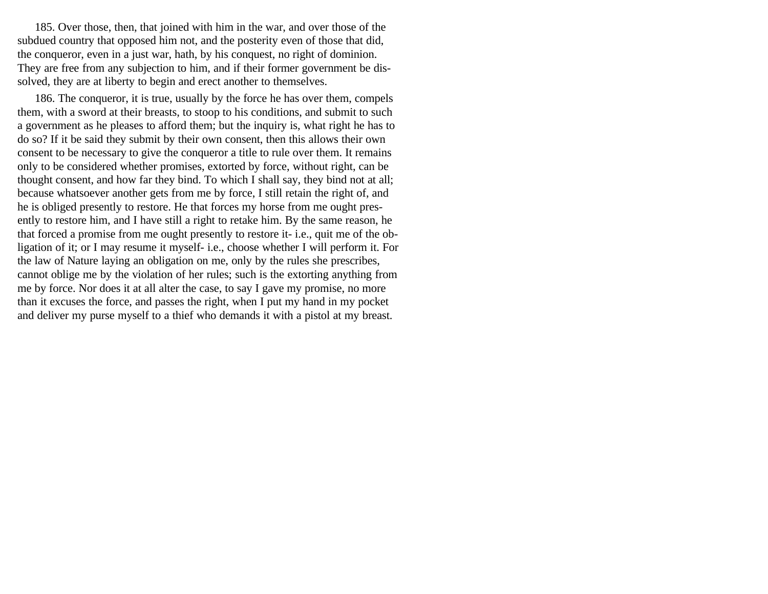185. Over those, then, that joined with him in the war, and over those of the subdued country that opposed him not, and the posterity even of those that did, the conqueror, even in a just war, hath, by his conquest, no right of dominion. They are free from any subjection to him, and if their former government be dissolved, they are at liberty to begin and erect another to themselves.

186. The conqueror, it is true, usually by the force he has over them, compels them, with a sword at their breasts, to stoop to his conditions, and submit to such a government as he pleases to afford them; but the inquiry is, what right he has to do so? If it be said they submit by their own consent, then this allows their own consent to be necessary to give the conqueror a title to rule over them. It remains only to be considered whether promises, extorted by force, without right, can be thought consent, and how far they bind. To which I shall say, they bind not at all; because whatsoever another gets from me by force, I still retain the right of, and he is obliged presently to restore. He that forces my horse from me ought presently to restore him, and I have still a right to retake him. By the same reason, he that forced a promise from me ought presently to restore it- i.e., quit me of the obligation of it; or I may resume it myself- i.e., choose whether I will perform it. For the law of Nature laying an obligation on me, only by the rules she prescribes, cannot oblige me by the violation of her rules; such is the extorting anything from me by force. Nor does it at all alter the case, to say I gave my promise, no more than it excuses the force, and passes the right, when I put my hand in my pocket and deliver my purse myself to a thief who demands it with a pistol at my breast.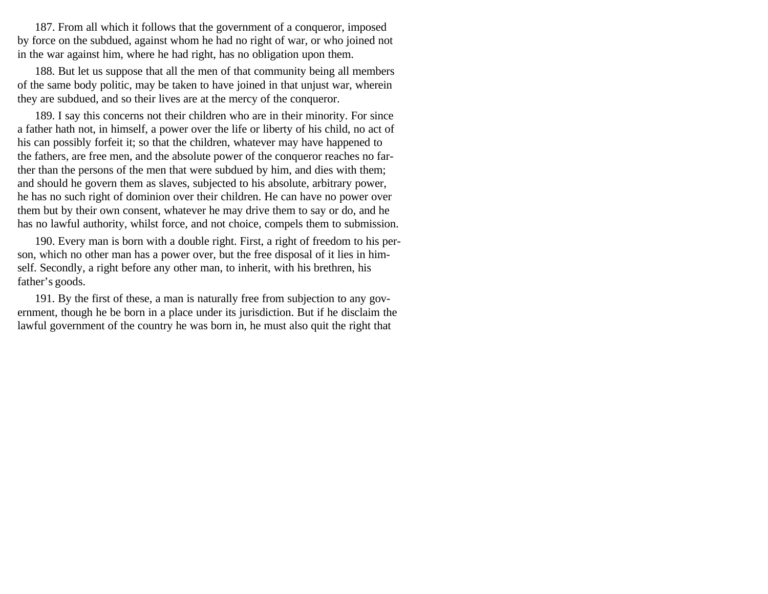187. From all which it follows that the government of a conqueror, imposed by force on the subdued, against whom he had no right of war, or who joined not in the war against him, where he had right, has no obligation upon them.

188. But let us suppose that all the men of that community being all members of the same body politic, may be taken to have joined in that unjust war, wherein they are subdued, and so their lives are at the mercy of the conqueror.

189. I say this concerns not their children who are in their minority. For since a father hath not, in himself, a power over the life or liberty of his child, no act of his can possibly forfeit it; so that the children, whatever may have happened to the fathers, are free men, and the absolute power of the conqueror reaches no farther than the persons of the men that were subdued by him, and dies with them; and should he govern them as slaves, subjected to his absolute, arbitrary power, he has no such right of dominion over their children. He can have no power over them but by their own consent, whatever he may drive them to say or do, and he has no lawful authority, whilst force, and not choice, compels them to submission.

190. Every man is born with a double right. First, a right of freedom to his person, which no other man has a power over, but the free disposal of it lies in himself. Secondly, a right before any other man, to inherit, with his brethren, his father's goods.

191. By the first of these, a man is naturally free from subjection to any government, though he be born in a place under its jurisdiction. But if he disclaim the lawful government of the country he was born in, he must also quit the right that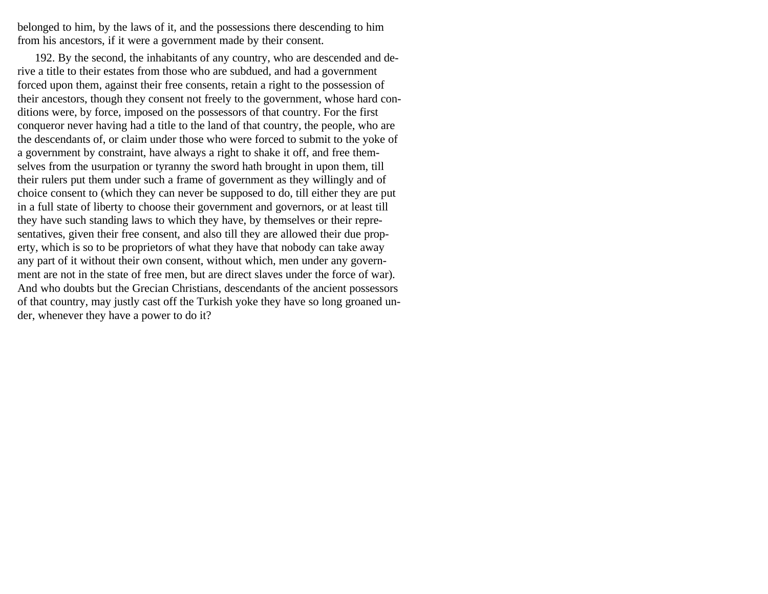belonged to him, by the laws of it, and the possessions there descending to him from his ancestors, if it were a government made by their consent.

192. By the second, the inhabitants of any country, who are descended and derive a title to their estates from those who are subdued, and had a government forced upon them, against their free consents, retain a right to the possession of their ancestors, though they consent not freely to the government, whose hard conditions were, by force, imposed on the possessors of that country. For the first conqueror never having had a title to the land of that country, the people, who are the descendants of, or claim under those who were forced to submit to the yoke of a government by constraint, have always a right to shake it off, and free themselves from the usurpation or tyranny the sword hath brought in upon them, till their rulers put them under such a frame of government as they willingly and of choice consent to (which they can never be supposed to do, till either they are put in a full state of liberty to choose their government and governors, or at least till they have such standing laws to which they have, by themselves or their representatives, given their free consent, and also till they are allowed their due property, which is so to be proprietors of what they have that nobody can take away any part of it without their own consent, without which, men under any government are not in the state of free men, but are direct slaves under the force of war). And who doubts but the Grecian Christians, descendants of the ancient possessors of that country, may justly cast off the Turkish yoke they have so long groaned under, whenever they have a power to do it?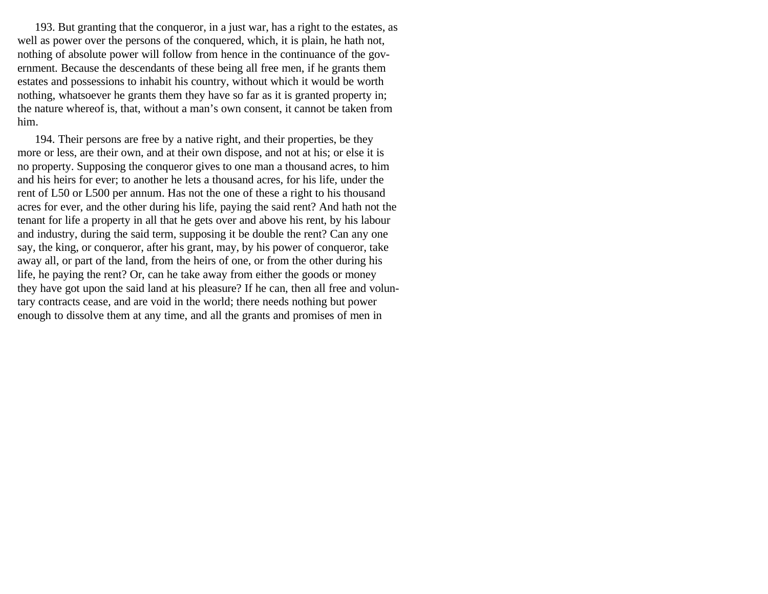193. But granting that the conqueror, in a just war, has a right to the estates, as well as power over the persons of the conquered, which, it is plain, he hath not, nothing of absolute power will follow from hence in the continuance of the government. Because the descendants of these being all free men, if he grants them estates and possessions to inhabit his country, without which it would be worth nothing, whatsoever he grants them they have so far as it is granted property in; the nature whereof is, that, without a man's own consent, it cannot be taken from him.

194. Their persons are free by a native right, and their properties, be they more or less, are their own, and at their own dispose, and not at his; or else it is no property. Supposing the conqueror gives to one man a thousand acres, to him and his heirs for ever; to another he lets a thousand acres, for his life, under the rent of L50 or L500 per annum. Has not the one of these a right to his thousand acres for ever, and the other during his life, paying the said rent? And hath not the tenant for life a property in all that he gets over and above his rent, by his labour and industry, during the said term, supposing it be double the rent? Can any one say, the king, or conqueror, after his grant, may, by his power of conqueror, take away all, or part of the land, from the heirs of one, or from the other during his life, he paying the rent? Or, can he take away from either the goods or money they have got upon the said land at his pleasure? If he can, then all free and voluntary contracts cease, and are void in the world; there needs nothing but power enough to dissolve them at any time, and all the grants and promises of men in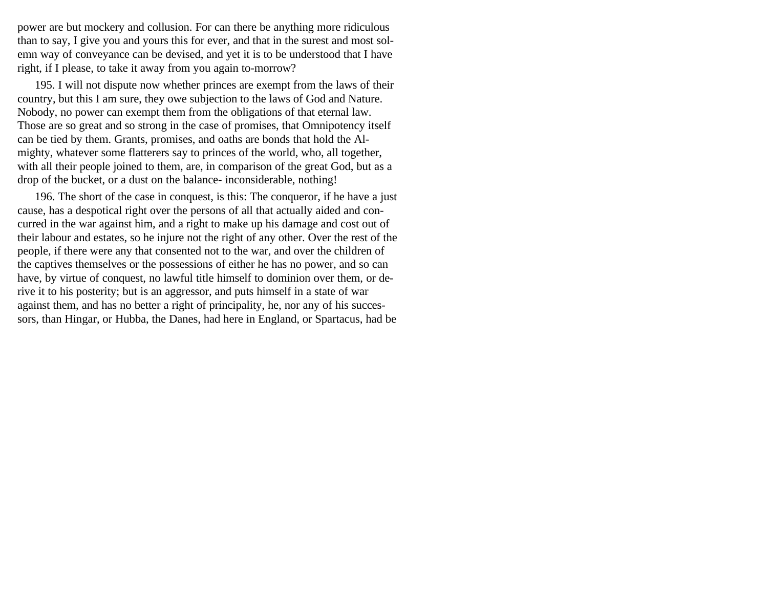power are but mockery and collusion. For can there be anything more ridiculous than to say, I give you and yours this for ever, and that in the surest and most solemn way of conveyance can be devised, and yet it is to be understood that I have right, if I please, to take it away from you again to-morrow?

195. I will not dispute now whether princes are exempt from the laws of their country, but this I am sure, they owe subjection to the laws of God and Nature. Nobody, no power can exempt them from the obligations of that eternal law. Those are so great and so strong in the case of promises, that Omnipotency itself can be tied by them. Grants, promises, and oaths are bonds that hold the Almighty, whatever some flatterers say to princes of the world, who, all together, with all their people joined to them, are, in comparison of the great God, but as a drop of the bucket, or a dust on the balance- inconsiderable, nothing!

196. The short of the case in conquest, is this: The conqueror, if he have a just cause, has a despotical right over the persons of all that actually aided and concurred in the war against him, and a right to make up his damage and cost out of their labour and estates, so he injure not the right of any other. Over the rest of the people, if there were any that consented not to the war, and over the children of the captives themselves or the possessions of either he has no power, and so can have, by virtue of conquest, no lawful title himself to dominion over them, or derive it to his posterity; but is an aggressor, and puts himself in a state of war against them, and has no better a right of principality, he, nor any of his successors, than Hingar, or Hubba, the Danes, had here in England, or Spartacus, had be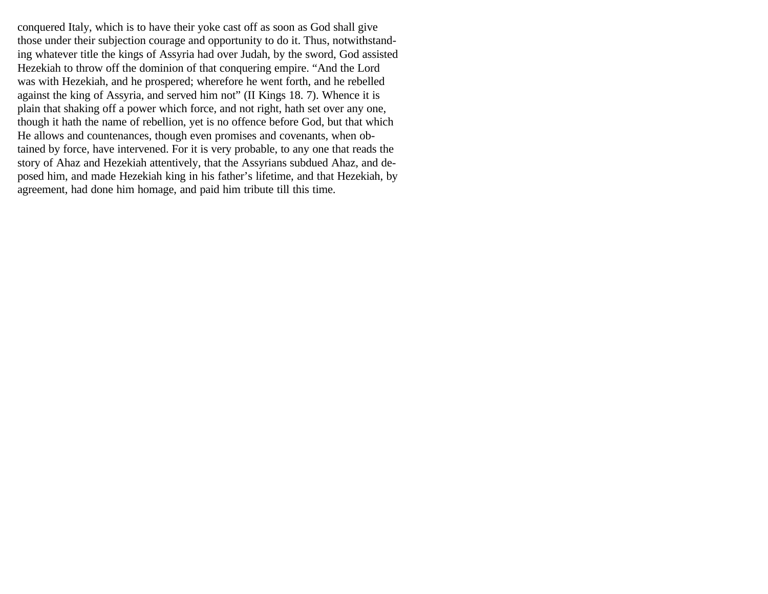conquered Italy, which is to have their yoke cast off as soon as God shall give those under their subjection courage and opportunity to do it. Thus, notwithstanding whatever title the kings of Assyria had over Judah, by the sword, God assisted Hezekiah to throw off the dominion of that conquering empire. "And the Lord was with Hezekiah, and he prospered; wherefore he went forth, and he rebelled against the king of Assyria, and served him not" (II Kings 18. 7). Whence it is plain that shaking off a power which force, and not right, hath set over any one, though it hath the name of rebellion, yet is no offence before God, but that which He allows and countenances, though even promises and covenants, when obtained by force, have intervened. For it is very probable, to any one that reads the story of Ahaz and Hezekiah attentively, that the Assyrians subdued Ahaz, and deposed him, and made Hezekiah king in his father's lifetime, and that Hezekiah, by agreement, had done him homage, and paid him tribute till this time.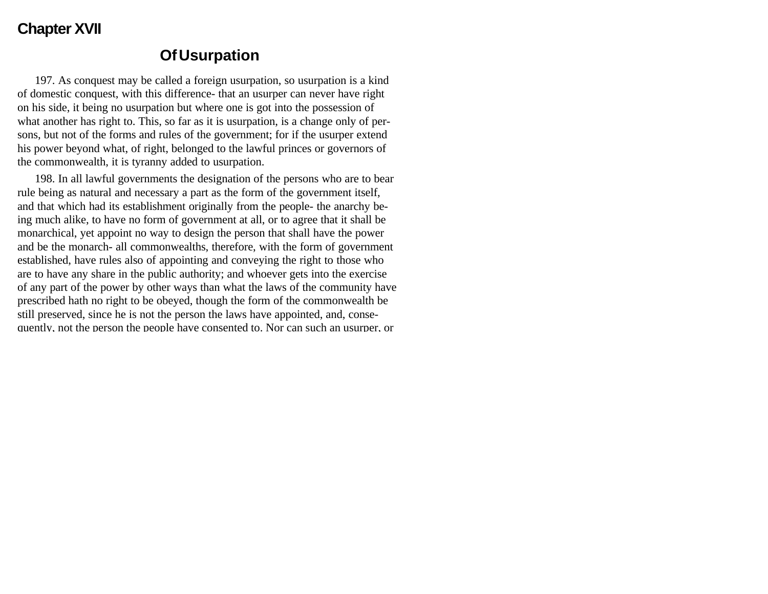## **Chapter XVII**

## **Of Usurpation**

197. As conquest may be called a foreign usurpation, so usurpation is a kind of domestic conquest, with this difference- that an usurper can never have right on his side, it being no usurpation but where one is got into the possession of what another has right to. This, so far as it is usurpation, is a change only of persons, but not of the forms and rules of the government; for if the usurper extend his power beyond what, of right, belonged to the lawful princes or governors of the commonwealth, it is tyranny added to usurpation.

198. In all lawful governments the designation of the persons who are to bear rule being as natural and necessary a part as the form of the government itself, and that which had its establishment originally from the people- the anarchy being much alike, to have no form of government at all, or to agree that it shall be monarchical, yet appoint no way to design the person that shall have the power and be the monarch- all commonwealths, therefore, with the form of government established, have rules also of appointing and conveying the right to those who are to have any share in the public authority; and whoever gets into the exercise of any part of the power by other ways than what the laws of the community have prescribed hath no right to be obeyed, though the form of the commonwealth be still preserved, since he is not the person the laws have appointed, and, consequently, not the person the people have consented to. Nor can such an usurper, or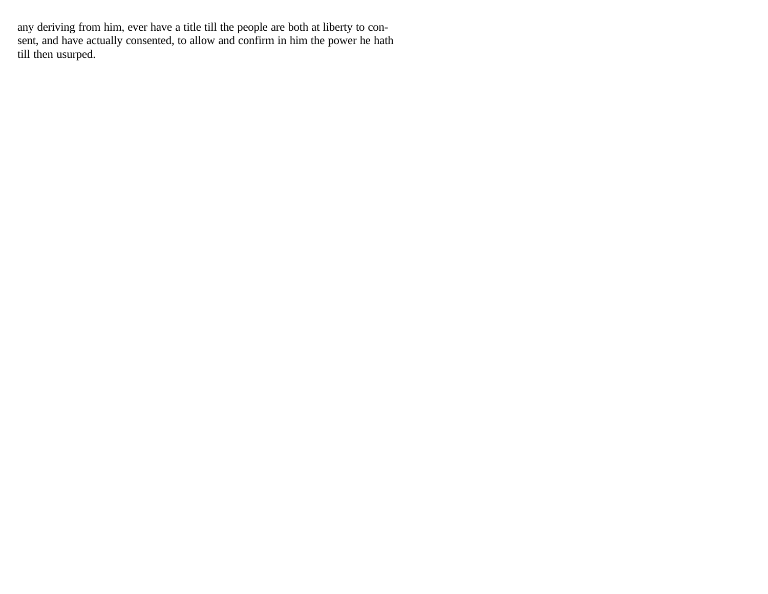any deriving from him, ever have a title till the people are both at liberty to consent, and have actually consented, to allow and confirm in him the power he hath till then usurped.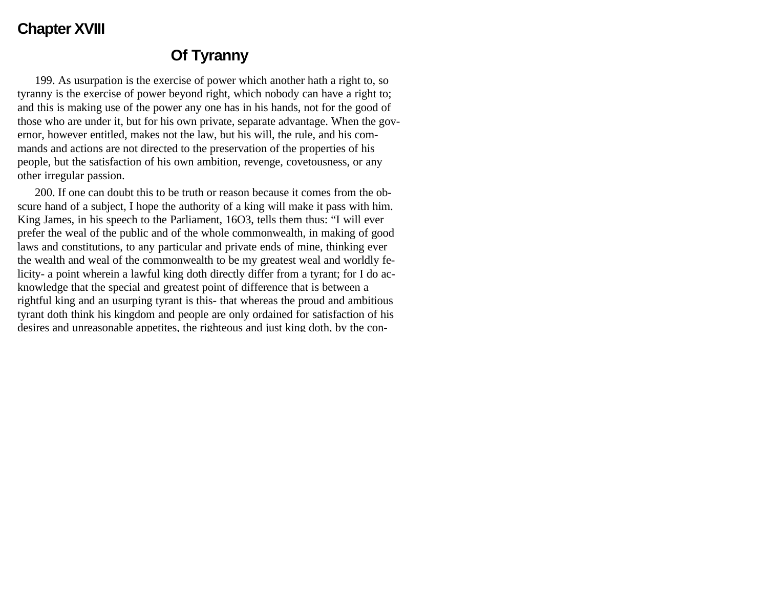## **Chapter XVIII**

## **Of Tyranny**

199. As usurpation is the exercise of power which another hath a right to, so tyranny is the exercise of power beyond right, which nobody can have a right to; and this is making use of the power any one has in his hands, not for the good of those who are under it, but for his own private, separate advantage. When the governor, however entitled, makes not the law, but his will, the rule, and his commands and actions are not directed to the preservation of the properties of his people, but the satisfaction of his own ambition, revenge, covetousness, or any other irregular passion.

200. If one can doubt this to be truth or reason because it comes from the obscure hand of a subject, I hope the authority of a king will make it pass with him. King James, in his speech to the Parliament, 16O3, tells them thus: "I will ever prefer the weal of the public and of the whole commonwealth, in making of good laws and constitutions, to any particular and private ends of mine, thinking ever the wealth and weal of the commonwealth to be my greatest weal and worldly felicity- a point wherein a lawful king doth directly differ from a tyrant; for I do acknowledge that the special and greatest point of difference that is between a rightful king and an usurping tyrant is this- that whereas the proud and ambitious tyrant doth think his kingdom and people are only ordained for satisfaction of his desires and unreasonable appetites, the righteous and just king doth, by the con-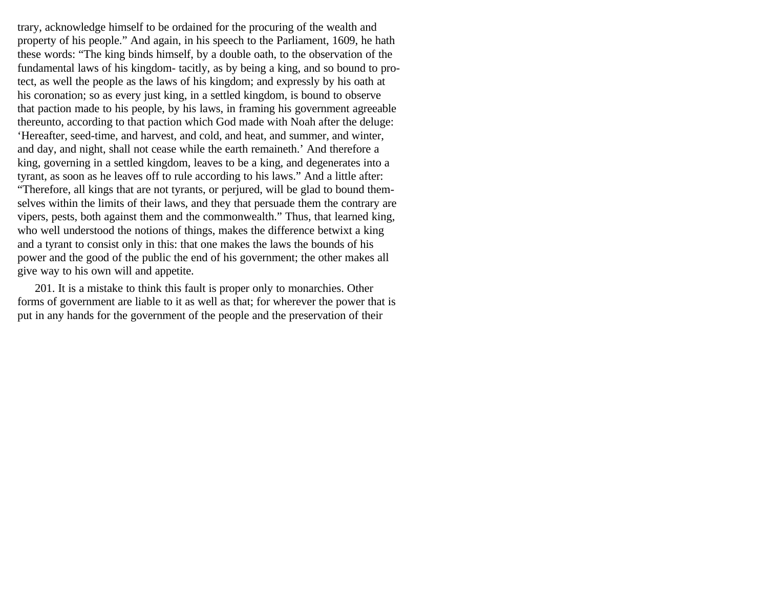trary, acknowledge himself to be ordained for the procuring of the wealth and property of his people." And again, in his speech to the Parliament, 1609, he hath these words: "The king binds himself, by a double oath, to the observation of the fundamental laws of his kingdom- tacitly, as by being a king, and so bound to protect, as well the people as the laws of his kingdom; and expressly by his oath at his coronation; so as every just king, in a settled kingdom, is bound to observe that paction made to his people, by his laws, in framing his government agreeable thereunto, according to that paction which God made with Noah after the deluge: 'Hereafter, seed-time, and harvest, and cold, and heat, and summer, and winter, and day, and night, shall not cease while the earth remaineth.' And therefore a king, governing in a settled kingdom, leaves to be a king, and degenerates into a tyrant, as soon as he leaves off to rule according to his laws." And a little after: "Therefore, all kings that are not tyrants, or perjured, will be glad to bound themselves within the limits of their laws, and they that persuade them the contrary are vipers, pests, both against them and the commonwealth." Thus, that learned king, who well understood the notions of things, makes the difference betwixt a king and a tyrant to consist only in this: that one makes the laws the bounds of his power and the good of the public the end of his government; the other makes all give way to his own will and appetite.

201. It is a mistake to think this fault is proper only to monarchies. Other forms of government are liable to it as well as that; for wherever the power that is put in any hands for the government of the people and the preservation of their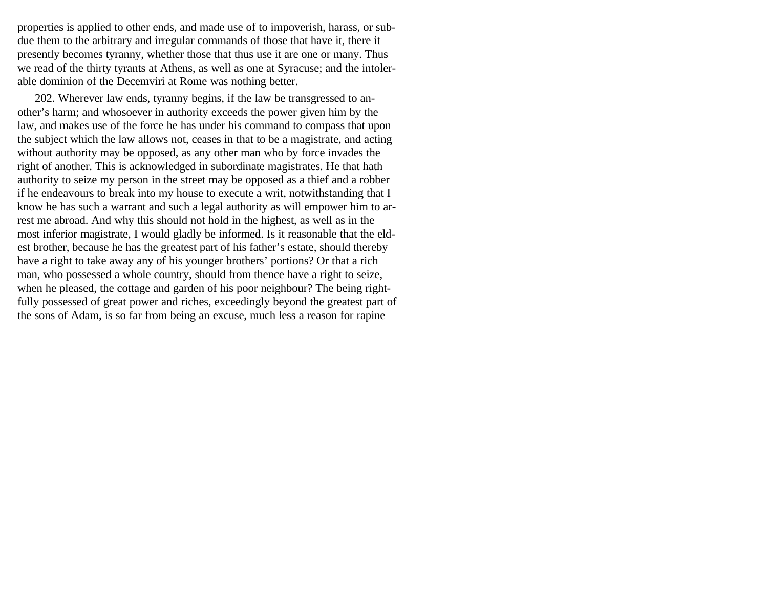properties is applied to other ends, and made use of to impoverish, harass, or subdue them to the arbitrary and irregular commands of those that have it, there it presently becomes tyranny, whether those that thus use it are one or many. Thus we read of the thirty tyrants at Athens, as well as one at Syracuse; and the intolerable dominion of the Decemviri at Rome was nothing better.

202. Wherever law ends, tyranny begins, if the law be transgressed to another's harm; and whosoever in authority exceeds the power given him by the law, and makes use of the force he has under his command to compass that upon the subject which the law allows not, ceases in that to be a magistrate, and acting without authority may be opposed, as any other man who by force invades the right of another. This is acknowledged in subordinate magistrates. He that hath authority to seize my person in the street may be opposed as a thief and a robber if he endeavours to break into my house to execute a writ, notwithstanding that I know he has such a warrant and such a legal authority as will empower him to arrest me abroad. And why this should not hold in the highest, as well as in the most inferior magistrate, I would gladly be informed. Is it reasonable that the eldest brother, because he has the greatest part of his father's estate, should thereby have a right to take away any of his younger brothers' portions? Or that a rich man, who possessed a whole country, should from thence have a right to seize, when he pleased, the cottage and garden of his poor neighbour? The being rightfully possessed of great power and riches, exceedingly beyond the greatest part of the sons of Adam, is so far from being an excuse, much less a reason for rapine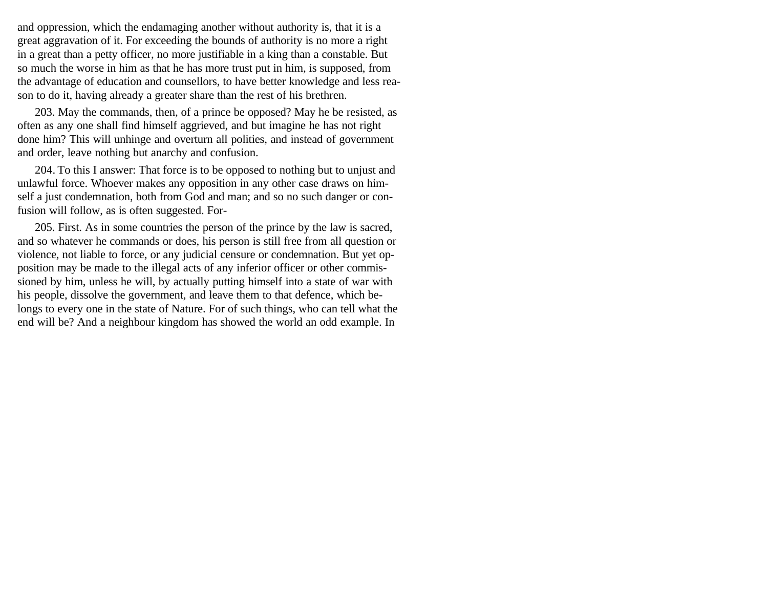and oppression, which the endamaging another without authority is, that it is a great aggravation of it. For exceeding the bounds of authority is no more a right in a great than a petty officer, no more justifiable in a king than a constable. But so much the worse in him as that he has more trust put in him, is supposed, from the advantage of education and counsellors, to have better knowledge and less reason to do it, having already a greater share than the rest of his brethren.

203. May the commands, then, of a prince be opposed? May he be resisted, as often as any one shall find himself aggrieved, and but imagine he has not right done him? This will unhinge and overturn all polities, and instead of government and order, leave nothing but anarchy and confusion.

204. To this I answer: That force is to be opposed to nothing but to unjust and unlawful force. Whoever makes any opposition in any other case draws on himself a just condemnation, both from God and man; and so no such danger or confusion will follow, as is often suggested. For-

205. First. As in some countries the person of the prince by the law is sacred, and so whatever he commands or does, his person is still free from all question or violence, not liable to force, or any judicial censure or condemnation. But yet opposition may be made to the illegal acts of any inferior officer or other commissioned by him, unless he will, by actually putting himself into a state of war with his people, dissolve the government, and leave them to that defence, which belongs to every one in the state of Nature. For of such things, who can tell what the end will be? And a neighbour kingdom has showed the world an odd example. In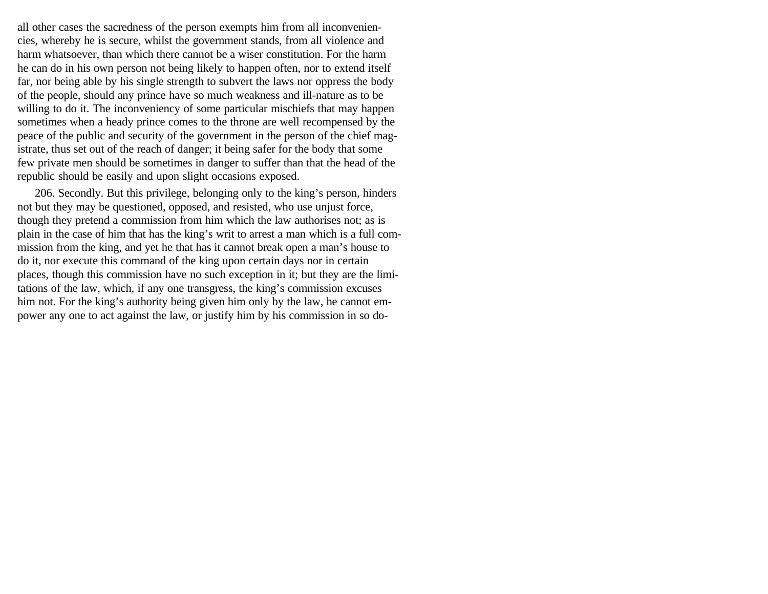all other cases the sacredness of the person exempts him from all inconveniencies, whereby he is secure, whilst the government stands, from all violence and harm whatsoever, than which there cannot be a wiser constitution. For the harm he can do in his own person not being likely to happen often, nor to extend itself far, nor being able by his single strength to subvert the laws nor oppress the body of the people, should any prince have so much weakness and ill-nature as to be willing to do it. The inconveniency of some particular mischiefs that may happen sometimes when a heady prince comes to the throne are well recompensed by the peace of the public and security of the government in the person of the chief magistrate, thus set out of the reach of danger; it being safer for the body that some few private men should be sometimes in danger to suffer than that the head of the republic should be easily and upon slight occasions exposed.

206. Secondly. But this privilege, belonging only to the king's person, hinders not but they may be questioned, opposed, and resisted, who use unjust force, though they pretend a commission from him which the law authorises not; as is plain in the case of him that has the king's writ to arrest a man which is a full commission from the king, and yet he that has it cannot break open a man's house to do it, nor execute this command of the king upon certain days nor in certain places, though this commission have no such exception in it; but they are the limitations of the law, which, if any one transgress, the king's commission excuses him not. For the king's authority being given him only by the law, he cannot empower any one to act against the law, or justify him by his commission in so do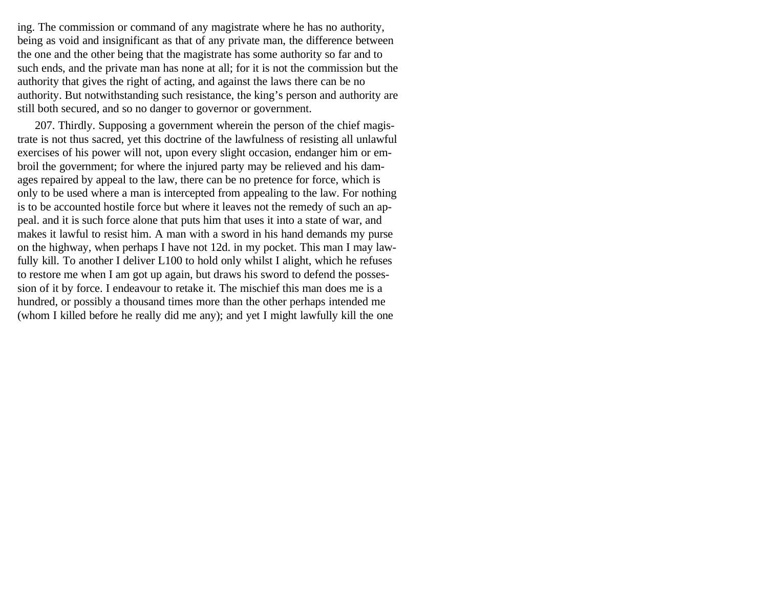ing. The commission or command of any magistrate where he has no authority, being as void and insignificant as that of any private man, the difference between the one and the other being that the magistrate has some authority so far and to such ends, and the private man has none at all; for it is not the commission but the authority that gives the right of acting, and against the laws there can be no authority. But notwithstanding such resistance, the king's person and authority are still both secured, and so no danger to governor or government.

207. Thirdly. Supposing a government wherein the person of the chief magistrate is not thus sacred, yet this doctrine of the lawfulness of resisting all unlawful exercises of his power will not, upon every slight occasion, endanger him or embroil the government; for where the injured party may be relieved and his damages repaired by appeal to the law, there can be no pretence for force, which is only to be used where a man is intercepted from appealing to the law. For nothing is to be accounted hostile force but where it leaves not the remedy of such an appeal. and it is such force alone that puts him that uses it into a state of war, and makes it lawful to resist him. A man with a sword in his hand demands my purse on the highway, when perhaps I have not 12d. in my pocket. This man I may lawfully kill. To another I deliver L100 to hold only whilst I alight, which he refuses to restore me when I am got up again, but draws his sword to defend the possession of it by force. I endeavour to retake it. The mischief this man does me is a hundred, or possibly a thousand times more than the other perhaps intended me (whom I killed before he really did me any); and yet I might lawfully kill the one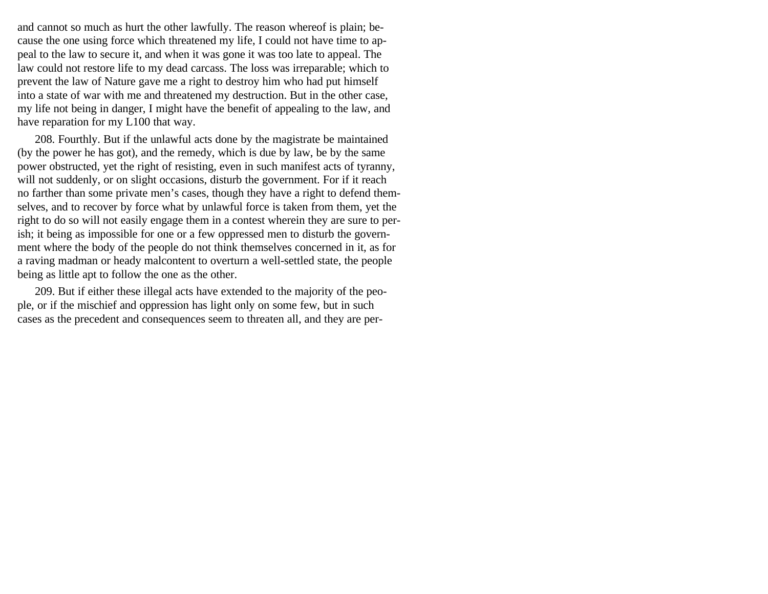and cannot so much as hurt the other lawfully. The reason whereof is plain; because the one using force which threatened my life, I could not have time to appeal to the law to secure it, and when it was gone it was too late to appeal. The law could not restore life to my dead carcass. The loss was irreparable; which to prevent the law of Nature gave me a right to destroy him who had put himself into a state of war with me and threatened my destruction. But in the other case, my life not being in danger, I might have the benefit of appealing to the law, and have reparation for my L100 that way.

208. Fourthly. But if the unlawful acts done by the magistrate be maintained (by the power he has got), and the remedy, which is due by law, be by the same power obstructed, yet the right of resisting, even in such manifest acts of tyranny, will not suddenly, or on slight occasions, disturb the government. For if it reach no farther than some private men's cases, though they have a right to defend themselves, and to recover by force what by unlawful force is taken from them, yet the right to do so will not easily engage them in a contest wherein they are sure to perish; it being as impossible for one or a few oppressed men to disturb the government where the body of the people do not think themselves concerned in it, as for a raving madman or heady malcontent to overturn a well-settled state, the people being as little apt to follow the one as the other.

209. But if either these illegal acts have extended to the majority of the people, or if the mischief and oppression has light only on some few, but in such cases as the precedent and consequences seem to threaten all, and they are per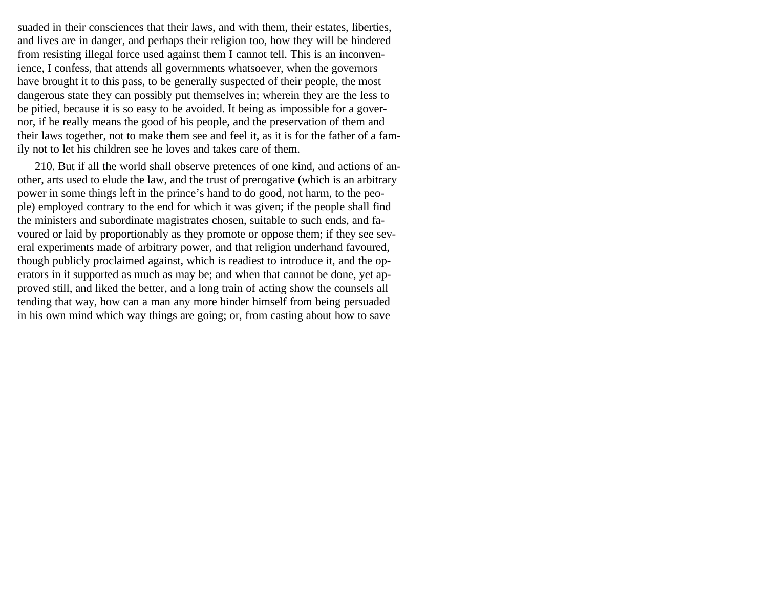suaded in their consciences that their laws, and with them, their estates, liberties, and lives are in danger, and perhaps their religion too, how they will be hindered from resisting illegal force used against them I cannot tell. This is an inconvenience, I confess, that attends all governments whatsoever, when the governors have brought it to this pass, to be generally suspected of their people, the most dangerous state they can possibly put themselves in; wherein they are the less to be pitied, because it is so easy to be avoided. It being as impossible for a governor, if he really means the good of his people, and the preservation of them and their laws together, not to make them see and feel it, as it is for the father of a family not to let his children see he loves and takes care of them.

210. But if all the world shall observe pretences of one kind, and actions of another, arts used to elude the law, and the trust of prerogative (which is an arbitrary power in some things left in the prince's hand to do good, not harm, to the people) employed contrary to the end for which it was given; if the people shall find the ministers and subordinate magistrates chosen, suitable to such ends, and favoured or laid by proportionably as they promote or oppose them; if they see several experiments made of arbitrary power, and that religion underhand favoured, though publicly proclaimed against, which is readiest to introduce it, and the operators in it supported as much as may be; and when that cannot be done, yet approved still, and liked the better, and a long train of acting show the counsels all tending that way, how can a man any more hinder himself from being persuaded in his own mind which way things are going; or, from casting about how to save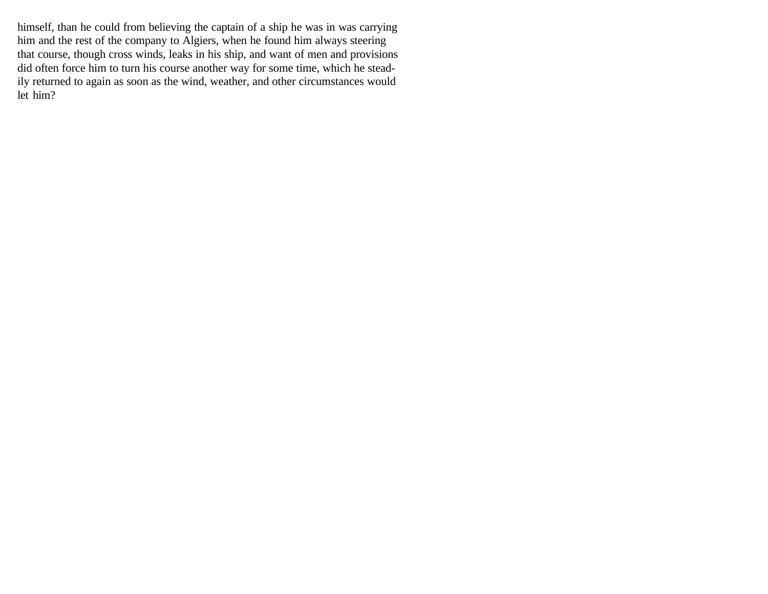himself, than he could from believing the captain of a ship he was in was carrying him and the rest of the company to Algiers, when he found him always steering that course, though cross winds, leaks in his ship, and want of men and provisions did often force him to turn his course another way for some time, which he steadily returned to again as soon as the wind, weather, and other circumstances would let him?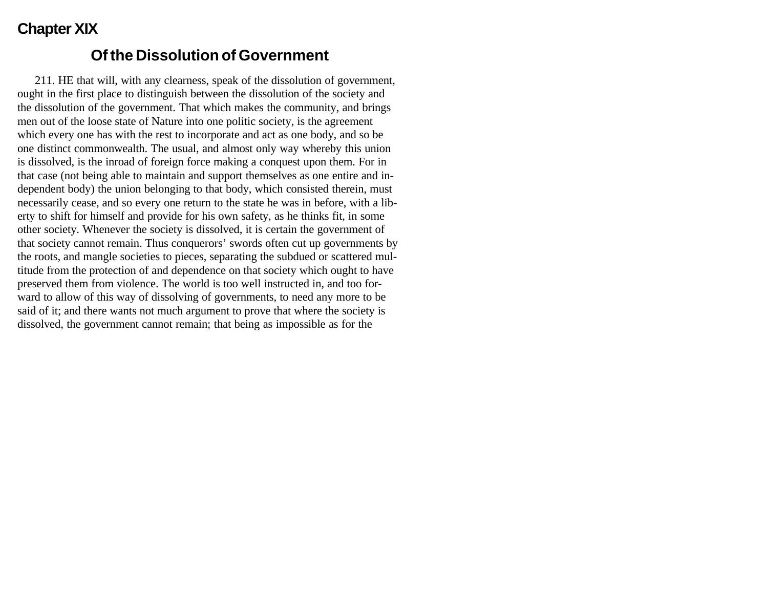# **Chapter XIX**

#### **Of the Dissolution of Government**

211. HE that will, with any clearness, speak of the dissolution of government, ought in the first place to distinguish between the dissolution of the society and the dissolution of the government. That which makes the community, and brings men out of the loose state of Nature into one politic society, is the agreement which every one has with the rest to incorporate and act as one body, and so be one distinct commonwealth. The usual, and almost only way whereby this union is dissolved, is the inroad of foreign force making a conquest upon them. For in that case (not being able to maintain and support themselves as one entire and independent body) the union belonging to that body, which consisted therein, must necessarily cease, and so every one return to the state he was in before, with a liberty to shift for himself and provide for his own safety, as he thinks fit, in some other society. Whenever the society is dissolved, it is certain the government of that society cannot remain. Thus conquerors' swords often cut up governments by the roots, and mangle societies to pieces, separating the subdued or scattered multitude from the protection of and dependence on that society which ought to have preserved them from violence. The world is too well instructed in, and too forward to allow of this way of dissolving of governments, to need any more to be said of it; and there wants not much argument to prove that where the society is dissolved, the government cannot remain; that being as impossible as for the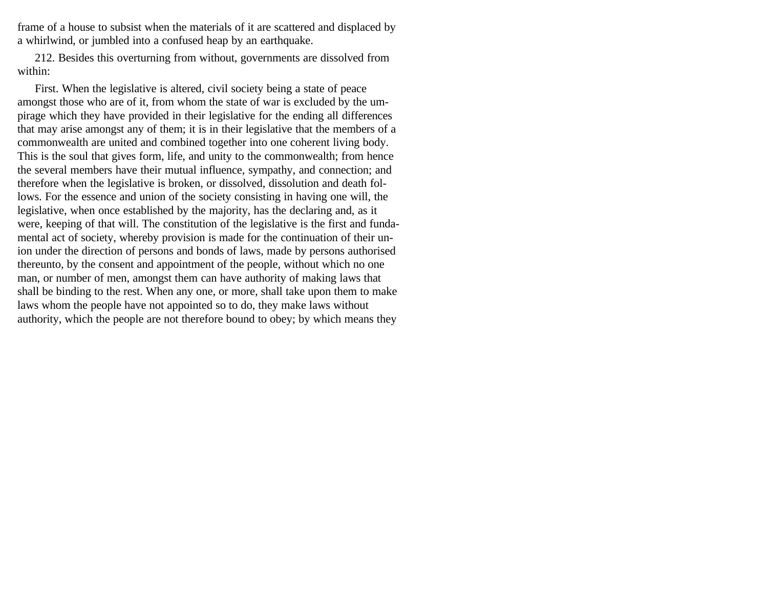frame of a house to subsist when the materials of it are scattered and displaced by a whirlwind, or jumbled into a confused heap by an earthquake.

212. Besides this overturning from without, governments are dissolved from within:

First. When the legislative is altered, civil society being a state of peace amongst those who are of it, from whom the state of war is excluded by the umpirage which they have provided in their legislative for the ending all differences that may arise amongst any of them; it is in their legislative that the members of a commonwealth are united and combined together into one coherent living body. This is the soul that gives form, life, and unity to the commonwealth; from hence the several members have their mutual influence, sympathy, and connection; and therefore when the legislative is broken, or dissolved, dissolution and death follows. For the essence and union of the society consisting in having one will, the legislative, when once established by the majority, has the declaring and, as it were, keeping of that will. The constitution of the legislative is the first and fundamental act of society, whereby provision is made for the continuation of their union under the direction of persons and bonds of laws, made by persons authorised thereunto, by the consent and appointment of the people, without which no one man, or number of men, amongst them can have authority of making laws that shall be binding to the rest. When any one, or more, shall take upon them to make laws whom the people have not appointed so to do, they make laws without authority, which the people are not therefore bound to obey; by which means they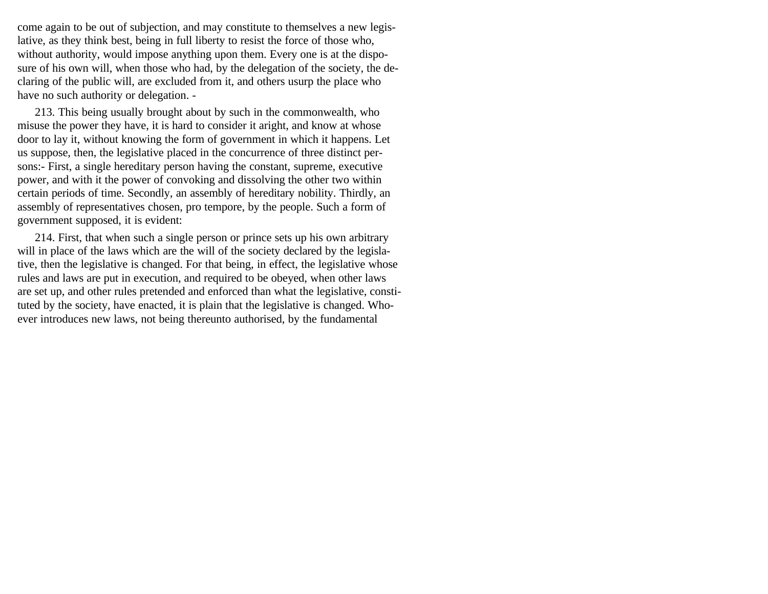come again to be out of subjection, and may constitute to themselves a new legislative, as they think best, being in full liberty to resist the force of those who, without authority, would impose anything upon them. Every one is at the disposure of his own will, when those who had, by the delegation of the society, the declaring of the public will, are excluded from it, and others usurp the place who have no such authority or delegation. -

213. This being usually brought about by such in the commonwealth, who misuse the power they have, it is hard to consider it aright, and know at whose door to lay it, without knowing the form of government in which it happens. Let us suppose, then, the legislative placed in the concurrence of three distinct persons:- First, a single hereditary person having the constant, supreme, executive power, and with it the power of convoking and dissolving the other two within certain periods of time. Secondly, an assembly of hereditary nobility. Thirdly, an assembly of representatives chosen, pro tempore, by the people. Such a form of government supposed, it is evident:

214. First, that when such a single person or prince sets up his own arbitrary will in place of the laws which are the will of the society declared by the legislative, then the legislative is changed. For that being, in effect, the legislative whose rules and laws are put in execution, and required to be obeyed, when other laws are set up, and other rules pretended and enforced than what the legislative, constituted by the society, have enacted, it is plain that the legislative is changed. Whoever introduces new laws, not being thereunto authorised, by the fundamental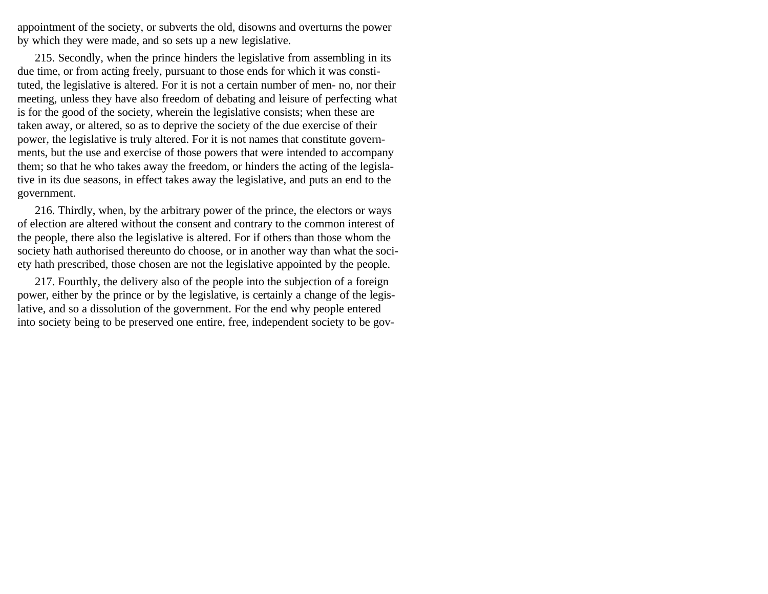appointment of the society, or subverts the old, disowns and overturns the power by which they were made, and so sets up a new legislative.

215. Secondly, when the prince hinders the legislative from assembling in its due time, or from acting freely, pursuant to those ends for which it was constituted, the legislative is altered. For it is not a certain number of men- no, nor their meeting, unless they have also freedom of debating and leisure of perfecting what is for the good of the society, wherein the legislative consists; when these are taken away, or altered, so as to deprive the society of the due exercise of their power, the legislative is truly altered. For it is not names that constitute governments, but the use and exercise of those powers that were intended to accompany them; so that he who takes away the freedom, or hinders the acting of the legislative in its due seasons, in effect takes away the legislative, and puts an end to the government.

216. Thirdly, when, by the arbitrary power of the prince, the electors or ways of election are altered without the consent and contrary to the common interest of the people, there also the legislative is altered. For if others than those whom the society hath authorised thereunto do choose, or in another way than what the society hath prescribed, those chosen are not the legislative appointed by the people.

217. Fourthly, the delivery also of the people into the subjection of a foreign power, either by the prince or by the legislative, is certainly a change of the legislative, and so a dissolution of the government. For the end why people entered into society being to be preserved one entire, free, independent society to be gov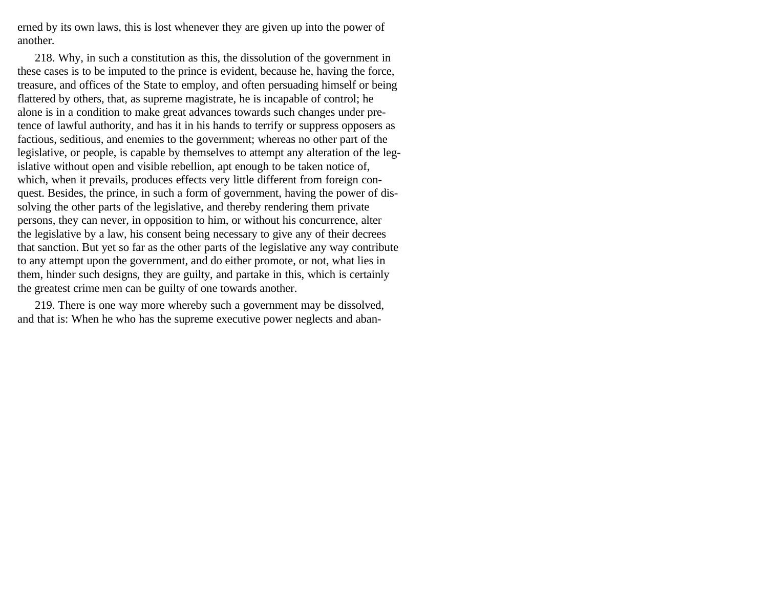erned by its own laws, this is lost whenever they are given up into the power of another.

218. Why, in such a constitution as this, the dissolution of the government in these cases is to be imputed to the prince is evident, because he, having the force, treasure, and offices of the State to employ, and often persuading himself or being flattered by others, that, as supreme magistrate, he is incapable of control; he alone is in a condition to make great advances towards such changes under pretence of lawful authority, and has it in his hands to terrify or suppress opposers as factious, seditious, and enemies to the government; whereas no other part of the legislative, or people, is capable by themselves to attempt any alteration of the legislative without open and visible rebellion, apt enough to be taken notice of, which, when it prevails, produces effects very little different from foreign conquest. Besides, the prince, in such a form of government, having the power of dissolving the other parts of the legislative, and thereby rendering them private persons, they can never, in opposition to him, or without his concurrence, alter the legislative by a law, his consent being necessary to give any of their decrees that sanction. But yet so far as the other parts of the legislative any way contribute to any attempt upon the government, and do either promote, or not, what lies in them, hinder such designs, they are guilty, and partake in this, which is certainly the greatest crime men can be guilty of one towards another.

219. There is one way more whereby such a government may be dissolved, and that is: When he who has the supreme executive power neglects and aban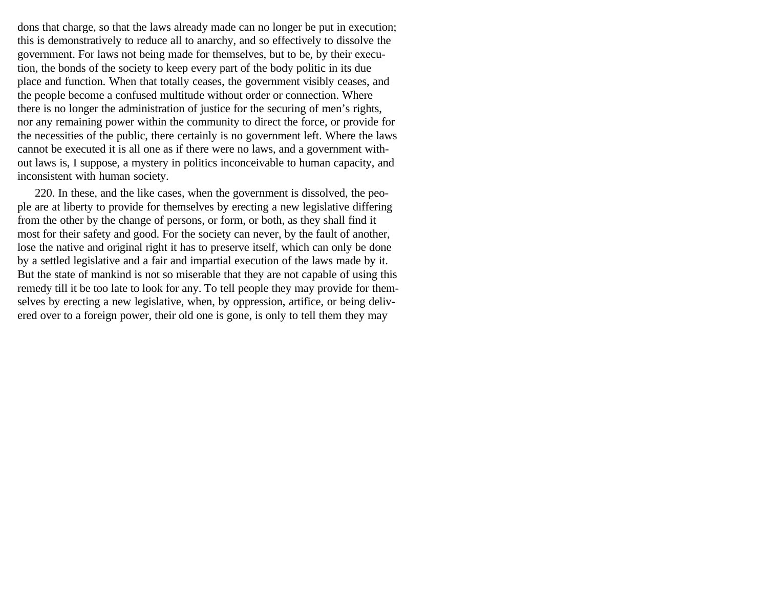dons that charge, so that the laws already made can no longer be put in execution; this is demonstratively to reduce all to anarchy, and so effectively to dissolve the government. For laws not being made for themselves, but to be, by their execution, the bonds of the society to keep every part of the body politic in its due place and function. When that totally ceases, the government visibly ceases, and the people become a confused multitude without order or connection. Where there is no longer the administration of justice for the securing of men's rights, nor any remaining power within the community to direct the force, or provide for the necessities of the public, there certainly is no government left. Where the laws cannot be executed it is all one as if there were no laws, and a government without laws is, I suppose, a mystery in politics inconceivable to human capacity, and inconsistent with human society.

220. In these, and the like cases, when the government is dissolved, the people are at liberty to provide for themselves by erecting a new legislative differing from the other by the change of persons, or form, or both, as they shall find it most for their safety and good. For the society can never, by the fault of another, lose the native and original right it has to preserve itself, which can only be done by a settled legislative and a fair and impartial execution of the laws made by it. But the state of mankind is not so miserable that they are not capable of using this remedy till it be too late to look for any. To tell people they may provide for themselves by erecting a new legislative, when, by oppression, artifice, or being delivered over to a foreign power, their old one is gone, is only to tell them they may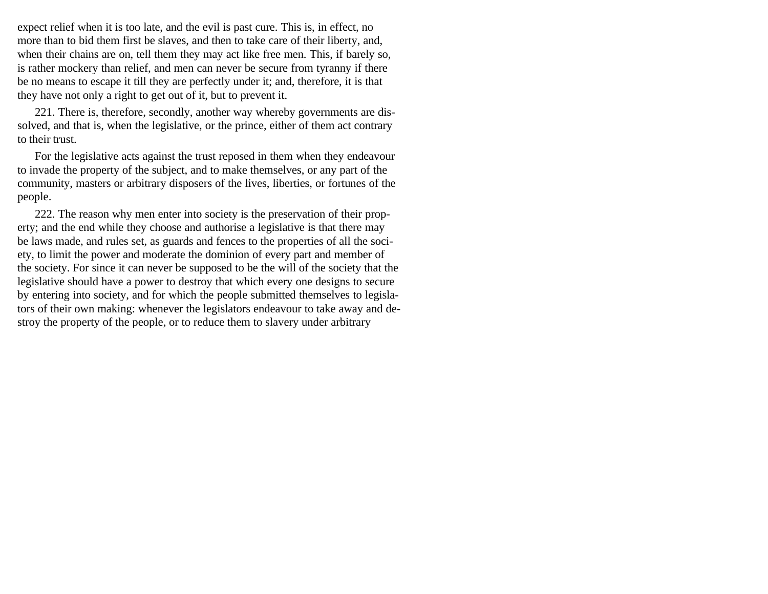expect relief when it is too late, and the evil is past cure. This is, in effect, no more than to bid them first be slaves, and then to take care of their liberty, and, when their chains are on, tell them they may act like free men. This, if barely so, is rather mockery than relief, and men can never be secure from tyranny if there be no means to escape it till they are perfectly under it; and, therefore, it is that they have not only a right to get out of it, but to prevent it.

221. There is, therefore, secondly, another way whereby governments are dissolved, and that is, when the legislative, or the prince, either of them act contrary to their trust.

For the legislative acts against the trust reposed in them when they endeavour to invade the property of the subject, and to make themselves, or any part of the community, masters or arbitrary disposers of the lives, liberties, or fortunes of the people.

222. The reason why men enter into society is the preservation of their property; and the end while they choose and authorise a legislative is that there may be laws made, and rules set, as guards and fences to the properties of all the society, to limit the power and moderate the dominion of every part and member of the society. For since it can never be supposed to be the will of the society that the legislative should have a power to destroy that which every one designs to secure by entering into society, and for which the people submitted themselves to legislators of their own making: whenever the legislators endeavour to take away and destroy the property of the people, or to reduce them to slavery under arbitrary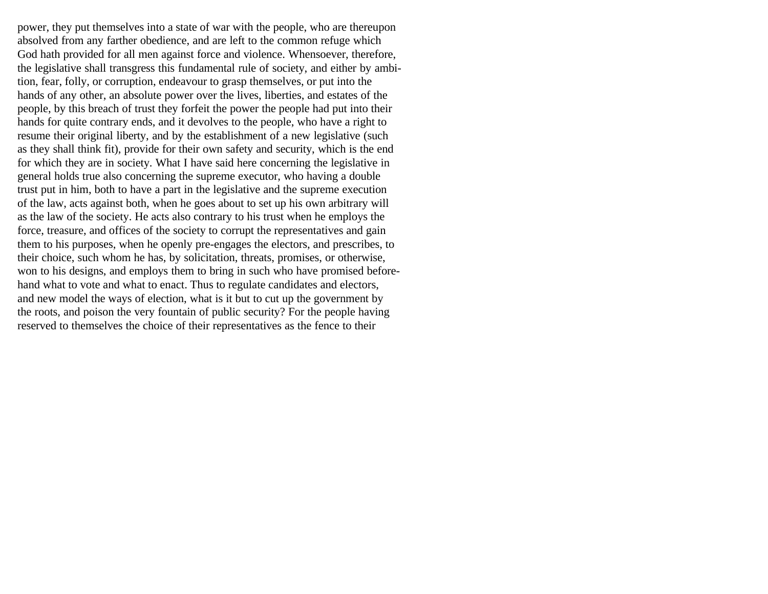power, they put themselves into a state of war with the people, who are thereupon absolved from any farther obedience, and are left to the common refuge which God hath provided for all men against force and violence. Whensoever, therefore, the legislative shall transgress this fundamental rule of society, and either by ambition, fear, folly, or corruption, endeavour to grasp themselves, or put into the hands of any other, an absolute power over the lives, liberties, and estates of the people, by this breach of trust they forfeit the power the people had put into their hands for quite contrary ends, and it devolves to the people, who have a right to resume their original liberty, and by the establishment of a new legislative (such as they shall think fit), provide for their own safety and security, which is the end for which they are in society. What I have said here concerning the legislative in general holds true also concerning the supreme executor, who having a double trust put in him, both to have a part in the legislative and the supreme execution of the law, acts against both, when he goes about to set up his own arbitrary will as the law of the society. He acts also contrary to his trust when he employs the force, treasure, and offices of the society to corrupt the representatives and gain them to his purposes, when he openly pre-engages the electors, and prescribes, to their choice, such whom he has, by solicitation, threats, promises, or otherwise, won to his designs, and employs them to bring in such who have promised beforehand what to vote and what to enact. Thus to regulate candidates and electors, and new model the ways of election, what is it but to cut up the government by the roots, and poison the very fountain of public security? For the people having reserved to themselves the choice of their representatives as the fence to their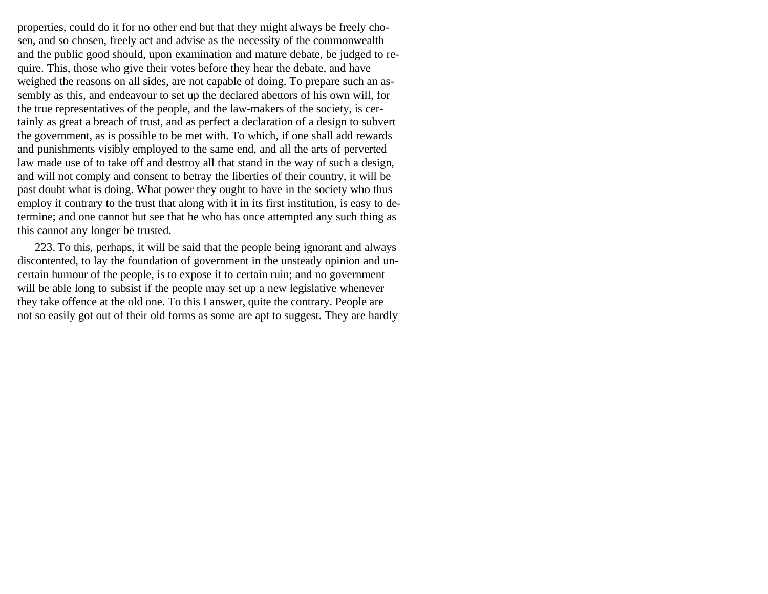properties, could do it for no other end but that they might always be freely chosen, and so chosen, freely act and advise as the necessity of the commonwealth and the public good should, upon examination and mature debate, be judged to require. This, those who give their votes before they hear the debate, and have weighed the reasons on all sides, are not capable of doing. To prepare such an assembly as this, and endeavour to set up the declared abettors of his own will, for the true representatives of the people, and the law-makers of the society, is certainly as great a breach of trust, and as perfect a declaration of a design to subvert the government, as is possible to be met with. To which, if one shall add rewards and punishments visibly employed to the same end, and all the arts of perverted law made use of to take off and destroy all that stand in the way of such a design, and will not comply and consent to betray the liberties of their country, it will be past doubt what is doing. What power they ought to have in the society who thus employ it contrary to the trust that along with it in its first institution, is easy to determine; and one cannot but see that he who has once attempted any such thing as this cannot any longer be trusted.

223. To this, perhaps, it will be said that the people being ignorant and always discontented, to lay the foundation of government in the unsteady opinion and uncertain humour of the people, is to expose it to certain ruin; and no government will be able long to subsist if the people may set up a new legislative whenever they take offence at the old one. To this I answer, quite the contrary. People are not so easily got out of their old forms as some are apt to suggest. They are hardly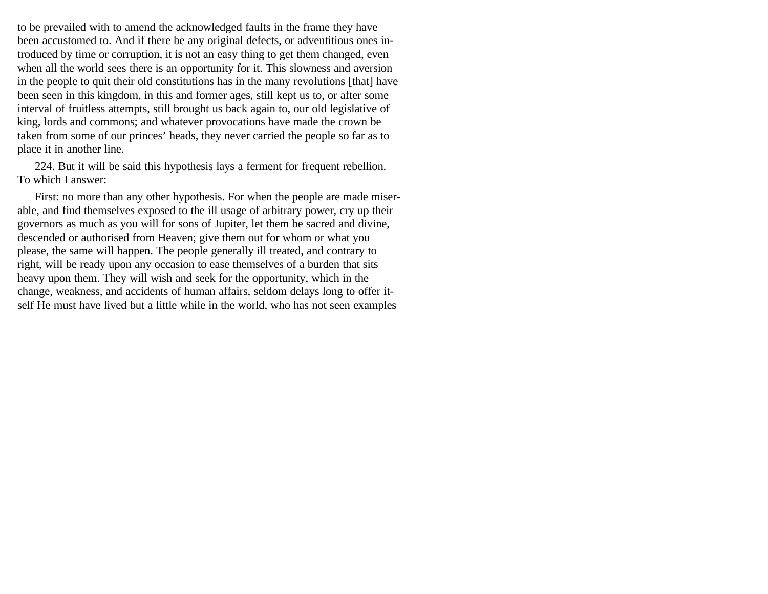to be prevailed with to amend the acknowledged faults in the frame they have been accustomed to. And if there be any original defects, or adventitious ones introduced by time or corruption, it is not an easy thing to get them changed, even when all the world sees there is an opportunity for it. This slowness and aversion in the people to quit their old constitutions has in the many revolutions [that] have been seen in this kingdom, in this and former ages, still kept us to, or after some interval of fruitless attempts, still brought us back again to, our old legislative of king, lords and commons; and whatever provocations have made the crown be taken from some of our princes' heads, they never carried the people so far as to place it in another line.

224. But it will be said this hypothesis lays a ferment for frequent rebellion. To which I answer:

First: no more than any other hypothesis. For when the people are made miserable, and find themselves exposed to the ill usage of arbitrary power, cry up their governors as much as you will for sons of Jupiter, let them be sacred and divine, descended or authorised from Heaven; give them out for whom or what you please, the same will happen. The people generally ill treated, and contrary to right, will be ready upon any occasion to ease themselves of a burden that sits heavy upon them. They will wish and seek for the opportunity, which in the change, weakness, and accidents of human affairs, seldom delays long to offer itself He must have lived but a little while in the world, who has not seen examples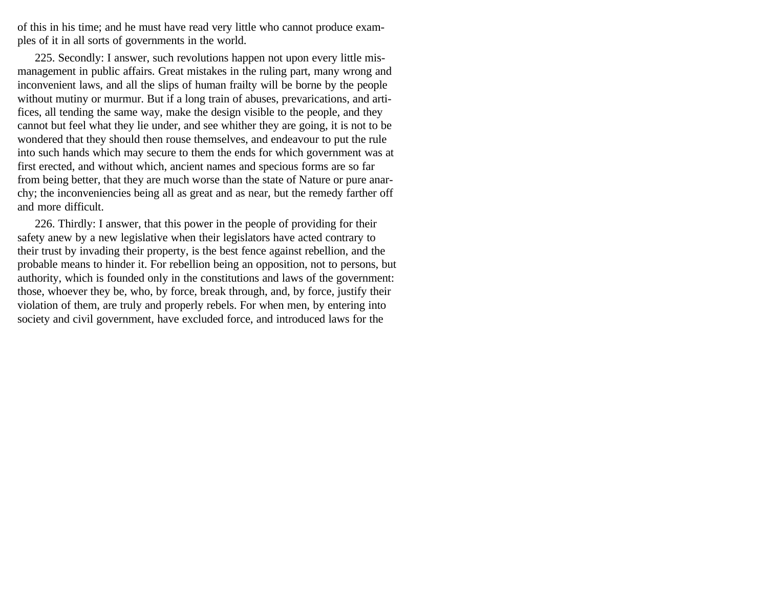of this in his time; and he must have read very little who cannot produce examples of it in all sorts of governments in the world.

225. Secondly: I answer, such revolutions happen not upon every little mismanagement in public affairs. Great mistakes in the ruling part, many wrong and inconvenient laws, and all the slips of human frailty will be borne by the people without mutiny or murmur. But if a long train of abuses, prevarications, and artifices, all tending the same way, make the design visible to the people, and they cannot but feel what they lie under, and see whither they are going, it is not to be wondered that they should then rouse themselves, and endeavour to put the rule into such hands which may secure to them the ends for which government was at first erected, and without which, ancient names and specious forms are so far from being better, that they are much worse than the state of Nature or pure anarchy; the inconveniencies being all as great and as near, but the remedy farther off and more difficult.

226. Thirdly: I answer, that this power in the people of providing for their safety anew by a new legislative when their legislators have acted contrary to their trust by invading their property, is the best fence against rebellion, and the probable means to hinder it. For rebellion being an opposition, not to persons, but authority, which is founded only in the constitutions and laws of the government: those, whoever they be, who, by force, break through, and, by force, justify their violation of them, are truly and properly rebels. For when men, by entering into society and civil government, have excluded force, and introduced laws for the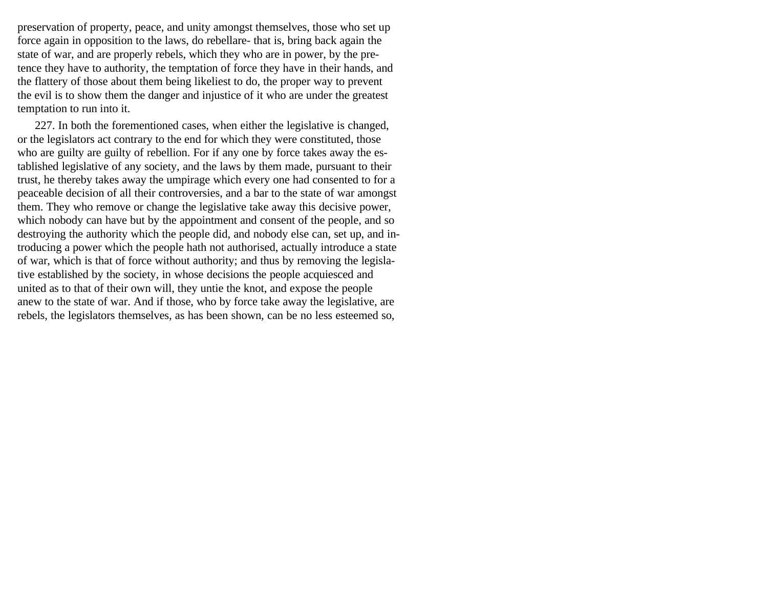preservation of property, peace, and unity amongst themselves, those who set up force again in opposition to the laws, do rebellare- that is, bring back again the state of war, and are properly rebels, which they who are in power, by the pretence they have to authority, the temptation of force they have in their hands, and the flattery of those about them being likeliest to do, the proper way to prevent the evil is to show them the danger and injustice of it who are under the greatest temptation to run into it.

227. In both the forementioned cases, when either the legislative is changed, or the legislators act contrary to the end for which they were constituted, those who are guilty are guilty of rebellion. For if any one by force takes away the established legislative of any society, and the laws by them made, pursuant to their trust, he thereby takes away the umpirage which every one had consented to for a peaceable decision of all their controversies, and a bar to the state of war amongst them. They who remove or change the legislative take away this decisive power, which nobody can have but by the appointment and consent of the people, and so destroying the authority which the people did, and nobody else can, set up, and introducing a power which the people hath not authorised, actually introduce a state of war, which is that of force without authority; and thus by removing the legislative established by the society, in whose decisions the people acquiesced and united as to that of their own will, they untie the knot, and expose the people anew to the state of war. And if those, who by force take away the legislative, are rebels, the legislators themselves, as has been shown, can be no less esteemed so,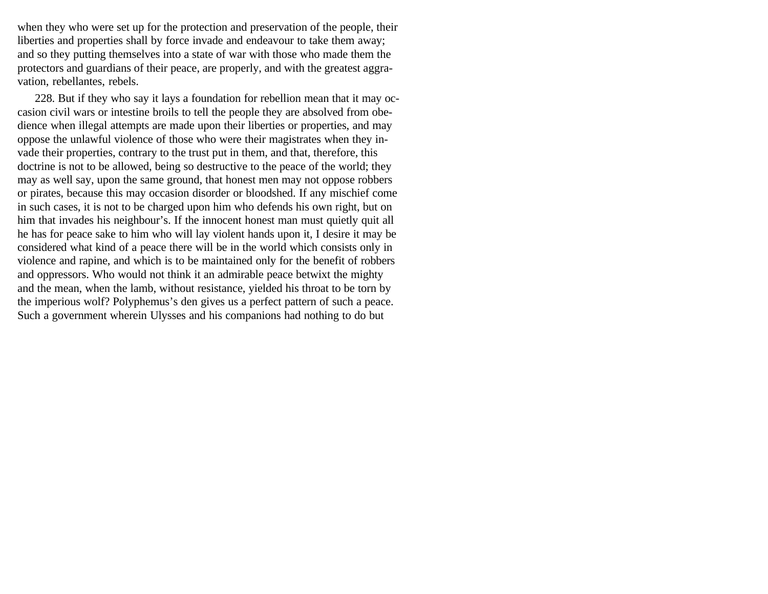when they who were set up for the protection and preservation of the people, their liberties and properties shall by force invade and endeavour to take them away; and so they putting themselves into a state of war with those who made them the protectors and guardians of their peace, are properly, and with the greatest aggravation, rebellantes, rebels.

228. But if they who say it lays a foundation for rebellion mean that it may occasion civil wars or intestine broils to tell the people they are absolved from obedience when illegal attempts are made upon their liberties or properties, and may oppose the unlawful violence of those who were their magistrates when they invade their properties, contrary to the trust put in them, and that, therefore, this doctrine is not to be allowed, being so destructive to the peace of the world; they may as well say, upon the same ground, that honest men may not oppose robbers or pirates, because this may occasion disorder or bloodshed. If any mischief come in such cases, it is not to be charged upon him who defends his own right, but on him that invades his neighbour's. If the innocent honest man must quietly quit all he has for peace sake to him who will lay violent hands upon it, I desire it may be considered what kind of a peace there will be in the world which consists only in violence and rapine, and which is to be maintained only for the benefit of robbers and oppressors. Who would not think it an admirable peace betwixt the mighty and the mean, when the lamb, without resistance, yielded his throat to be torn by the imperious wolf? Polyphemus's den gives us a perfect pattern of such a peace. Such a government wherein Ulysses and his companions had nothing to do but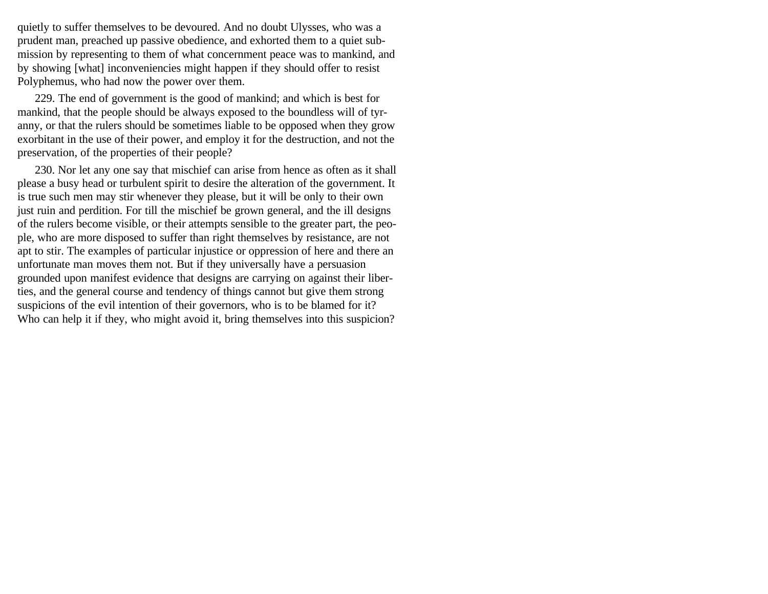quietly to suffer themselves to be devoured. And no doubt Ulysses, who was a prudent man, preached up passive obedience, and exhorted them to a quiet submission by representing to them of what concernment peace was to mankind, and by showing [what] inconveniencies might happen if they should offer to resist Polyphemus, who had now the power over them.

229. The end of government is the good of mankind; and which is best for mankind, that the people should be always exposed to the boundless will of tyranny, or that the rulers should be sometimes liable to be opposed when they grow exorbitant in the use of their power, and employ it for the destruction, and not the preservation, of the properties of their people?

230. Nor let any one say that mischief can arise from hence as often as it shall please a busy head or turbulent spirit to desire the alteration of the government. It is true such men may stir whenever they please, but it will be only to their own just ruin and perdition. For till the mischief be grown general, and the ill designs of the rulers become visible, or their attempts sensible to the greater part, the people, who are more disposed to suffer than right themselves by resistance, are not apt to stir. The examples of particular injustice or oppression of here and there an unfortunate man moves them not. But if they universally have a persuasion grounded upon manifest evidence that designs are carrying on against their liberties, and the general course and tendency of things cannot but give them strong suspicions of the evil intention of their governors, who is to be blamed for it? Who can help it if they, who might avoid it, bring themselves into this suspicion?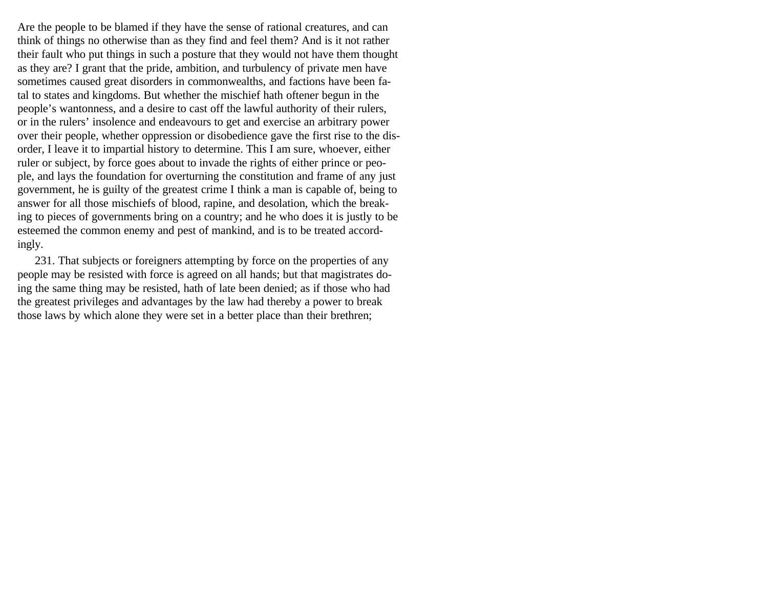Are the people to be blamed if they have the sense of rational creatures, and can think of things no otherwise than as they find and feel them? And is it not rather their fault who put things in such a posture that they would not have them thought as they are? I grant that the pride, ambition, and turbulency of private men have sometimes caused great disorders in commonwealths, and factions have been fatal to states and kingdoms. But whether the mischief hath oftener begun in the people's wantonness, and a desire to cast off the lawful authority of their rulers, or in the rulers' insolence and endeavours to get and exercise an arbitrary power over their people, whether oppression or disobedience gave the first rise to the disorder, I leave it to impartial history to determine. This I am sure, whoever, either ruler or subject, by force goes about to invade the rights of either prince or people, and lays the foundation for overturning the constitution and frame of any just government, he is guilty of the greatest crime I think a man is capable of, being to answer for all those mischiefs of blood, rapine, and desolation, which the breaking to pieces of governments bring on a country; and he who does it is justly to be esteemed the common enemy and pest of mankind, and is to be treated accordingly.

231. That subjects or foreigners attempting by force on the properties of any people may be resisted with force is agreed on all hands; but that magistrates doing the same thing may be resisted, hath of late been denied; as if those who had the greatest privileges and advantages by the law had thereby a power to break those laws by which alone they were set in a better place than their brethren;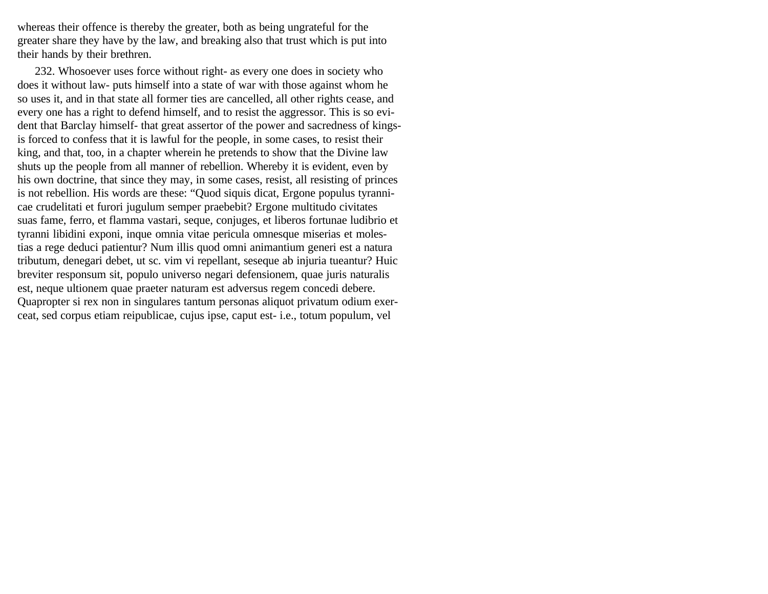whereas their offence is thereby the greater, both as being ungrateful for the greater share they have by the law, and breaking also that trust which is put into their hands by their brethren.

232. Whosoever uses force without right- as every one does in society who does it without law- puts himself into a state of war with those against whom he so uses it, and in that state all former ties are cancelled, all other rights cease, and every one has a right to defend himself, and to resist the aggressor. This is so evident that Barclay himself- that great assertor of the power and sacredness of kingsis forced to confess that it is lawful for the people, in some cases, to resist their king, and that, too, in a chapter wherein he pretends to show that the Divine law shuts up the people from all manner of rebellion. Whereby it is evident, even by his own doctrine, that since they may, in some cases, resist, all resisting of princes is not rebellion. His words are these: "Quod siquis dicat, Ergone populus tyrannicae crudelitati et furori jugulum semper praebebit? Ergone multitudo civitates suas fame, ferro, et flamma vastari, seque, conjuges, et liberos fortunae ludibrio et tyranni libidini exponi, inque omnia vitae pericula omnesque miserias et molestias a rege deduci patientur? Num illis quod omni animantium generi est a natura tributum, denegari debet, ut sc. vim vi repellant, seseque ab injuria tueantur? Huic breviter responsum sit, populo universo negari defensionem, quae juris naturalis est, neque ultionem quae praeter naturam est adversus regem concedi debere. Quapropter si rex non in singulares tantum personas aliquot privatum odium exerceat, sed corpus etiam reipublicae, cujus ipse, caput est- i.e., totum populum, vel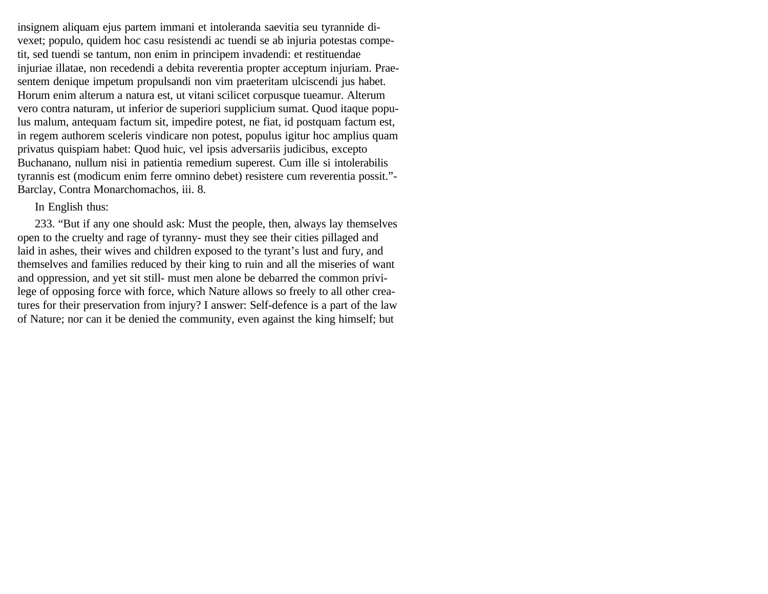insignem aliquam ejus partem immani et intoleranda saevitia seu tyrannide divexet; populo, quidem hoc casu resistendi ac tuendi se ab injuria potestas competit, sed tuendi se tantum, non enim in principem invadendi: et restituendae injuriae illatae, non recedendi a debita reverentia propter acceptum injuriam. Praesentem denique impetum propulsandi non vim praeteritam ulciscendi jus habet. Horum enim alterum a natura est, ut vitani scilicet corpusque tueamur. Alterum vero contra naturam, ut inferior de superiori supplicium sumat. Quod itaque populus malum, antequam factum sit, impedire potest, ne fiat, id postquam factum est, in regem authorem sceleris vindicare non potest, populus igitur hoc amplius quam privatus quispiam habet: Quod huic, vel ipsis adversariis judicibus, excepto Buchanano, nullum nisi in patientia remedium superest. Cum ille si intolerabilis tyrannis est (modicum enim ferre omnino debet) resistere cum reverentia possit."- Barclay, Contra Monarchomachos, iii. 8.

#### In English thus:

233. "But if any one should ask: Must the people, then, always lay themselves open to the cruelty and rage of tyranny- must they see their cities pillaged and laid in ashes, their wives and children exposed to the tyrant's lust and fury, and themselves and families reduced by their king to ruin and all the miseries of want and oppression, and yet sit still- must men alone be debarred the common privilege of opposing force with force, which Nature allows so freely to all other creatures for their preservation from injury? I answer: Self-defence is a part of the law of Nature; nor can it be denied the community, even against the king himself; but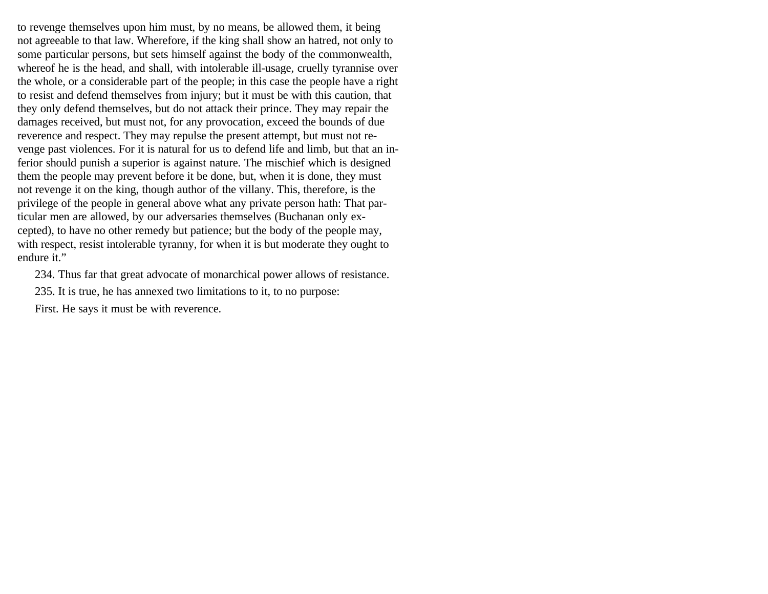to revenge themselves upon him must, by no means, be allowed them, it being not agreeable to that law. Wherefore, if the king shall show an hatred, not only to some particular persons, but sets himself against the body of the commonwealth, whereof he is the head, and shall, with intolerable ill-usage, cruelly tyrannise over the whole, or a considerable part of the people; in this case the people have a right to resist and defend themselves from injury; but it must be with this caution, that they only defend themselves, but do not attack their prince. They may repair the damages received, but must not, for any provocation, exceed the bounds of due reverence and respect. They may repulse the present attempt, but must not revenge past violences. For it is natural for us to defend life and limb, but that an inferior should punish a superior is against nature. The mischief which is designed them the people may prevent before it be done, but, when it is done, they must not revenge it on the king, though author of the villany. This, therefore, is the privilege of the people in general above what any private person hath: That particular men are allowed, by our adversaries themselves (Buchanan only excepted), to have no other remedy but patience; but the body of the people may, with respect, resist intolerable tyranny, for when it is but moderate they ought to endure it."

234. Thus far that great advocate of monarchical power allows of resistance.

235. It is true, he has annexed two limitations to it, to no purpose:

First. He says it must be with reverence.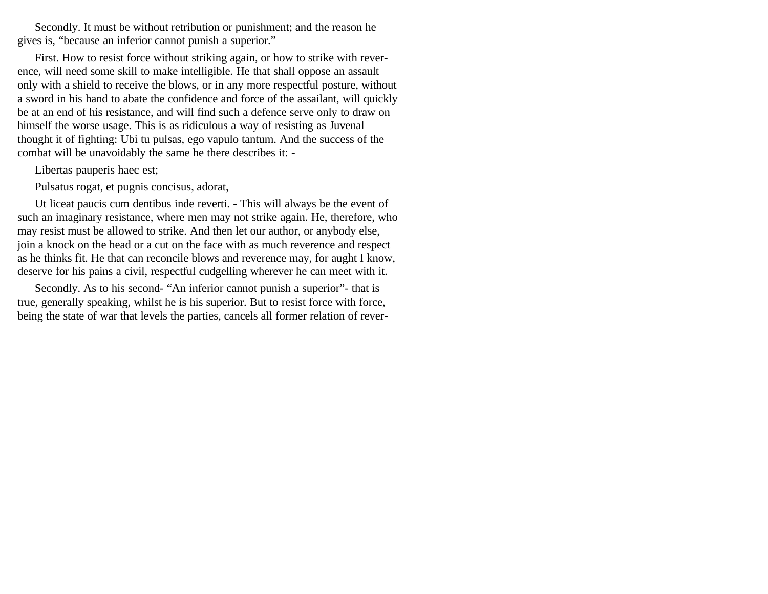Secondly. It must be without retribution or punishment; and the reason he gives is, "because an inferior cannot punish a superior."

First. How to resist force without striking again, or how to strike with reverence, will need some skill to make intelligible. He that shall oppose an assault only with a shield to receive the blows, or in any more respectful posture, without a sword in his hand to abate the confidence and force of the assailant, will quickly be at an end of his resistance, and will find such a defence serve only to draw on himself the worse usage. This is as ridiculous a way of resisting as Juvenal thought it of fighting: Ubi tu pulsas, ego vapulo tantum. And the success of the combat will be unavoidably the same he there describes it: -

Libertas pauperis haec est;

Pulsatus rogat, et pugnis concisus, adorat,

Ut liceat paucis cum dentibus inde reverti. - This will always be the event of such an imaginary resistance, where men may not strike again. He, therefore, who may resist must be allowed to strike. And then let our author, or anybody else, join a knock on the head or a cut on the face with as much reverence and respect as he thinks fit. He that can reconcile blows and reverence may, for aught I know, deserve for his pains a civil, respectful cudgelling wherever he can meet with it.

Secondly. As to his second- "An inferior cannot punish a superior"- that is true, generally speaking, whilst he is his superior. But to resist force with force, being the state of war that levels the parties, cancels all former relation of rever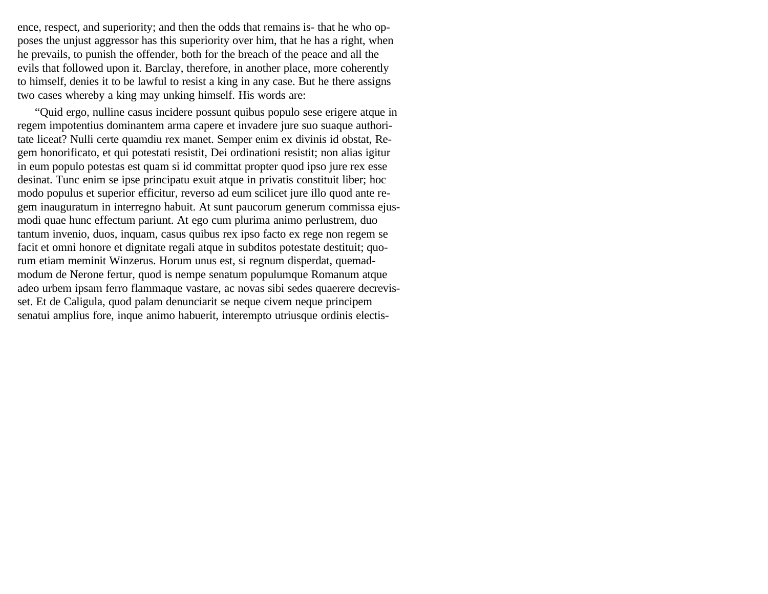ence, respect, and superiority; and then the odds that remains is- that he who opposes the unjust aggressor has this superiority over him, that he has a right, when he prevails, to punish the offender, both for the breach of the peace and all the evils that followed upon it. Barclay, therefore, in another place, more coherently to himself, denies it to be lawful to resist a king in any case. But he there assigns two cases whereby a king may unking himself. His words are:

"Quid ergo, nulline casus incidere possunt quibus populo sese erigere atque in regem impotentius dominantem arma capere et invadere jure suo suaque authoritate liceat? Nulli certe quamdiu rex manet. Semper enim ex divinis id obstat, Regem honorificato, et qui potestati resistit, Dei ordinationi resistit; non alias igitur in eum populo potestas est quam si id committat propter quod ipso jure rex esse desinat. Tunc enim se ipse principatu exuit atque in privatis constituit liber; hoc modo populus et superior efficitur, reverso ad eum scilicet jure illo quod ante regem inauguratum in interregno habuit. At sunt paucorum generum commissa ejusmodi quae hunc effectum pariunt. At ego cum plurima animo perlustrem, duo tantum invenio, duos, inquam, casus quibus rex ipso facto ex rege non regem se facit et omni honore et dignitate regali atque in subditos potestate destituit; quorum etiam meminit Winzerus. Horum unus est, si regnum disperdat, quemadmodum de Nerone fertur, quod is nempe senatum populumque Romanum atque adeo urbem ipsam ferro flammaque vastare, ac novas sibi sedes quaerere decrevisset. Et de Caligula, quod palam denunciarit se neque civem neque principem senatui amplius fore, inque animo habuerit, interempto utriusque ordinis electis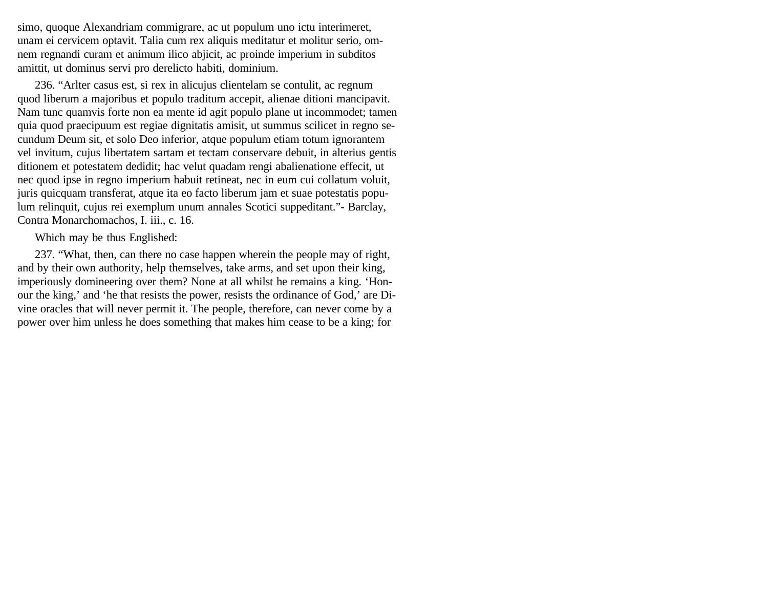simo, quoque Alexandriam commigrare, ac ut populum uno ictu interimeret, unam ei cervicem optavit. Talia cum rex aliquis meditatur et molitur serio, omnem regnandi curam et animum ilico abjicit, ac proinde imperium in subditos amittit, ut dominus servi pro derelicto habiti, dominium.

236. "Arlter casus est, si rex in alicujus clientelam se contulit, ac regnum quod liberum a majoribus et populo traditum accepit, alienae ditioni mancipavit. Nam tunc quamvis forte non ea mente id agit populo plane ut incommodet; tamen quia quod praecipuum est regiae dignitatis amisit, ut summus scilicet in regno secundum Deum sit, et solo Deo inferior, atque populum etiam totum ignorantem vel invitum, cujus libertatem sartam et tectam conservare debuit, in alterius gentis ditionem et potestatem dedidit; hac velut quadam rengi abalienatione effecit, ut nec quod ipse in regno imperium habuit retineat, nec in eum cui collatum voluit, juris quicquam transferat, atque ita eo facto liberum jam et suae potestatis populum relinquit, cujus rei exemplum unum annales Scotici suppeditant."- Barclay, Contra Monarchomachos, I. iii., c. 16.

Which may be thus Englished:

237. "What, then, can there no case happen wherein the people may of right, and by their own authority, help themselves, take arms, and set upon their king, imperiously domineering over them? None at all whilst he remains a king. 'Honour the king,' and 'he that resists the power, resists the ordinance of God,' are Divine oracles that will never permit it. The people, therefore, can never come by a power over him unless he does something that makes him cease to be a king; for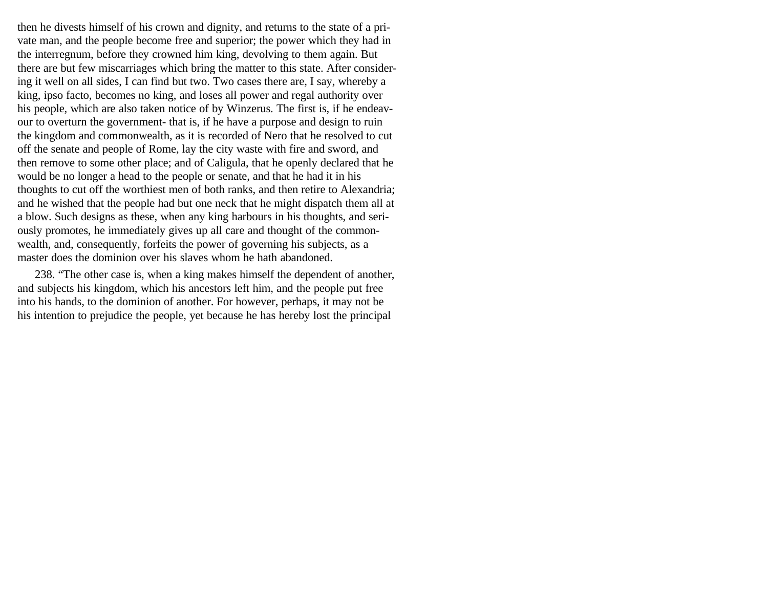then he divests himself of his crown and dignity, and returns to the state of a private man, and the people become free and superior; the power which they had in the interregnum, before they crowned him king, devolving to them again. But there are but few miscarriages which bring the matter to this state. After considering it well on all sides, I can find but two. Two cases there are, I say, whereby a king, ipso facto, becomes no king, and loses all power and regal authority over his people, which are also taken notice of by Winzerus. The first is, if he endeavour to overturn the government- that is, if he have a purpose and design to ruin the kingdom and commonwealth, as it is recorded of Nero that he resolved to cut off the senate and people of Rome, lay the city waste with fire and sword, and then remove to some other place; and of Caligula, that he openly declared that he would be no longer a head to the people or senate, and that he had it in his thoughts to cut off the worthiest men of both ranks, and then retire to Alexandria; and he wished that the people had but one neck that he might dispatch them all at a blow. Such designs as these, when any king harbours in his thoughts, and seriously promotes, he immediately gives up all care and thought of the commonwealth, and, consequently, forfeits the power of governing his subjects, as a master does the dominion over his slaves whom he hath abandoned.

238. "The other case is, when a king makes himself the dependent of another, and subjects his kingdom, which his ancestors left him, and the people put free into his hands, to the dominion of another. For however, perhaps, it may not be his intention to prejudice the people, yet because he has hereby lost the principal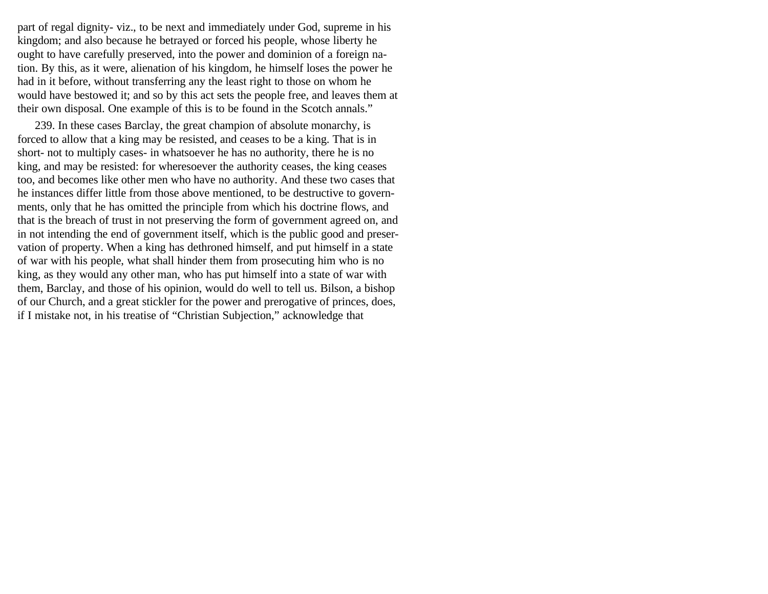part of regal dignity- viz., to be next and immediately under God, supreme in his kingdom; and also because he betrayed or forced his people, whose liberty he ought to have carefully preserved, into the power and dominion of a foreign nation. By this, as it were, alienation of his kingdom, he himself loses the power he had in it before, without transferring any the least right to those on whom he would have bestowed it; and so by this act sets the people free, and leaves them at their own disposal. One example of this is to be found in the Scotch annals."

239. In these cases Barclay, the great champion of absolute monarchy, is forced to allow that a king may be resisted, and ceases to be a king. That is in short- not to multiply cases- in whatsoever he has no authority, there he is no king, and may be resisted: for wheresoever the authority ceases, the king ceases too, and becomes like other men who have no authority. And these two cases that he instances differ little from those above mentioned, to be destructive to governments, only that he has omitted the principle from which his doctrine flows, and that is the breach of trust in not preserving the form of government agreed on, and in not intending the end of government itself, which is the public good and preservation of property. When a king has dethroned himself, and put himself in a state of war with his people, what shall hinder them from prosecuting him who is no king, as they would any other man, who has put himself into a state of war with them, Barclay, and those of his opinion, would do well to tell us. Bilson, a bishop of our Church, and a great stickler for the power and prerogative of princes, does, if I mistake not, in his treatise of "Christian Subjection," acknowledge that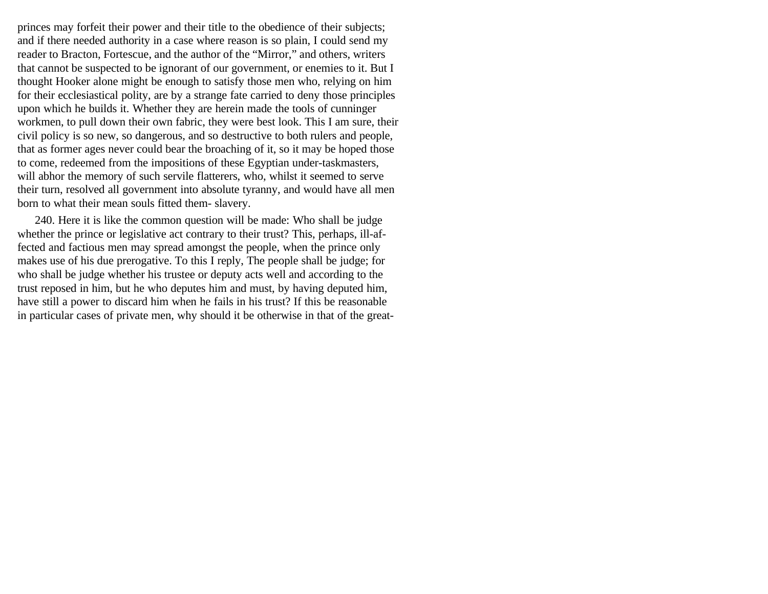princes may forfeit their power and their title to the obedience of their subjects; and if there needed authority in a case where reason is so plain, I could send my reader to Bracton, Fortescue, and the author of the "Mirror," and others, writers that cannot be suspected to be ignorant of our government, or enemies to it. But I thought Hooker alone might be enough to satisfy those men who, relying on him for their ecclesiastical polity, are by a strange fate carried to deny those principles upon which he builds it. Whether they are herein made the tools of cunninger workmen, to pull down their own fabric, they were best look. This I am sure, their civil policy is so new, so dangerous, and so destructive to both rulers and people, that as former ages never could bear the broaching of it, so it may be hoped those to come, redeemed from the impositions of these Egyptian under-taskmasters, will abhor the memory of such servile flatterers, who, whilst it seemed to serve their turn, resolved all government into absolute tyranny, and would have all men born to what their mean souls fitted them- slavery.

240. Here it is like the common question will be made: Who shall be judge whether the prince or legislative act contrary to their trust? This, perhaps, ill-affected and factious men may spread amongst the people, when the prince only makes use of his due prerogative. To this I reply, The people shall be judge; for who shall be judge whether his trustee or deputy acts well and according to the trust reposed in him, but he who deputes him and must, by having deputed him, have still a power to discard him when he fails in his trust? If this be reasonable in particular cases of private men, why should it be otherwise in that of the great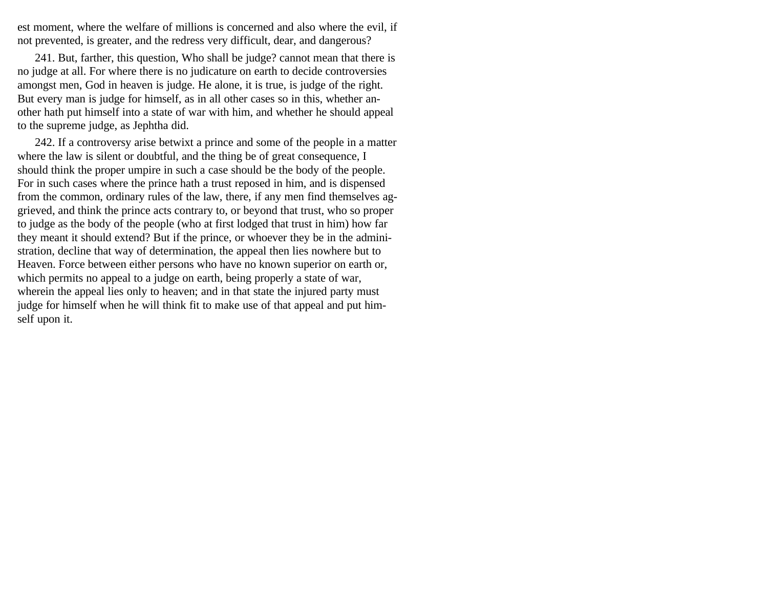est moment, where the welfare of millions is concerned and also where the evil, if not prevented, is greater, and the redress very difficult, dear, and dangerous?

241. But, farther, this question, Who shall be judge? cannot mean that there is no judge at all. For where there is no judicature on earth to decide controversies amongst men, God in heaven is judge. He alone, it is true, is judge of the right. But every man is judge for himself, as in all other cases so in this, whether another hath put himself into a state of war with him, and whether he should appeal to the supreme judge, as Jephtha did.

242. If a controversy arise betwixt a prince and some of the people in a matter where the law is silent or doubtful, and the thing be of great consequence, I should think the proper umpire in such a case should be the body of the people. For in such cases where the prince hath a trust reposed in him, and is dispensed from the common, ordinary rules of the law, there, if any men find themselves aggrieved, and think the prince acts contrary to, or beyond that trust, who so proper to judge as the body of the people (who at first lodged that trust in him) how far they meant it should extend? But if the prince, or whoever they be in the administration, decline that way of determination, the appeal then lies nowhere but to Heaven. Force between either persons who have no known superior on earth or, which permits no appeal to a judge on earth, being properly a state of war, wherein the appeal lies only to heaven; and in that state the injured party must judge for himself when he will think fit to make use of that appeal and put himself upon it.